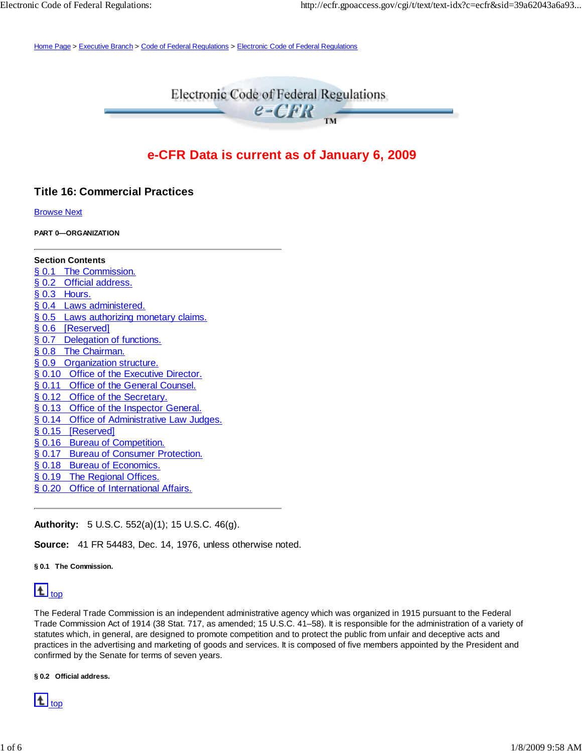Home Page > Executive Branch > Code of Federal Regulations > Electronic Code of Federal Regulations

Electronic Code of Federal Regulations

 $e$ -CFR

### **e-CFR Data is current as of January 6, 2009**

### **Title 16: Commercial Practices**

Browse Next

**PART 0—ORGANIZATION**

| <b>Section Contents</b> |                                          |
|-------------------------|------------------------------------------|
|                         | § 0.1 The Commission.                    |
|                         | § 0.2 Official address.                  |
|                         | $§ 0.3$ Hours.                           |
|                         | § 0.4 Laws administered.                 |
|                         | § 0.5 Laws authorizing monetary claims.  |
|                         | § 0.6 [Reserved]                         |
|                         | § 0.7 Delegation of functions.           |
| § 0.8                   | The Chairman.                            |
| § 0.9                   | Organization structure.                  |
|                         | § 0.10 Office of the Executive Director. |
| § 0.11                  | <b>Office of the General Counsel.</b>    |
|                         | § 0.12 Office of the Secretary.          |
|                         | § 0.13 Office of the Inspector General.  |
| § 0.14                  | Office of Administrative Law Judges.     |
|                         | § 0.15 [Reserved]                        |
| § 0.16                  | <b>Bureau of Competition.</b>            |
| $§$ 0.17                | <b>Bureau of Consumer Protection.</b>    |
| \$0.18                  | <b>Bureau of Economics.</b>              |
| \$0.19                  | The Regional Offices.                    |
| § 0.20                  | Office of International Affairs.         |

**Authority:** 5 U.S.C. 552(a)(1); 15 U.S.C. 46(g).

**Source:** 41 FR 54483, Dec. 14, 1976, unless otherwise noted.

**§ 0.1 The Commission.**



The Federal Trade Commission is an independent administrative agency which was organized in 1915 pursuant to the Federal Trade Commission Act of 1914 (38 Stat. 717, as amended; 15 U.S.C. 41–58). It is responsible for the administration of a variety of statutes which, in general, are designed to promote competition and to protect the public from unfair and deceptive acts and practices in the advertising and marketing of goods and services. It is composed of five members appointed by the President and confirmed by the Senate for terms of seven years.

**§ 0.2 Official address.**

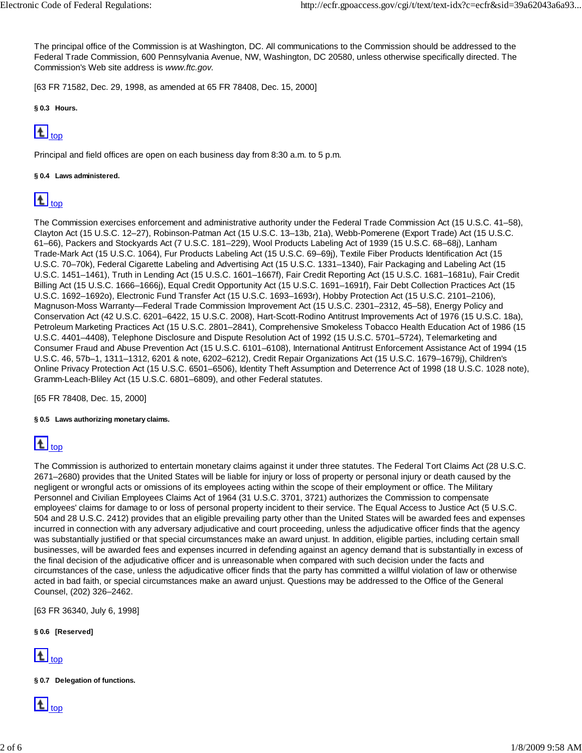The principal office of the Commission is at Washington, DC. All communications to the Commission should be addressed to the Federal Trade Commission, 600 Pennsylvania Avenue, NW, Washington, DC 20580, unless otherwise specifically directed. The Commission's Web site address is *www.ftc.gov.*

[63 FR 71582, Dec. 29, 1998, as amended at 65 FR 78408, Dec. 15, 2000]

**§ 0.3 Hours.**

## $t_{top}$

Principal and field offices are open on each business day from 8:30 a.m. to 5 p.m.

#### **§ 0.4 Laws administered.**

# top

The Commission exercises enforcement and administrative authority under the Federal Trade Commission Act (15 U.S.C. 41–58), Clayton Act (15 U.S.C. 12–27), Robinson-Patman Act (15 U.S.C. 13–13b, 21a), Webb-Pomerene (Export Trade) Act (15 U.S.C. 61–66), Packers and Stockyards Act (7 U.S.C. 181–229), Wool Products Labeling Act of 1939 (15 U.S.C. 68–68j), Lanham Trade-Mark Act (15 U.S.C. 1064), Fur Products Labeling Act (15 U.S.C. 69–69j), Textile Fiber Products Identification Act (15 U.S.C. 70–70k), Federal Cigarette Labeling and Advertising Act (15 U.S.C. 1331–1340), Fair Packaging and Labeling Act (15 U.S.C. 1451–1461), Truth in Lending Act (15 U.S.C. 1601–1667f), Fair Credit Reporting Act (15 U.S.C. 1681–1681u), Fair Credit Billing Act (15 U.S.C. 1666–1666j), Equal Credit Opportunity Act (15 U.S.C. 1691–1691f), Fair Debt Collection Practices Act (15 U.S.C. 1692–1692o), Electronic Fund Transfer Act (15 U.S.C. 1693–1693r), Hobby Protection Act (15 U.S.C. 2101–2106), Magnuson-Moss Warranty—Federal Trade Commission Improvement Act (15 U.S.C. 2301–2312, 45–58), Energy Policy and Conservation Act (42 U.S.C. 6201–6422, 15 U.S.C. 2008), Hart-Scott-Rodino Antitrust Improvements Act of 1976 (15 U.S.C. 18a), Petroleum Marketing Practices Act (15 U.S.C. 2801–2841), Comprehensive Smokeless Tobacco Health Education Act of 1986 (15 U.S.C. 4401–4408), Telephone Disclosure and Dispute Resolution Act of 1992 (15 U.S.C. 5701–5724), Telemarketing and Consumer Fraud and Abuse Prevention Act (15 U.S.C. 6101–6108), International Antitrust Enforcement Assistance Act of 1994 (15 U.S.C. 46, 57b–1, 1311–1312, 6201 & note, 6202–6212), Credit Repair Organizations Act (15 U.S.C. 1679–1679j), Children's Online Privacy Protection Act (15 U.S.C. 6501–6506), Identity Theft Assumption and Deterrence Act of 1998 (18 U.S.C. 1028 note), Gramm-Leach-Bliley Act (15 U.S.C. 6801–6809), and other Federal statutes.

[65 FR 78408, Dec. 15, 2000]

#### **§ 0.5 Laws authorizing monetary claims.**



The Commission is authorized to entertain monetary claims against it under three statutes. The Federal Tort Claims Act (28 U.S.C. 2671–2680) provides that the United States will be liable for injury or loss of property or personal injury or death caused by the negligent or wrongful acts or omissions of its employees acting within the scope of their employment or office. The Military Personnel and Civilian Employees Claims Act of 1964 (31 U.S.C. 3701, 3721) authorizes the Commission to compensate employees' claims for damage to or loss of personal property incident to their service. The Equal Access to Justice Act (5 U.S.C. 504 and 28 U.S.C. 2412) provides that an eligible prevailing party other than the United States will be awarded fees and expenses incurred in connection with any adversary adjudicative and court proceeding, unless the adjudicative officer finds that the agency was substantially justified or that special circumstances make an award unjust. In addition, eligible parties, including certain small businesses, will be awarded fees and expenses incurred in defending against an agency demand that is substantially in excess of the final decision of the adjudicative officer and is unreasonable when compared with such decision under the facts and circumstances of the case, unless the adjudicative officer finds that the party has committed a willful violation of law or otherwise acted in bad faith, or special circumstances make an award unjust. Questions may be addressed to the Office of the General Counsel, (202) 326–2462.

[63 FR 36340, July 6, 1998]

**§ 0.6 [Reserved]**



**§ 0.7 Delegation of functions.**

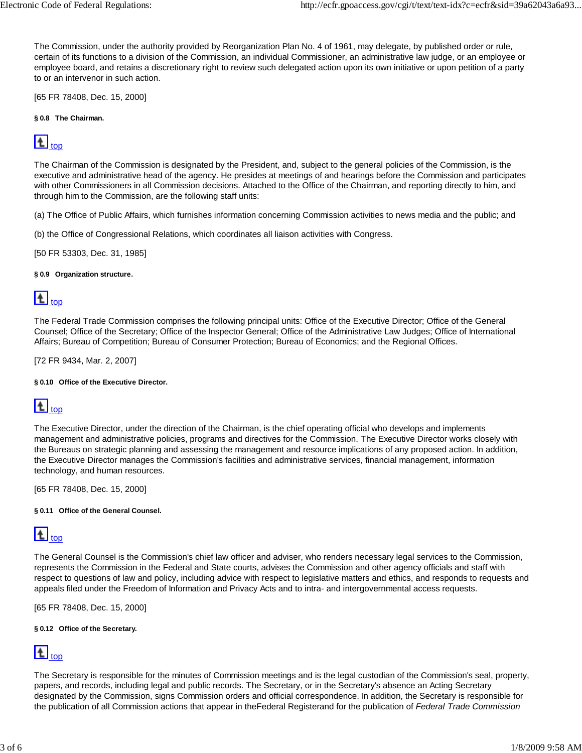The Commission, under the authority provided by Reorganization Plan No. 4 of 1961, may delegate, by published order or rule, certain of its functions to a division of the Commission, an individual Commissioner, an administrative law judge, or an employee or employee board, and retains a discretionary right to review such delegated action upon its own initiative or upon petition of a party to or an intervenor in such action.

[65 FR 78408, Dec. 15, 2000]

**§ 0.8 The Chairman.**



The Chairman of the Commission is designated by the President, and, subject to the general policies of the Commission, is the executive and administrative head of the agency. He presides at meetings of and hearings before the Commission and participates with other Commissioners in all Commission decisions. Attached to the Office of the Chairman, and reporting directly to him, and through him to the Commission, are the following staff units:

(a) The Office of Public Affairs, which furnishes information concerning Commission activities to news media and the public; and

(b) the Office of Congressional Relations, which coordinates all liaison activities with Congress.

[50 FR 53303, Dec. 31, 1985]

**§ 0.9 Organization structure.**

# $t$  top

The Federal Trade Commission comprises the following principal units: Office of the Executive Director; Office of the General Counsel; Office of the Secretary; Office of the Inspector General; Office of the Administrative Law Judges; Office of International Affairs; Bureau of Competition; Bureau of Consumer Protection; Bureau of Economics; and the Regional Offices.

[72 FR 9434, Mar. 2, 2007]

**§ 0.10 Office of the Executive Director.**

# top top

The Executive Director, under the direction of the Chairman, is the chief operating official who develops and implements management and administrative policies, programs and directives for the Commission. The Executive Director works closely with the Bureaus on strategic planning and assessing the management and resource implications of any proposed action. In addition, the Executive Director manages the Commission's facilities and administrative services, financial management, information technology, and human resources.

[65 FR 78408, Dec. 15, 2000]

#### **§ 0.11 Office of the General Counsel.**



The General Counsel is the Commission's chief law officer and adviser, who renders necessary legal services to the Commission, represents the Commission in the Federal and State courts, advises the Commission and other agency officials and staff with respect to questions of law and policy, including advice with respect to legislative matters and ethics, and responds to requests and appeals filed under the Freedom of Information and Privacy Acts and to intra- and intergovernmental access requests.

[65 FR 78408, Dec. 15, 2000]

**§ 0.12 Office of the Secretary.**



The Secretary is responsible for the minutes of Commission meetings and is the legal custodian of the Commission's seal, property, papers, and records, including legal and public records. The Secretary, or in the Secretary's absence an Acting Secretary designated by the Commission, signs Commission orders and official correspondence. In addition, the Secretary is responsible for the publication of all Commission actions that appear in theFederal Registerand for the publication of *Federal Trade Commission*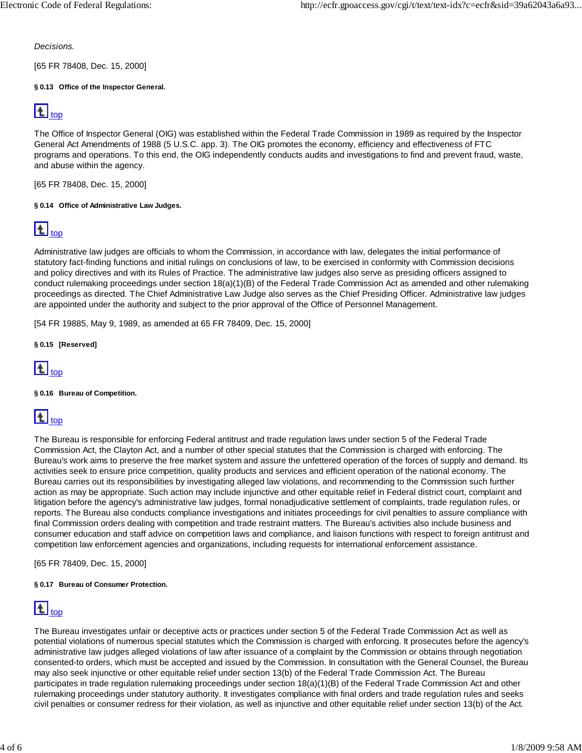*Decisions.*

[65 FR 78408, Dec. 15, 2000]

#### **§ 0.13 Office of the Inspector General.**



The Office of Inspector General (OIG) was established within the Federal Trade Commission in 1989 as required by the Inspector General Act Amendments of 1988 (5 U.S.C. app. 3). The OIG promotes the economy, efficiency and effectiveness of FTC programs and operations. To this end, the OIG independently conducts audits and investigations to find and prevent fraud, waste, and abuse within the agency.

[65 FR 78408, Dec. 15, 2000]

#### **§ 0.14 Office of Administrative Law Judges.**



Administrative law judges are officials to whom the Commission, in accordance with law, delegates the initial performance of statutory fact-finding functions and initial rulings on conclusions of law, to be exercised in conformity with Commission decisions and policy directives and with its Rules of Practice. The administrative law judges also serve as presiding officers assigned to conduct rulemaking proceedings under section 18(a)(1)(B) of the Federal Trade Commission Act as amended and other rulemaking proceedings as directed. The Chief Administrative Law Judge also serves as the Chief Presiding Officer. Administrative law judges are appointed under the authority and subject to the prior approval of the Office of Personnel Management.

[54 FR 19885, May 9, 1989, as amended at 65 FR 78409, Dec. 15, 2000]

**§ 0.15 [Reserved]**



**§ 0.16 Bureau of Competition.**



The Bureau is responsible for enforcing Federal antitrust and trade regulation laws under section 5 of the Federal Trade Commission Act, the Clayton Act, and a number of other special statutes that the Commission is charged with enforcing. The Bureau's work aims to preserve the free market system and assure the unfettered operation of the forces of supply and demand. Its activities seek to ensure price competition, quality products and services and efficient operation of the national economy. The Bureau carries out its responsibilities by investigating alleged law violations, and recommending to the Commission such further action as may be appropriate. Such action may include injunctive and other equitable relief in Federal district court, complaint and litigation before the agency's administrative law judges, formal nonadjudicative settlement of complaints, trade regulation rules, or reports. The Bureau also conducts compliance investigations and initiates proceedings for civil penalties to assure compliance with final Commission orders dealing with competition and trade restraint matters. The Bureau's activities also include business and consumer education and staff advice on competition laws and compliance, and liaison functions with respect to foreign antitrust and competition law enforcement agencies and organizations, including requests for international enforcement assistance.

[65 FR 78409, Dec. 15, 2000]

#### **§ 0.17 Bureau of Consumer Protection.**



The Bureau investigates unfair or deceptive acts or practices under section 5 of the Federal Trade Commission Act as well as potential violations of numerous special statutes which the Commission is charged with enforcing. It prosecutes before the agency's administrative law judges alleged violations of law after issuance of a complaint by the Commission or obtains through negotiation consented-to orders, which must be accepted and issued by the Commission. In consultation with the General Counsel, the Bureau may also seek injunctive or other equitable relief under section 13(b) of the Federal Trade Commission Act. The Bureau participates in trade regulation rulemaking proceedings under section 18(a)(1)(B) of the Federal Trade Commission Act and other rulemaking proceedings under statutory authority. It investigates compliance with final orders and trade regulation rules and seeks civil penalties or consumer redress for their violation, as well as injunctive and other equitable relief under section 13(b) of the Act.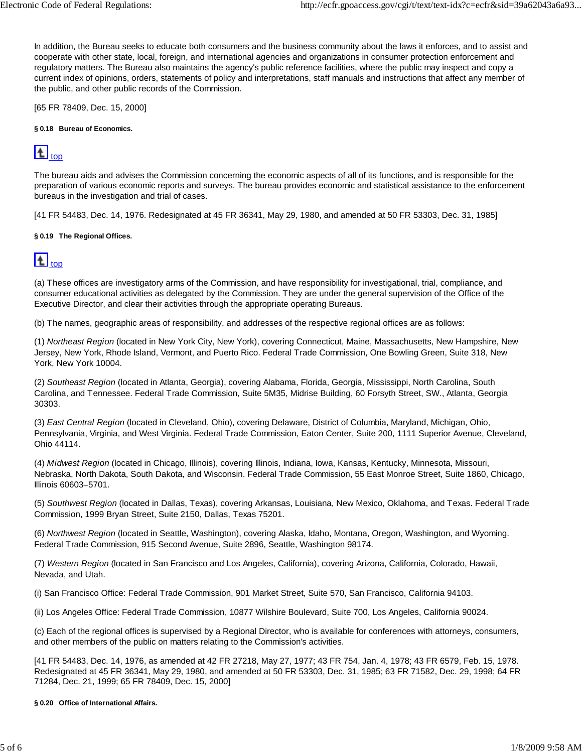In addition, the Bureau seeks to educate both consumers and the business community about the laws it enforces, and to assist and cooperate with other state, local, foreign, and international agencies and organizations in consumer protection enforcement and regulatory matters. The Bureau also maintains the agency's public reference facilities, where the public may inspect and copy a current index of opinions, orders, statements of policy and interpretations, staff manuals and instructions that affect any member of the public, and other public records of the Commission.

[65 FR 78409, Dec. 15, 2000]

#### **§ 0.18 Bureau of Economics.**



The bureau aids and advises the Commission concerning the economic aspects of all of its functions, and is responsible for the preparation of various economic reports and surveys. The bureau provides economic and statistical assistance to the enforcement bureaus in the investigation and trial of cases.

[41 FR 54483, Dec. 14, 1976. Redesignated at 45 FR 36341, May 29, 1980, and amended at 50 FR 53303, Dec. 31, 1985]

**§ 0.19 The Regional Offices.**

## $t_{top}$

(a) These offices are investigatory arms of the Commission, and have responsibility for investigational, trial, compliance, and consumer educational activities as delegated by the Commission. They are under the general supervision of the Office of the Executive Director, and clear their activities through the appropriate operating Bureaus.

(b) The names, geographic areas of responsibility, and addresses of the respective regional offices are as follows:

(1) *Northeast Region* (located in New York City, New York), covering Connecticut, Maine, Massachusetts, New Hampshire, New Jersey, New York, Rhode Island, Vermont, and Puerto Rico. Federal Trade Commission, One Bowling Green, Suite 318, New York, New York 10004.

(2) *Southeast Region* (located in Atlanta, Georgia), covering Alabama, Florida, Georgia, Mississippi, North Carolina, South Carolina, and Tennessee. Federal Trade Commission, Suite 5M35, Midrise Building, 60 Forsyth Street, SW., Atlanta, Georgia 30303.

(3) *East Central Region* (located in Cleveland, Ohio), covering Delaware, District of Columbia, Maryland, Michigan, Ohio, Pennsylvania, Virginia, and West Virginia. Federal Trade Commission, Eaton Center, Suite 200, 1111 Superior Avenue, Cleveland, Ohio 44114.

(4) *Midwest Region* (located in Chicago, Illinois), covering Illinois, Indiana, Iowa, Kansas, Kentucky, Minnesota, Missouri, Nebraska, North Dakota, South Dakota, and Wisconsin. Federal Trade Commission, 55 East Monroe Street, Suite 1860, Chicago, Illinois 60603–5701.

(5) *Southwest Region* (located in Dallas, Texas), covering Arkansas, Louisiana, New Mexico, Oklahoma, and Texas. Federal Trade Commission, 1999 Bryan Street, Suite 2150, Dallas, Texas 75201.

(6) *Northwest Region* (located in Seattle, Washington), covering Alaska, Idaho, Montana, Oregon, Washington, and Wyoming. Federal Trade Commission, 915 Second Avenue, Suite 2896, Seattle, Washington 98174.

(7) *Western Region* (located in San Francisco and Los Angeles, California), covering Arizona, California, Colorado, Hawaii, Nevada, and Utah.

(i) San Francisco Office: Federal Trade Commission, 901 Market Street, Suite 570, San Francisco, California 94103.

(ii) Los Angeles Office: Federal Trade Commission, 10877 Wilshire Boulevard, Suite 700, Los Angeles, California 90024.

(c) Each of the regional offices is supervised by a Regional Director, who is available for conferences with attorneys, consumers, and other members of the public on matters relating to the Commission's activities.

[41 FR 54483, Dec. 14, 1976, as amended at 42 FR 27218, May 27, 1977; 43 FR 754, Jan. 4, 1978; 43 FR 6579, Feb. 15, 1978. Redesignated at 45 FR 36341, May 29, 1980, and amended at 50 FR 53303, Dec. 31, 1985; 63 FR 71582, Dec. 29, 1998; 64 FR 71284, Dec. 21, 1999; 65 FR 78409, Dec. 15, 2000]

#### **§ 0.20 Office of International Affairs.**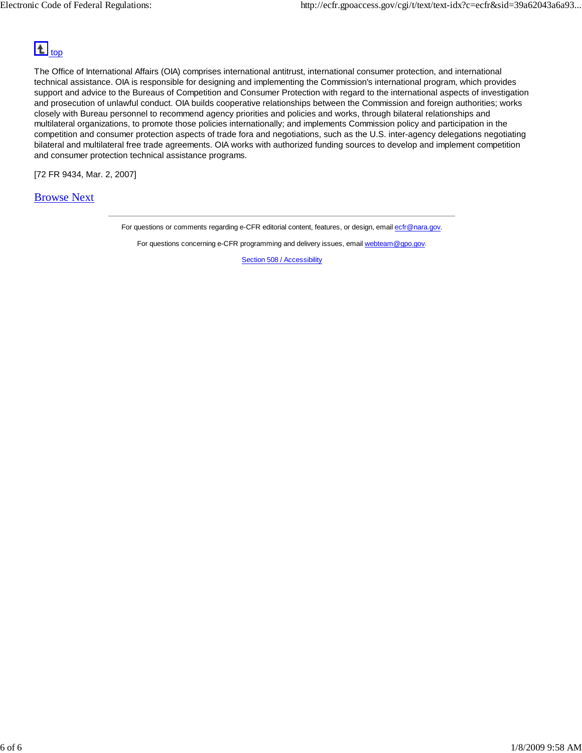

The Office of International Affairs (OIA) comprises international antitrust, international consumer protection, and international technical assistance. OIA is responsible for designing and implementing the Commission's international program, which provides support and advice to the Bureaus of Competition and Consumer Protection with regard to the international aspects of investigation and prosecution of unlawful conduct. OIA builds cooperative relationships between the Commission and foreign authorities; works closely with Bureau personnel to recommend agency priorities and policies and works, through bilateral relationships and multilateral organizations, to promote those policies internationally; and implements Commission policy and participation in the competition and consumer protection aspects of trade fora and negotiations, such as the U.S. inter-agency delegations negotiating bilateral and multilateral free trade agreements. OIA works with authorized funding sources to develop and implement competition and consumer protection technical assistance programs.

[72 FR 9434, Mar. 2, 2007]

Browse Next

For questions or comments regarding e-CFR editorial content, features, or design, email ecfr@nara.gov.

For questions concerning e-CFR programming and delivery issues, email webteam@gpo.gov.

Section 508 / Accessibility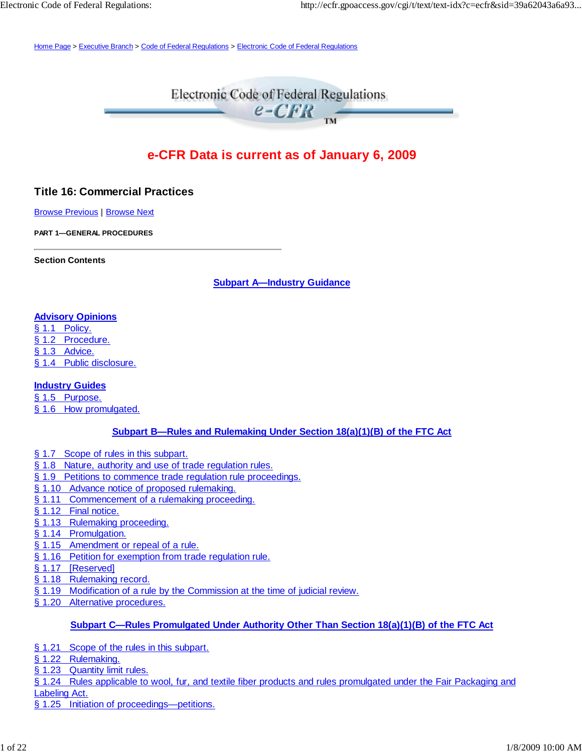Home Page > Executive Branch > Code of Federal Regulations > Electronic Code of Federal Regulations

Electronic Code of Federal Regulations

 $e$ -CFR  $\frac{1}{M}$ 

### **e-CFR Data is current as of January 6, 2009**

### **Title 16: Commercial Practices**

Browse Previous | Browse Next

**PART 1—GENERAL PROCEDURES**

**Section Contents**

**Subpart A—Industry Guidance**

### **Advisory Opinions**

§ 1.1 Policy. § 1.2 Procedure. § 1.3 Advice. § 1.4 Public disclosure.

### **Industry Guides**

§ 1.5 Purpose. § 1.6 How promulgated.

### **Subpart B—Rules and Rulemaking Under Section 18(a)(1)(B) of the FTC Act**

- § 1.7 Scope of rules in this subpart.
- § 1.8 Nature, authority and use of trade regulation rules.
- § 1.9 Petitions to commence trade regulation rule proceedings.
- § 1.10 Advance notice of proposed rulemaking.
- § 1.11 Commencement of a rulemaking proceeding.
- § 1.12 Final notice.
- § 1.13 Rulemaking proceeding.
- § 1.14 Promulgation.
- § 1.15 Amendment or repeal of a rule.
- § 1.16 Petition for exemption from trade regulation rule.
- § 1.17 [Reserved]
- § 1.18 Rulemaking record.
- § 1.19 Modification of a rule by the Commission at the time of judicial review.
- § 1.20 Alternative procedures.

### **Subpart C—Rules Promulgated Under Authority Other Than Section 18(a)(1)(B) of the FTC Act**

- § 1.21 Scope of the rules in this subpart.
- § 1.22 Rulemaking.
- § 1.23 Quantity limit rules.

§ 1.24 Rules applicable to wool, fur, and textile fiber products and rules promulgated under the Fair Packaging and Labeling Act.

§ 1.25 Initiation of proceedings—petitions.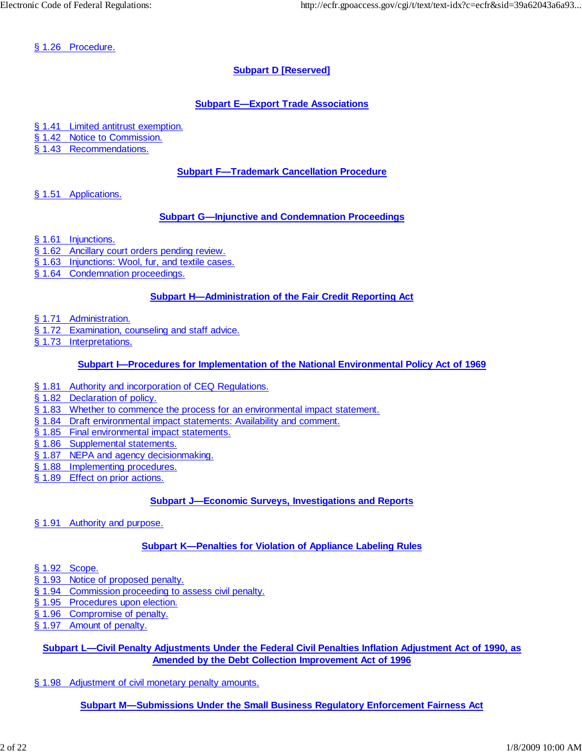### § 1.26 Procedure.

### **Subpart D [Reserved]**

### **Subpart E—Export Trade Associations**

§ 1.41 Limited antitrust exemption.

§ 1.42 Notice to Commission.

§ 1.43 Recommendations.

### **Subpart F—Trademark Cancellation Procedure**

§ 1.51 Applications.

### **Subpart G—Injunctive and Condemnation Proceedings**

§ 1.61 Injunctions.

- § 1.62 Ancillary court orders pending review.
- § 1.63 Injunctions: Wool, fur, and textile cases.
- § 1.64 Condemnation proceedings.

### **Subpart H—Administration of the Fair Credit Reporting Act**

§ 1.71 Administration.

- § 1.72 Examination, counseling and staff advice.
- § 1.73 Interpretations.

### **Subpart I—Procedures for Implementation of the National Environmental Policy Act of 1969**

- § 1.81 Authority and incorporation of CEQ Regulations.
- § 1.82 Declaration of policy.
- § 1.83 Whether to commence the process for an environmental impact statement.
- § 1.84 Draft environmental impact statements: Availability and comment.
- § 1.85 Final environmental impact statements.
- § 1.86 Supplemental statements.
- § 1.87 NEPA and agency decisionmaking.
- § 1.88 Implementing procedures.
- § 1.89 Effect on prior actions.

### **Subpart J—Economic Surveys, Investigations and Reports**

§ 1.91 Authority and purpose.

### **Subpart K—Penalties for Violation of Appliance Labeling Rules**

- § 1.92 Scope.
- § 1.93 Notice of proposed penalty.
- § 1.94 Commission proceeding to assess civil penalty.
- § 1.95 Procedures upon election.
- § 1.96 Compromise of penalty.
- § 1.97 Amount of penalty.

### **Subpart L—Civil Penalty Adjustments Under the Federal Civil Penalties Inflation Adjustment Act of 1990, as Amended by the Debt Collection Improvement Act of 1996**

§ 1.98 Adjustment of civil monetary penalty amounts.

### **Subpart M—Submissions Under the Small Business Regulatory Enforcement Fairness Act**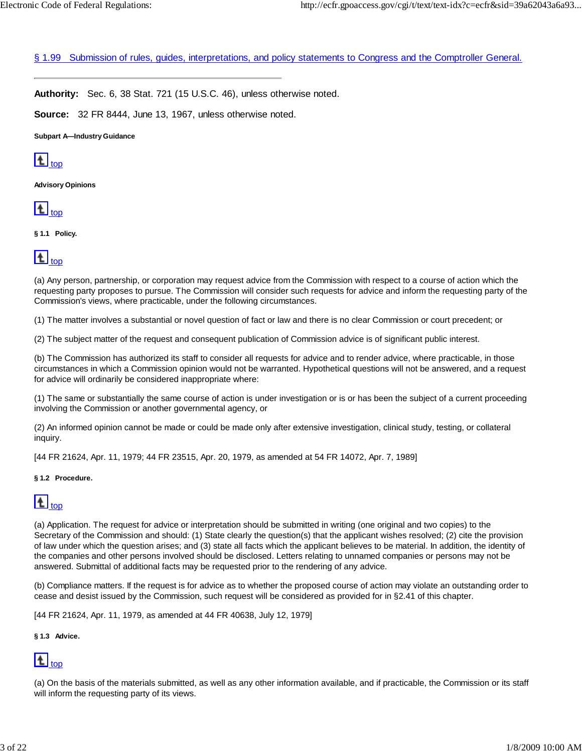### § 1.99 Submission of rules, guides, interpretations, and policy statements to Congress and the Comptroller General.

**Authority:** Sec. 6, 38 Stat. 721 (15 U.S.C. 46), unless otherwise noted.

**Source:** 32 FR 8444, June 13, 1967, unless otherwise noted.

**Subpart A—Industry Guidance**



**Advisory Opinions**

top

**§ 1.1 Policy.**



(a) Any person, partnership, or corporation may request advice from the Commission with respect to a course of action which the requesting party proposes to pursue. The Commission will consider such requests for advice and inform the requesting party of the Commission's views, where practicable, under the following circumstances.

(1) The matter involves a substantial or novel question of fact or law and there is no clear Commission or court precedent; or

(2) The subject matter of the request and consequent publication of Commission advice is of significant public interest.

(b) The Commission has authorized its staff to consider all requests for advice and to render advice, where practicable, in those circumstances in which a Commission opinion would not be warranted. Hypothetical questions will not be answered, and a request for advice will ordinarily be considered inappropriate where:

(1) The same or substantially the same course of action is under investigation or is or has been the subject of a current proceeding involving the Commission or another governmental agency, or

(2) An informed opinion cannot be made or could be made only after extensive investigation, clinical study, testing, or collateral inquiry.

[44 FR 21624, Apr. 11, 1979; 44 FR 23515, Apr. 20, 1979, as amended at 54 FR 14072, Apr. 7, 1989]

#### **§ 1.2 Procedure.**

## $t$  top

(a) Application. The request for advice or interpretation should be submitted in writing (one original and two copies) to the Secretary of the Commission and should: (1) State clearly the question(s) that the applicant wishes resolved; (2) cite the provision of law under which the question arises; and (3) state all facts which the applicant believes to be material. In addition, the identity of the companies and other persons involved should be disclosed. Letters relating to unnamed companies or persons may not be answered. Submittal of additional facts may be requested prior to the rendering of any advice.

(b) Compliance matters. If the request is for advice as to whether the proposed course of action may violate an outstanding order to cease and desist issued by the Commission, such request will be considered as provided for in §2.41 of this chapter.

[44 FR 21624, Apr. 11, 1979, as amended at 44 FR 40638, July 12, 1979]

**§ 1.3 Advice.**



(a) On the basis of the materials submitted, as well as any other information available, and if practicable, the Commission or its staff will inform the requesting party of its views.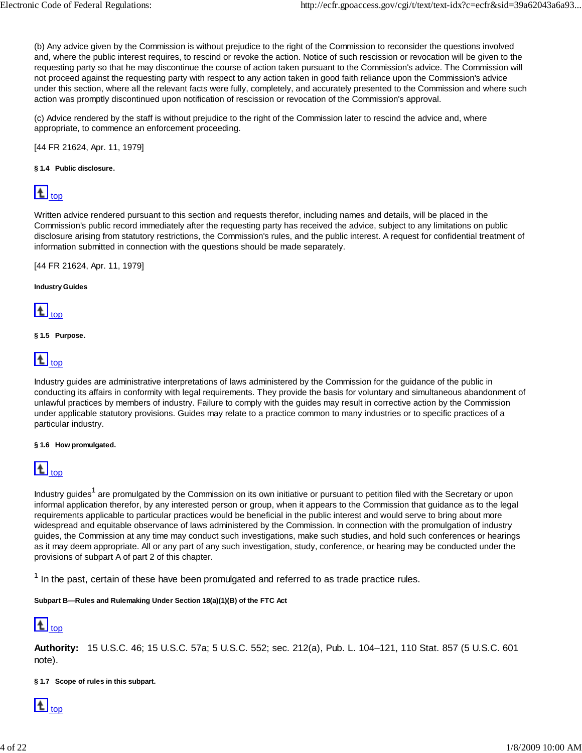(b) Any advice given by the Commission is without prejudice to the right of the Commission to reconsider the questions involved and, where the public interest requires, to rescind or revoke the action. Notice of such rescission or revocation will be given to the requesting party so that he may discontinue the course of action taken pursuant to the Commission's advice. The Commission will not proceed against the requesting party with respect to any action taken in good faith reliance upon the Commission's advice under this section, where all the relevant facts were fully, completely, and accurately presented to the Commission and where such action was promptly discontinued upon notification of rescission or revocation of the Commission's approval.

(c) Advice rendered by the staff is without prejudice to the right of the Commission later to rescind the advice and, where appropriate, to commence an enforcement proceeding.

[44 FR 21624, Apr. 11, 1979]

#### **§ 1.4 Public disclosure.**



Written advice rendered pursuant to this section and requests therefor, including names and details, will be placed in the Commission's public record immediately after the requesting party has received the advice, subject to any limitations on public disclosure arising from statutory restrictions, the Commission's rules, and the public interest. A request for confidential treatment of information submitted in connection with the questions should be made separately.

[44 FR 21624, Apr. 11, 1979]

#### **Industry Guides**



```
§ 1.5 Purpose.
```


Industry guides are administrative interpretations of laws administered by the Commission for the guidance of the public in conducting its affairs in conformity with legal requirements. They provide the basis for voluntary and simultaneous abandonment of unlawful practices by members of industry. Failure to comply with the guides may result in corrective action by the Commission under applicable statutory provisions. Guides may relate to a practice common to many industries or to specific practices of a particular industry.

#### **§ 1.6 How promulgated.**



Industry guides<sup>1</sup> are promulgated by the Commission on its own initiative or pursuant to petition filed with the Secretary or upon informal application therefor, by any interested person or group, when it appears to the Commission that guidance as to the legal requirements applicable to particular practices would be beneficial in the public interest and would serve to bring about more widespread and equitable observance of laws administered by the Commission. In connection with the promulgation of industry guides, the Commission at any time may conduct such investigations, make such studies, and hold such conferences or hearings as it may deem appropriate. All or any part of any such investigation, study, conference, or hearing may be conducted under the provisions of subpart A of part 2 of this chapter.

 $<sup>1</sup>$  In the past, certain of these have been promulgated and referred to as trade practice rules.</sup>

**Subpart B—Rules and Rulemaking Under Section 18(a)(1)(B) of the FTC Act**

#### L. top

**Authority:** 15 U.S.C. 46; 15 U.S.C. 57a; 5 U.S.C. 552; sec. 212(a), Pub. L. 104–121, 110 Stat. 857 (5 U.S.C. 601 note).

**§ 1.7 Scope of rules in this subpart.**

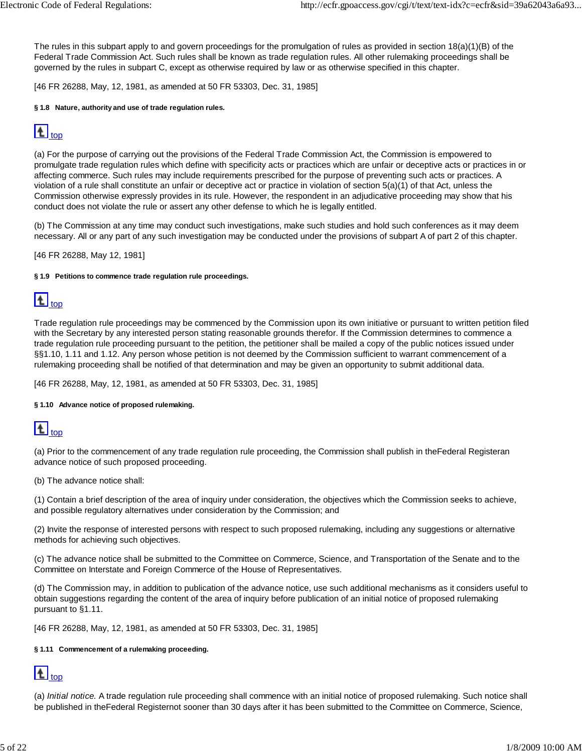The rules in this subpart apply to and govern proceedings for the promulgation of rules as provided in section 18(a)(1)(B) of the Federal Trade Commission Act. Such rules shall be known as trade regulation rules. All other rulemaking proceedings shall be governed by the rules in subpart C, except as otherwise required by law or as otherwise specified in this chapter.

[46 FR 26288, May, 12, 1981, as amended at 50 FR 53303, Dec. 31, 1985]

#### **§ 1.8 Nature, authority and use of trade regulation rules.**

## top

(a) For the purpose of carrying out the provisions of the Federal Trade Commission Act, the Commission is empowered to promulgate trade regulation rules which define with specificity acts or practices which are unfair or deceptive acts or practices in or affecting commerce. Such rules may include requirements prescribed for the purpose of preventing such acts or practices. A violation of a rule shall constitute an unfair or deceptive act or practice in violation of section 5(a)(1) of that Act, unless the Commission otherwise expressly provides in its rule. However, the respondent in an adjudicative proceeding may show that his conduct does not violate the rule or assert any other defense to which he is legally entitled.

(b) The Commission at any time may conduct such investigations, make such studies and hold such conferences as it may deem necessary. All or any part of any such investigation may be conducted under the provisions of subpart A of part 2 of this chapter.

[46 FR 26288, May 12, 1981]

#### **§ 1.9 Petitions to commence trade regulation rule proceedings.**



Trade regulation rule proceedings may be commenced by the Commission upon its own initiative or pursuant to written petition filed with the Secretary by any interested person stating reasonable grounds therefor. If the Commission determines to commence a trade regulation rule proceeding pursuant to the petition, the petitioner shall be mailed a copy of the public notices issued under §§1.10, 1.11 and 1.12. Any person whose petition is not deemed by the Commission sufficient to warrant commencement of a rulemaking proceeding shall be notified of that determination and may be given an opportunity to submit additional data.

[46 FR 26288, May, 12, 1981, as amended at 50 FR 53303, Dec. 31, 1985]

#### **§ 1.10 Advance notice of proposed rulemaking.**

## $t$  top

(a) Prior to the commencement of any trade regulation rule proceeding, the Commission shall publish in theFederal Registeran advance notice of such proposed proceeding.

(b) The advance notice shall:

(1) Contain a brief description of the area of inquiry under consideration, the objectives which the Commission seeks to achieve, and possible regulatory alternatives under consideration by the Commission; and

(2) Invite the response of interested persons with respect to such proposed rulemaking, including any suggestions or alternative methods for achieving such objectives.

(c) The advance notice shall be submitted to the Committee on Commerce, Science, and Transportation of the Senate and to the Committee on Interstate and Foreign Commerce of the House of Representatives.

(d) The Commission may, in addition to publication of the advance notice, use such additional mechanisms as it considers useful to obtain suggestions regarding the content of the area of inquiry before publication of an initial notice of proposed rulemaking pursuant to §1.11.

[46 FR 26288, May, 12, 1981, as amended at 50 FR 53303, Dec. 31, 1985]

#### **§ 1.11 Commencement of a rulemaking proceeding.**

# top

(a) *Initial notice.* A trade regulation rule proceeding shall commence with an initial notice of proposed rulemaking. Such notice shall be published in theFederal Registernot sooner than 30 days after it has been submitted to the Committee on Commerce, Science,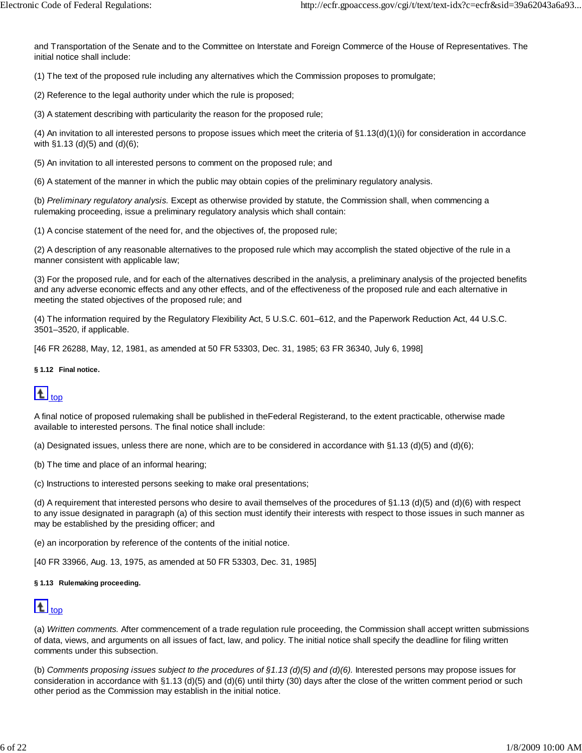and Transportation of the Senate and to the Committee on Interstate and Foreign Commerce of the House of Representatives. The initial notice shall include:

(1) The text of the proposed rule including any alternatives which the Commission proposes to promulgate;

(2) Reference to the legal authority under which the rule is proposed;

(3) A statement describing with particularity the reason for the proposed rule;

(4) An invitation to all interested persons to propose issues which meet the criteria of §1.13(d)(1)(i) for consideration in accordance with §1.13 (d)(5) and (d)(6);

(5) An invitation to all interested persons to comment on the proposed rule; and

(6) A statement of the manner in which the public may obtain copies of the preliminary regulatory analysis.

(b) *Preliminary regulatory analysis.* Except as otherwise provided by statute, the Commission shall, when commencing a rulemaking proceeding, issue a preliminary regulatory analysis which shall contain:

(1) A concise statement of the need for, and the objectives of, the proposed rule;

(2) A description of any reasonable alternatives to the proposed rule which may accomplish the stated objective of the rule in a manner consistent with applicable law;

(3) For the proposed rule, and for each of the alternatives described in the analysis, a preliminary analysis of the projected benefits and any adverse economic effects and any other effects, and of the effectiveness of the proposed rule and each alternative in meeting the stated objectives of the proposed rule; and

(4) The information required by the Regulatory Flexibility Act, 5 U.S.C. 601–612, and the Paperwork Reduction Act, 44 U.S.C. 3501–3520, if applicable.

[46 FR 26288, May, 12, 1981, as amended at 50 FR 53303, Dec. 31, 1985; 63 FR 36340, July 6, 1998]

**§ 1.12 Final notice.**

# $t_{\text{top}}$

A final notice of proposed rulemaking shall be published in theFederal Registerand, to the extent practicable, otherwise made available to interested persons. The final notice shall include:

(a) Designated issues, unless there are none, which are to be considered in accordance with  $\S1.13$  (d)(5) and (d)(6);

(b) The time and place of an informal hearing;

(c) Instructions to interested persons seeking to make oral presentations;

(d) A requirement that interested persons who desire to avail themselves of the procedures of §1.13 (d)(5) and (d)(6) with respect to any issue designated in paragraph (a) of this section must identify their interests with respect to those issues in such manner as may be established by the presiding officer; and

(e) an incorporation by reference of the contents of the initial notice.

[40 FR 33966, Aug. 13, 1975, as amended at 50 FR 53303, Dec. 31, 1985]

#### **§ 1.13 Rulemaking proceeding.**

## top top

(a) *Written comments.* After commencement of a trade regulation rule proceeding, the Commission shall accept written submissions of data, views, and arguments on all issues of fact, law, and policy. The initial notice shall specify the deadline for filing written comments under this subsection.

(b) *Comments proposing issues subject to the procedures of §1.13 (d)(5) and (d)(6).* Interested persons may propose issues for consideration in accordance with §1.13 (d)(5) and (d)(6) until thirty (30) days after the close of the written comment period or such other period as the Commission may establish in the initial notice.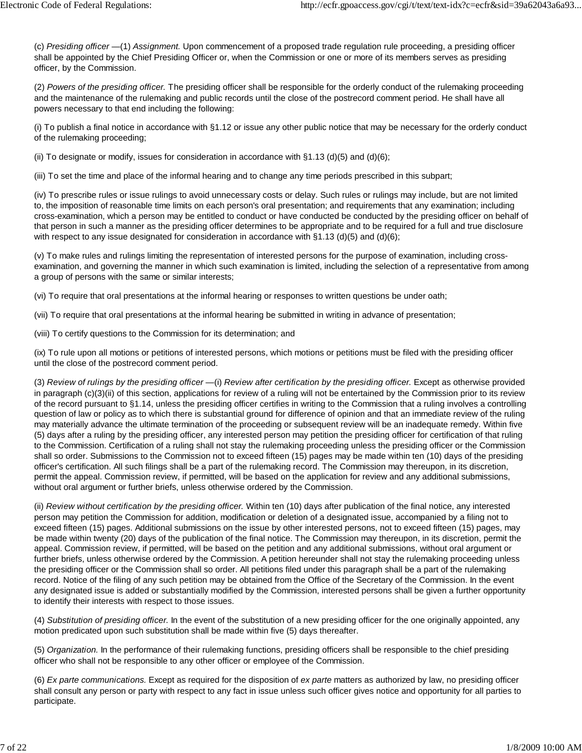(c) *Presiding officer* —(1) *Assignment.* Upon commencement of a proposed trade regulation rule proceeding, a presiding officer shall be appointed by the Chief Presiding Officer or, when the Commission or one or more of its members serves as presiding officer, by the Commission.

(2) *Powers of the presiding officer.* The presiding officer shall be responsible for the orderly conduct of the rulemaking proceeding and the maintenance of the rulemaking and public records until the close of the postrecord comment period. He shall have all powers necessary to that end including the following:

(i) To publish a final notice in accordance with §1.12 or issue any other public notice that may be necessary for the orderly conduct of the rulemaking proceeding;

(ii) To designate or modify, issues for consideration in accordance with  $\S1.13$  (d)(5) and (d)(6);

(iii) To set the time and place of the informal hearing and to change any time periods prescribed in this subpart;

(iv) To prescribe rules or issue rulings to avoid unnecessary costs or delay. Such rules or rulings may include, but are not limited to, the imposition of reasonable time limits on each person's oral presentation; and requirements that any examination; including cross-examination, which a person may be entitled to conduct or have conducted be conducted by the presiding officer on behalf of that person in such a manner as the presiding officer determines to be appropriate and to be required for a full and true disclosure with respect to any issue designated for consideration in accordance with §1.13 (d)(5) and (d)(6);

(v) To make rules and rulings limiting the representation of interested persons for the purpose of examination, including crossexamination, and governing the manner in which such examination is limited, including the selection of a representative from among a group of persons with the same or similar interests;

(vi) To require that oral presentations at the informal hearing or responses to written questions be under oath;

(vii) To require that oral presentations at the informal hearing be submitted in writing in advance of presentation;

(viii) To certify questions to the Commission for its determination; and

(ix) To rule upon all motions or petitions of interested persons, which motions or petitions must be filed with the presiding officer until the close of the postrecord comment period.

(3) *Review of rulings by the presiding officer* —(i) *Review after certification by the presiding officer.* Except as otherwise provided in paragraph (c)(3)(ii) of this section, applications for review of a ruling will not be entertained by the Commission prior to its review of the record pursuant to §1.14, unless the presiding officer certifies in writing to the Commission that a ruling involves a controlling question of law or policy as to which there is substantial ground for difference of opinion and that an immediate review of the ruling may materially advance the ultimate termination of the proceeding or subsequent review will be an inadequate remedy. Within five (5) days after a ruling by the presiding officer, any interested person may petition the presiding officer for certification of that ruling to the Commission. Certification of a ruling shall not stay the rulemaking proceeding unless the presiding officer or the Commission shall so order. Submissions to the Commission not to exceed fifteen (15) pages may be made within ten (10) days of the presiding officer's certification. All such filings shall be a part of the rulemaking record. The Commission may thereupon, in its discretion, permit the appeal. Commission review, if permitted, will be based on the application for review and any additional submissions, without oral argument or further briefs, unless otherwise ordered by the Commission.

(ii) *Review without certification by the presiding officer.* Within ten (10) days after publication of the final notice, any interested person may petition the Commission for addition, modification or deletion of a designated issue, accompanied by a filing not to exceed fifteen (15) pages. Additional submissions on the issue by other interested persons, not to exceed fifteen (15) pages, may be made within twenty (20) days of the publication of the final notice. The Commission may thereupon, in its discretion, permit the appeal. Commission review, if permitted, will be based on the petition and any additional submissions, without oral argument or further briefs, unless otherwise ordered by the Commission. A petition hereunder shall not stay the rulemaking proceeding unless the presiding officer or the Commission shall so order. All petitions filed under this paragraph shall be a part of the rulemaking record. Notice of the filing of any such petition may be obtained from the Office of the Secretary of the Commission. In the event any designated issue is added or substantially modified by the Commission, interested persons shall be given a further opportunity to identify their interests with respect to those issues.

(4) *Substitution of presiding officer.* In the event of the substitution of a new presiding officer for the one originally appointed, any motion predicated upon such substitution shall be made within five (5) days thereafter.

(5) *Organization.* In the performance of their rulemaking functions, presiding officers shall be responsible to the chief presiding officer who shall not be responsible to any other officer or employee of the Commission.

(6) *Ex parte communications.* Except as required for the disposition of *ex parte* matters as authorized by law, no presiding officer shall consult any person or party with respect to any fact in issue unless such officer gives notice and opportunity for all parties to participate.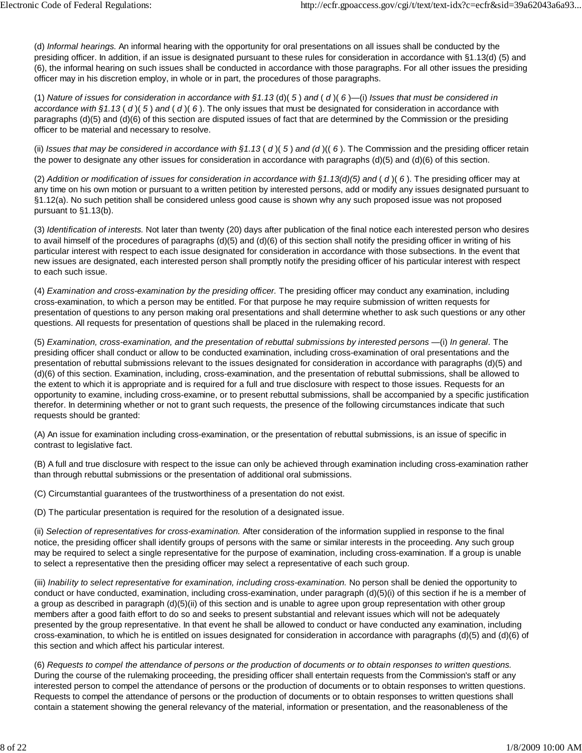(d) *Informal hearings.* An informal hearing with the opportunity for oral presentations on all issues shall be conducted by the presiding officer. In addition, if an issue is designated pursuant to these rules for consideration in accordance with §1.13(d) (5) and (6), the informal hearing on such issues shall be conducted in accordance with those paragraphs. For all other issues the presiding officer may in his discretion employ, in whole or in part, the procedures of those paragraphs.

(1) *Nature of issues for consideration in accordance with §1.13* (d)( *5* ) *and* ( *d* )( *6* )—(i) *Issues that must be considered in accordance with §1.13* ( *d* )( *5* ) *and* ( *d* )( *6* ). The only issues that must be designated for consideration in accordance with paragraphs (d)(5) and (d)(6) of this section are disputed issues of fact that are determined by the Commission or the presiding officer to be material and necessary to resolve.

(ii) *Issues that may be considered in accordance with §1.13* ( *d* )( *5* ) *and (d* )(( *6* ). The Commission and the presiding officer retain the power to designate any other issues for consideration in accordance with paragraphs (d)(5) and (d)(6) of this section.

(2) Addition or modification of issues for consideration in accordance with  $\S1.13(d)/5$  and (d)(6). The presiding officer may at any time on his own motion or pursuant to a written petition by interested persons, add or modify any issues designated pursuant to §1.12(a). No such petition shall be considered unless good cause is shown why any such proposed issue was not proposed pursuant to §1.13(b).

(3) *Identification of interests.* Not later than twenty (20) days after publication of the final notice each interested person who desires to avail himself of the procedures of paragraphs (d)(5) and (d)(6) of this section shall notify the presiding officer in writing of his particular interest with respect to each issue designated for consideration in accordance with those subsections. In the event that new issues are designated, each interested person shall promptly notify the presiding officer of his particular interest with respect to each such issue.

(4) *Examination and cross-examination by the presiding officer.* The presiding officer may conduct any examination, including cross-examination, to which a person may be entitled. For that purpose he may require submission of written requests for presentation of questions to any person making oral presentations and shall determine whether to ask such questions or any other questions. All requests for presentation of questions shall be placed in the rulemaking record.

(5) *Examination, cross-examination, and the presentation of rebuttal submissions by interested persons* —(i) *In general.* The presiding officer shall conduct or allow to be conducted examination, including cross-examination of oral presentations and the presentation of rebuttal submissions relevant to the issues designated for consideration in accordance with paragraphs (d)(5) and (d)(6) of this section. Examination, including, cross-examination, and the presentation of rebuttal submissions, shall be allowed to the extent to which it is appropriate and is required for a full and true disclosure with respect to those issues. Requests for an opportunity to examine, including cross-examine, or to present rebuttal submissions, shall be accompanied by a specific justification therefor. In determining whether or not to grant such requests, the presence of the following circumstances indicate that such requests should be granted:

(A) An issue for examination including cross-examination, or the presentation of rebuttal submissions, is an issue of specific in contrast to legislative fact.

(B) A full and true disclosure with respect to the issue can only be achieved through examination including cross-examination rather than through rebuttal submissions or the presentation of additional oral submissions.

(C) Circumstantial guarantees of the trustworthiness of a presentation do not exist.

(D) The particular presentation is required for the resolution of a designated issue.

(ii) *Selection of representatives for cross-examination.* After consideration of the information supplied in response to the final notice, the presiding officer shall identify groups of persons with the same or similar interests in the proceeding. Any such group may be required to select a single representative for the purpose of examination, including cross-examination. If a group is unable to select a representative then the presiding officer may select a representative of each such group.

(iii) *Inability to select representative for examination, including cross-examination.* No person shall be denied the opportunity to conduct or have conducted, examination, including cross-examination, under paragraph (d)(5)(i) of this section if he is a member of a group as described in paragraph (d)(5)(ii) of this section and is unable to agree upon group representation with other group members after a good faith effort to do so and seeks to present substantial and relevant issues which will not be adequately presented by the group representative. In that event he shall be allowed to conduct or have conducted any examination, including cross-examination, to which he is entitled on issues designated for consideration in accordance with paragraphs (d)(5) and (d)(6) of this section and which affect his particular interest.

(6) *Requests to compel the attendance of persons or the production of documents or to obtain responses to written questions.* During the course of the rulemaking proceeding, the presiding officer shall entertain requests from the Commission's staff or any interested person to compel the attendance of persons or the production of documents or to obtain responses to written questions. Requests to compel the attendance of persons or the production of documents or to obtain responses to written questions shall contain a statement showing the general relevancy of the material, information or presentation, and the reasonableness of the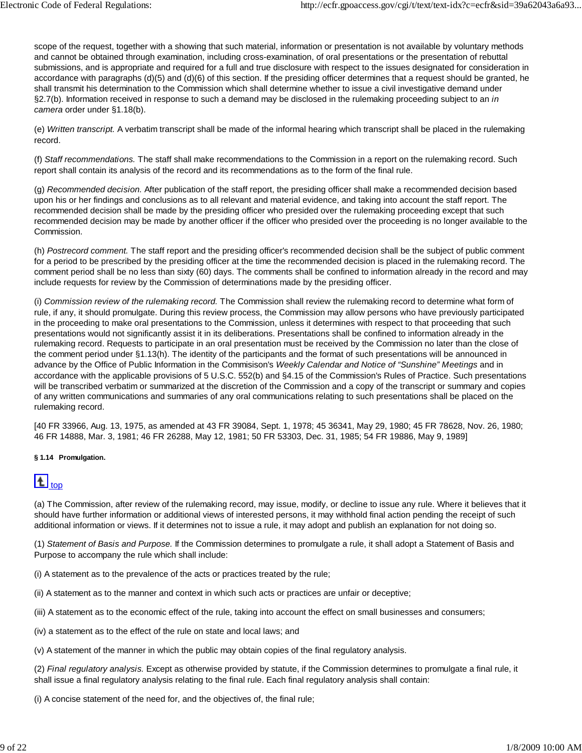scope of the request, together with a showing that such material, information or presentation is not available by voluntary methods and cannot be obtained through examination, including cross-examination, of oral presentations or the presentation of rebuttal submissions, and is appropriate and required for a full and true disclosure with respect to the issues designated for consideration in accordance with paragraphs (d)(5) and (d)(6) of this section. If the presiding officer determines that a request should be granted, he shall transmit his determination to the Commission which shall determine whether to issue a civil investigative demand under §2.7(b). Information received in response to such a demand may be disclosed in the rulemaking proceeding subject to an *in camera* order under §1.18(b).

(e) *Written transcript.* A verbatim transcript shall be made of the informal hearing which transcript shall be placed in the rulemaking record.

(f) *Staff recommendations.* The staff shall make recommendations to the Commission in a report on the rulemaking record. Such report shall contain its analysis of the record and its recommendations as to the form of the final rule.

(g) *Recommended decision.* After publication of the staff report, the presiding officer shall make a recommended decision based upon his or her findings and conclusions as to all relevant and material evidence, and taking into account the staff report. The recommended decision shall be made by the presiding officer who presided over the rulemaking proceeding except that such recommended decision may be made by another officer if the officer who presided over the proceeding is no longer available to the Commission.

(h) *Postrecord comment.* The staff report and the presiding officer's recommended decision shall be the subject of public comment for a period to be prescribed by the presiding officer at the time the recommended decision is placed in the rulemaking record. The comment period shall be no less than sixty (60) days. The comments shall be confined to information already in the record and may include requests for review by the Commission of determinations made by the presiding officer.

(i) *Commission review of the rulemaking record.* The Commission shall review the rulemaking record to determine what form of rule, if any, it should promulgate. During this review process, the Commission may allow persons who have previously participated in the proceeding to make oral presentations to the Commission, unless it determines with respect to that proceeding that such presentations would not significantly assist it in its deliberations. Presentations shall be confined to information already in the rulemaking record. Requests to participate in an oral presentation must be received by the Commission no later than the close of the comment period under §1.13(h). The identity of the participants and the format of such presentations will be announced in advance by the Office of Public Information in the Commisison's *Weekly Calendar and Notice of "Sunshine" Meetings* and in accordance with the applicable provisions of 5 U.S.C. 552(b) and §4.15 of the Commission's Rules of Practice. Such presentations will be transcribed verbatim or summarized at the discretion of the Commission and a copy of the transcript or summary and copies of any written communications and summaries of any oral communications relating to such presentations shall be placed on the rulemaking record.

[40 FR 33966, Aug. 13, 1975, as amended at 43 FR 39084, Sept. 1, 1978; 45 36341, May 29, 1980; 45 FR 78628, Nov. 26, 1980; 46 FR 14888, Mar. 3, 1981; 46 FR 26288, May 12, 1981; 50 FR 53303, Dec. 31, 1985; 54 FR 19886, May 9, 1989]

#### **§ 1.14 Promulgation.**

## $t_{\rm loc}$

(a) The Commission, after review of the rulemaking record, may issue, modify, or decline to issue any rule. Where it believes that it should have further information or additional views of interested persons, it may withhold final action pending the receipt of such additional information or views. If it determines not to issue a rule, it may adopt and publish an explanation for not doing so.

(1) *Statement of Basis and Purpose.* If the Commission determines to promulgate a rule, it shall adopt a Statement of Basis and Purpose to accompany the rule which shall include:

(i) A statement as to the prevalence of the acts or practices treated by the rule;

(ii) A statement as to the manner and context in which such acts or practices are unfair or deceptive;

(iii) A statement as to the economic effect of the rule, taking into account the effect on small businesses and consumers;

(iv) a statement as to the effect of the rule on state and local laws; and

(v) A statement of the manner in which the public may obtain copies of the final regulatory analysis.

(2) *Final regulatory analysis.* Except as otherwise provided by statute, if the Commission determines to promulgate a final rule, it shall issue a final regulatory analysis relating to the final rule. Each final regulatory analysis shall contain:

(i) A concise statement of the need for, and the objectives of, the final rule;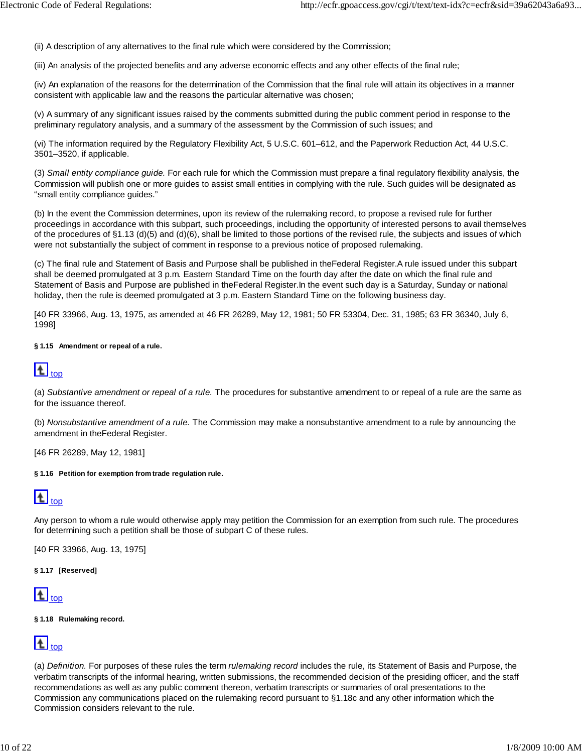(ii) A description of any alternatives to the final rule which were considered by the Commission;

(iii) An analysis of the projected benefits and any adverse economic effects and any other effects of the final rule;

(iv) An explanation of the reasons for the determination of the Commission that the final rule will attain its objectives in a manner consistent with applicable law and the reasons the particular alternative was chosen;

(v) A summary of any significant issues raised by the comments submitted during the public comment period in response to the preliminary regulatory analysis, and a summary of the assessment by the Commission of such issues; and

(vi) The information required by the Regulatory Flexibility Act, 5 U.S.C. 601–612, and the Paperwork Reduction Act, 44 U.S.C. 3501–3520, if applicable.

(3) *Small entity compliance guide.* For each rule for which the Commission must prepare a final regulatory flexibility analysis, the Commission will publish one or more guides to assist small entities in complying with the rule. Such guides will be designated as "small entity compliance guides."

(b) In the event the Commission determines, upon its review of the rulemaking record, to propose a revised rule for further proceedings in accordance with this subpart, such proceedings, including the opportunity of interested persons to avail themselves of the procedures of §1.13 (d)(5) and (d)(6), shall be limited to those portions of the revised rule, the subjects and issues of which were not substantially the subject of comment in response to a previous notice of proposed rulemaking.

(c) The final rule and Statement of Basis and Purpose shall be published in theFederal Register.A rule issued under this subpart shall be deemed promulgated at 3 p.m. Eastern Standard Time on the fourth day after the date on which the final rule and Statement of Basis and Purpose are published in theFederal Register.In the event such day is a Saturday, Sunday or national holiday, then the rule is deemed promulgated at 3 p.m. Eastern Standard Time on the following business day.

[40 FR 33966, Aug. 13, 1975, as amended at 46 FR 26289, May 12, 1981; 50 FR 53304, Dec. 31, 1985; 63 FR 36340, July 6, 1998]

**§ 1.15 Amendment or repeal of a rule.**

## top top

(a) *Substantive amendment or repeal of a rule.* The procedures for substantive amendment to or repeal of a rule are the same as for the issuance thereof.

(b) *Nonsubstantive amendment of a rule.* The Commission may make a nonsubstantive amendment to a rule by announcing the amendment in theFederal Register.

[46 FR 26289, May 12, 1981]

**§ 1.16 Petition for exemption from trade regulation rule.**



Any person to whom a rule would otherwise apply may petition the Commission for an exemption from such rule. The procedures for determining such a petition shall be those of subpart C of these rules.

[40 FR 33966, Aug. 13, 1975]

**§ 1.17 [Reserved]**



**§ 1.18 Rulemaking record.**



(a) *Definition.* For purposes of these rules the term *rulemaking record* includes the rule, its Statement of Basis and Purpose, the verbatim transcripts of the informal hearing, written submissions, the recommended decision of the presiding officer, and the staff recommendations as well as any public comment thereon, verbatim transcripts or summaries of oral presentations to the Commission any communications placed on the rulemaking record pursuant to §1.18c and any other information which the Commission considers relevant to the rule.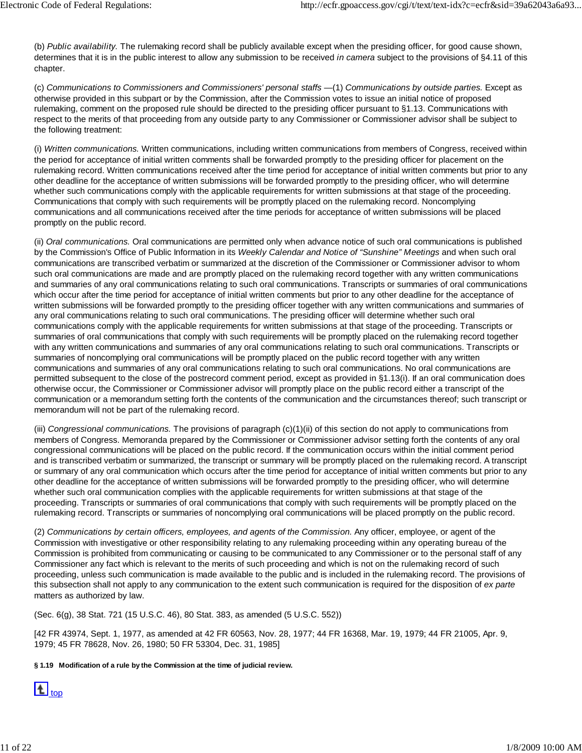(b) *Public availability.* The rulemaking record shall be publicly available except when the presiding officer, for good cause shown, determines that it is in the public interest to allow any submission to be received *in camera* subject to the provisions of §4.11 of this chapter.

(c) *Communications to Commissioners and Commissioners' personal staffs* —(1) *Communications by outside parties.* Except as otherwise provided in this subpart or by the Commission, after the Commission votes to issue an initial notice of proposed rulemaking, comment on the proposed rule should be directed to the presiding officer pursuant to §1.13. Communications with respect to the merits of that proceeding from any outside party to any Commissioner or Commissioner advisor shall be subject to the following treatment:

(i) *Written communications.* Written communications, including written communications from members of Congress, received within the period for acceptance of initial written comments shall be forwarded promptly to the presiding officer for placement on the rulemaking record. Written communications received after the time period for acceptance of initial written comments but prior to any other deadline for the acceptance of written submissions will be forwarded promptly to the presiding officer, who will determine whether such communications comply with the applicable requirements for written submissions at that stage of the proceeding. Communications that comply with such requirements will be promptly placed on the rulemaking record. Noncomplying communications and all communications received after the time periods for acceptance of written submissions will be placed promptly on the public record.

(ii) *Oral communications.* Oral communications are permitted only when advance notice of such oral communications is published by the Commission's Office of Public Information in its *Weekly Calendar and Notice of "Sunshine" Meetings* and when such oral communications are transcribed verbatim or summarized at the discretion of the Commissioner or Commissioner advisor to whom such oral communications are made and are promptly placed on the rulemaking record together with any written communications and summaries of any oral communications relating to such oral communications. Transcripts or summaries of oral communications which occur after the time period for acceptance of initial written comments but prior to any other deadline for the acceptance of written submissions will be forwarded promptly to the presiding officer together with any written communications and summaries of any oral communications relating to such oral communications. The presiding officer will determine whether such oral communications comply with the applicable requirements for written submissions at that stage of the proceeding. Transcripts or summaries of oral communications that comply with such requirements will be promptly placed on the rulemaking record together with any written communications and summaries of any oral communications relating to such oral communications. Transcripts or summaries of noncomplying oral communications will be promptly placed on the public record together with any written communications and summaries of any oral communications relating to such oral communications. No oral communications are permitted subsequent to the close of the postrecord comment period, except as provided in §1.13(i). If an oral communication does otherwise occur, the Commissioner or Commissioner advisor will promptly place on the public record either a transcript of the communication or a memorandum setting forth the contents of the communication and the circumstances thereof; such transcript or memorandum will not be part of the rulemaking record.

(iii) *Congressional communications.* The provisions of paragraph (c)(1)(ii) of this section do not apply to communications from members of Congress. Memoranda prepared by the Commissioner or Commissioner advisor setting forth the contents of any oral congressional communications will be placed on the public record. If the communication occurs within the initial comment period and is transcribed verbatim or summarized, the transcript or summary will be promptly placed on the rulemaking record. A transcript or summary of any oral communication which occurs after the time period for acceptance of initial written comments but prior to any other deadline for the acceptance of written submissions will be forwarded promptly to the presiding officer, who will determine whether such oral communication complies with the applicable requirements for written submissions at that stage of the proceeding. Transcripts or summaries of oral communications that comply with such requirements will be promptly placed on the rulemaking record. Transcripts or summaries of noncomplying oral communications will be placed promptly on the public record.

(2) *Communications by certain officers, employees, and agents of the Commission.* Any officer, employee, or agent of the Commission with investigative or other responsibility relating to any rulemaking proceeding within any operating bureau of the Commission is prohibited from communicating or causing to be communicated to any Commissioner or to the personal staff of any Commissioner any fact which is relevant to the merits of such proceeding and which is not on the rulemaking record of such proceeding, unless such communication is made available to the public and is included in the rulemaking record. The provisions of this subsection shall not apply to any communication to the extent such communication is required for the disposition of *ex parte* matters as authorized by law.

(Sec. 6(g), 38 Stat. 721 (15 U.S.C. 46), 80 Stat. 383, as amended (5 U.S.C. 552))

[42 FR 43974, Sept. 1, 1977, as amended at 42 FR 60563, Nov. 28, 1977; 44 FR 16368, Mar. 19, 1979; 44 FR 21005, Apr. 9, 1979; 45 FR 78628, Nov. 26, 1980; 50 FR 53304, Dec. 31, 1985]

**§ 1.19 Modification of a rule by the Commission at the time of judicial review.**

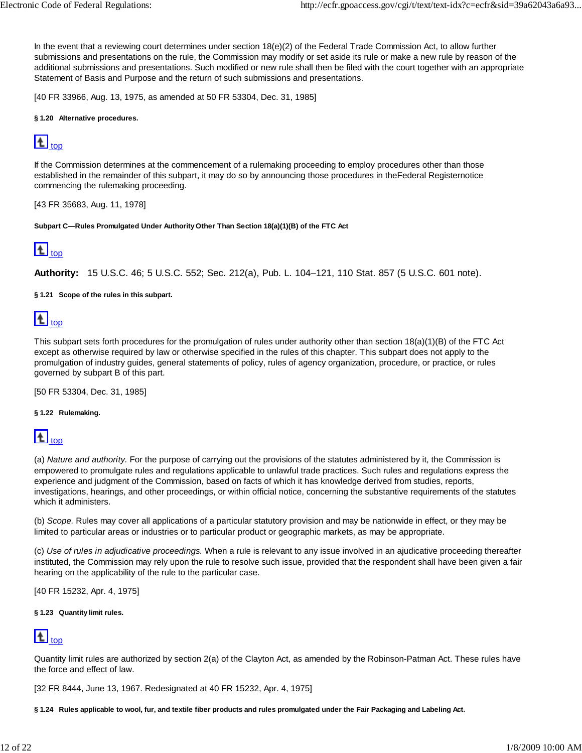In the event that a reviewing court determines under section 18(e)(2) of the Federal Trade Commission Act, to allow further submissions and presentations on the rule, the Commission may modify or set aside its rule or make a new rule by reason of the additional submissions and presentations. Such modified or new rule shall then be filed with the court together with an appropriate Statement of Basis and Purpose and the return of such submissions and presentations.

[40 FR 33966, Aug. 13, 1975, as amended at 50 FR 53304, Dec. 31, 1985]

**§ 1.20 Alternative procedures.**

# $t_{\text{top}}$

If the Commission determines at the commencement of a rulemaking proceeding to employ procedures other than those established in the remainder of this subpart, it may do so by announcing those procedures in theFederal Registernotice commencing the rulemaking proceeding.

[43 FR 35683, Aug. 11, 1978]

**Subpart C—Rules Promulgated Under Authority Other Than Section 18(a)(1)(B) of the FTC Act**

## top

**Authority:** 15 U.S.C. 46; 5 U.S.C. 552; Sec. 212(a), Pub. L. 104–121, 110 Stat. 857 (5 U.S.C. 601 note).

**§ 1.21 Scope of the rules in this subpart.**

#### **L** top

This subpart sets forth procedures for the promulgation of rules under authority other than section 18(a)(1)(B) of the FTC Act except as otherwise required by law or otherwise specified in the rules of this chapter. This subpart does not apply to the promulgation of industry guides, general statements of policy, rules of agency organization, procedure, or practice, or rules governed by subpart B of this part.

[50 FR 53304, Dec. 31, 1985]

#### **§ 1.22 Rulemaking.**



(a) *Nature and authority.* For the purpose of carrying out the provisions of the statutes administered by it, the Commission is empowered to promulgate rules and regulations applicable to unlawful trade practices. Such rules and regulations express the experience and judgment of the Commission, based on facts of which it has knowledge derived from studies, reports, investigations, hearings, and other proceedings, or within official notice, concerning the substantive requirements of the statutes which it administers.

(b) *Scope.* Rules may cover all applications of a particular statutory provision and may be nationwide in effect, or they may be limited to particular areas or industries or to particular product or geographic markets, as may be appropriate.

(c) *Use of rules in adjudicative proceedings.* When a rule is relevant to any issue involved in an ajudicative proceeding thereafter instituted, the Commission may rely upon the rule to resolve such issue, provided that the respondent shall have been given a fair hearing on the applicability of the rule to the particular case.

[40 FR 15232, Apr. 4, 1975]

### **§ 1.23 Quantity limit rules.**

## $t_{top}$

Quantity limit rules are authorized by section 2(a) of the Clayton Act, as amended by the Robinson-Patman Act. These rules have the force and effect of law.

[32 FR 8444, June 13, 1967. Redesignated at 40 FR 15232, Apr. 4, 1975]

**§ 1.24 Rules applicable to wool, fur, and textile fiber products and rules promulgated under the Fair Packaging and Labeling Act.**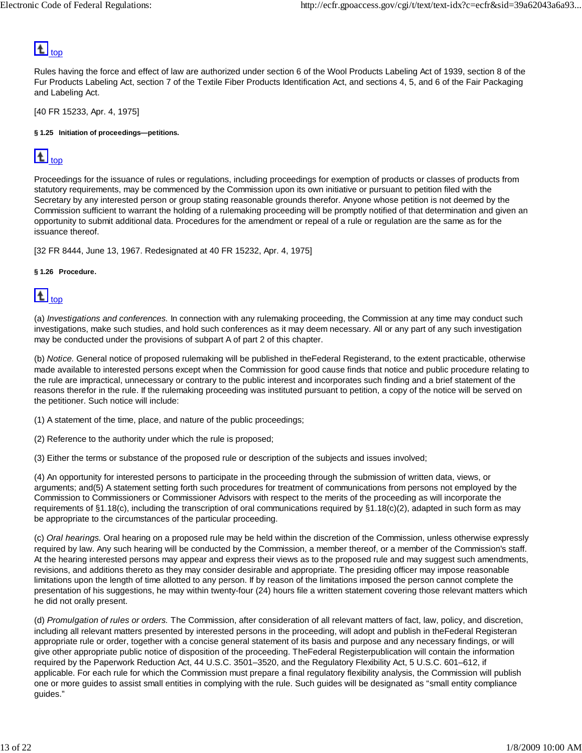

Rules having the force and effect of law are authorized under section 6 of the Wool Products Labeling Act of 1939, section 8 of the Fur Products Labeling Act, section 7 of the Textile Fiber Products Identification Act, and sections 4, 5, and 6 of the Fair Packaging and Labeling Act.

[40 FR 15233, Apr. 4, 1975]

#### **§ 1.25 Initiation of proceedings—petitions.**

# top

Proceedings for the issuance of rules or regulations, including proceedings for exemption of products or classes of products from statutory requirements, may be commenced by the Commission upon its own initiative or pursuant to petition filed with the Secretary by any interested person or group stating reasonable grounds therefor. Anyone whose petition is not deemed by the Commission sufficient to warrant the holding of a rulemaking proceeding will be promptly notified of that determination and given an opportunity to submit additional data. Procedures for the amendment or repeal of a rule or regulation are the same as for the issuance thereof.

[32 FR 8444, June 13, 1967. Redesignated at 40 FR 15232, Apr. 4, 1975]

**§ 1.26 Procedure.**



(a) *Investigations and conferences.* In connection with any rulemaking proceeding, the Commission at any time may conduct such investigations, make such studies, and hold such conferences as it may deem necessary. All or any part of any such investigation may be conducted under the provisions of subpart A of part 2 of this chapter.

(b) *Notice.* General notice of proposed rulemaking will be published in theFederal Registerand, to the extent practicable, otherwise made available to interested persons except when the Commission for good cause finds that notice and public procedure relating to the rule are impractical, unnecessary or contrary to the public interest and incorporates such finding and a brief statement of the reasons therefor in the rule. If the rulemaking proceeding was instituted pursuant to petition, a copy of the notice will be served on the petitioner. Such notice will include:

(1) A statement of the time, place, and nature of the public proceedings;

(2) Reference to the authority under which the rule is proposed;

(3) Either the terms or substance of the proposed rule or description of the subjects and issues involved;

(4) An opportunity for interested persons to participate in the proceeding through the submission of written data, views, or arguments; and(5) A statement setting forth such procedures for treatment of communications from persons not employed by the Commission to Commissioners or Commissioner Advisors with respect to the merits of the proceeding as will incorporate the requirements of §1.18(c), including the transcription of oral communications required by §1.18(c)(2), adapted in such form as may be appropriate to the circumstances of the particular proceeding.

(c) *Oral hearings.* Oral hearing on a proposed rule may be held within the discretion of the Commission, unless otherwise expressly required by law. Any such hearing will be conducted by the Commission, a member thereof, or a member of the Commission's staff. At the hearing interested persons may appear and express their views as to the proposed rule and may suggest such amendments, revisions, and additions thereto as they may consider desirable and appropriate. The presiding officer may impose reasonable limitations upon the length of time allotted to any person. If by reason of the limitations imposed the person cannot complete the presentation of his suggestions, he may within twenty-four (24) hours file a written statement covering those relevant matters which he did not orally present.

(d) *Promulgation of rules or orders.* The Commission, after consideration of all relevant matters of fact, law, policy, and discretion, including all relevant matters presented by interested persons in the proceeding, will adopt and publish in theFederal Registeran appropriate rule or order, together with a concise general statement of its basis and purpose and any necessary findings, or will give other appropriate public notice of disposition of the proceeding. TheFederal Registerpublication will contain the information required by the Paperwork Reduction Act, 44 U.S.C. 3501–3520, and the Regulatory Flexibility Act, 5 U.S.C. 601–612, if applicable. For each rule for which the Commission must prepare a final regulatory flexibility analysis, the Commission will publish one or more guides to assist small entities in complying with the rule. Such guides will be designated as "small entity compliance guides."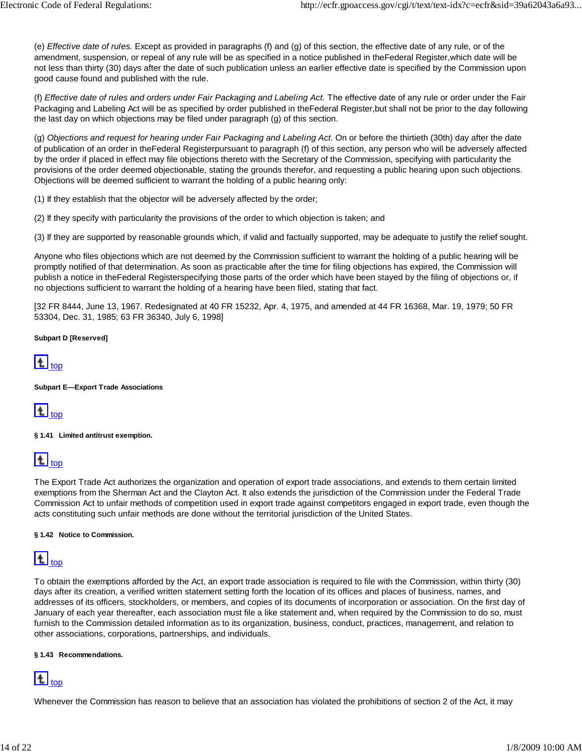(e) *Effective date of rules.* Except as provided in paragraphs (f) and (g) of this section, the effective date of any rule, or of the amendment, suspension, or repeal of any rule will be as specified in a notice published in theFederal Register,which date will be not less than thirty (30) days after the date of such publication unless an earlier effective date is specified by the Commission upon good cause found and published with the rule.

(f) *Effective date of rules and orders under Fair Packaging and Labeling Act.* The effective date of any rule or order under the Fair Packaging and Labeling Act will be as specified by order published in theFederal Register,but shall not be prior to the day following the last day on which objections may be filed under paragraph (g) of this section.

(g) Objections and request for hearing under Fair Packaging and Labeling Act. On or before the thirtieth (30th) day after the date of publication of an order in theFederal Registerpursuant to paragraph (f) of this section, any person who will be adversely affected by the order if placed in effect may file objections thereto with the Secretary of the Commission, specifying with particularity the provisions of the order deemed objectionable, stating the grounds therefor, and requesting a public hearing upon such objections. Objections will be deemed sufficient to warrant the holding of a public hearing only:

(1) If they establish that the objector will be adversely affected by the order;

(2) If they specify with particularity the provisions of the order to which objection is taken; and

(3) If they are supported by reasonable grounds which, if valid and factually supported, may be adequate to justify the relief sought.

Anyone who files objections which are not deemed by the Commission sufficient to warrant the holding of a public hearing will be promptly notified of that determination. As soon as practicable after the time for filing objections has expired, the Commission will publish a notice in theFederal Registerspecifying those parts of the order which have been stayed by the filing of objections or, if no objections sufficient to warrant the holding of a hearing have been filed, stating that fact.

[32 FR 8444, June 13, 1967. Redesignated at 40 FR 15232, Apr. 4, 1975, and amended at 44 FR 16368, Mar. 19, 1979; 50 FR 53304, Dec. 31, 1985; 63 FR 36340, July 6, 1998]

#### **Subpart D [Reserved]**



**Subpart E—Export Trade Associations**



**§ 1.41 Limited antitrust exemption.**



The Export Trade Act authorizes the organization and operation of export trade associations, and extends to them certain limited exemptions from the Sherman Act and the Clayton Act. It also extends the jurisdiction of the Commission under the Federal Trade Commission Act to unfair methods of competition used in export trade against competitors engaged in export trade, even though the acts constituting such unfair methods are done without the territorial jurisdiction of the United States.

**§ 1.42 Notice to Commission.**



To obtain the exemptions afforded by the Act, an export trade association is required to file with the Commission, within thirty (30) days after its creation, a verified written statement setting forth the location of its offices and places of business, names, and addresses of its officers, stockholders, or members, and copies of its documents of incorporation or association. On the first day of January of each year thereafter, each association must file a like statement and, when required by the Commission to do so, must furnish to the Commission detailed information as to its organization, business, conduct, practices, management, and relation to other associations, corporations, partnerships, and individuals.

#### **§ 1.43 Recommendations.**



Whenever the Commission has reason to believe that an association has violated the prohibitions of section 2 of the Act, it may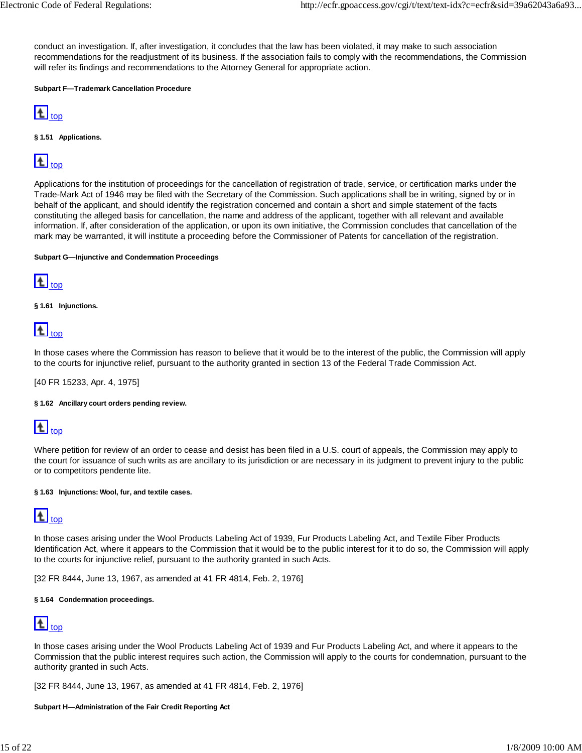conduct an investigation. If, after investigation, it concludes that the law has been violated, it may make to such association recommendations for the readjustment of its business. If the association fails to comply with the recommendations, the Commission will refer its findings and recommendations to the Attorney General for appropriate action.

#### **Subpart F—Trademark Cancellation Procedure**



**§ 1.51 Applications.**



Applications for the institution of proceedings for the cancellation of registration of trade, service, or certification marks under the Trade-Mark Act of 1946 may be filed with the Secretary of the Commission. Such applications shall be in writing, signed by or in behalf of the applicant, and should identify the registration concerned and contain a short and simple statement of the facts constituting the alleged basis for cancellation, the name and address of the applicant, together with all relevant and available information. If, after consideration of the application, or upon its own initiative, the Commission concludes that cancellation of the mark may be warranted, it will institute a proceeding before the Commissioner of Patents for cancellation of the registration.

#### **Subpart G—Injunctive and Condemnation Proceedings**



**§ 1.61 Injunctions.**



In those cases where the Commission has reason to believe that it would be to the interest of the public, the Commission will apply to the courts for injunctive relief, pursuant to the authority granted in section 13 of the Federal Trade Commission Act.

[40 FR 15233, Apr. 4, 1975]

#### **§ 1.62 Ancillary court orders pending review.**



Where petition for review of an order to cease and desist has been filed in a U.S. court of appeals, the Commission may apply to the court for issuance of such writs as are ancillary to its jurisdiction or are necessary in its judgment to prevent injury to the public or to competitors pendente lite.

#### **§ 1.63 Injunctions: Wool, fur, and textile cases.**

# top

In those cases arising under the Wool Products Labeling Act of 1939, Fur Products Labeling Act, and Textile Fiber Products Identification Act, where it appears to the Commission that it would be to the public interest for it to do so, the Commission will apply to the courts for injunctive relief, pursuant to the authority granted in such Acts.

[32 FR 8444, June 13, 1967, as amended at 41 FR 4814, Feb. 2, 1976]

#### **§ 1.64 Condemnation proceedings.**



In those cases arising under the Wool Products Labeling Act of 1939 and Fur Products Labeling Act, and where it appears to the Commission that the public interest requires such action, the Commission will apply to the courts for condemnation, pursuant to the authority granted in such Acts.

[32 FR 8444, June 13, 1967, as amended at 41 FR 4814, Feb. 2, 1976]

**Subpart H—Administration of the Fair Credit Reporting Act**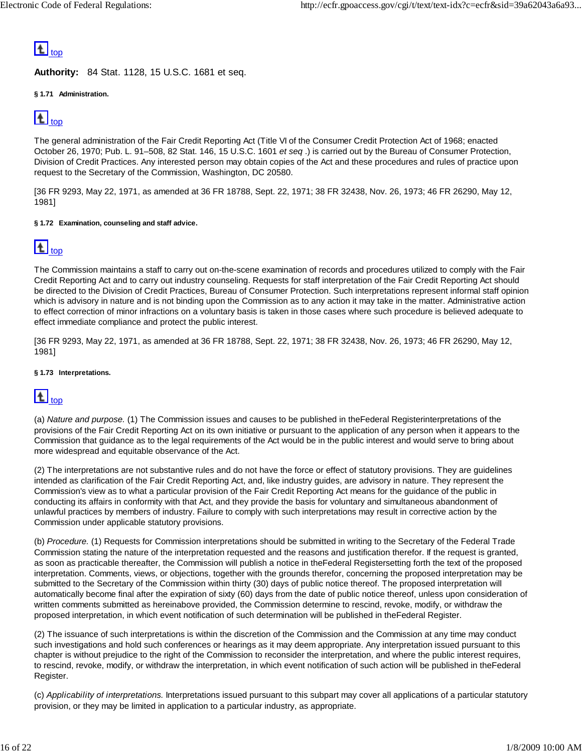## top

**Authority:** 84 Stat. 1128, 15 U.S.C. 1681 et seq.

**§ 1.71 Administration.**

#### **LE** top

The general administration of the Fair Credit Reporting Act (Title VI of the Consumer Credit Protection Act of 1968; enacted October 26, 1970; Pub. L. 91–508, 82 Stat. 146, 15 U.S.C. 1601 *et seq* .) is carried out by the Bureau of Consumer Protection, Division of Credit Practices. Any interested person may obtain copies of the Act and these procedures and rules of practice upon request to the Secretary of the Commission, Washington, DC 20580.

[36 FR 9293, May 22, 1971, as amended at 36 FR 18788, Sept. 22, 1971; 38 FR 32438, Nov. 26, 1973; 46 FR 26290, May 12, 1981]

### **§ 1.72 Examination, counseling and staff advice.**

#### l t top

The Commission maintains a staff to carry out on-the-scene examination of records and procedures utilized to comply with the Fair Credit Reporting Act and to carry out industry counseling. Requests for staff interpretation of the Fair Credit Reporting Act should be directed to the Division of Credit Practices, Bureau of Consumer Protection. Such interpretations represent informal staff opinion which is advisory in nature and is not binding upon the Commission as to any action it may take in the matter. Administrative action to effect correction of minor infractions on a voluntary basis is taken in those cases where such procedure is believed adequate to effect immediate compliance and protect the public interest.

[36 FR 9293, May 22, 1971, as amended at 36 FR 18788, Sept. 22, 1971; 38 FR 32438, Nov. 26, 1973; 46 FR 26290, May 12, 1981]

#### **§ 1.73 Interpretations.**



(a) *Nature and purpose.* (1) The Commission issues and causes to be published in theFederal Registerinterpretations of the provisions of the Fair Credit Reporting Act on its own initiative or pursuant to the application of any person when it appears to the Commission that guidance as to the legal requirements of the Act would be in the public interest and would serve to bring about more widespread and equitable observance of the Act.

(2) The interpretations are not substantive rules and do not have the force or effect of statutory provisions. They are guidelines intended as clarification of the Fair Credit Reporting Act, and, like industry guides, are advisory in nature. They represent the Commission's view as to what a particular provision of the Fair Credit Reporting Act means for the guidance of the public in conducting its affairs in conformity with that Act, and they provide the basis for voluntary and simultaneous abandonment of unlawful practices by members of industry. Failure to comply with such interpretations may result in corrective action by the Commission under applicable statutory provisions.

(b) *Procedure.* (1) Requests for Commission interpretations should be submitted in writing to the Secretary of the Federal Trade Commission stating the nature of the interpretation requested and the reasons and justification therefor. If the request is granted, as soon as practicable thereafter, the Commission will publish a notice in theFederal Registersetting forth the text of the proposed interpretation. Comments, views, or objections, together with the grounds therefor, concerning the proposed interpretation may be submitted to the Secretary of the Commission within thirty (30) days of public notice thereof. The proposed interpretation will automatically become final after the expiration of sixty (60) days from the date of public notice thereof, unless upon consideration of written comments submitted as hereinabove provided, the Commission determine to rescind, revoke, modify, or withdraw the proposed interpretation, in which event notification of such determination will be published in theFederal Register.

(2) The issuance of such interpretations is within the discretion of the Commission and the Commission at any time may conduct such investigations and hold such conferences or hearings as it may deem appropriate. Any interpretation issued pursuant to this chapter is without prejudice to the right of the Commission to reconsider the interpretation, and where the public interest requires, to rescind, revoke, modify, or withdraw the interpretation, in which event notification of such action will be published in theFederal Register.

(c) *Applicability of interpretations.* Interpretations issued pursuant to this subpart may cover all applications of a particular statutory provision, or they may be limited in application to a particular industry, as appropriate.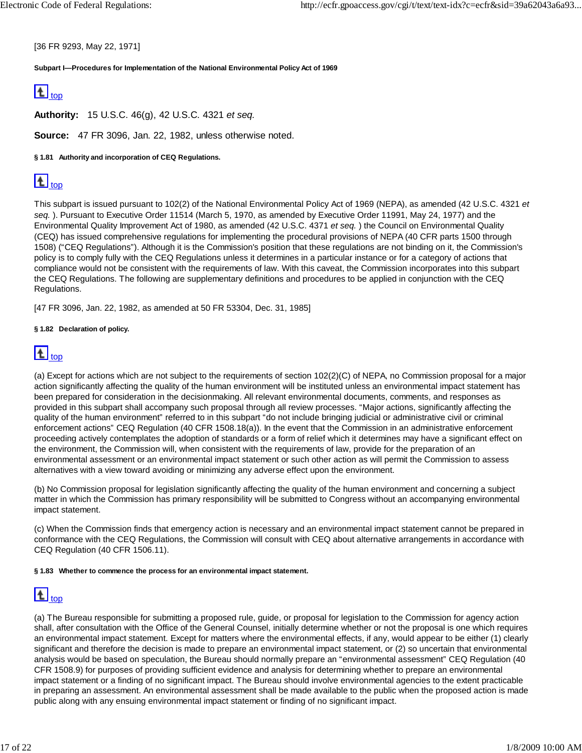[36 FR 9293, May 22, 1971]

**Subpart I—Procedures for Implementation of the National Environmental Policy Act of 1969**

## $t_{\text{loop}}$

**Authority:** 15 U.S.C. 46(g), 42 U.S.C. 4321 *et seq.*

**Source:** 47 FR 3096, Jan. 22, 1982, unless otherwise noted.

**§ 1.81 Authority and incorporation of CEQ Regulations.**

## top<sub>top</sub>

This subpart is issued pursuant to 102(2) of the National Environmental Policy Act of 1969 (NEPA), as amended (42 U.S.C. 4321 *et seq.* ). Pursuant to Executive Order 11514 (March 5, 1970, as amended by Executive Order 11991, May 24, 1977) and the Environmental Quality Improvement Act of 1980, as amended (42 U.S.C. 4371 *et seq.* ) the Council on Environmental Quality (CEQ) has issued comprehensive regulations for implementing the procedural provisions of NEPA (40 CFR parts 1500 through 1508) ("CEQ Regulations"). Although it is the Commission's position that these regulations are not binding on it, the Commission's policy is to comply fully with the CEQ Regulations unless it determines in a particular instance or for a category of actions that compliance would not be consistent with the requirements of law. With this caveat, the Commission incorporates into this subpart the CEQ Regulations. The following are supplementary definitions and procedures to be applied in conjunction with the CEQ Regulations.

[47 FR 3096, Jan. 22, 1982, as amended at 50 FR 53304, Dec. 31, 1985]

#### **§ 1.82 Declaration of policy.**



(a) Except for actions which are not subject to the requirements of section 102(2)(C) of NEPA, no Commission proposal for a major action significantly affecting the quality of the human environment will be instituted unless an environmental impact statement has been prepared for consideration in the decisionmaking. All relevant environmental documents, comments, and responses as provided in this subpart shall accompany such proposal through all review processes. "Major actions, significantly affecting the quality of the human environment" referred to in this subpart "do not include bringing judicial or administrative civil or criminal enforcement actions" CEQ Regulation (40 CFR 1508.18(a)). In the event that the Commission in an administrative enforcement proceeding actively contemplates the adoption of standards or a form of relief which it determines may have a significant effect on the environment, the Commission will, when consistent with the requirements of law, provide for the preparation of an environmental assessment or an environmental impact statement or such other action as will permit the Commission to assess alternatives with a view toward avoiding or minimizing any adverse effect upon the environment.

(b) No Commission proposal for legislation significantly affecting the quality of the human environment and concerning a subject matter in which the Commission has primary responsibility will be submitted to Congress without an accompanying environmental impact statement.

(c) When the Commission finds that emergency action is necessary and an environmental impact statement cannot be prepared in conformance with the CEQ Regulations, the Commission will consult with CEQ about alternative arrangements in accordance with CEQ Regulation (40 CFR 1506.11).

**§ 1.83 Whether to commence the process for an environmental impact statement.**

# top<br>top

(a) The Bureau responsible for submitting a proposed rule, guide, or proposal for legislation to the Commission for agency action shall, after consultation with the Office of the General Counsel, initially determine whether or not the proposal is one which requires an environmental impact statement. Except for matters where the environmental effects, if any, would appear to be either (1) clearly significant and therefore the decision is made to prepare an environmental impact statement, or (2) so uncertain that environmental analysis would be based on speculation, the Bureau should normally prepare an "environmental assessment" CEQ Regulation (40 CFR 1508.9) for purposes of providing sufficient evidence and analysis for determining whether to prepare an environmental impact statement or a finding of no significant impact. The Bureau should involve environmental agencies to the extent practicable in preparing an assessment. An environmental assessment shall be made available to the public when the proposed action is made public along with any ensuing environmental impact statement or finding of no significant impact.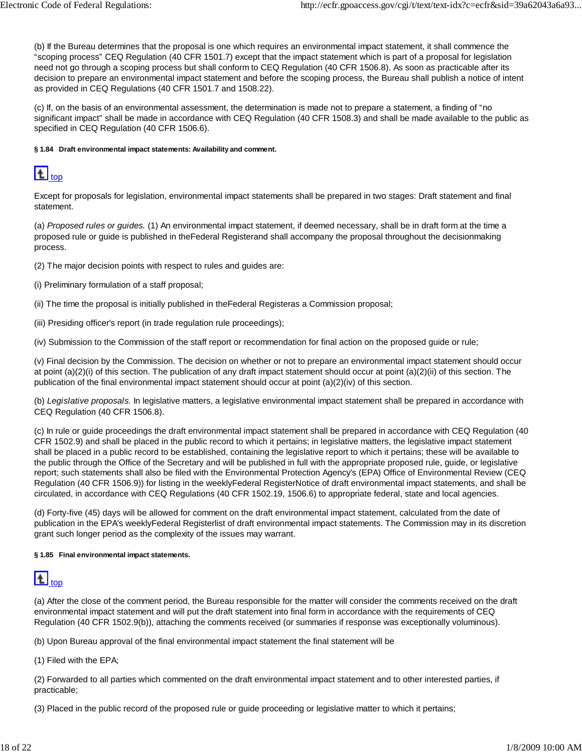(b) If the Bureau determines that the proposal is one which requires an environmental impact statement, it shall commence the "scoping process" CEQ Regulation (40 CFR 1501.7) except that the impact statement which is part of a proposal for legislation need not go through a scoping process but shall conform to CEQ Regulation (40 CFR 1506.8). As soon as practicable after its decision to prepare an environmental impact statement and before the scoping process, the Bureau shall publish a notice of intent as provided in CEQ Regulations (40 CFR 1501.7 and 1508.22).

(c) If, on the basis of an environmental assessment, the determination is made not to prepare a statement, a finding of "no significant impact" shall be made in accordance with CEQ Regulation (40 CFR 1508.3) and shall be made available to the public as specified in CEQ Regulation (40 CFR 1506.6).

**§ 1.84 Draft environmental impact statements: Availability and comment.**



Except for proposals for legislation, environmental impact statements shall be prepared in two stages: Draft statement and final statement.

(a) *Proposed rules or guides.* (1) An environmental impact statement, if deemed necessary, shall be in draft form at the time a proposed rule or guide is published in theFederal Registerand shall accompany the proposal throughout the decisionmaking process.

(2) The major decision points with respect to rules and guides are:

- (i) Preliminary formulation of a staff proposal;
- (ii) The time the proposal is initially published in theFederal Registeras a Commission proposal;
- (iii) Presiding officer's report (in trade regulation rule proceedings);

(iv) Submission to the Commission of the staff report or recommendation for final action on the proposed guide or rule;

(v) Final decision by the Commission. The decision on whether or not to prepare an environmental impact statement should occur at point (a)(2)(i) of this section. The publication of any draft impact statement should occur at point (a)(2)(ii) of this section. The publication of the final environmental impact statement should occur at point (a)(2)(iv) of this section.

(b) *Legislative proposals.* In legislative matters, a legislative environmental impact statement shall be prepared in accordance with CEQ Regulation (40 CFR 1506.8).

(c) In rule or guide proceedings the draft environmental impact statement shall be prepared in accordance with CEQ Regulation (40 CFR 1502.9) and shall be placed in the public record to which it pertains; in legislative matters, the legislative impact statement shall be placed in a public record to be established, containing the legislative report to which it pertains; these will be available to the public through the Office of the Secretary and will be published in full with the appropriate proposed rule, guide, or legislative report; such statements shall also be filed with the Environmental Protection Agency's (EPA) Office of Environmental Review (CEQ Regulation (40 CFR 1506.9)) for listing in the weeklyFederal RegisterNotice of draft environmental impact statements, and shall be circulated, in accordance with CEQ Regulations (40 CFR 1502.19, 1506.6) to appropriate federal, state and local agencies.

(d) Forty-five (45) days will be allowed for comment on the draft environmental impact statement, calculated from the date of publication in the EPA's weeklyFederal Registerlist of draft environmental impact statements. The Commission may in its discretion grant such longer period as the complexity of the issues may warrant.

#### **§ 1.85 Final environmental impact statements.**



(a) After the close of the comment period, the Bureau responsible for the matter will consider the comments received on the draft environmental impact statement and will put the draft statement into final form in accordance with the requirements of CEQ Regulation (40 CFR 1502.9(b)), attaching the comments received (or summaries if response was exceptionally voluminous).

(b) Upon Bureau approval of the final environmental impact statement the final statement will be

(1) Filed with the EPA;

(2) Forwarded to all parties which commented on the draft environmental impact statement and to other interested parties, if practicable;

(3) Placed in the public record of the proposed rule or guide proceeding or legislative matter to which it pertains;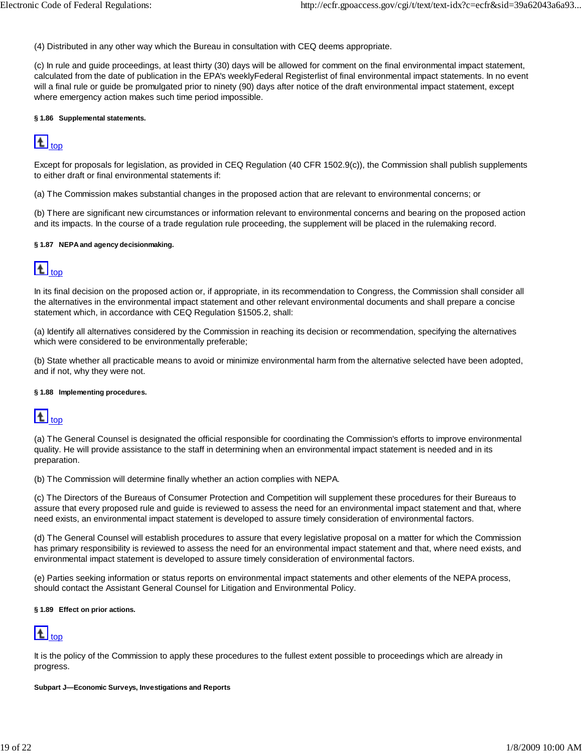(4) Distributed in any other way which the Bureau in consultation with CEQ deems appropriate.

(c) In rule and guide proceedings, at least thirty (30) days will be allowed for comment on the final environmental impact statement, calculated from the date of publication in the EPA's weeklyFederal Registerlist of final environmental impact statements. In no event will a final rule or guide be promulgated prior to ninety (90) days after notice of the draft environmental impact statement, except where emergency action makes such time period impossible.

#### **§ 1.86 Supplemental statements.**

### ŁI top

Except for proposals for legislation, as provided in CEQ Regulation (40 CFR 1502.9(c)), the Commission shall publish supplements to either draft or final environmental statements if:

(a) The Commission makes substantial changes in the proposed action that are relevant to environmental concerns; or

(b) There are significant new circumstances or information relevant to environmental concerns and bearing on the proposed action and its impacts. In the course of a trade regulation rule proceeding, the supplement will be placed in the rulemaking record.

#### **§ 1.87 NEPA and agency decisionmaking.**

#### ł. top

In its final decision on the proposed action or, if appropriate, in its recommendation to Congress, the Commission shall consider all the alternatives in the environmental impact statement and other relevant environmental documents and shall prepare a concise statement which, in accordance with CEQ Regulation §1505.2, shall:

(a) Identify all alternatives considered by the Commission in reaching its decision or recommendation, specifying the alternatives which were considered to be environmentally preferable;

(b) State whether all practicable means to avoid or minimize environmental harm from the alternative selected have been adopted, and if not, why they were not.

#### **§ 1.88 Implementing procedures.**

## $t_{top}$

(a) The General Counsel is designated the official responsible for coordinating the Commission's efforts to improve environmental quality. He will provide assistance to the staff in determining when an environmental impact statement is needed and in its preparation.

(b) The Commission will determine finally whether an action complies with NEPA.

(c) The Directors of the Bureaus of Consumer Protection and Competition will supplement these procedures for their Bureaus to assure that every proposed rule and guide is reviewed to assess the need for an environmental impact statement and that, where need exists, an environmental impact statement is developed to assure timely consideration of environmental factors.

(d) The General Counsel will establish procedures to assure that every legislative proposal on a matter for which the Commission has primary responsibility is reviewed to assess the need for an environmental impact statement and that, where need exists, and environmental impact statement is developed to assure timely consideration of environmental factors.

(e) Parties seeking information or status reports on environmental impact statements and other elements of the NEPA process, should contact the Assistant General Counsel for Litigation and Environmental Policy.

#### **§ 1.89 Effect on prior actions.**

## $t_{\rm{loc}}$

It is the policy of the Commission to apply these procedures to the fullest extent possible to proceedings which are already in progress.

#### **Subpart J—Economic Surveys, Investigations and Reports**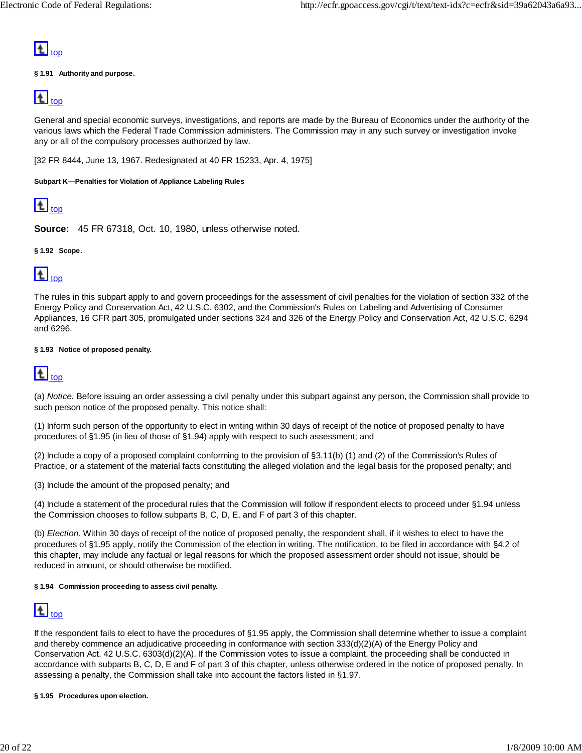

#### **§ 1.91 Authority and purpose.**



General and special economic surveys, investigations, and reports are made by the Bureau of Economics under the authority of the various laws which the Federal Trade Commission administers. The Commission may in any such survey or investigation invoke any or all of the compulsory processes authorized by law.

[32 FR 8444, June 13, 1967. Redesignated at 40 FR 15233, Apr. 4, 1975]

#### **Subpart K—Penalties for Violation of Appliance Labeling Rules**



**Source:** 45 FR 67318, Oct. 10, 1980, unless otherwise noted.

#### **§ 1.92 Scope.**

## top

The rules in this subpart apply to and govern proceedings for the assessment of civil penalties for the violation of section 332 of the Energy Policy and Conservation Act, 42 U.S.C. 6302, and the Commission's Rules on Labeling and Advertising of Consumer Appliances, 16 CFR part 305, promulgated under sections 324 and 326 of the Energy Policy and Conservation Act, 42 U.S.C. 6294 and 6296.

#### **§ 1.93 Notice of proposed penalty.**

## top

(a) *Notice.* Before issuing an order assessing a civil penalty under this subpart against any person, the Commission shall provide to such person notice of the proposed penalty. This notice shall:

(1) Inform such person of the opportunity to elect in writing within 30 days of receipt of the notice of proposed penalty to have procedures of §1.95 (in lieu of those of §1.94) apply with respect to such assessment; and

(2) Include a copy of a proposed complaint conforming to the provision of §3.11(b) (1) and (2) of the Commission's Rules of Practice, or a statement of the material facts constituting the alleged violation and the legal basis for the proposed penalty; and

(3) Include the amount of the proposed penalty; and

(4) Include a statement of the procedural rules that the Commission will follow if respondent elects to proceed under §1.94 unless the Commission chooses to follow subparts B, C, D, E, and F of part 3 of this chapter.

(b) *Election.* Within 30 days of receipt of the notice of proposed penalty, the respondent shall, if it wishes to elect to have the procedures of §1.95 apply, notify the Commission of the election in writing. The notification, to be filed in accordance with §4.2 of this chapter, may include any factual or legal reasons for which the proposed assessment order should not issue, should be reduced in amount, or should otherwise be modified.

#### **§ 1.94 Commission proceeding to assess civil penalty.**



If the respondent fails to elect to have the procedures of §1.95 apply, the Commission shall determine whether to issue a complaint and thereby commence an adjudicative proceeding in conformance with section 333(d)(2)(A) of the Energy Policy and Conservation Act, 42 U.S.C. 6303(d)(2)(A). If the Commission votes to issue a complaint, the proceeding shall be conducted in accordance with subparts B, C, D, E and F of part 3 of this chapter, unless otherwise ordered in the notice of proposed penalty. In assessing a penalty, the Commission shall take into account the factors listed in §1.97.

#### **§ 1.95 Procedures upon election.**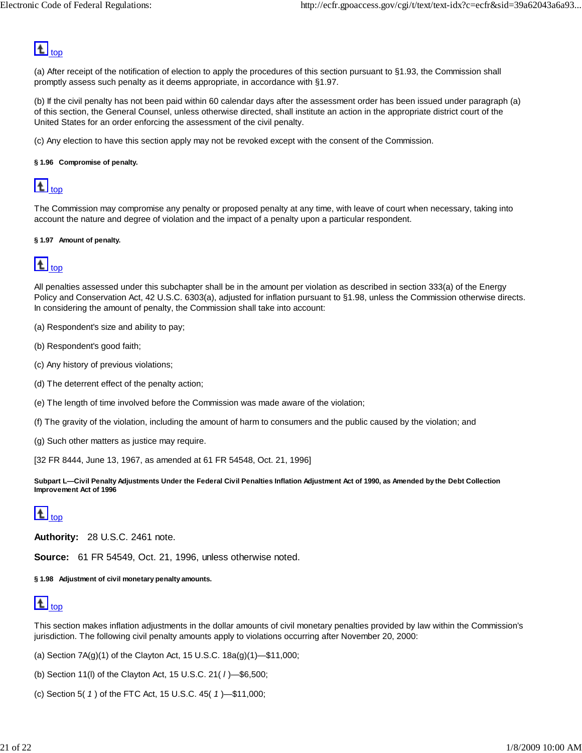

(a) After receipt of the notification of election to apply the procedures of this section pursuant to §1.93, the Commission shall promptly assess such penalty as it deems appropriate, in accordance with §1.97.

(b) If the civil penalty has not been paid within 60 calendar days after the assessment order has been issued under paragraph (a) of this section, the General Counsel, unless otherwise directed, shall institute an action in the appropriate district court of the United States for an order enforcing the assessment of the civil penalty.

(c) Any election to have this section apply may not be revoked except with the consent of the Commission.

**§ 1.96 Compromise of penalty.**

## $t_{\text{top}}$

The Commission may compromise any penalty or proposed penalty at any time, with leave of court when necessary, taking into account the nature and degree of violation and the impact of a penalty upon a particular respondent.

#### **§ 1.97 Amount of penalty.**

## top top

All penalties assessed under this subchapter shall be in the amount per violation as described in section 333(a) of the Energy Policy and Conservation Act, 42 U.S.C. 6303(a), adjusted for inflation pursuant to §1.98, unless the Commission otherwise directs. In considering the amount of penalty, the Commission shall take into account:

(a) Respondent's size and ability to pay;

- (b) Respondent's good faith;
- (c) Any history of previous violations;
- (d) The deterrent effect of the penalty action;
- (e) The length of time involved before the Commission was made aware of the violation;
- (f) The gravity of the violation, including the amount of harm to consumers and the public caused by the violation; and
- (g) Such other matters as justice may require.

[32 FR 8444, June 13, 1967, as amended at 61 FR 54548, Oct. 21, 1996]

**Subpart L—Civil Penalty Adjustments Under the Federal Civil Penalties Inflation Adjustment Act of 1990, as Amended by the Debt Collection Improvement Act of 1996**

#### l t top

**Authority:** 28 U.S.C. 2461 note.

**Source:** 61 FR 54549, Oct. 21, 1996, unless otherwise noted.

**§ 1.98 Adjustment of civil monetary penalty amounts.**

## $\mathsf{t}_\mathsf{top}$

This section makes inflation adjustments in the dollar amounts of civil monetary penalties provided by law within the Commission's jurisdiction. The following civil penalty amounts apply to violations occurring after November 20, 2000:

(a) Section 7A(g)(1) of the Clayton Act, 15 U.S.C. 18a(g)(1)—\$11,000;

(b) Section 11(l) of the Clayton Act, 15 U.S.C. 21( *l* )—\$6,500;

(c) Section 5( *1* ) of the FTC Act, 15 U.S.C. 45( *1* )—\$11,000;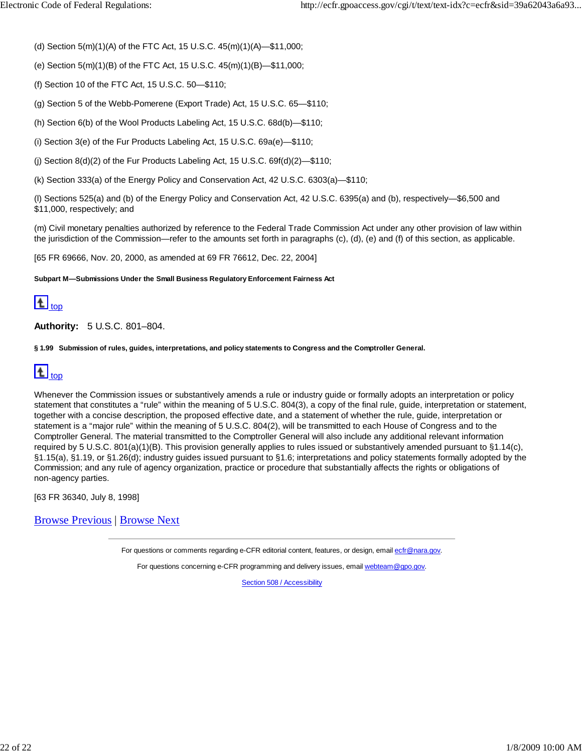(d) Section 5(m)(1)(A) of the FTC Act, 15 U.S.C. 45(m)(1)(A)—\$11,000;

(e) Section 5(m)(1)(B) of the FTC Act, 15 U.S.C. 45(m)(1)(B)—\$11,000;

(f) Section 10 of the FTC Act, 15 U.S.C. 50—\$110;

(g) Section 5 of the Webb-Pomerene (Export Trade) Act, 15 U.S.C. 65—\$110;

(h) Section 6(b) of the Wool Products Labeling Act, 15 U.S.C. 68d(b)—\$110;

(i) Section 3(e) of the Fur Products Labeling Act, 15 U.S.C. 69a(e)—\$110;

(j) Section 8(d)(2) of the Fur Products Labeling Act, 15 U.S.C. 69f(d)(2)—\$110;

(k) Section 333(a) of the Energy Policy and Conservation Act, 42 U.S.C. 6303(a)—\$110;

(l) Sections 525(a) and (b) of the Energy Policy and Conservation Act, 42 U.S.C. 6395(a) and (b), respectively—\$6,500 and \$11,000, respectively; and

(m) Civil monetary penalties authorized by reference to the Federal Trade Commission Act under any other provision of law within the jurisdiction of the Commission—refer to the amounts set forth in paragraphs (c), (d), (e) and (f) of this section, as applicable.

[65 FR 69666, Nov. 20, 2000, as amended at 69 FR 76612, Dec. 22, 2004]

**Subpart M—Submissions Under the Small Business Regulatory Enforcement Fairness Act**

## top<br>top

**Authority:** 5 U.S.C. 801–804.

**§ 1.99 Submission of rules, guides, interpretations, and policy statements to Congress and the Comptroller General.**



Whenever the Commission issues or substantively amends a rule or industry guide or formally adopts an interpretation or policy statement that constitutes a "rule" within the meaning of 5 U.S.C. 804(3), a copy of the final rule, guide, interpretation or statement, together with a concise description, the proposed effective date, and a statement of whether the rule, guide, interpretation or statement is a "major rule" within the meaning of 5 U.S.C. 804(2), will be transmitted to each House of Congress and to the Comptroller General. The material transmitted to the Comptroller General will also include any additional relevant information required by 5 U.S.C. 801(a)(1)(B). This provision generally applies to rules issued or substantively amended pursuant to §1.14(c), §1.15(a), §1.19, or §1.26(d); industry guides issued pursuant to §1.6; interpretations and policy statements formally adopted by the Commission; and any rule of agency organization, practice or procedure that substantially affects the rights or obligations of non-agency parties.

[63 FR 36340, July 8, 1998]

Browse Previous | Browse Next

For questions or comments regarding e-CFR editorial content, features, or design, email ecfr@nara.gov.

For questions concerning e-CFR programming and delivery issues, email webteam@gpo.gov.

Section 508 / Accessibility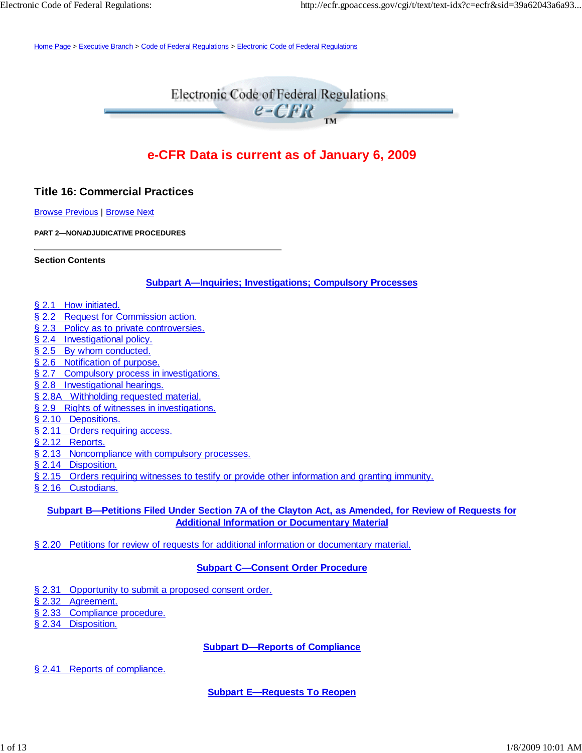Home Page > Executive Branch > Code of Federal Regulations > Electronic Code of Federal Regulations

Electronic Code of Federal Regulations

 $e$ -CFR  $\frac{1}{M}$ 

### **e-CFR Data is current as of January 6, 2009**

### **Title 16: Commercial Practices**

Browse Previous | Browse Next

**PART 2—NONADJUDICATIVE PROCEDURES**

**Section Contents**

**Subpart A—Inquiries; Investigations; Compulsory Processes**

- § 2.1 How initiated.
- § 2.2 Request for Commission action.
- § 2.3 Policy as to private controversies.
- § 2.4 Investigational policy.
- § 2.5 By whom conducted.
- § 2.6 Notification of purpose.
- § 2.7 Compulsory process in investigations.
- § 2.8 Investigational hearings.
- § 2.8A Withholding requested material.
- § 2.9 Rights of witnesses in investigations.
- § 2.10 Depositions.
- § 2.11 Orders requiring access.
- § 2.12 Reports.
- § 2.13 Noncompliance with compulsory processes.
- § 2.14 Disposition.
- § 2.15 Orders requiring witnesses to testify or provide other information and granting immunity.
- § 2.16 Custodians.

### **Subpart B—Petitions Filed Under Section 7A of the Clayton Act, as Amended, for Review of Requests for Additional Information or Documentary Material**

§ 2.20 Petitions for review of requests for additional information or documentary material.

### **Subpart C—Consent Order Procedure**

- § 2.31 Opportunity to submit a proposed consent order.
- § 2.32 Agreement.
- § 2.33 Compliance procedure.
- § 2.34 Disposition.

### **Subpart D—Reports of Compliance**

§ 2.41 Reports of compliance.

**Subpart E—Requests To Reopen**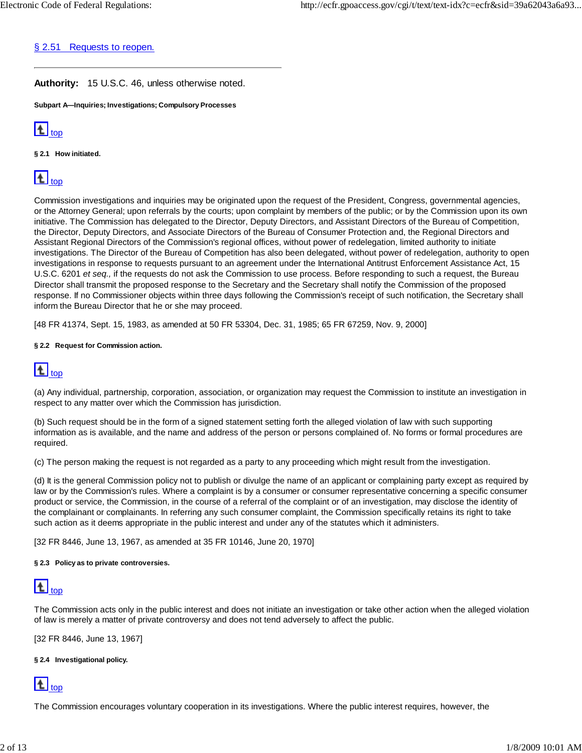### § 2.51 Requests to reopen.

**Authority:** 15 U.S.C. 46, unless otherwise noted.

**Subpart A—Inquiries; Investigations; Compulsory Processes**



**§ 2.1 How initiated.**



Commission investigations and inquiries may be originated upon the request of the President, Congress, governmental agencies, or the Attorney General; upon referrals by the courts; upon complaint by members of the public; or by the Commission upon its own initiative. The Commission has delegated to the Director, Deputy Directors, and Assistant Directors of the Bureau of Competition, the Director, Deputy Directors, and Associate Directors of the Bureau of Consumer Protection and, the Regional Directors and Assistant Regional Directors of the Commission's regional offices, without power of redelegation, limited authority to initiate investigations. The Director of the Bureau of Competition has also been delegated, without power of redelegation, authority to open investigations in response to requests pursuant to an agreement under the International Antitrust Enforcement Assistance Act, 15 U.S.C. 6201 *et seq.,* if the requests do not ask the Commission to use process. Before responding to such a request, the Bureau Director shall transmit the proposed response to the Secretary and the Secretary shall notify the Commission of the proposed response. If no Commissioner objects within three days following the Commission's receipt of such notification, the Secretary shall inform the Bureau Director that he or she may proceed.

[48 FR 41374, Sept. 15, 1983, as amended at 50 FR 53304, Dec. 31, 1985; 65 FR 67259, Nov. 9, 2000]

#### **§ 2.2 Request for Commission action.**



(a) Any individual, partnership, corporation, association, or organization may request the Commission to institute an investigation in respect to any matter over which the Commission has jurisdiction.

(b) Such request should be in the form of a signed statement setting forth the alleged violation of law with such supporting information as is available, and the name and address of the person or persons complained of. No forms or formal procedures are required.

(c) The person making the request is not regarded as a party to any proceeding which might result from the investigation.

(d) It is the general Commission policy not to publish or divulge the name of an applicant or complaining party except as required by law or by the Commission's rules. Where a complaint is by a consumer or consumer representative concerning a specific consumer product or service, the Commission, in the course of a referral of the complaint or of an investigation, may disclose the identity of the complainant or complainants. In referring any such consumer complaint, the Commission specifically retains its right to take such action as it deems appropriate in the public interest and under any of the statutes which it administers.

[32 FR 8446, June 13, 1967, as amended at 35 FR 10146, June 20, 1970]

#### **§ 2.3 Policy as to private controversies.**



The Commission acts only in the public interest and does not initiate an investigation or take other action when the alleged violation of law is merely a matter of private controversy and does not tend adversely to affect the public.

[32 FR 8446, June 13, 1967]

**§ 2.4 Investigational policy.**



The Commission encourages voluntary cooperation in its investigations. Where the public interest requires, however, the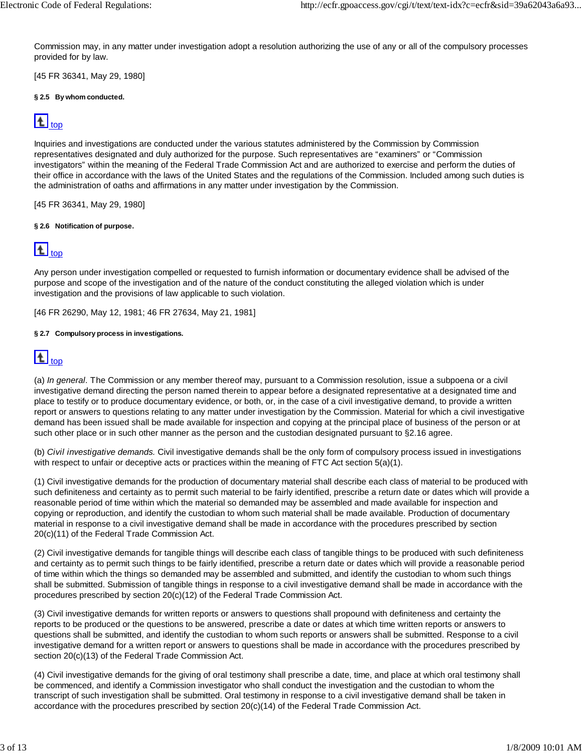Commission may, in any matter under investigation adopt a resolution authorizing the use of any or all of the compulsory processes provided for by law.

[45 FR 36341, May 29, 1980]

#### **§ 2.5 By whom conducted.**



Inquiries and investigations are conducted under the various statutes administered by the Commission by Commission representatives designated and duly authorized for the purpose. Such representatives are "examiners" or "Commission investigators" within the meaning of the Federal Trade Commission Act and are authorized to exercise and perform the duties of their office in accordance with the laws of the United States and the regulations of the Commission. Included among such duties is the administration of oaths and affirmations in any matter under investigation by the Commission.

[45 FR 36341, May 29, 1980]

#### **§ 2.6 Notification of purpose.**

## top<br>top

Any person under investigation compelled or requested to furnish information or documentary evidence shall be advised of the purpose and scope of the investigation and of the nature of the conduct constituting the alleged violation which is under investigation and the provisions of law applicable to such violation.

[46 FR 26290, May 12, 1981; 46 FR 27634, May 21, 1981]

#### **§ 2.7 Compulsory process in investigations.**



(a) *In general.* The Commission or any member thereof may, pursuant to a Commission resolution, issue a subpoena or a civil investigative demand directing the person named therein to appear before a designated representative at a designated time and place to testify or to produce documentary evidence, or both, or, in the case of a civil investigative demand, to provide a written report or answers to questions relating to any matter under investigation by the Commission. Material for which a civil investigative demand has been issued shall be made available for inspection and copying at the principal place of business of the person or at such other place or in such other manner as the person and the custodian designated pursuant to §2.16 agree.

(b) *Civil investigative demands.* Civil investigative demands shall be the only form of compulsory process issued in investigations with respect to unfair or deceptive acts or practices within the meaning of FTC Act section 5(a)(1).

(1) Civil investigative demands for the production of documentary material shall describe each class of material to be produced with such definiteness and certainty as to permit such material to be fairly identified, prescribe a return date or dates which will provide a reasonable period of time within which the material so demanded may be assembled and made available for inspection and copying or reproduction, and identify the custodian to whom such material shall be made available. Production of documentary material in response to a civil investigative demand shall be made in accordance with the procedures prescribed by section 20(c)(11) of the Federal Trade Commission Act.

(2) Civil investigative demands for tangible things will describe each class of tangible things to be produced with such definiteness and certainty as to permit such things to be fairly identified, prescribe a return date or dates which will provide a reasonable period of time within which the things so demanded may be assembled and submitted, and identify the custodian to whom such things shall be submitted. Submission of tangible things in response to a civil investigative demand shall be made in accordance with the procedures prescribed by section 20(c)(12) of the Federal Trade Commission Act.

(3) Civil investigative demands for written reports or answers to questions shall propound with definiteness and certainty the reports to be produced or the questions to be answered, prescribe a date or dates at which time written reports or answers to questions shall be submitted, and identify the custodian to whom such reports or answers shall be submitted. Response to a civil investigative demand for a written report or answers to questions shall be made in accordance with the procedures prescribed by section 20(c)(13) of the Federal Trade Commission Act.

(4) Civil investigative demands for the giving of oral testimony shall prescribe a date, time, and place at which oral testimony shall be commenced, and identify a Commission investigator who shall conduct the investigation and the custodian to whom the transcript of such investigation shall be submitted. Oral testimony in response to a civil investigative demand shall be taken in accordance with the procedures prescribed by section 20(c)(14) of the Federal Trade Commission Act.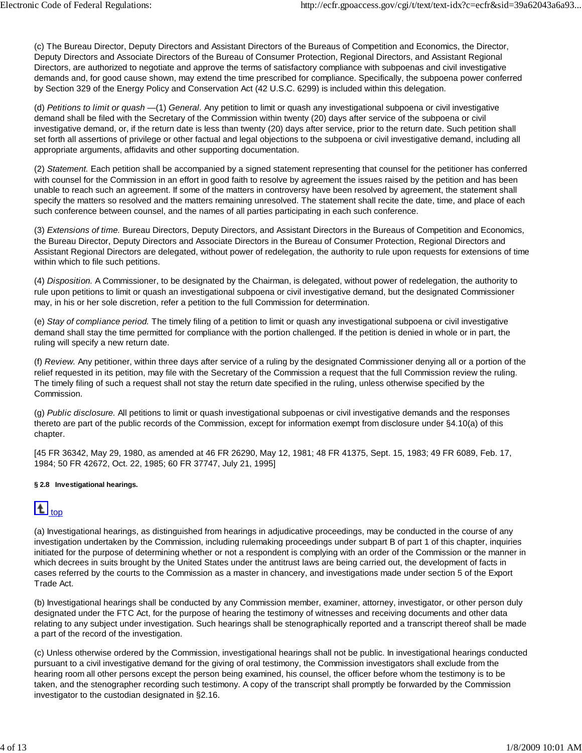(c) The Bureau Director, Deputy Directors and Assistant Directors of the Bureaus of Competition and Economics, the Director, Deputy Directors and Associate Directors of the Bureau of Consumer Protection, Regional Directors, and Assistant Regional Directors, are authorized to negotiate and approve the terms of satisfactory compliance with subpoenas and civil investigative demands and, for good cause shown, may extend the time prescribed for compliance. Specifically, the subpoena power conferred by Section 329 of the Energy Policy and Conservation Act (42 U.S.C. 6299) is included within this delegation.

(d) *Petitions to limit or quash* —(1) *General.* Any petition to limit or quash any investigational subpoena or civil investigative demand shall be filed with the Secretary of the Commission within twenty (20) days after service of the subpoena or civil investigative demand, or, if the return date is less than twenty (20) days after service, prior to the return date. Such petition shall set forth all assertions of privilege or other factual and legal objections to the subpoena or civil investigative demand, including all appropriate arguments, affidavits and other supporting documentation.

(2) *Statement.* Each petition shall be accompanied by a signed statement representing that counsel for the petitioner has conferred with counsel for the Commission in an effort in good faith to resolve by agreement the issues raised by the petition and has been unable to reach such an agreement. If some of the matters in controversy have been resolved by agreement, the statement shall specify the matters so resolved and the matters remaining unresolved. The statement shall recite the date, time, and place of each such conference between counsel, and the names of all parties participating in each such conference.

(3) *Extensions of time.* Bureau Directors, Deputy Directors, and Assistant Directors in the Bureaus of Competition and Economics, the Bureau Director, Deputy Directors and Associate Directors in the Bureau of Consumer Protection, Regional Directors and Assistant Regional Directors are delegated, without power of redelegation, the authority to rule upon requests for extensions of time within which to file such petitions.

(4) *Disposition.* A Commissioner, to be designated by the Chairman, is delegated, without power of redelegation, the authority to rule upon petitions to limit or quash an investigational subpoena or civil investigative demand, but the designated Commissioner may, in his or her sole discretion, refer a petition to the full Commission for determination.

(e) *Stay of compliance period.* The timely filing of a petition to limit or quash any investigational subpoena or civil investigative demand shall stay the time permitted for compliance with the portion challenged. If the petition is denied in whole or in part, the ruling will specify a new return date.

(f) *Review.* Any petitioner, within three days after service of a ruling by the designated Commissioner denying all or a portion of the relief requested in its petition, may file with the Secretary of the Commission a request that the full Commission review the ruling. The timely filing of such a request shall not stay the return date specified in the ruling, unless otherwise specified by the Commission.

(g) *Public disclosure.* All petitions to limit or quash investigational subpoenas or civil investigative demands and the responses thereto are part of the public records of the Commission, except for information exempt from disclosure under §4.10(a) of this chapter.

[45 FR 36342, May 29, 1980, as amended at 46 FR 26290, May 12, 1981; 48 FR 41375, Sept. 15, 1983; 49 FR 6089, Feb. 17, 1984; 50 FR 42672, Oct. 22, 1985; 60 FR 37747, July 21, 1995]

#### **§ 2.8 Investigational hearings.**

# top top

(a) Investigational hearings, as distinguished from hearings in adjudicative proceedings, may be conducted in the course of any investigation undertaken by the Commission, including rulemaking proceedings under subpart B of part 1 of this chapter, inquiries initiated for the purpose of determining whether or not a respondent is complying with an order of the Commission or the manner in which decrees in suits brought by the United States under the antitrust laws are being carried out, the development of facts in cases referred by the courts to the Commission as a master in chancery, and investigations made under section 5 of the Export Trade Act.

(b) Investigational hearings shall be conducted by any Commission member, examiner, attorney, investigator, or other person duly designated under the FTC Act, for the purpose of hearing the testimony of witnesses and receiving documents and other data relating to any subject under investigation. Such hearings shall be stenographically reported and a transcript thereof shall be made a part of the record of the investigation.

(c) Unless otherwise ordered by the Commission, investigational hearings shall not be public. In investigational hearings conducted pursuant to a civil investigative demand for the giving of oral testimony, the Commission investigators shall exclude from the hearing room all other persons except the person being examined, his counsel, the officer before whom the testimony is to be taken, and the stenographer recording such testimony. A copy of the transcript shall promptly be forwarded by the Commission investigator to the custodian designated in §2.16.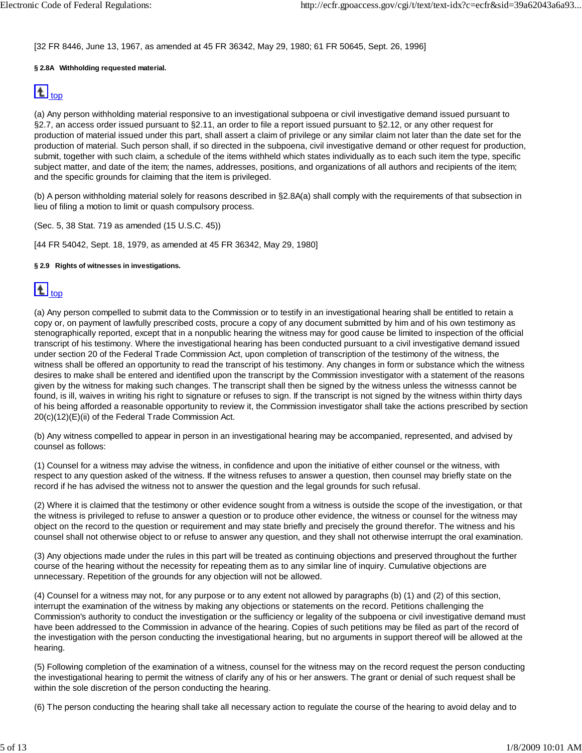[32 FR 8446, June 13, 1967, as amended at 45 FR 36342, May 29, 1980; 61 FR 50645, Sept. 26, 1996]

#### **§ 2.8A Withholding requested material.**



(a) Any person withholding material responsive to an investigational subpoena or civil investigative demand issued pursuant to §2.7, an access order issued pursuant to §2.11, an order to file a report issued pursuant to §2.12, or any other request for production of material issued under this part, shall assert a claim of privilege or any similar claim not later than the date set for the production of material. Such person shall, if so directed in the subpoena, civil investigative demand or other request for production, submit, together with such claim, a schedule of the items withheld which states individually as to each such item the type, specific subject matter, and date of the item; the names, addresses, positions, and organizations of all authors and recipients of the item; and the specific grounds for claiming that the item is privileged.

(b) A person withholding material solely for reasons described in §2.8A(a) shall comply with the requirements of that subsection in lieu of filing a motion to limit or quash compulsory process.

(Sec. 5, 38 Stat. 719 as amended (15 U.S.C. 45))

[44 FR 54042, Sept. 18, 1979, as amended at 45 FR 36342, May 29, 1980]

**§ 2.9 Rights of witnesses in investigations.**

# top top

(a) Any person compelled to submit data to the Commission or to testify in an investigational hearing shall be entitled to retain a copy or, on payment of lawfully prescribed costs, procure a copy of any document submitted by him and of his own testimony as stenographically reported, except that in a nonpublic hearing the witness may for good cause be limited to inspection of the official transcript of his testimony. Where the investigational hearing has been conducted pursuant to a civil investigative demand issued under section 20 of the Federal Trade Commission Act, upon completion of transcription of the testimony of the witness, the witness shall be offered an opportunity to read the transcript of his testimony. Any changes in form or substance which the witness desires to make shall be entered and identified upon the transcript by the Commission investigator with a statement of the reasons given by the witness for making such changes. The transcript shall then be signed by the witness unless the witnesss cannot be found, is ill, waives in writing his right to signature or refuses to sign. If the transcript is not signed by the witness within thirty days of his being afforded a reasonable opportunity to review it, the Commission investigator shall take the actions prescribed by section 20(c)(12)(E)(ii) of the Federal Trade Commission Act.

(b) Any witness compelled to appear in person in an investigational hearing may be accompanied, represented, and advised by counsel as follows:

(1) Counsel for a witness may advise the witness, in confidence and upon the initiative of either counsel or the witness, with respect to any question asked of the witness. If the witness refuses to answer a question, then counsel may briefly state on the record if he has advised the witness not to answer the question and the legal grounds for such refusal.

(2) Where it is claimed that the testimony or other evidence sought from a witness is outside the scope of the investigation, or that the witness is privileged to refuse to answer a question or to produce other evidence, the witness or counsel for the witness may object on the record to the question or requirement and may state briefly and precisely the ground therefor. The witness and his counsel shall not otherwise object to or refuse to answer any question, and they shall not otherwise interrupt the oral examination.

(3) Any objections made under the rules in this part will be treated as continuing objections and preserved throughout the further course of the hearing without the necessity for repeating them as to any similar line of inquiry. Cumulative objections are unnecessary. Repetition of the grounds for any objection will not be allowed.

(4) Counsel for a witness may not, for any purpose or to any extent not allowed by paragraphs (b) (1) and (2) of this section, interrupt the examination of the witness by making any objections or statements on the record. Petitions challenging the Commission's authority to conduct the investigation or the sufficiency or legality of the subpoena or civil investigative demand must have been addressed to the Commission in advance of the hearing. Copies of such petitions may be filed as part of the record of the investigation with the person conducting the investigational hearing, but no arguments in support thereof will be allowed at the hearing.

(5) Following completion of the examination of a witness, counsel for the witness may on the record request the person conducting the investigational hearing to permit the witness of clarify any of his or her answers. The grant or denial of such request shall be within the sole discretion of the person conducting the hearing.

(6) The person conducting the hearing shall take all necessary action to regulate the course of the hearing to avoid delay and to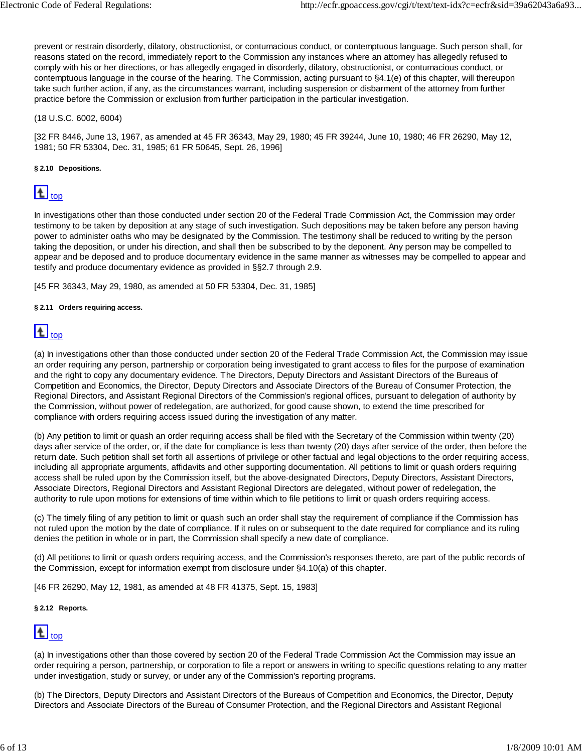prevent or restrain disorderly, dilatory, obstructionist, or contumacious conduct, or contemptuous language. Such person shall, for reasons stated on the record, immediately report to the Commission any instances where an attorney has allegedly refused to comply with his or her directions, or has allegedly engaged in disorderly, dilatory, obstructionist, or contumacious conduct, or contemptuous language in the course of the hearing. The Commission, acting pursuant to §4.1(e) of this chapter, will thereupon take such further action, if any, as the circumstances warrant, including suspension or disbarment of the attorney from further practice before the Commission or exclusion from further participation in the particular investigation.

#### (18 U.S.C. 6002, 6004)

[32 FR 8446, June 13, 1967, as amended at 45 FR 36343, May 29, 1980; 45 FR 39244, June 10, 1980; 46 FR 26290, May 12, 1981; 50 FR 53304, Dec. 31, 1985; 61 FR 50645, Sept. 26, 1996]

#### **§ 2.10 Depositions.**



In investigations other than those conducted under section 20 of the Federal Trade Commission Act, the Commission may order testimony to be taken by deposition at any stage of such investigation. Such depositions may be taken before any person having power to administer oaths who may be designated by the Commission. The testimony shall be reduced to writing by the person taking the deposition, or under his direction, and shall then be subscribed to by the deponent. Any person may be compelled to appear and be deposed and to produce documentary evidence in the same manner as witnesses may be compelled to appear and testify and produce documentary evidence as provided in §§2.7 through 2.9.

[45 FR 36343, May 29, 1980, as amended at 50 FR 53304, Dec. 31, 1985]

#### **§ 2.11 Orders requiring access.**



(a) In investigations other than those conducted under section 20 of the Federal Trade Commission Act, the Commission may issue an order requiring any person, partnership or corporation being investigated to grant access to files for the purpose of examination and the right to copy any documentary evidence. The Directors, Deputy Directors and Assistant Directors of the Bureaus of Competition and Economics, the Director, Deputy Directors and Associate Directors of the Bureau of Consumer Protection, the Regional Directors, and Assistant Regional Directors of the Commission's regional offices, pursuant to delegation of authority by the Commission, without power of redelegation, are authorized, for good cause shown, to extend the time prescribed for compliance with orders requiring access issued during the investigation of any matter.

(b) Any petition to limit or quash an order requiring access shall be filed with the Secretary of the Commission within twenty (20) days after service of the order, or, if the date for compliance is less than twenty (20) days after service of the order, then before the return date. Such petition shall set forth all assertions of privilege or other factual and legal objections to the order requiring access, including all appropriate arguments, affidavits and other supporting documentation. All petitions to limit or quash orders requiring access shall be ruled upon by the Commission itself, but the above-designated Directors, Deputy Directors, Assistant Directors, Associate Directors, Regional Directors and Assistant Regional Directors are delegated, without power of redelegation, the authority to rule upon motions for extensions of time within which to file petitions to limit or quash orders requiring access.

(c) The timely filing of any petition to limit or quash such an order shall stay the requirement of compliance if the Commission has not ruled upon the motion by the date of compliance. If it rules on or subsequent to the date required for compliance and its ruling denies the petition in whole or in part, the Commission shall specify a new date of compliance.

(d) All petitions to limit or quash orders requiring access, and the Commission's responses thereto, are part of the public records of the Commission, except for information exempt from disclosure under §4.10(a) of this chapter.

[46 FR 26290, May 12, 1981, as amended at 48 FR 41375, Sept. 15, 1983]

#### **§ 2.12 Reports.**

## $t_{top}$

(a) In investigations other than those covered by section 20 of the Federal Trade Commission Act the Commission may issue an order requiring a person, partnership, or corporation to file a report or answers in writing to specific questions relating to any matter under investigation, study or survey, or under any of the Commission's reporting programs.

(b) The Directors, Deputy Directors and Assistant Directors of the Bureaus of Competition and Economics, the Director, Deputy Directors and Associate Directors of the Bureau of Consumer Protection, and the Regional Directors and Assistant Regional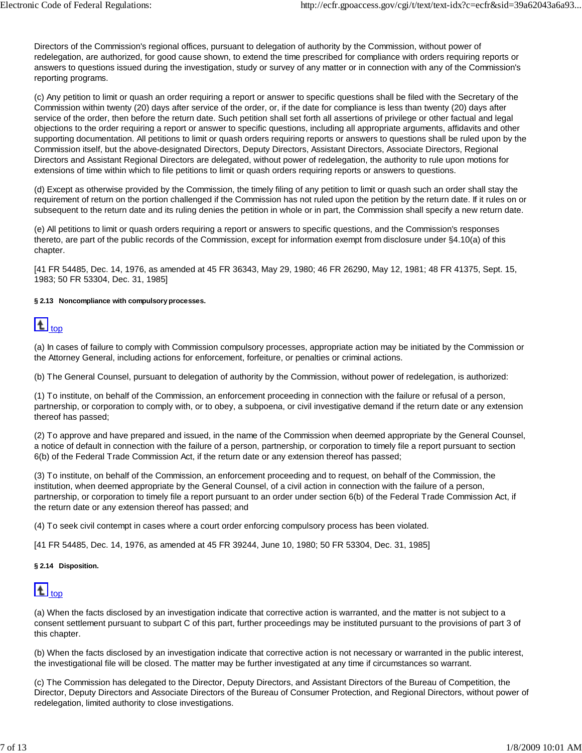Directors of the Commission's regional offices, pursuant to delegation of authority by the Commission, without power of redelegation, are authorized, for good cause shown, to extend the time prescribed for compliance with orders requiring reports or answers to questions issued during the investigation, study or survey of any matter or in connection with any of the Commission's reporting programs.

(c) Any petition to limit or quash an order requiring a report or answer to specific questions shall be filed with the Secretary of the Commission within twenty (20) days after service of the order, or, if the date for compliance is less than twenty (20) days after service of the order, then before the return date. Such petition shall set forth all assertions of privilege or other factual and legal objections to the order requiring a report or answer to specific questions, including all appropriate arguments, affidavits and other supporting documentation. All petitions to limit or quash orders requiring reports or answers to questions shall be ruled upon by the Commission itself, but the above-designated Directors, Deputy Directors, Assistant Directors, Associate Directors, Regional Directors and Assistant Regional Directors are delegated, without power of redelegation, the authority to rule upon motions for extensions of time within which to file petitions to limit or quash orders requiring reports or answers to questions.

(d) Except as otherwise provided by the Commission, the timely filing of any petition to limit or quash such an order shall stay the requirement of return on the portion challenged if the Commission has not ruled upon the petition by the return date. If it rules on or subsequent to the return date and its ruling denies the petition in whole or in part, the Commission shall specify a new return date.

(e) All petitions to limit or quash orders requiring a report or answers to specific questions, and the Commission's responses thereto, are part of the public records of the Commission, except for information exempt from disclosure under §4.10(a) of this chapter.

[41 FR 54485, Dec. 14, 1976, as amended at 45 FR 36343, May 29, 1980; 46 FR 26290, May 12, 1981; 48 FR 41375, Sept. 15, 1983; 50 FR 53304, Dec. 31, 1985]

#### **§ 2.13 Noncompliance with compulsory processes.**

## top top

(a) In cases of failure to comply with Commission compulsory processes, appropriate action may be initiated by the Commission or the Attorney General, including actions for enforcement, forfeiture, or penalties or criminal actions.

(b) The General Counsel, pursuant to delegation of authority by the Commission, without power of redelegation, is authorized:

(1) To institute, on behalf of the Commission, an enforcement proceeding in connection with the failure or refusal of a person, partnership, or corporation to comply with, or to obey, a subpoena, or civil investigative demand if the return date or any extension thereof has passed;

(2) To approve and have prepared and issued, in the name of the Commission when deemed appropriate by the General Counsel, a notice of default in connection with the failure of a person, partnership, or corporation to timely file a report pursuant to section 6(b) of the Federal Trade Commission Act, if the return date or any extension thereof has passed;

(3) To institute, on behalf of the Commission, an enforcement proceeding and to request, on behalf of the Commission, the institution, when deemed appropriate by the General Counsel, of a civil action in connection with the failure of a person, partnership, or corporation to timely file a report pursuant to an order under section 6(b) of the Federal Trade Commission Act, if the return date or any extension thereof has passed; and

(4) To seek civil contempt in cases where a court order enforcing compulsory process has been violated.

[41 FR 54485, Dec. 14, 1976, as amended at 45 FR 39244, June 10, 1980; 50 FR 53304, Dec. 31, 1985]

#### **§ 2.14 Disposition.**



(a) When the facts disclosed by an investigation indicate that corrective action is warranted, and the matter is not subject to a consent settlement pursuant to subpart C of this part, further proceedings may be instituted pursuant to the provisions of part 3 of this chapter.

(b) When the facts disclosed by an investigation indicate that corrective action is not necessary or warranted in the public interest, the investigational file will be closed. The matter may be further investigated at any time if circumstances so warrant.

(c) The Commission has delegated to the Director, Deputy Directors, and Assistant Directors of the Bureau of Competition, the Director, Deputy Directors and Associate Directors of the Bureau of Consumer Protection, and Regional Directors, without power of redelegation, limited authority to close investigations.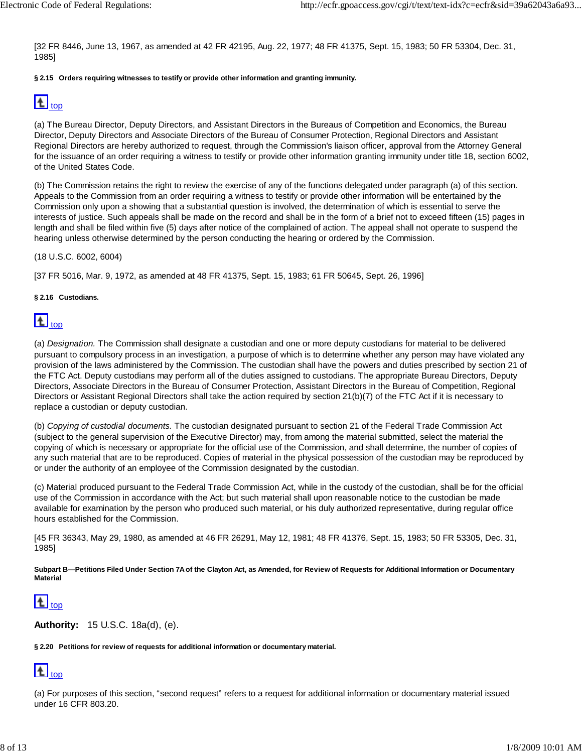[32 FR 8446, June 13, 1967, as amended at 42 FR 42195, Aug. 22, 1977; 48 FR 41375, Sept. 15, 1983; 50 FR 53304, Dec. 31, 1985]

**§ 2.15 Orders requiring witnesses to testify or provide other information and granting immunity.**

## top

(a) The Bureau Director, Deputy Directors, and Assistant Directors in the Bureaus of Competition and Economics, the Bureau Director, Deputy Directors and Associate Directors of the Bureau of Consumer Protection, Regional Directors and Assistant Regional Directors are hereby authorized to request, through the Commission's liaison officer, approval from the Attorney General for the issuance of an order requiring a witness to testify or provide other information granting immunity under title 18, section 6002, of the United States Code.

(b) The Commission retains the right to review the exercise of any of the functions delegated under paragraph (a) of this section. Appeals to the Commission from an order requiring a witness to testify or provide other information will be entertained by the Commission only upon a showing that a substantial question is involved, the determination of which is essential to serve the interests of justice. Such appeals shall be made on the record and shall be in the form of a brief not to exceed fifteen (15) pages in length and shall be filed within five (5) days after notice of the complained of action. The appeal shall not operate to suspend the hearing unless otherwise determined by the person conducting the hearing or ordered by the Commission.

(18 U.S.C. 6002, 6004)

[37 FR 5016, Mar. 9, 1972, as amended at 48 FR 41375, Sept. 15, 1983; 61 FR 50645, Sept. 26, 1996]

#### **§ 2.16 Custodians.**



(a) *Designation.* The Commission shall designate a custodian and one or more deputy custodians for material to be delivered pursuant to compulsory process in an investigation, a purpose of which is to determine whether any person may have violated any provision of the laws administered by the Commission. The custodian shall have the powers and duties prescribed by section 21 of the FTC Act. Deputy custodians may perform all of the duties assigned to custodians. The appropriate Bureau Directors, Deputy Directors, Associate Directors in the Bureau of Consumer Protection, Assistant Directors in the Bureau of Competition, Regional Directors or Assistant Regional Directors shall take the action required by section 21(b)(7) of the FTC Act if it is necessary to replace a custodian or deputy custodian.

(b) *Copying of custodial documents.* The custodian designated pursuant to section 21 of the Federal Trade Commission Act (subject to the general supervision of the Executive Director) may, from among the material submitted, select the material the copying of which is necessary or appropriate for the official use of the Commission, and shall determine, the number of copies of any such material that are to be reproduced. Copies of material in the physical possession of the custodian may be reproduced by or under the authority of an employee of the Commission designated by the custodian.

(c) Material produced pursuant to the Federal Trade Commission Act, while in the custody of the custodian, shall be for the official use of the Commission in accordance with the Act; but such material shall upon reasonable notice to the custodian be made available for examination by the person who produced such material, or his duly authorized representative, during regular office hours established for the Commission.

[45 FR 36343, May 29, 1980, as amended at 46 FR 26291, May 12, 1981; 48 FR 41376, Sept. 15, 1983; 50 FR 53305, Dec. 31, 1985]

**Subpart B—Petitions Filed Under Section 7A of the Clayton Act, as Amended, for Review of Requests for Additional Information or Documentary Material**



**Authority:** 15 U.S.C. 18a(d), (e).

**§ 2.20 Petitions for review of requests for additional information or documentary material.**



(a) For purposes of this section, "second request" refers to a request for additional information or documentary material issued under 16 CFR 803.20.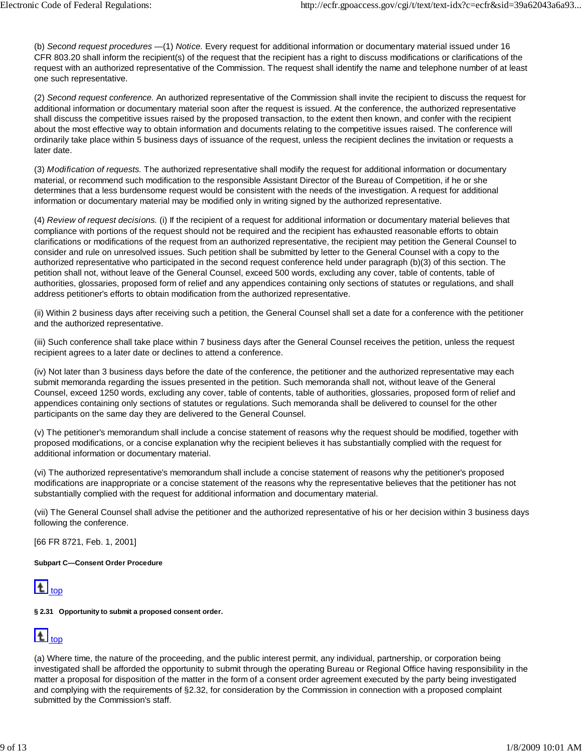(b) *Second request procedures* —(1) *Notice.* Every request for additional information or documentary material issued under 16 CFR 803.20 shall inform the recipient(s) of the request that the recipient has a right to discuss modifications or clarifications of the request with an authorized representative of the Commission. The request shall identify the name and telephone number of at least one such representative.

(2) *Second request conference.* An authorized representative of the Commission shall invite the recipient to discuss the request for additional information or documentary material soon after the request is issued. At the conference, the authorized representative shall discuss the competitive issues raised by the proposed transaction, to the extent then known, and confer with the recipient about the most effective way to obtain information and documents relating to the competitive issues raised. The conference will ordinarily take place within 5 business days of issuance of the request, unless the recipient declines the invitation or requests a later date.

(3) *Modification of requests.* The authorized representative shall modify the request for additional information or documentary material, or recommend such modification to the responsible Assistant Director of the Bureau of Competition, if he or she determines that a less burdensome request would be consistent with the needs of the investigation. A request for additional information or documentary material may be modified only in writing signed by the authorized representative.

(4) *Review of request decisions.* (i) If the recipient of a request for additional information or documentary material believes that compliance with portions of the request should not be required and the recipient has exhausted reasonable efforts to obtain clarifications or modifications of the request from an authorized representative, the recipient may petition the General Counsel to consider and rule on unresolved issues. Such petition shall be submitted by letter to the General Counsel with a copy to the authorized representative who participated in the second request conference held under paragraph (b)(3) of this section. The petition shall not, without leave of the General Counsel, exceed 500 words, excluding any cover, table of contents, table of authorities, glossaries, proposed form of relief and any appendices containing only sections of statutes or regulations, and shall address petitioner's efforts to obtain modification from the authorized representative.

(ii) Within 2 business days after receiving such a petition, the General Counsel shall set a date for a conference with the petitioner and the authorized representative.

(iii) Such conference shall take place within 7 business days after the General Counsel receives the petition, unless the request recipient agrees to a later date or declines to attend a conference.

(iv) Not later than 3 business days before the date of the conference, the petitioner and the authorized representative may each submit memoranda regarding the issues presented in the petition. Such memoranda shall not, without leave of the General Counsel, exceed 1250 words, excluding any cover, table of contents, table of authorities, glossaries, proposed form of relief and appendices containing only sections of statutes or regulations. Such memoranda shall be delivered to counsel for the other participants on the same day they are delivered to the General Counsel.

(v) The petitioner's memorandum shall include a concise statement of reasons why the request should be modified, together with proposed modifications, or a concise explanation why the recipient believes it has substantially complied with the request for additional information or documentary material.

(vi) The authorized representative's memorandum shall include a concise statement of reasons why the petitioner's proposed modifications are inappropriate or a concise statement of the reasons why the representative believes that the petitioner has not substantially complied with the request for additional information and documentary material.

(vii) The General Counsel shall advise the petitioner and the authorized representative of his or her decision within 3 business days following the conference.

[66 FR 8721, Feb. 1, 2001]

**Subpart C—Consent Order Procedure**



**§ 2.31 Opportunity to submit a proposed consent order.**

## top<br>top

(a) Where time, the nature of the proceeding, and the public interest permit, any individual, partnership, or corporation being investigated shall be afforded the opportunity to submit through the operating Bureau or Regional Office having responsibility in the matter a proposal for disposition of the matter in the form of a consent order agreement executed by the party being investigated and complying with the requirements of §2.32, for consideration by the Commission in connection with a proposed complaint submitted by the Commission's staff.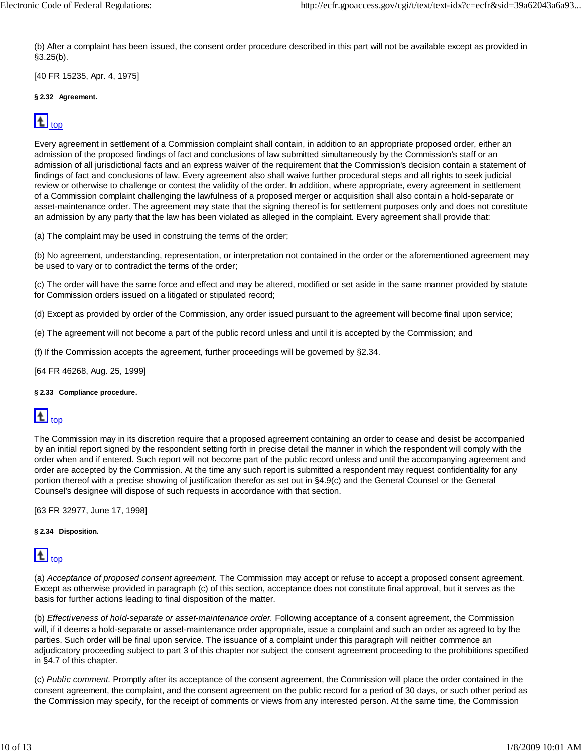(b) After a complaint has been issued, the consent order procedure described in this part will not be available except as provided in §3.25(b).

[40 FR 15235, Apr. 4, 1975]

### **§ 2.32 Agreement.**



Every agreement in settlement of a Commission complaint shall contain, in addition to an appropriate proposed order, either an admission of the proposed findings of fact and conclusions of law submitted simultaneously by the Commission's staff or an admission of all jurisdictional facts and an express waiver of the requirement that the Commission's decision contain a statement of findings of fact and conclusions of law. Every agreement also shall waive further procedural steps and all rights to seek judicial review or otherwise to challenge or contest the validity of the order. In addition, where appropriate, every agreement in settlement of a Commission complaint challenging the lawfulness of a proposed merger or acquisition shall also contain a hold-separate or asset-maintenance order. The agreement may state that the signing thereof is for settlement purposes only and does not constitute an admission by any party that the law has been violated as alleged in the complaint. Every agreement shall provide that:

(a) The complaint may be used in construing the terms of the order;

(b) No agreement, understanding, representation, or interpretation not contained in the order or the aforementioned agreement may be used to vary or to contradict the terms of the order;

(c) The order will have the same force and effect and may be altered, modified or set aside in the same manner provided by statute for Commission orders issued on a litigated or stipulated record;

(d) Except as provided by order of the Commission, any order issued pursuant to the agreement will become final upon service;

(e) The agreement will not become a part of the public record unless and until it is accepted by the Commission; and

(f) If the Commission accepts the agreement, further proceedings will be governed by §2.34.

[64 FR 46268, Aug. 25, 1999]

#### **§ 2.33 Compliance procedure.**

## top

The Commission may in its discretion require that a proposed agreement containing an order to cease and desist be accompanied by an initial report signed by the respondent setting forth in precise detail the manner in which the respondent will comply with the order when and if entered. Such report will not become part of the public record unless and until the accompanying agreement and order are accepted by the Commission. At the time any such report is submitted a respondent may request confidentiality for any portion thereof with a precise showing of justification therefor as set out in §4.9(c) and the General Counsel or the General Counsel's designee will dispose of such requests in accordance with that section.

[63 FR 32977, June 17, 1998]

### **§ 2.34 Disposition.**



(a) *Acceptance of proposed consent agreement.* The Commission may accept or refuse to accept a proposed consent agreement. Except as otherwise provided in paragraph (c) of this section, acceptance does not constitute final approval, but it serves as the basis for further actions leading to final disposition of the matter.

(b) *Effectiveness of hold-separate or asset-maintenance order.* Following acceptance of a consent agreement, the Commission will, if it deems a hold-separate or asset-maintenance order appropriate, issue a complaint and such an order as agreed to by the parties. Such order will be final upon service. The issuance of a complaint under this paragraph will neither commence an adjudicatory proceeding subject to part 3 of this chapter nor subject the consent agreement proceeding to the prohibitions specified in §4.7 of this chapter.

(c) *Public comment.* Promptly after its acceptance of the consent agreement, the Commission will place the order contained in the consent agreement, the complaint, and the consent agreement on the public record for a period of 30 days, or such other period as the Commission may specify, for the receipt of comments or views from any interested person. At the same time, the Commission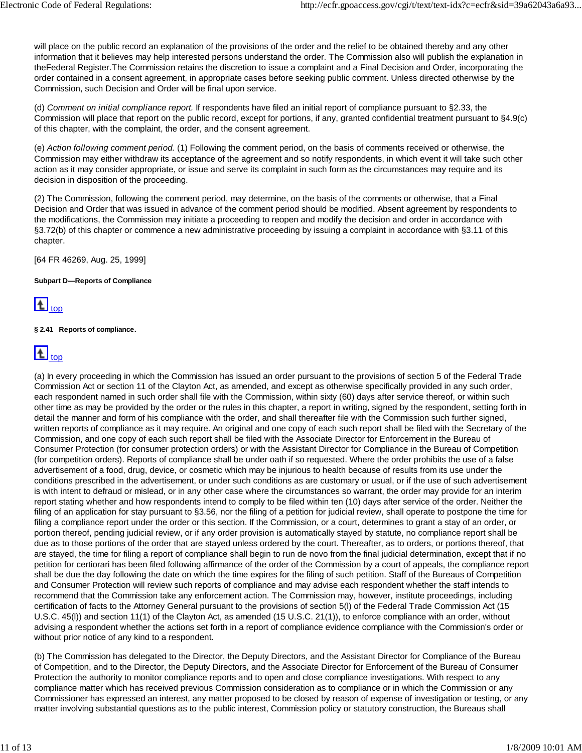will place on the public record an explanation of the provisions of the order and the relief to be obtained thereby and any other information that it believes may help interested persons understand the order. The Commission also will publish the explanation in theFederal Register.The Commission retains the discretion to issue a complaint and a Final Decision and Order, incorporating the order contained in a consent agreement, in appropriate cases before seeking public comment. Unless directed otherwise by the Commission, such Decision and Order will be final upon service.

(d) *Comment on initial compliance report.* If respondents have filed an initial report of compliance pursuant to §2.33, the Commission will place that report on the public record, except for portions, if any, granted confidential treatment pursuant to §4.9(c) of this chapter, with the complaint, the order, and the consent agreement.

(e) *Action following comment period.* (1) Following the comment period, on the basis of comments received or otherwise, the Commission may either withdraw its acceptance of the agreement and so notify respondents, in which event it will take such other action as it may consider appropriate, or issue and serve its complaint in such form as the circumstances may require and its decision in disposition of the proceeding.

(2) The Commission, following the comment period, may determine, on the basis of the comments or otherwise, that a Final Decision and Order that was issued in advance of the comment period should be modified. Absent agreement by respondents to the modifications, the Commission may initiate a proceeding to reopen and modify the decision and order in accordance with §3.72(b) of this chapter or commence a new administrative proceeding by issuing a complaint in accordance with §3.11 of this chapter.

[64 FR 46269, Aug. 25, 1999]

**Subpart D—Reports of Compliance**

top

### **§ 2.41 Reports of compliance.**



(a) In every proceeding in which the Commission has issued an order pursuant to the provisions of section 5 of the Federal Trade Commission Act or section 11 of the Clayton Act, as amended, and except as otherwise specifically provided in any such order, each respondent named in such order shall file with the Commission, within sixty (60) days after service thereof, or within such other time as may be provided by the order or the rules in this chapter, a report in writing, signed by the respondent, setting forth in detail the manner and form of his compliance with the order, and shall thereafter file with the Commission such further signed, written reports of compliance as it may require. An original and one copy of each such report shall be filed with the Secretary of the Commission, and one copy of each such report shall be filed with the Associate Director for Enforcement in the Bureau of Consumer Protection (for consumer protection orders) or with the Assistant Director for Compliance in the Bureau of Competition (for competition orders). Reports of compliance shall be under oath if so requested. Where the order prohibits the use of a false advertisement of a food, drug, device, or cosmetic which may be injurious to health because of results from its use under the conditions prescribed in the advertisement, or under such conditions as are customary or usual, or if the use of such advertisement is with intent to defraud or mislead, or in any other case where the circumstances so warrant, the order may provide for an interim report stating whether and how respondents intend to comply to be filed within ten (10) days after service of the order. Neither the filing of an application for stay pursuant to §3.56, nor the filing of a petition for judicial review, shall operate to postpone the time for filing a compliance report under the order or this section. If the Commission, or a court, determines to grant a stay of an order, or portion thereof, pending judicial review, or if any order provision is automatically stayed by statute, no compliance report shall be due as to those portions of the order that are stayed unless ordered by the court. Thereafter, as to orders, or portions thereof, that are stayed, the time for filing a report of compliance shall begin to run de novo from the final judicial determination, except that if no petition for certiorari has been filed following affirmance of the order of the Commission by a court of appeals, the compliance report shall be due the day following the date on which the time expires for the filing of such petition. Staff of the Bureaus of Competition and Consumer Protection will review such reports of compliance and may advise each respondent whether the staff intends to recommend that the Commission take any enforcement action. The Commission may, however, institute proceedings, including certification of facts to the Attorney General pursuant to the provisions of section 5(l) of the Federal Trade Commission Act (15 U.S.C. 45(l)) and section 11(1) of the Clayton Act, as amended (15 U.S.C. 21(1)), to enforce compliance with an order, without advising a respondent whether the actions set forth in a report of compliance evidence compliance with the Commission's order or without prior notice of any kind to a respondent.

(b) The Commission has delegated to the Director, the Deputy Directors, and the Assistant Director for Compliance of the Bureau of Competition, and to the Director, the Deputy Directors, and the Associate Director for Enforcement of the Bureau of Consumer Protection the authority to monitor compliance reports and to open and close compliance investigations. With respect to any compliance matter which has received previous Commission consideration as to compliance or in which the Commission or any Commissioner has expressed an interest, any matter proposed to be closed by reason of expense of investigation or testing, or any matter involving substantial questions as to the public interest, Commission policy or statutory construction, the Bureaus shall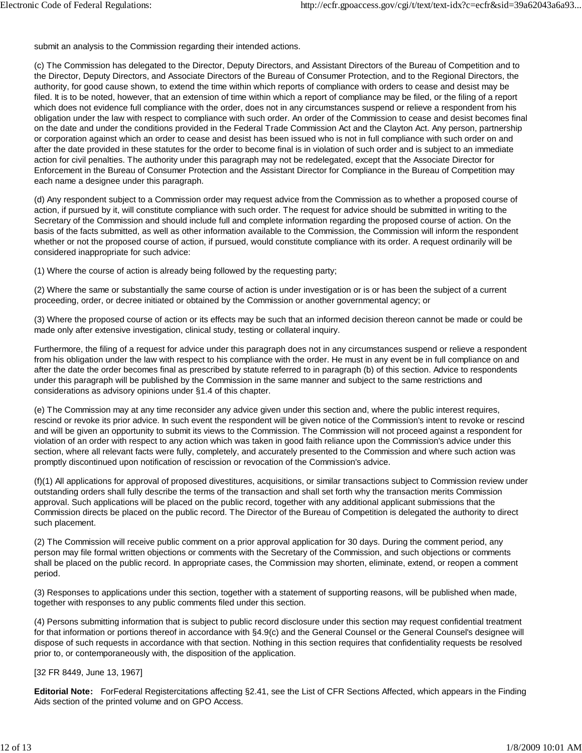submit an analysis to the Commission regarding their intended actions.

(c) The Commission has delegated to the Director, Deputy Directors, and Assistant Directors of the Bureau of Competition and to the Director, Deputy Directors, and Associate Directors of the Bureau of Consumer Protection, and to the Regional Directors, the authority, for good cause shown, to extend the time within which reports of compliance with orders to cease and desist may be filed. It is to be noted, however, that an extension of time within which a report of compliance may be filed, or the filing of a report which does not evidence full compliance with the order, does not in any circumstances suspend or relieve a respondent from his obligation under the law with respect to compliance with such order. An order of the Commission to cease and desist becomes final on the date and under the conditions provided in the Federal Trade Commission Act and the Clayton Act. Any person, partnership or corporation against which an order to cease and desist has been issued who is not in full compliance with such order on and after the date provided in these statutes for the order to become final is in violation of such order and is subject to an immediate action for civil penalties. The authority under this paragraph may not be redelegated, except that the Associate Director for Enforcement in the Bureau of Consumer Protection and the Assistant Director for Compliance in the Bureau of Competition may each name a designee under this paragraph.

(d) Any respondent subject to a Commission order may request advice from the Commission as to whether a proposed course of action, if pursued by it, will constitute compliance with such order. The request for advice should be submitted in writing to the Secretary of the Commission and should include full and complete information regarding the proposed course of action. On the basis of the facts submitted, as well as other information available to the Commission, the Commission will inform the respondent whether or not the proposed course of action, if pursued, would constitute compliance with its order. A request ordinarily will be considered inappropriate for such advice:

(1) Where the course of action is already being followed by the requesting party;

(2) Where the same or substantially the same course of action is under investigation or is or has been the subject of a current proceeding, order, or decree initiated or obtained by the Commission or another governmental agency; or

(3) Where the proposed course of action or its effects may be such that an informed decision thereon cannot be made or could be made only after extensive investigation, clinical study, testing or collateral inquiry.

Furthermore, the filing of a request for advice under this paragraph does not in any circumstances suspend or relieve a respondent from his obligation under the law with respect to his compliance with the order. He must in any event be in full compliance on and after the date the order becomes final as prescribed by statute referred to in paragraph (b) of this section. Advice to respondents under this paragraph will be published by the Commission in the same manner and subject to the same restrictions and considerations as advisory opinions under §1.4 of this chapter.

(e) The Commission may at any time reconsider any advice given under this section and, where the public interest requires, rescind or revoke its prior advice. In such event the respondent will be given notice of the Commission's intent to revoke or rescind and will be given an opportunity to submit its views to the Commission. The Commission will not proceed against a respondent for violation of an order with respect to any action which was taken in good faith reliance upon the Commission's advice under this section, where all relevant facts were fully, completely, and accurately presented to the Commission and where such action was promptly discontinued upon notification of rescission or revocation of the Commission's advice.

(f)(1) All applications for approval of proposed divestitures, acquisitions, or similar transactions subject to Commission review under outstanding orders shall fully describe the terms of the transaction and shall set forth why the transaction merits Commission approval. Such applications will be placed on the public record, together with any additional applicant submissions that the Commission directs be placed on the public record. The Director of the Bureau of Competition is delegated the authority to direct such placement.

(2) The Commission will receive public comment on a prior approval application for 30 days. During the comment period, any person may file formal written objections or comments with the Secretary of the Commission, and such objections or comments shall be placed on the public record. In appropriate cases, the Commission may shorten, eliminate, extend, or reopen a comment period.

(3) Responses to applications under this section, together with a statement of supporting reasons, will be published when made, together with responses to any public comments filed under this section.

(4) Persons submitting information that is subject to public record disclosure under this section may request confidential treatment for that information or portions thereof in accordance with §4.9(c) and the General Counsel or the General Counsel's designee will dispose of such requests in accordance with that section. Nothing in this section requires that confidentiality requests be resolved prior to, or contemporaneously with, the disposition of the application.

#### [32 FR 8449, June 13, 1967]

**Editorial Note:** ForFederal Registercitations affecting §2.41, see the List of CFR Sections Affected, which appears in the Finding Aids section of the printed volume and on GPO Access.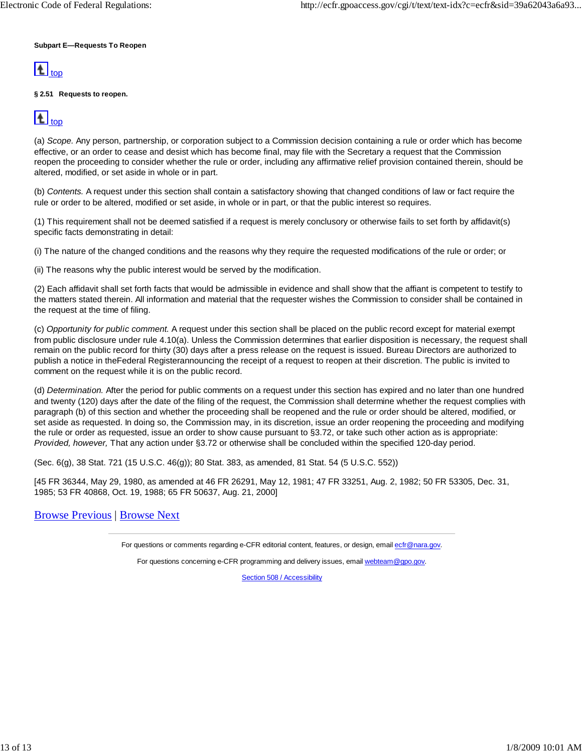**Subpart E—Requests To Reopen**



**§ 2.51 Requests to reopen.**

 $t_{top}$ 

(a) *Scope.* Any person, partnership, or corporation subject to a Commission decision containing a rule or order which has become effective, or an order to cease and desist which has become final, may file with the Secretary a request that the Commission reopen the proceeding to consider whether the rule or order, including any affirmative relief provision contained therein, should be altered, modified, or set aside in whole or in part.

(b) *Contents.* A request under this section shall contain a satisfactory showing that changed conditions of law or fact require the rule or order to be altered, modified or set aside, in whole or in part, or that the public interest so requires.

(1) This requirement shall not be deemed satisfied if a request is merely conclusory or otherwise fails to set forth by affidavit(s) specific facts demonstrating in detail:

(i) The nature of the changed conditions and the reasons why they require the requested modifications of the rule or order; or

(ii) The reasons why the public interest would be served by the modification.

(2) Each affidavit shall set forth facts that would be admissible in evidence and shall show that the affiant is competent to testify to the matters stated therein. All information and material that the requester wishes the Commission to consider shall be contained in the request at the time of filing.

(c) *Opportunity for public comment.* A request under this section shall be placed on the public record except for material exempt from public disclosure under rule 4.10(a). Unless the Commission determines that earlier disposition is necessary, the request shall remain on the public record for thirty (30) days after a press release on the request is issued. Bureau Directors are authorized to publish a notice in theFederal Registerannouncing the receipt of a request to reopen at their discretion. The public is invited to comment on the request while it is on the public record.

(d) *Determination.* After the period for public comments on a request under this section has expired and no later than one hundred and twenty (120) days after the date of the filing of the request, the Commission shall determine whether the request complies with paragraph (b) of this section and whether the proceeding shall be reopened and the rule or order should be altered, modified, or set aside as requested. In doing so, the Commission may, in its discretion, issue an order reopening the proceeding and modifying the rule or order as requested, issue an order to show cause pursuant to §3.72, or take such other action as is appropriate: *Provided, however,* That any action under §3.72 or otherwise shall be concluded within the specified 120-day period.

(Sec. 6(g), 38 Stat. 721 (15 U.S.C. 46(g)); 80 Stat. 383, as amended, 81 Stat. 54 (5 U.S.C. 552))

[45 FR 36344, May 29, 1980, as amended at 46 FR 26291, May 12, 1981; 47 FR 33251, Aug. 2, 1982; 50 FR 53305, Dec. 31, 1985; 53 FR 40868, Oct. 19, 1988; 65 FR 50637, Aug. 21, 2000]

Browse Previous | Browse Next

For questions or comments regarding e-CFR editorial content, features, or design, email ecfr@nara.gov.

For questions concerning e-CFR programming and delivery issues, email webteam@gpo.gov.

Section 508 / Accessibility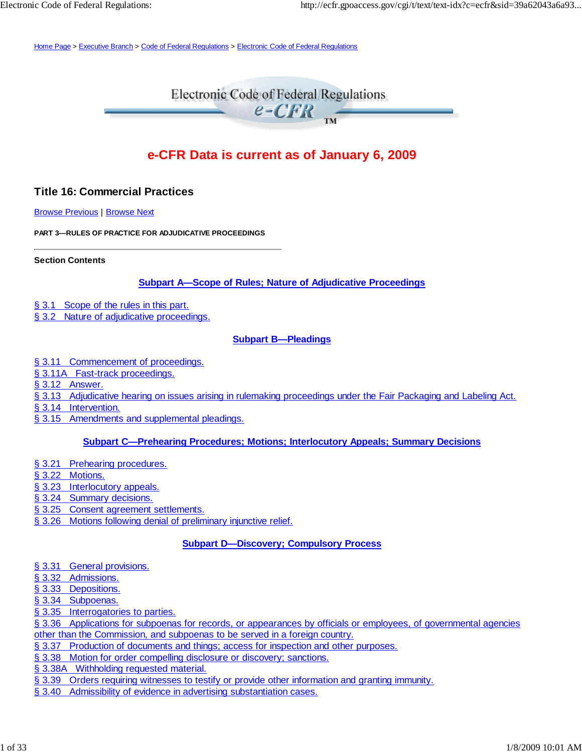Home Page > Executive Branch > Code of Federal Regulations > Electronic Code of Federal Regulations

Electronic Code of Federal Regulations

 $e$ -CFR  $\overline{M}$ 

## **e-CFR Data is current as of January 6, 2009**

## **Title 16: Commercial Practices**

Browse Previous | Browse Next

**PART 3—RULES OF PRACTICE FOR ADJUDICATIVE PROCEEDINGS**

**Section Contents**

**Subpart A—Scope of Rules; Nature of Adjudicative Proceedings**

§ 3.1 Scope of the rules in this part.

§ 3.2 Nature of adjudicative proceedings.

## **Subpart B—Pleadings**

- § 3.11 Commencement of proceedings.
- § 3.11A Fast-track proceedings.

§ 3.12 Answer.

§ 3.13 Adjudicative hearing on issues arising in rulemaking proceedings under the Fair Packaging and Labeling Act.

§ 3.14 Intervention.

§ 3.15 Amendments and supplemental pleadings.

## **Subpart C—Prehearing Procedures; Motions; Interlocutory Appeals; Summary Decisions**

§ 3.21 Prehearing procedures.

- § 3.22 Motions.
- § 3.23 Interlocutory appeals.

§ 3.24 Summary decisions.

- § 3.25 Consent agreement settlements.
- § 3.26 Motions following denial of preliminary injunctive relief.

## **Subpart D—Discovery; Compulsory Process**

§ 3.31 General provisions.

§ 3.32 Admissions.

§ 3.33 Depositions.

§ 3.34 Subpoenas.

§ 3.35 Interrogatories to parties.

§ 3.36 Applications for subpoenas for records, or appearances by officials or employees, of governmental agencies other than the Commission, and subpoenas to be served in a foreign country.

§ 3.37 Production of documents and things; access for inspection and other purposes.

§ 3.38 Motion for order compelling disclosure or discovery; sanctions.

§ 3.38A Withholding requested material.

§ 3.39 Orders requiring witnesses to testify or provide other information and granting immunity.

§ 3.40 Admissibility of evidence in advertising substantiation cases.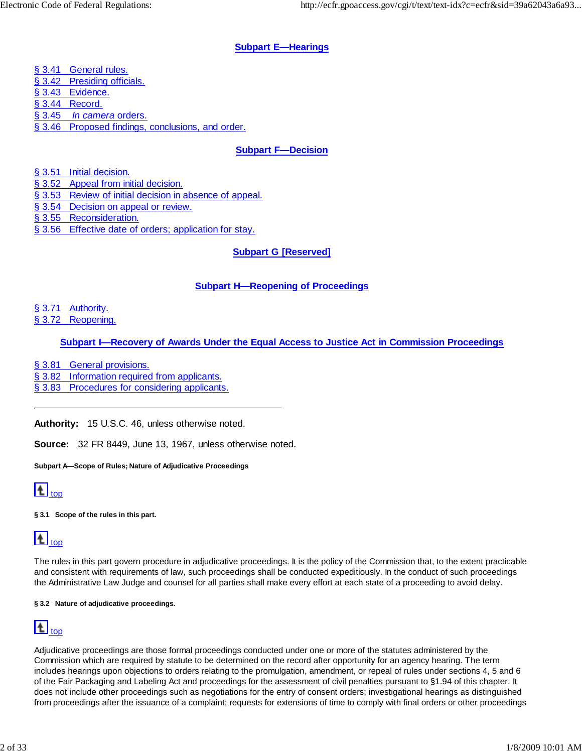## **Subpart E—Hearings**

§ 3.41 General rules. § 3.42 Presiding officials. § 3.43 Evidence.

§ 3.44 Record.

§ 3.45 *In camera* orders.

§ 3.46 Proposed findings, conclusions, and order.

## **Subpart F—Decision**

§ 3.51 Initial decision.

- § 3.52 Appeal from initial decision.
- § 3.53 Review of initial decision in absence of appeal.
- § 3.54 Decision on appeal or review.
- § 3.55 Reconsideration.
- § 3.56 Effective date of orders; application for stay.

## **Subpart G [Reserved]**

## **Subpart H—Reopening of Proceedings**

§ 3.71 Authority. § 3.72 Reopening.

## **Subpart I—Recovery of Awards Under the Equal Access to Justice Act in Commission Proceedings**

§ 3.81 General provisions.

§ 3.82 Information required from applicants.

§ 3.83 Procedures for considering applicants.

**Authority:** 15 U.S.C. 46, unless otherwise noted.

**Source:** 32 FR 8449, June 13, 1967, unless otherwise noted.

**Subpart A—Scope of Rules; Nature of Adjudicative Proceedings**



**§ 3.1 Scope of the rules in this part.**

## top top

The rules in this part govern procedure in adjudicative proceedings. It is the policy of the Commission that, to the extent practicable and consistent with requirements of law, such proceedings shall be conducted expeditiously. In the conduct of such proceedings the Administrative Law Judge and counsel for all parties shall make every effort at each state of a proceeding to avoid delay.

**§ 3.2 Nature of adjudicative proceedings.**

# top

Adjudicative proceedings are those formal proceedings conducted under one or more of the statutes administered by the Commission which are required by statute to be determined on the record after opportunity for an agency hearing. The term includes hearings upon objections to orders relating to the promulgation, amendment, or repeal of rules under sections 4, 5 and 6 of the Fair Packaging and Labeling Act and proceedings for the assessment of civil penalties pursuant to §1.94 of this chapter. It does not include other proceedings such as negotiations for the entry of consent orders; investigational hearings as distinguished from proceedings after the issuance of a complaint; requests for extensions of time to comply with final orders or other proceedings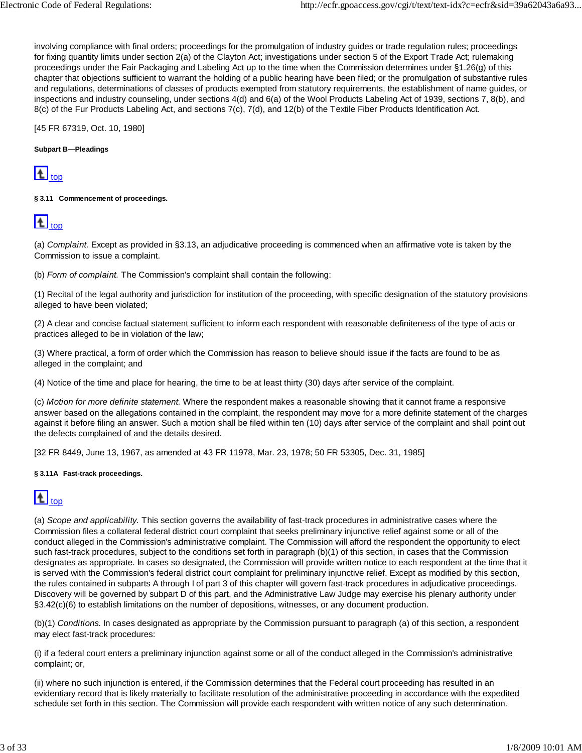involving compliance with final orders; proceedings for the promulgation of industry guides or trade regulation rules; proceedings for fixing quantity limits under section 2(a) of the Clayton Act; investigations under section 5 of the Export Trade Act; rulemaking proceedings under the Fair Packaging and Labeling Act up to the time when the Commission determines under §1.26(g) of this chapter that objections sufficient to warrant the holding of a public hearing have been filed; or the promulgation of substantive rules and regulations, determinations of classes of products exempted from statutory requirements, the establishment of name guides, or inspections and industry counseling, under sections 4(d) and 6(a) of the Wool Products Labeling Act of 1939, sections 7, 8(b), and 8(c) of the Fur Products Labeling Act, and sections 7(c), 7(d), and 12(b) of the Textile Fiber Products Identification Act.

[45 FR 67319, Oct. 10, 1980]

#### **Subpart B—Pleadings**



**§ 3.11 Commencement of proceedings.**

## $\left| \mathbf{t} \right|_{\text{top}}$

(a) *Complaint.* Except as provided in §3.13, an adjudicative proceeding is commenced when an affirmative vote is taken by the Commission to issue a complaint.

(b) *Form of complaint.* The Commission's complaint shall contain the following:

(1) Recital of the legal authority and jurisdiction for institution of the proceeding, with specific designation of the statutory provisions alleged to have been violated;

(2) A clear and concise factual statement sufficient to inform each respondent with reasonable definiteness of the type of acts or practices alleged to be in violation of the law;

(3) Where practical, a form of order which the Commission has reason to believe should issue if the facts are found to be as alleged in the complaint; and

(4) Notice of the time and place for hearing, the time to be at least thirty (30) days after service of the complaint.

(c) *Motion for more definite statement.* Where the respondent makes a reasonable showing that it cannot frame a responsive answer based on the allegations contained in the complaint, the respondent may move for a more definite statement of the charges against it before filing an answer. Such a motion shall be filed within ten (10) days after service of the complaint and shall point out the defects complained of and the details desired.

[32 FR 8449, June 13, 1967, as amended at 43 FR 11978, Mar. 23, 1978; 50 FR 53305, Dec. 31, 1985]

### **§ 3.11A Fast-track proceedings.**

# top

(a) *Scope and applicability.* This section governs the availability of fast-track procedures in administrative cases where the Commission files a collateral federal district court complaint that seeks preliminary injunctive relief against some or all of the conduct alleged in the Commission's administrative complaint. The Commission will afford the respondent the opportunity to elect such fast-track procedures, subject to the conditions set forth in paragraph (b)(1) of this section, in cases that the Commission designates as appropriate. In cases so designated, the Commission will provide written notice to each respondent at the time that it is served with the Commission's federal district court complaint for preliminary injunctive relief. Except as modified by this section, the rules contained in subparts A through I of part 3 of this chapter will govern fast-track procedures in adjudicative proceedings. Discovery will be governed by subpart D of this part, and the Administrative Law Judge may exercise his plenary authority under §3.42(c)(6) to establish limitations on the number of depositions, witnesses, or any document production.

(b)(1) *Conditions.* In cases designated as appropriate by the Commission pursuant to paragraph (a) of this section, a respondent may elect fast-track procedures:

(i) if a federal court enters a preliminary injunction against some or all of the conduct alleged in the Commission's administrative complaint; or,

(ii) where no such injunction is entered, if the Commission determines that the Federal court proceeding has resulted in an evidentiary record that is likely materially to facilitate resolution of the administrative proceeding in accordance with the expedited schedule set forth in this section. The Commission will provide each respondent with written notice of any such determination.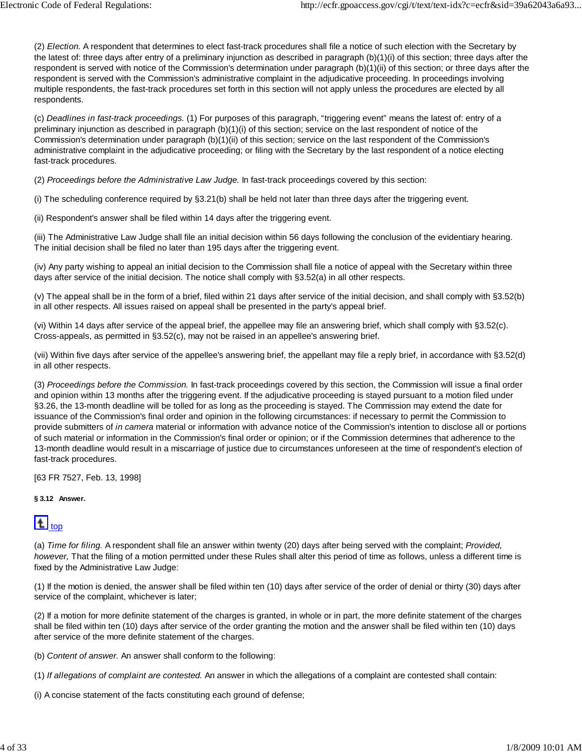(2) *Election.* A respondent that determines to elect fast-track procedures shall file a notice of such election with the Secretary by the latest of: three days after entry of a preliminary injunction as described in paragraph (b)(1)(i) of this section; three days after the respondent is served with notice of the Commission's determination under paragraph (b)(1)(ii) of this section; or three days after the respondent is served with the Commission's administrative complaint in the adjudicative proceeding. In proceedings involving multiple respondents, the fast-track procedures set forth in this section will not apply unless the procedures are elected by all respondents.

(c) *Deadlines in fast-track proceedings.* (1) For purposes of this paragraph, "triggering event" means the latest of: entry of a preliminary injunction as described in paragraph (b)(1)(i) of this section; service on the last respondent of notice of the Commission's determination under paragraph (b)(1)(ii) of this section; service on the last respondent of the Commission's administrative complaint in the adjudicative proceeding; or filing with the Secretary by the last respondent of a notice electing fast-track procedures.

(2) *Proceedings before the Administrative Law Judge.* In fast-track proceedings covered by this section:

(i) The scheduling conference required by §3.21(b) shall be held not later than three days after the triggering event.

(ii) Respondent's answer shall be filed within 14 days after the triggering event.

(iii) The Administrative Law Judge shall file an initial decision within 56 days following the conclusion of the evidentiary hearing. The initial decision shall be filed no later than 195 days after the triggering event.

(iv) Any party wishing to appeal an initial decision to the Commission shall file a notice of appeal with the Secretary within three days after service of the initial decision. The notice shall comply with §3.52(a) in all other respects.

(v) The appeal shall be in the form of a brief, filed within 21 days after service of the initial decision, and shall comply with §3.52(b) in all other respects. All issues raised on appeal shall be presented in the party's appeal brief.

(vi) Within 14 days after service of the appeal brief, the appellee may file an answering brief, which shall comply with §3.52(c). Cross-appeals, as permitted in §3.52(c), may not be raised in an appellee's answering brief.

(vii) Within five days after service of the appellee's answering brief, the appellant may file a reply brief, in accordance with §3.52(d) in all other respects.

(3) *Proceedings before the Commission.* In fast-track proceedings covered by this section, the Commission will issue a final order and opinion within 13 months after the triggering event. If the adjudicative proceeding is stayed pursuant to a motion filed under §3.26, the 13-month deadline will be tolled for as long as the proceeding is stayed. The Commission may extend the date for issuance of the Commission's final order and opinion in the following circumstances: if necessary to permit the Commission to provide submitters of *in camera* material or information with advance notice of the Commission's intention to disclose all or portions of such material or information in the Commission's final order or opinion; or if the Commission determines that adherence to the 13-month deadline would result in a miscarriage of justice due to circumstances unforeseen at the time of respondent's election of fast-track procedures.

[63 FR 7527, Feb. 13, 1998]

### **§ 3.12 Answer.**



(a) *Time for filing.* A respondent shall file an answer within twenty (20) days after being served with the complaint; *Provided, however,* That the filing of a motion permitted under these Rules shall alter this period of time as follows, unless a different time is fixed by the Administrative Law Judge:

(1) If the motion is denied, the answer shall be filed within ten (10) days after service of the order of denial or thirty (30) days after service of the complaint, whichever is later;

(2) If a motion for more definite statement of the charges is granted, in whole or in part, the more definite statement of the charges shall be filed within ten (10) days after service of the order granting the motion and the answer shall be filed within ten (10) days after service of the more definite statement of the charges.

(b) *Content of answer.* An answer shall conform to the following:

(1) *If allegations of complaint are contested.* An answer in which the allegations of a complaint are contested shall contain:

(i) A concise statement of the facts constituting each ground of defense;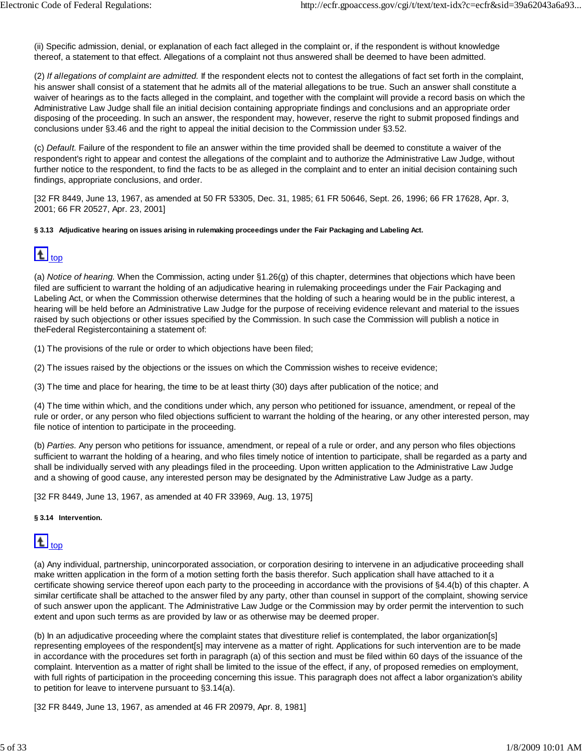(ii) Specific admission, denial, or explanation of each fact alleged in the complaint or, if the respondent is without knowledge thereof, a statement to that effect. Allegations of a complaint not thus answered shall be deemed to have been admitted.

(2) *If allegations of complaint are admitted.* If the respondent elects not to contest the allegations of fact set forth in the complaint, his answer shall consist of a statement that he admits all of the material allegations to be true. Such an answer shall constitute a waiver of hearings as to the facts alleged in the complaint, and together with the complaint will provide a record basis on which the Administrative Law Judge shall file an initial decision containing appropriate findings and conclusions and an appropriate order disposing of the proceeding. In such an answer, the respondent may, however, reserve the right to submit proposed findings and conclusions under §3.46 and the right to appeal the initial decision to the Commission under §3.52.

(c) *Default.* Failure of the respondent to file an answer within the time provided shall be deemed to constitute a waiver of the respondent's right to appear and contest the allegations of the complaint and to authorize the Administrative Law Judge, without further notice to the respondent, to find the facts to be as alleged in the complaint and to enter an initial decision containing such findings, appropriate conclusions, and order.

[32 FR 8449, June 13, 1967, as amended at 50 FR 53305, Dec. 31, 1985; 61 FR 50646, Sept. 26, 1996; 66 FR 17628, Apr. 3, 2001; 66 FR 20527, Apr. 23, 2001]

#### **§ 3.13 Adjudicative hearing on issues arising in rulemaking proceedings under the Fair Packaging and Labeling Act.**

## top

(a) *Notice of hearing.* When the Commission, acting under §1.26(g) of this chapter, determines that objections which have been filed are sufficient to warrant the holding of an adjudicative hearing in rulemaking proceedings under the Fair Packaging and Labeling Act, or when the Commission otherwise determines that the holding of such a hearing would be in the public interest, a hearing will be held before an Administrative Law Judge for the purpose of receiving evidence relevant and material to the issues raised by such objections or other issues specified by the Commission. In such case the Commission will publish a notice in theFederal Registercontaining a statement of:

(1) The provisions of the rule or order to which objections have been filed;

(2) The issues raised by the objections or the issues on which the Commission wishes to receive evidence;

(3) The time and place for hearing, the time to be at least thirty (30) days after publication of the notice; and

(4) The time within which, and the conditions under which, any person who petitioned for issuance, amendment, or repeal of the rule or order, or any person who filed objections sufficient to warrant the holding of the hearing, or any other interested person, may file notice of intention to participate in the proceeding.

(b) *Parties.* Any person who petitions for issuance, amendment, or repeal of a rule or order, and any person who files objections sufficient to warrant the holding of a hearing, and who files timely notice of intention to participate, shall be regarded as a party and shall be individually served with any pleadings filed in the proceeding. Upon written application to the Administrative Law Judge and a showing of good cause, any interested person may be designated by the Administrative Law Judge as a party.

[32 FR 8449, June 13, 1967, as amended at 40 FR 33969, Aug. 13, 1975]

### **§ 3.14 Intervention.**



(a) Any individual, partnership, unincorporated association, or corporation desiring to intervene in an adjudicative proceeding shall make written application in the form of a motion setting forth the basis therefor. Such application shall have attached to it a certificate showing service thereof upon each party to the proceeding in accordance with the provisions of §4.4(b) of this chapter. A similar certificate shall be attached to the answer filed by any party, other than counsel in support of the complaint, showing service of such answer upon the applicant. The Administrative Law Judge or the Commission may by order permit the intervention to such extent and upon such terms as are provided by law or as otherwise may be deemed proper.

(b) In an adjudicative proceeding where the complaint states that divestiture relief is contemplated, the labor organization[s] representing employees of the respondent[s] may intervene as a matter of right. Applications for such intervention are to be made in accordance with the procedures set forth in paragraph (a) of this section and must be filed within 60 days of the issuance of the complaint. Intervention as a matter of right shall be limited to the issue of the effect, if any, of proposed remedies on employment, with full rights of participation in the proceeding concerning this issue. This paragraph does not affect a labor organization's ability to petition for leave to intervene pursuant to §3.14(a).

[32 FR 8449, June 13, 1967, as amended at 46 FR 20979, Apr. 8, 1981]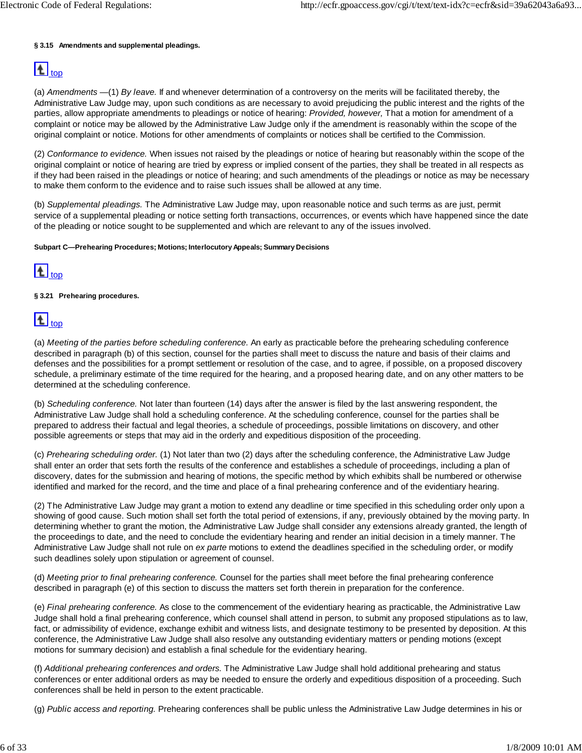### **§ 3.15 Amendments and supplemental pleadings.**

# top top

(a) *Amendments* —(1) *By leave.* If and whenever determination of a controversy on the merits will be facilitated thereby, the Administrative Law Judge may, upon such conditions as are necessary to avoid prejudicing the public interest and the rights of the parties, allow appropriate amendments to pleadings or notice of hearing: *Provided, however,* That a motion for amendment of a complaint or notice may be allowed by the Administrative Law Judge only if the amendment is reasonably within the scope of the original complaint or notice. Motions for other amendments of complaints or notices shall be certified to the Commission.

(2) *Conformance to evidence.* When issues not raised by the pleadings or notice of hearing but reasonably within the scope of the original complaint or notice of hearing are tried by express or implied consent of the parties, they shall be treated in all respects as if they had been raised in the pleadings or notice of hearing; and such amendments of the pleadings or notice as may be necessary to make them conform to the evidence and to raise such issues shall be allowed at any time.

(b) *Supplemental pleadings.* The Administrative Law Judge may, upon reasonable notice and such terms as are just, permit service of a supplemental pleading or notice setting forth transactions, occurrences, or events which have happened since the date of the pleading or notice sought to be supplemented and which are relevant to any of the issues involved.

**Subpart C—Prehearing Procedures; Motions; Interlocutory Appeals; Summary Decisions**



**§ 3.21 Prehearing procedures.**



(a) *Meeting of the parties before scheduling conference.* An early as practicable before the prehearing scheduling conference described in paragraph (b) of this section, counsel for the parties shall meet to discuss the nature and basis of their claims and defenses and the possibilities for a prompt settlement or resolution of the case, and to agree, if possible, on a proposed discovery schedule, a preliminary estimate of the time required for the hearing, and a proposed hearing date, and on any other matters to be determined at the scheduling conference.

(b) *Scheduling conference.* Not later than fourteen (14) days after the answer is filed by the last answering respondent, the Administrative Law Judge shall hold a scheduling conference. At the scheduling conference, counsel for the parties shall be prepared to address their factual and legal theories, a schedule of proceedings, possible limitations on discovery, and other possible agreements or steps that may aid in the orderly and expeditious disposition of the proceeding.

(c) *Prehearing scheduling order.* (1) Not later than two (2) days after the scheduling conference, the Administrative Law Judge shall enter an order that sets forth the results of the conference and establishes a schedule of proceedings, including a plan of discovery, dates for the submission and hearing of motions, the specific method by which exhibits shall be numbered or otherwise identified and marked for the record, and the time and place of a final prehearing conference and of the evidentiary hearing.

(2) The Administrative Law Judge may grant a motion to extend any deadline or time specified in this scheduling order only upon a showing of good cause. Such motion shall set forth the total period of extensions, if any, previously obtained by the moving party. In determining whether to grant the motion, the Administrative Law Judge shall consider any extensions already granted, the length of the proceedings to date, and the need to conclude the evidentiary hearing and render an initial decision in a timely manner. The Administrative Law Judge shall not rule on *ex parte* motions to extend the deadlines specified in the scheduling order, or modify such deadlines solely upon stipulation or agreement of counsel.

(d) *Meeting prior to final prehearing conference.* Counsel for the parties shall meet before the final prehearing conference described in paragraph (e) of this section to discuss the matters set forth therein in preparation for the conference.

(e) *Final prehearing conference.* As close to the commencement of the evidentiary hearing as practicable, the Administrative Law Judge shall hold a final prehearing conference, which counsel shall attend in person, to submit any proposed stipulations as to law, fact, or admissibility of evidence, exchange exhibit and witness lists, and designate testimony to be presented by deposition. At this conference, the Administrative Law Judge shall also resolve any outstanding evidentiary matters or pending motions (except motions for summary decision) and establish a final schedule for the evidentiary hearing.

(f) *Additional prehearing conferences and orders.* The Administrative Law Judge shall hold additional prehearing and status conferences or enter additional orders as may be needed to ensure the orderly and expeditious disposition of a proceeding. Such conferences shall be held in person to the extent practicable.

(g) *Public access and reporting.* Prehearing conferences shall be public unless the Administrative Law Judge determines in his or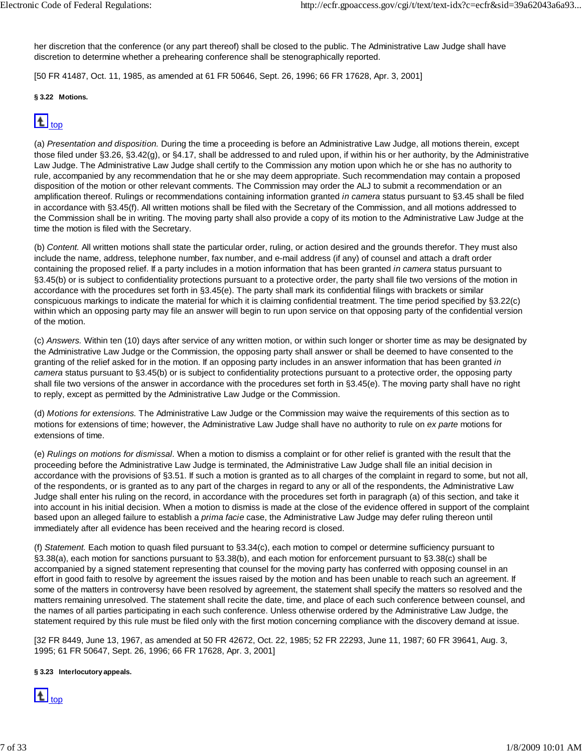her discretion that the conference (or any part thereof) shall be closed to the public. The Administrative Law Judge shall have discretion to determine whether a prehearing conference shall be stenographically reported.

[50 FR 41487, Oct. 11, 1985, as amended at 61 FR 50646, Sept. 26, 1996; 66 FR 17628, Apr. 3, 2001]

#### **§ 3.22 Motions.**

## top

(a) *Presentation and disposition.* During the time a proceeding is before an Administrative Law Judge, all motions therein, except those filed under §3.26, §3.42(g), or §4.17, shall be addressed to and ruled upon, if within his or her authority, by the Administrative Law Judge. The Administrative Law Judge shall certify to the Commission any motion upon which he or she has no authority to rule, accompanied by any recommendation that he or she may deem appropriate. Such recommendation may contain a proposed disposition of the motion or other relevant comments. The Commission may order the ALJ to submit a recommendation or an amplification thereof. Rulings or recommendations containing information granted *in camera* status pursuant to §3.45 shall be filed in accordance with §3.45(f). All written motions shall be filed with the Secretary of the Commission, and all motions addressed to the Commission shall be in writing. The moving party shall also provide a copy of its motion to the Administrative Law Judge at the time the motion is filed with the Secretary.

(b) *Content.* All written motions shall state the particular order, ruling, or action desired and the grounds therefor. They must also include the name, address, telephone number, fax number, and e-mail address (if any) of counsel and attach a draft order containing the proposed relief. If a party includes in a motion information that has been granted *in camera* status pursuant to §3.45(b) or is subject to confidentiality protections pursuant to a protective order, the party shall file two versions of the motion in accordance with the procedures set forth in §3.45(e). The party shall mark its confidential filings with brackets or similar conspicuous markings to indicate the material for which it is claiming confidential treatment. The time period specified by §3.22(c) within which an opposing party may file an answer will begin to run upon service on that opposing party of the confidential version of the motion.

(c) *Answers.* Within ten (10) days after service of any written motion, or within such longer or shorter time as may be designated by the Administrative Law Judge or the Commission, the opposing party shall answer or shall be deemed to have consented to the granting of the relief asked for in the motion. If an opposing party includes in an answer information that has been granted *in camera* status pursuant to §3.45(b) or is subject to confidentiality protections pursuant to a protective order, the opposing party shall file two versions of the answer in accordance with the procedures set forth in §3.45(e). The moving party shall have no right to reply, except as permitted by the Administrative Law Judge or the Commission.

(d) *Motions for extensions.* The Administrative Law Judge or the Commission may waive the requirements of this section as to motions for extensions of time; however, the Administrative Law Judge shall have no authority to rule on *ex parte* motions for extensions of time.

(e) *Rulings on motions for dismissal.* When a motion to dismiss a complaint or for other relief is granted with the result that the proceeding before the Administrative Law Judge is terminated, the Administrative Law Judge shall file an initial decision in accordance with the provisions of §3.51. If such a motion is granted as to all charges of the complaint in regard to some, but not all, of the respondents, or is granted as to any part of the charges in regard to any or all of the respondents, the Administrative Law Judge shall enter his ruling on the record, in accordance with the procedures set forth in paragraph (a) of this section, and take it into account in his initial decision. When a motion to dismiss is made at the close of the evidence offered in support of the complaint based upon an alleged failure to establish a *prima facie* case, the Administrative Law Judge may defer ruling thereon until immediately after all evidence has been received and the hearing record is closed.

(f) *Statement.* Each motion to quash filed pursuant to §3.34(c), each motion to compel or determine sufficiency pursuant to §3.38(a), each motion for sanctions pursuant to §3.38(b), and each motion for enforcement pursuant to §3.38(c) shall be accompanied by a signed statement representing that counsel for the moving party has conferred with opposing counsel in an effort in good faith to resolve by agreement the issues raised by the motion and has been unable to reach such an agreement. If some of the matters in controversy have been resolved by agreement, the statement shall specify the matters so resolved and the matters remaining unresolved. The statement shall recite the date, time, and place of each such conference between counsel, and the names of all parties participating in each such conference. Unless otherwise ordered by the Administrative Law Judge, the statement required by this rule must be filed only with the first motion concerning compliance with the discovery demand at issue.

[32 FR 8449, June 13, 1967, as amended at 50 FR 42672, Oct. 22, 1985; 52 FR 22293, June 11, 1987; 60 FR 39641, Aug. 3, 1995; 61 FR 50647, Sept. 26, 1996; 66 FR 17628, Apr. 3, 2001]

**§ 3.23 Interlocutory appeals.**

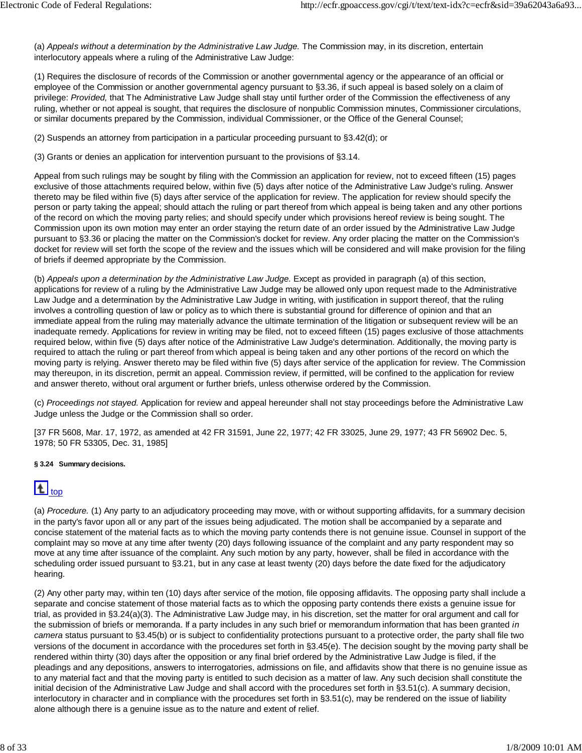(a) Appeals without a determination by the Administrative Law Judge. The Commission may, in its discretion, entertain interlocutory appeals where a ruling of the Administrative Law Judge:

(1) Requires the disclosure of records of the Commission or another governmental agency or the appearance of an official or employee of the Commission or another governmental agency pursuant to §3.36, if such appeal is based solely on a claim of privilege: *Provided,* that The Administrative Law Judge shall stay until further order of the Commission the effectiveness of any ruling, whether or not appeal is sought, that requires the disclosure of nonpublic Commission minutes, Commissioner circulations, or similar documents prepared by the Commission, individual Commissioner, or the Office of the General Counsel;

(2) Suspends an attorney from participation in a particular proceeding pursuant to §3.42(d); or

(3) Grants or denies an application for intervention pursuant to the provisions of §3.14.

Appeal from such rulings may be sought by filing with the Commission an application for review, not to exceed fifteen (15) pages exclusive of those attachments required below, within five (5) days after notice of the Administrative Law Judge's ruling. Answer thereto may be filed within five (5) days after service of the application for review. The application for review should specify the person or party taking the appeal; should attach the ruling or part thereof from which appeal is being taken and any other portions of the record on which the moving party relies; and should specify under which provisions hereof review is being sought. The Commission upon its own motion may enter an order staying the return date of an order issued by the Administrative Law Judge pursuant to §3.36 or placing the matter on the Commission's docket for review. Any order placing the matter on the Commission's docket for review will set forth the scope of the review and the issues which will be considered and will make provision for the filing of briefs if deemed appropriate by the Commission.

(b) *Appeals upon a determination by the Administrative Law Judge.* Except as provided in paragraph (a) of this section, applications for review of a ruling by the Administrative Law Judge may be allowed only upon request made to the Administrative Law Judge and a determination by the Administrative Law Judge in writing, with justification in support thereof, that the ruling involves a controlling question of law or policy as to which there is substantial ground for difference of opinion and that an immediate appeal from the ruling may materially advance the ultimate termination of the litigation or subsequent review will be an inadequate remedy. Applications for review in writing may be filed, not to exceed fifteen (15) pages exclusive of those attachments required below, within five (5) days after notice of the Administrative Law Judge's determination. Additionally, the moving party is required to attach the ruling or part thereof from which appeal is being taken and any other portions of the record on which the moving party is relying. Answer thereto may be filed within five (5) days after service of the application for review. The Commission may thereupon, in its discretion, permit an appeal. Commission review, if permitted, will be confined to the application for review and answer thereto, without oral argument or further briefs, unless otherwise ordered by the Commission.

(c) *Proceedings not stayed.* Application for review and appeal hereunder shall not stay proceedings before the Administrative Law Judge unless the Judge or the Commission shall so order.

[37 FR 5608, Mar. 17, 1972, as amended at 42 FR 31591, June 22, 1977; 42 FR 33025, June 29, 1977; 43 FR 56902 Dec. 5, 1978; 50 FR 53305, Dec. 31, 1985]

#### **§ 3.24 Summary decisions.**

# top

(a) *Procedure.* (1) Any party to an adjudicatory proceeding may move, with or without supporting affidavits, for a summary decision in the party's favor upon all or any part of the issues being adjudicated. The motion shall be accompanied by a separate and concise statement of the material facts as to which the moving party contends there is not genuine issue. Counsel in support of the complaint may so move at any time after twenty (20) days following issuance of the complaint and any party respondent may so move at any time after issuance of the complaint. Any such motion by any party, however, shall be filed in accordance with the scheduling order issued pursuant to §3.21, but in any case at least twenty (20) days before the date fixed for the adjudicatory hearing.

(2) Any other party may, within ten (10) days after service of the motion, file opposing affidavits. The opposing party shall include a separate and concise statement of those material facts as to which the opposing party contends there exists a genuine issue for trial, as provided in §3.24(a)(3). The Administrative Law Judge may, in his discretion, set the matter for oral argument and call for the submission of briefs or memoranda. If a party includes in any such brief or memorandum information that has been granted *in camera* status pursuant to §3.45(b) or is subject to confidentiality protections pursuant to a protective order, the party shall file two versions of the document in accordance with the procedures set forth in §3.45(e). The decision sought by the moving party shall be rendered within thirty (30) days after the opposition or any final brief ordered by the Administrative Law Judge is filed, if the pleadings and any depositions, answers to interrogatories, admissions on file, and affidavits show that there is no genuine issue as to any material fact and that the moving party is entitled to such decision as a matter of law. Any such decision shall constitute the initial decision of the Administrative Law Judge and shall accord with the procedures set forth in §3.51(c). A summary decision, interlocutory in character and in compliance with the procedures set forth in §3.51(c), may be rendered on the issue of liability alone although there is a genuine issue as to the nature and extent of relief.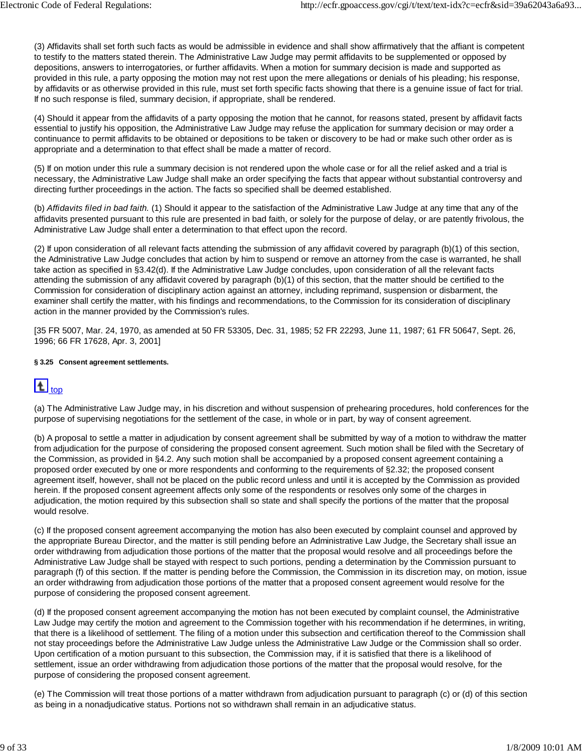(3) Affidavits shall set forth such facts as would be admissible in evidence and shall show affirmatively that the affiant is competent to testify to the matters stated therein. The Administrative Law Judge may permit affidavits to be supplemented or opposed by depositions, answers to interrogatories, or further affidavits. When a motion for summary decision is made and supported as provided in this rule, a party opposing the motion may not rest upon the mere allegations or denials of his pleading; his response, by affidavits or as otherwise provided in this rule, must set forth specific facts showing that there is a genuine issue of fact for trial. If no such response is filed, summary decision, if appropriate, shall be rendered.

(4) Should it appear from the affidavits of a party opposing the motion that he cannot, for reasons stated, present by affidavit facts essential to justify his opposition, the Administrative Law Judge may refuse the application for summary decision or may order a continuance to permit affidavits to be obtained or depositions to be taken or discovery to be had or make such other order as is appropriate and a determination to that effect shall be made a matter of record.

(5) If on motion under this rule a summary decision is not rendered upon the whole case or for all the relief asked and a trial is necessary, the Administrative Law Judge shall make an order specifying the facts that appear without substantial controversy and directing further proceedings in the action. The facts so specified shall be deemed established.

(b) *Affidavits filed in bad faith.* (1) Should it appear to the satisfaction of the Administrative Law Judge at any time that any of the affidavits presented pursuant to this rule are presented in bad faith, or solely for the purpose of delay, or are patently frivolous, the Administrative Law Judge shall enter a determination to that effect upon the record.

(2) If upon consideration of all relevant facts attending the submission of any affidavit covered by paragraph (b)(1) of this section, the Administrative Law Judge concludes that action by him to suspend or remove an attorney from the case is warranted, he shall take action as specified in §3.42(d). If the Administrative Law Judge concludes, upon consideration of all the relevant facts attending the submission of any affidavit covered by paragraph (b)(1) of this section, that the matter should be certified to the Commission for consideration of disciplinary action against an attorney, including reprimand, suspension or disbarment, the examiner shall certify the matter, with his findings and recommendations, to the Commission for its consideration of disciplinary action in the manner provided by the Commission's rules.

[35 FR 5007, Mar. 24, 1970, as amended at 50 FR 53305, Dec. 31, 1985; 52 FR 22293, June 11, 1987; 61 FR 50647, Sept. 26, 1996; 66 FR 17628, Apr. 3, 2001]

### **§ 3.25 Consent agreement settlements.**

## top

(a) The Administrative Law Judge may, in his discretion and without suspension of prehearing procedures, hold conferences for the purpose of supervising negotiations for the settlement of the case, in whole or in part, by way of consent agreement.

(b) A proposal to settle a matter in adjudication by consent agreement shall be submitted by way of a motion to withdraw the matter from adjudication for the purpose of considering the proposed consent agreement. Such motion shall be filed with the Secretary of the Commission, as provided in §4.2. Any such motion shall be accompanied by a proposed consent agreement containing a proposed order executed by one or more respondents and conforming to the requirements of §2.32; the proposed consent agreement itself, however, shall not be placed on the public record unless and until it is accepted by the Commission as provided herein. If the proposed consent agreement affects only some of the respondents or resolves only some of the charges in adjudication, the motion required by this subsection shall so state and shall specify the portions of the matter that the proposal would resolve.

(c) If the proposed consent agreement accompanying the motion has also been executed by complaint counsel and approved by the appropriate Bureau Director, and the matter is still pending before an Administrative Law Judge, the Secretary shall issue an order withdrawing from adjudication those portions of the matter that the proposal would resolve and all proceedings before the Administrative Law Judge shall be stayed with respect to such portions, pending a determination by the Commission pursuant to paragraph (f) of this section. If the matter is pending before the Commission, the Commission in its discretion may, on motion, issue an order withdrawing from adjudication those portions of the matter that a proposed consent agreement would resolve for the purpose of considering the proposed consent agreement.

(d) If the proposed consent agreement accompanying the motion has not been executed by complaint counsel, the Administrative Law Judge may certify the motion and agreement to the Commission together with his recommendation if he determines, in writing, that there is a likelihood of settlement. The filing of a motion under this subsection and certification thereof to the Commission shall not stay proceedings before the Administrative Law Judge unless the Administrative Law Judge or the Commission shall so order. Upon certification of a motion pursuant to this subsection, the Commission may, if it is satisfied that there is a likelihood of settlement, issue an order withdrawing from adjudication those portions of the matter that the proposal would resolve, for the purpose of considering the proposed consent agreement.

(e) The Commission will treat those portions of a matter withdrawn from adjudication pursuant to paragraph (c) or (d) of this section as being in a nonadjudicative status. Portions not so withdrawn shall remain in an adjudicative status.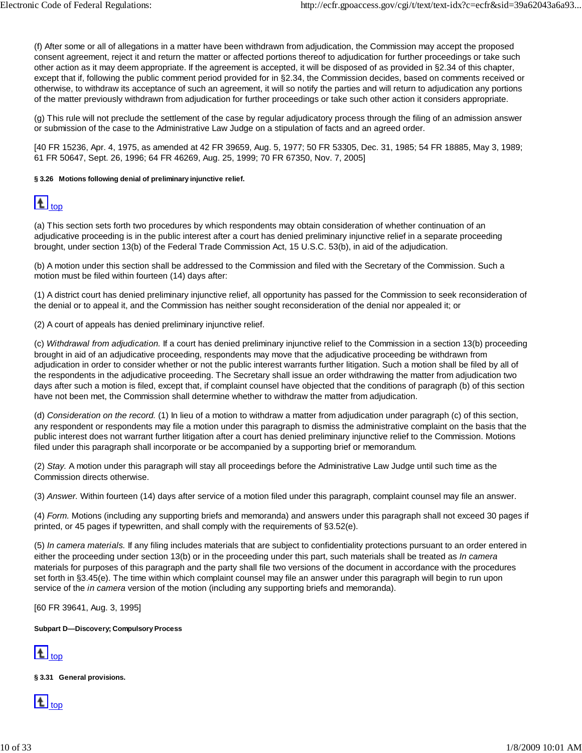(f) After some or all of allegations in a matter have been withdrawn from adjudication, the Commission may accept the proposed consent agreement, reject it and return the matter or affected portions thereof to adjudication for further proceedings or take such other action as it may deem appropriate. If the agreement is accepted, it will be disposed of as provided in §2.34 of this chapter, except that if, following the public comment period provided for in §2.34, the Commission decides, based on comments received or otherwise, to withdraw its acceptance of such an agreement, it will so notify the parties and will return to adjudication any portions of the matter previously withdrawn from adjudication for further proceedings or take such other action it considers appropriate.

(g) This rule will not preclude the settlement of the case by regular adjudicatory process through the filing of an admission answer or submission of the case to the Administrative Law Judge on a stipulation of facts and an agreed order.

[40 FR 15236, Apr. 4, 1975, as amended at 42 FR 39659, Aug. 5, 1977; 50 FR 53305, Dec. 31, 1985; 54 FR 18885, May 3, 1989; 61 FR 50647, Sept. 26, 1996; 64 FR 46269, Aug. 25, 1999; 70 FR 67350, Nov. 7, 2005]

### **§ 3.26 Motions following denial of preliminary injunctive relief.**

# top

(a) This section sets forth two procedures by which respondents may obtain consideration of whether continuation of an adjudicative proceeding is in the public interest after a court has denied preliminary injunctive relief in a separate proceeding brought, under section 13(b) of the Federal Trade Commission Act, 15 U.S.C. 53(b), in aid of the adjudication.

(b) A motion under this section shall be addressed to the Commission and filed with the Secretary of the Commission. Such a motion must be filed within fourteen (14) days after:

(1) A district court has denied preliminary injunctive relief, all opportunity has passed for the Commission to seek reconsideration of the denial or to appeal it, and the Commission has neither sought reconsideration of the denial nor appealed it; or

(2) A court of appeals has denied preliminary injunctive relief.

(c) *Withdrawal from adjudication.* If a court has denied preliminary injunctive relief to the Commission in a section 13(b) proceeding brought in aid of an adjudicative proceeding, respondents may move that the adjudicative proceeding be withdrawn from adjudication in order to consider whether or not the public interest warrants further litigation. Such a motion shall be filed by all of the respondents in the adjudicative proceeding. The Secretary shall issue an order withdrawing the matter from adjudication two days after such a motion is filed, except that, if complaint counsel have objected that the conditions of paragraph (b) of this section have not been met, the Commission shall determine whether to withdraw the matter from adjudication.

(d) *Consideration on the record.* (1) In lieu of a motion to withdraw a matter from adjudication under paragraph (c) of this section, any respondent or respondents may file a motion under this paragraph to dismiss the administrative complaint on the basis that the public interest does not warrant further litigation after a court has denied preliminary injunctive relief to the Commission. Motions filed under this paragraph shall incorporate or be accompanied by a supporting brief or memorandum.

(2) *Stay.* A motion under this paragraph will stay all proceedings before the Administrative Law Judge until such time as the Commission directs otherwise.

(3) *Answer.* Within fourteen (14) days after service of a motion filed under this paragraph, complaint counsel may file an answer.

(4) *Form.* Motions (including any supporting briefs and memoranda) and answers under this paragraph shall not exceed 30 pages if printed, or 45 pages if typewritten, and shall comply with the requirements of §3.52(e).

(5) *In camera materials.* If any filing includes materials that are subject to confidentiality protections pursuant to an order entered in either the proceeding under section 13(b) or in the proceeding under this part, such materials shall be treated as *In camera* materials for purposes of this paragraph and the party shall file two versions of the document in accordance with the procedures set forth in §3.45(e). The time within which complaint counsel may file an answer under this paragraph will begin to run upon service of the *in camera* version of the motion (including any supporting briefs and memoranda).

[60 FR 39641, Aug. 3, 1995]

**§ 3.31 General provisions.**

**Subpart D—Discovery; Compulsory Process**



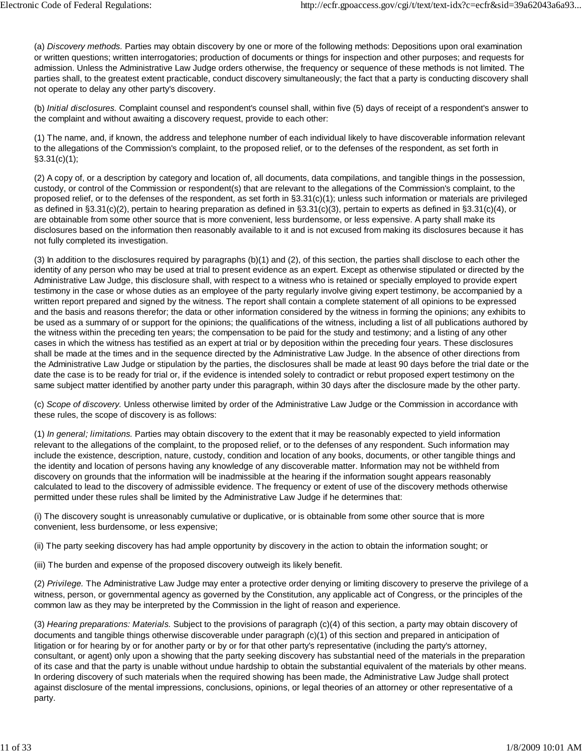(a) *Discovery methods.* Parties may obtain discovery by one or more of the following methods: Depositions upon oral examination or written questions; written interrogatories; production of documents or things for inspection and other purposes; and requests for admission. Unless the Administrative Law Judge orders otherwise, the frequency or sequence of these methods is not limited. The parties shall, to the greatest extent practicable, conduct discovery simultaneously; the fact that a party is conducting discovery shall not operate to delay any other party's discovery.

(b) *Initial disclosures.* Complaint counsel and respondent's counsel shall, within five (5) days of receipt of a respondent's answer to the complaint and without awaiting a discovery request, provide to each other:

(1) The name, and, if known, the address and telephone number of each individual likely to have discoverable information relevant to the allegations of the Commission's complaint, to the proposed relief, or to the defenses of the respondent, as set forth in §3.31(c)(1);

(2) A copy of, or a description by category and location of, all documents, data compilations, and tangible things in the possession, custody, or control of the Commission or respondent(s) that are relevant to the allegations of the Commission's complaint, to the proposed relief, or to the defenses of the respondent, as set forth in §3.31(c)(1); unless such information or materials are privileged as defined in §3.31(c)(2), pertain to hearing preparation as defined in §3.31(c)(3), pertain to experts as defined in §3.31(c)(4), or are obtainable from some other source that is more convenient, less burdensome, or less expensive. A party shall make its disclosures based on the information then reasonably available to it and is not excused from making its disclosures because it has not fully completed its investigation.

(3) In addition to the disclosures required by paragraphs (b)(1) and (2), of this section, the parties shall disclose to each other the identity of any person who may be used at trial to present evidence as an expert. Except as otherwise stipulated or directed by the Administrative Law Judge, this disclosure shall, with respect to a witness who is retained or specially employed to provide expert testimony in the case or whose duties as an employee of the party regularly involve giving expert testimony, be accompanied by a written report prepared and signed by the witness. The report shall contain a complete statement of all opinions to be expressed and the basis and reasons therefor; the data or other information considered by the witness in forming the opinions; any exhibits to be used as a summary of or support for the opinions; the qualifications of the witness, including a list of all publications authored by the witness within the preceding ten years; the compensation to be paid for the study and testimony; and a listing of any other cases in which the witness has testified as an expert at trial or by deposition within the preceding four years. These disclosures shall be made at the times and in the sequence directed by the Administrative Law Judge. In the absence of other directions from the Administrative Law Judge or stipulation by the parties, the disclosures shall be made at least 90 days before the trial date or the date the case is to be ready for trial or, if the evidence is intended solely to contradict or rebut proposed expert testimony on the same subject matter identified by another party under this paragraph, within 30 days after the disclosure made by the other party.

(c) *Scope of discovery.* Unless otherwise limited by order of the Administrative Law Judge or the Commission in accordance with these rules, the scope of discovery is as follows:

(1) *In general; limitations.* Parties may obtain discovery to the extent that it may be reasonably expected to yield information relevant to the allegations of the complaint, to the proposed relief, or to the defenses of any respondent. Such information may include the existence, description, nature, custody, condition and location of any books, documents, or other tangible things and the identity and location of persons having any knowledge of any discoverable matter. Information may not be withheld from discovery on grounds that the information will be inadmissible at the hearing if the information sought appears reasonably calculated to lead to the discovery of admissible evidence. The frequency or extent of use of the discovery methods otherwise permitted under these rules shall be limited by the Administrative Law Judge if he determines that:

(i) The discovery sought is unreasonably cumulative or duplicative, or is obtainable from some other source that is more convenient, less burdensome, or less expensive;

(ii) The party seeking discovery has had ample opportunity by discovery in the action to obtain the information sought; or

(iii) The burden and expense of the proposed discovery outweigh its likely benefit.

(2) *Privilege.* The Administrative Law Judge may enter a protective order denying or limiting discovery to preserve the privilege of a witness, person, or governmental agency as governed by the Constitution, any applicable act of Congress, or the principles of the common law as they may be interpreted by the Commission in the light of reason and experience.

(3) *Hearing preparations: Materials.* Subject to the provisions of paragraph (c)(4) of this section, a party may obtain discovery of documents and tangible things otherwise discoverable under paragraph (c)(1) of this section and prepared in anticipation of litigation or for hearing by or for another party or by or for that other party's representative (including the party's attorney, consultant, or agent) only upon a showing that the party seeking discovery has substantial need of the materials in the preparation of its case and that the party is unable without undue hardship to obtain the substantial equivalent of the materials by other means. In ordering discovery of such materials when the required showing has been made, the Administrative Law Judge shall protect against disclosure of the mental impressions, conclusions, opinions, or legal theories of an attorney or other representative of a party.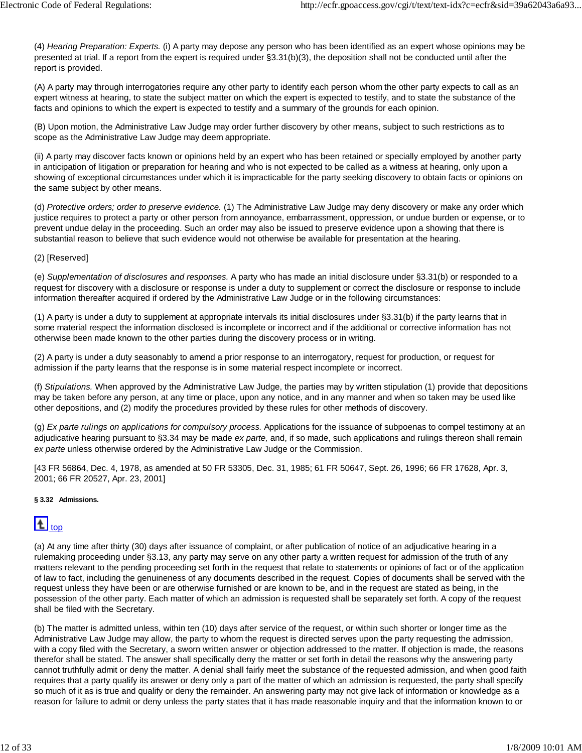(4) *Hearing Preparation: Experts.* (i) A party may depose any person who has been identified as an expert whose opinions may be presented at trial. If a report from the expert is required under §3.31(b)(3), the deposition shall not be conducted until after the report is provided.

(A) A party may through interrogatories require any other party to identify each person whom the other party expects to call as an expert witness at hearing, to state the subject matter on which the expert is expected to testify, and to state the substance of the facts and opinions to which the expert is expected to testify and a summary of the grounds for each opinion.

(B) Upon motion, the Administrative Law Judge may order further discovery by other means, subject to such restrictions as to scope as the Administrative Law Judge may deem appropriate.

(ii) A party may discover facts known or opinions held by an expert who has been retained or specially employed by another party in anticipation of litigation or preparation for hearing and who is not expected to be called as a witness at hearing, only upon a showing of exceptional circumstances under which it is impracticable for the party seeking discovery to obtain facts or opinions on the same subject by other means.

(d) *Protective orders; order to preserve evidence.* (1) The Administrative Law Judge may deny discovery or make any order which justice requires to protect a party or other person from annoyance, embarrassment, oppression, or undue burden or expense, or to prevent undue delay in the proceeding. Such an order may also be issued to preserve evidence upon a showing that there is substantial reason to believe that such evidence would not otherwise be available for presentation at the hearing.

### (2) [Reserved]

(e) *Supplementation of disclosures and responses.* A party who has made an initial disclosure under §3.31(b) or responded to a request for discovery with a disclosure or response is under a duty to supplement or correct the disclosure or response to include information thereafter acquired if ordered by the Administrative Law Judge or in the following circumstances:

(1) A party is under a duty to supplement at appropriate intervals its initial disclosures under §3.31(b) if the party learns that in some material respect the information disclosed is incomplete or incorrect and if the additional or corrective information has not otherwise been made known to the other parties during the discovery process or in writing.

(2) A party is under a duty seasonably to amend a prior response to an interrogatory, request for production, or request for admission if the party learns that the response is in some material respect incomplete or incorrect.

(f) *Stipulations.* When approved by the Administrative Law Judge, the parties may by written stipulation (1) provide that depositions may be taken before any person, at any time or place, upon any notice, and in any manner and when so taken may be used like other depositions, and (2) modify the procedures provided by these rules for other methods of discovery.

(g) *Ex parte rulings on applications for compulsory process.* Applications for the issuance of subpoenas to compel testimony at an adjudicative hearing pursuant to §3.34 may be made *ex parte,* and, if so made, such applications and rulings thereon shall remain *ex parte* unless otherwise ordered by the Administrative Law Judge or the Commission.

[43 FR 56864, Dec. 4, 1978, as amended at 50 FR 53305, Dec. 31, 1985; 61 FR 50647, Sept. 26, 1996; 66 FR 17628, Apr. 3, 2001; 66 FR 20527, Apr. 23, 2001]

#### **§ 3.32 Admissions.**

# top

(a) At any time after thirty (30) days after issuance of complaint, or after publication of notice of an adjudicative hearing in a rulemaking proceeding under §3.13, any party may serve on any other party a written request for admission of the truth of any matters relevant to the pending proceeding set forth in the request that relate to statements or opinions of fact or of the application of law to fact, including the genuineness of any documents described in the request. Copies of documents shall be served with the request unless they have been or are otherwise furnished or are known to be, and in the request are stated as being, in the possession of the other party. Each matter of which an admission is requested shall be separately set forth. A copy of the request shall be filed with the Secretary.

(b) The matter is admitted unless, within ten (10) days after service of the request, or within such shorter or longer time as the Administrative Law Judge may allow, the party to whom the request is directed serves upon the party requesting the admission, with a copy filed with the Secretary, a sworn written answer or objection addressed to the matter. If objection is made, the reasons therefor shall be stated. The answer shall specifically deny the matter or set forth in detail the reasons why the answering party cannot truthfully admit or deny the matter. A denial shall fairly meet the substance of the requested admission, and when good faith requires that a party qualify its answer or deny only a part of the matter of which an admission is requested, the party shall specify so much of it as is true and qualify or deny the remainder. An answering party may not give lack of information or knowledge as a reason for failure to admit or deny unless the party states that it has made reasonable inquiry and that the information known to or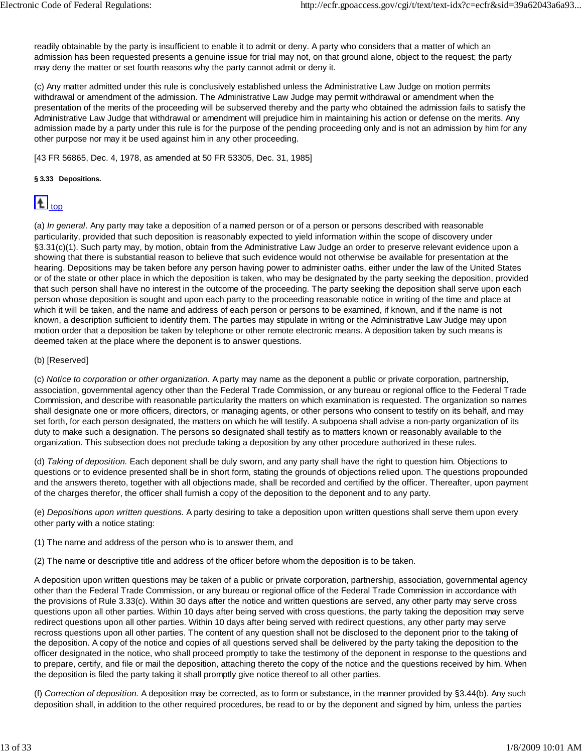readily obtainable by the party is insufficient to enable it to admit or deny. A party who considers that a matter of which an admission has been requested presents a genuine issue for trial may not, on that ground alone, object to the request; the party may deny the matter or set fourth reasons why the party cannot admit or deny it.

(c) Any matter admitted under this rule is conclusively established unless the Administrative Law Judge on motion permits withdrawal or amendment of the admission. The Administrative Law Judge may permit withdrawal or amendment when the presentation of the merits of the proceeding will be subserved thereby and the party who obtained the admission fails to satisfy the Administrative Law Judge that withdrawal or amendment will prejudice him in maintaining his action or defense on the merits. Any admission made by a party under this rule is for the purpose of the pending proceeding only and is not an admission by him for any other purpose nor may it be used against him in any other proceeding.

[43 FR 56865, Dec. 4, 1978, as amended at 50 FR 53305, Dec. 31, 1985]

## **§ 3.33 Depositions.**

# $\left| \mathbf{t} \right|_{\text{top}}$

(a) *In general.* Any party may take a deposition of a named person or of a person or persons described with reasonable particularity, provided that such deposition is reasonably expected to yield information within the scope of discovery under §3.31(c)(1). Such party may, by motion, obtain from the Administrative Law Judge an order to preserve relevant evidence upon a showing that there is substantial reason to believe that such evidence would not otherwise be available for presentation at the hearing. Depositions may be taken before any person having power to administer oaths, either under the law of the United States or of the state or other place in which the deposition is taken, who may be designated by the party seeking the deposition, provided that such person shall have no interest in the outcome of the proceeding. The party seeking the deposition shall serve upon each person whose deposition is sought and upon each party to the proceeding reasonable notice in writing of the time and place at which it will be taken, and the name and address of each person or persons to be examined, if known, and if the name is not known, a description sufficient to identify them. The parties may stipulate in writing or the Administrative Law Judge may upon motion order that a deposition be taken by telephone or other remote electronic means. A deposition taken by such means is deemed taken at the place where the deponent is to answer questions.

## (b) [Reserved]

(c) *Notice to corporation or other organization.* A party may name as the deponent a public or private corporation, partnership, association, governmental agency other than the Federal Trade Commission, or any bureau or regional office to the Federal Trade Commission, and describe with reasonable particularity the matters on which examination is requested. The organization so names shall designate one or more officers, directors, or managing agents, or other persons who consent to testify on its behalf, and may set forth, for each person designated, the matters on which he will testify. A subpoena shall advise a non-party organization of its duty to make such a designation. The persons so designated shall testify as to matters known or reasonably available to the organization. This subsection does not preclude taking a deposition by any other procedure authorized in these rules.

(d) *Taking of deposition.* Each deponent shall be duly sworn, and any party shall have the right to question him. Objections to questions or to evidence presented shall be in short form, stating the grounds of objections relied upon. The questions propounded and the answers thereto, together with all objections made, shall be recorded and certified by the officer. Thereafter, upon payment of the charges therefor, the officer shall furnish a copy of the deposition to the deponent and to any party.

(e) *Depositions upon written questions.* A party desiring to take a deposition upon written questions shall serve them upon every other party with a notice stating:

(1) The name and address of the person who is to answer them, and

(2) The name or descriptive title and address of the officer before whom the deposition is to be taken.

A deposition upon written questions may be taken of a public or private corporation, partnership, association, governmental agency other than the Federal Trade Commission, or any bureau or regional office of the Federal Trade Commission in accordance with the provisions of Rule 3.33(c). Within 30 days after the notice and written questions are served, any other party may serve cross questions upon all other parties. Within 10 days after being served with cross questions, the party taking the deposition may serve redirect questions upon all other parties. Within 10 days after being served with redirect questions, any other party may serve recross questions upon all other parties. The content of any question shall not be disclosed to the deponent prior to the taking of the deposition. A copy of the notice and copies of all questions served shall be delivered by the party taking the deposition to the officer designated in the notice, who shall proceed promptly to take the testimony of the deponent in response to the questions and to prepare, certify, and file or mail the deposition, attaching thereto the copy of the notice and the questions received by him. When the deposition is filed the party taking it shall promptly give notice thereof to all other parties.

(f) *Correction of deposition.* A deposition may be corrected, as to form or substance, in the manner provided by §3.44(b). Any such deposition shall, in addition to the other required procedures, be read to or by the deponent and signed by him, unless the parties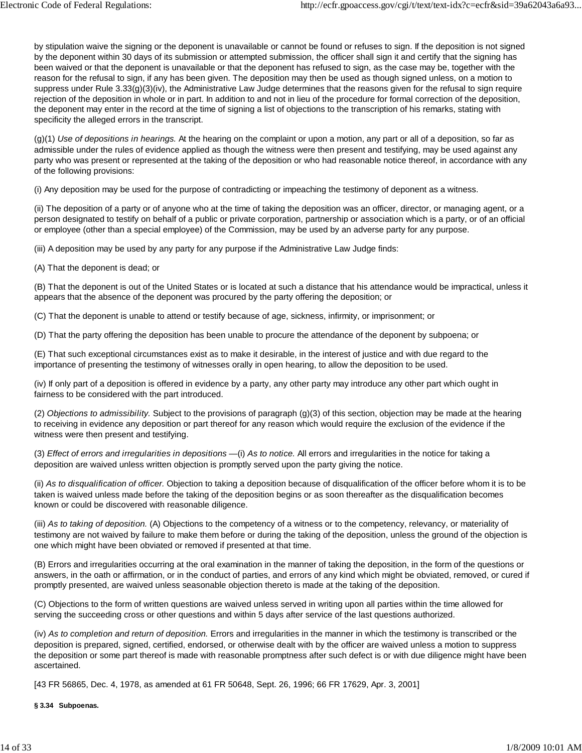by stipulation waive the signing or the deponent is unavailable or cannot be found or refuses to sign. If the deposition is not signed by the deponent within 30 days of its submission or attempted submission, the officer shall sign it and certify that the signing has been waived or that the deponent is unavailable or that the deponent has refused to sign, as the case may be, together with the reason for the refusal to sign, if any has been given. The deposition may then be used as though signed unless, on a motion to suppress under Rule 3.33(g)(3)(iv), the Administrative Law Judge determines that the reasons given for the refusal to sign require rejection of the deposition in whole or in part. In addition to and not in lieu of the procedure for formal correction of the deposition, the deponent may enter in the record at the time of signing a list of objections to the transcription of his remarks, stating with specificity the alleged errors in the transcript.

(g)(1) *Use of depositions in hearings.* At the hearing on the complaint or upon a motion, any part or all of a deposition, so far as admissible under the rules of evidence applied as though the witness were then present and testifying, may be used against any party who was present or represented at the taking of the deposition or who had reasonable notice thereof, in accordance with any of the following provisions:

(i) Any deposition may be used for the purpose of contradicting or impeaching the testimony of deponent as a witness.

(ii) The deposition of a party or of anyone who at the time of taking the deposition was an officer, director, or managing agent, or a person designated to testify on behalf of a public or private corporation, partnership or association which is a party, or of an official or employee (other than a special employee) of the Commission, may be used by an adverse party for any purpose.

(iii) A deposition may be used by any party for any purpose if the Administrative Law Judge finds:

## (A) That the deponent is dead; or

(B) That the deponent is out of the United States or is located at such a distance that his attendance would be impractical, unless it appears that the absence of the deponent was procured by the party offering the deposition; or

(C) That the deponent is unable to attend or testify because of age, sickness, infirmity, or imprisonment; or

(D) That the party offering the deposition has been unable to procure the attendance of the deponent by subpoena; or

(E) That such exceptional circumstances exist as to make it desirable, in the interest of justice and with due regard to the importance of presenting the testimony of witnesses orally in open hearing, to allow the deposition to be used.

(iv) If only part of a deposition is offered in evidence by a party, any other party may introduce any other part which ought in fairness to be considered with the part introduced.

(2) *Objections to admissibility.* Subject to the provisions of paragraph (g)(3) of this section, objection may be made at the hearing to receiving in evidence any deposition or part thereof for any reason which would require the exclusion of the evidence if the witness were then present and testifying.

(3) *Effect of errors and irregularities in depositions* —(i) *As to notice.* All errors and irregularities in the notice for taking a deposition are waived unless written objection is promptly served upon the party giving the notice.

(ii) *As to disqualification of officer.* Objection to taking a deposition because of disqualification of the officer before whom it is to be taken is waived unless made before the taking of the deposition begins or as soon thereafter as the disqualification becomes known or could be discovered with reasonable diligence.

(iii) *As to taking of deposition.* (A) Objections to the competency of a witness or to the competency, relevancy, or materiality of testimony are not waived by failure to make them before or during the taking of the deposition, unless the ground of the objection is one which might have been obviated or removed if presented at that time.

(B) Errors and irregularities occurring at the oral examination in the manner of taking the deposition, in the form of the questions or answers, in the oath or affirmation, or in the conduct of parties, and errors of any kind which might be obviated, removed, or cured if promptly presented, are waived unless seasonable objection thereto is made at the taking of the deposition.

(C) Objections to the form of written questions are waived unless served in writing upon all parties within the time allowed for serving the succeeding cross or other questions and within 5 days after service of the last questions authorized.

(iv) *As to completion and return of deposition.* Errors and irregularities in the manner in which the testimony is transcribed or the deposition is prepared, signed, certified, endorsed, or otherwise dealt with by the officer are waived unless a motion to suppress the deposition or some part thereof is made with reasonable promptness after such defect is or with due diligence might have been ascertained.

[43 FR 56865, Dec. 4, 1978, as amended at 61 FR 50648, Sept. 26, 1996; 66 FR 17629, Apr. 3, 2001]

**§ 3.34 Subpoenas.**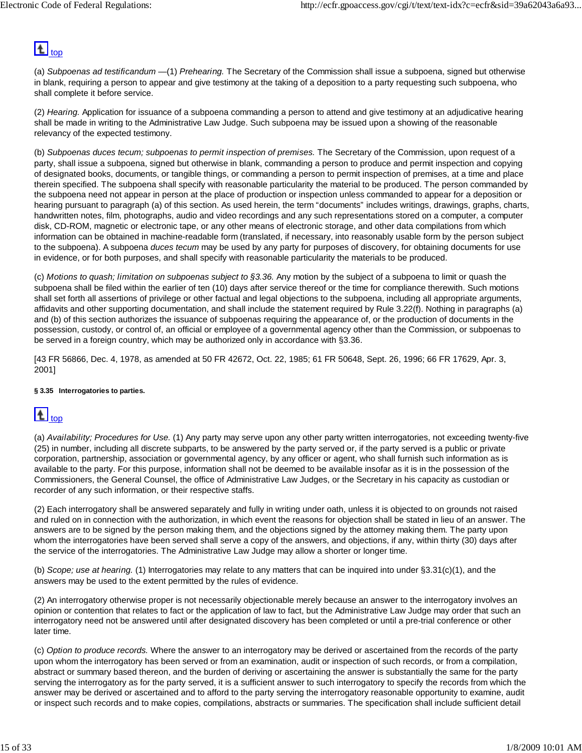# top

(a) *Subpoenas ad testificandum* —(1) *Prehearing.* The Secretary of the Commission shall issue a subpoena, signed but otherwise in blank, requiring a person to appear and give testimony at the taking of a deposition to a party requesting such subpoena, who shall complete it before service.

(2) *Hearing.* Application for issuance of a subpoena commanding a person to attend and give testimony at an adjudicative hearing shall be made in writing to the Administrative Law Judge. Such subpoena may be issued upon a showing of the reasonable relevancy of the expected testimony.

(b) *Subpoenas duces tecum; subpoenas to permit inspection of premises.* The Secretary of the Commission, upon request of a party, shall issue a subpoena, signed but otherwise in blank, commanding a person to produce and permit inspection and copying of designated books, documents, or tangible things, or commanding a person to permit inspection of premises, at a time and place therein specified. The subpoena shall specify with reasonable particularity the material to be produced. The person commanded by the subpoena need not appear in person at the place of production or inspection unless commanded to appear for a deposition or hearing pursuant to paragraph (a) of this section. As used herein, the term "documents" includes writings, drawings, graphs, charts, handwritten notes, film, photographs, audio and video recordings and any such representations stored on a computer, a computer disk, CD-ROM, magnetic or electronic tape, or any other means of electronic storage, and other data compilations from which information can be obtained in machine-readable form (translated, if necessary, into reasonably usable form by the person subject to the subpoena). A subpoena *duces tecum* may be used by any party for purposes of discovery, for obtaining documents for use in evidence, or for both purposes, and shall specify with reasonable particularity the materials to be produced.

(c) Motions to quash; limitation on subpoenas subject to §3.36. Any motion by the subject of a subpoena to limit or quash the subpoena shall be filed within the earlier of ten (10) days after service thereof or the time for compliance therewith. Such motions shall set forth all assertions of privilege or other factual and legal objections to the subpoena, including all appropriate arguments, affidavits and other supporting documentation, and shall include the statement required by Rule 3.22(f). Nothing in paragraphs (a) and (b) of this section authorizes the issuance of subpoenas requiring the appearance of, or the production of documents in the possession, custody, or control of, an official or employee of a governmental agency other than the Commission, or subpoenas to be served in a foreign country, which may be authorized only in accordance with §3.36.

[43 FR 56866, Dec. 4, 1978, as amended at 50 FR 42672, Oct. 22, 1985; 61 FR 50648, Sept. 26, 1996; 66 FR 17629, Apr. 3, 2001]

### **§ 3.35 Interrogatories to parties.**

# top top

(a) *Availability; Procedures for Use.* (1) Any party may serve upon any other party written interrogatories, not exceeding twenty-five (25) in number, including all discrete subparts, to be answered by the party served or, if the party served is a public or private corporation, partnership, association or governmental agency, by any officer or agent, who shall furnish such information as is available to the party. For this purpose, information shall not be deemed to be available insofar as it is in the possession of the Commissioners, the General Counsel, the office of Administrative Law Judges, or the Secretary in his capacity as custodian or recorder of any such information, or their respective staffs.

(2) Each interrogatory shall be answered separately and fully in writing under oath, unless it is objected to on grounds not raised and ruled on in connection with the authorization, in which event the reasons for objection shall be stated in lieu of an answer. The answers are to be signed by the person making them, and the objections signed by the attorney making them. The party upon whom the interrogatories have been served shall serve a copy of the answers, and objections, if any, within thirty (30) days after the service of the interrogatories. The Administrative Law Judge may allow a shorter or longer time.

(b) *Scope; use at hearing.* (1) Interrogatories may relate to any matters that can be inquired into under §3.31(c)(1), and the answers may be used to the extent permitted by the rules of evidence.

(2) An interrogatory otherwise proper is not necessarily objectionable merely because an answer to the interrogatory involves an opinion or contention that relates to fact or the application of law to fact, but the Administrative Law Judge may order that such an interrogatory need not be answered until after designated discovery has been completed or until a pre-trial conference or other later time.

(c) *Option to produce records.* Where the answer to an interrogatory may be derived or ascertained from the records of the party upon whom the interrogatory has been served or from an examination, audit or inspection of such records, or from a compilation, abstract or summary based thereon, and the burden of deriving or ascertaining the answer is substantially the same for the party serving the interrogatory as for the party served, it is a sufficient answer to such interrogatory to specify the records from which the answer may be derived or ascertained and to afford to the party serving the interrogatory reasonable opportunity to examine, audit or inspect such records and to make copies, compilations, abstracts or summaries. The specification shall include sufficient detail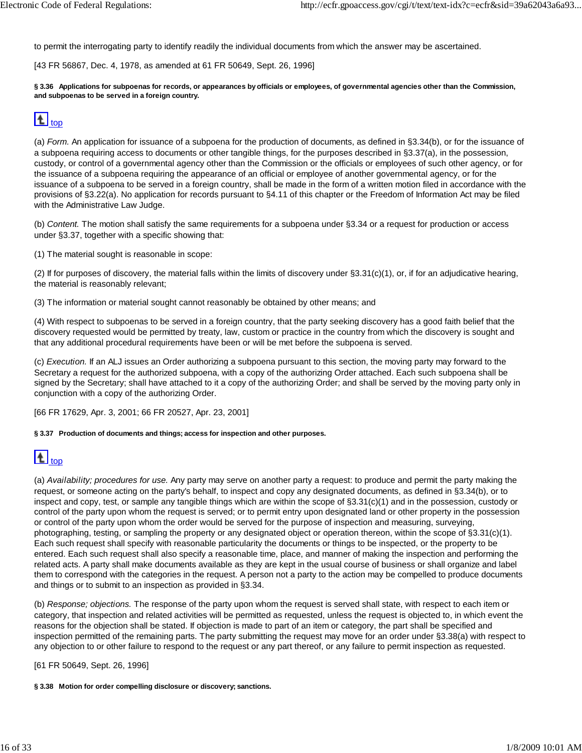to permit the interrogating party to identify readily the individual documents from which the answer may be ascertained.

[43 FR 56867, Dec. 4, 1978, as amended at 61 FR 50649, Sept. 26, 1996]

**§ 3.36 Applications for subpoenas for records, or appearances by officials or employees, of governmental agencies other than the Commission, and subpoenas to be served in a foreign country.**

## top<br>top

(a) *Form.* An application for issuance of a subpoena for the production of documents, as defined in §3.34(b), or for the issuance of a subpoena requiring access to documents or other tangible things, for the purposes described in §3.37(a), in the possession, custody, or control of a governmental agency other than the Commission or the officials or employees of such other agency, or for the issuance of a subpoena requiring the appearance of an official or employee of another governmental agency, or for the issuance of a subpoena to be served in a foreign country, shall be made in the form of a written motion filed in accordance with the provisions of §3.22(a). No application for records pursuant to §4.11 of this chapter or the Freedom of Information Act may be filed with the Administrative Law Judge.

(b) *Content.* The motion shall satisfy the same requirements for a subpoena under §3.34 or a request for production or access under §3.37, together with a specific showing that:

(1) The material sought is reasonable in scope:

(2) If for purposes of discovery, the material falls within the limits of discovery under  $\S 3.31(c)(1)$ , or, if for an adjudicative hearing, the material is reasonably relevant;

(3) The information or material sought cannot reasonably be obtained by other means; and

(4) With respect to subpoenas to be served in a foreign country, that the party seeking discovery has a good faith belief that the discovery requested would be permitted by treaty, law, custom or practice in the country from which the discovery is sought and that any additional procedural requirements have been or will be met before the subpoena is served.

(c) *Execution.* If an ALJ issues an Order authorizing a subpoena pursuant to this section, the moving party may forward to the Secretary a request for the authorized subpoena, with a copy of the authorizing Order attached. Each such subpoena shall be signed by the Secretary; shall have attached to it a copy of the authorizing Order; and shall be served by the moving party only in conjunction with a copy of the authorizing Order.

[66 FR 17629, Apr. 3, 2001; 66 FR 20527, Apr. 23, 2001]

**§ 3.37 Production of documents and things; access for inspection and other purposes.**

# top

(a) *Availability; procedures for use.* Any party may serve on another party a request: to produce and permit the party making the request, or someone acting on the party's behalf, to inspect and copy any designated documents, as defined in §3.34(b), or to inspect and copy, test, or sample any tangible things which are within the scope of §3.31(c)(1) and in the possession, custody or control of the party upon whom the request is served; or to permit entry upon designated land or other property in the possession or control of the party upon whom the order would be served for the purpose of inspection and measuring, surveying, photographing, testing, or sampling the property or any designated object or operation thereon, within the scope of §3.31(c)(1). Each such request shall specify with reasonable particularity the documents or things to be inspected, or the property to be entered. Each such request shall also specify a reasonable time, place, and manner of making the inspection and performing the related acts. A party shall make documents available as they are kept in the usual course of business or shall organize and label them to correspond with the categories in the request. A person not a party to the action may be compelled to produce documents and things or to submit to an inspection as provided in §3.34.

(b) *Response; objections.* The response of the party upon whom the request is served shall state, with respect to each item or category, that inspection and related activities will be permitted as requested, unless the request is objected to, in which event the reasons for the objection shall be stated. If objection is made to part of an item or category, the part shall be specified and inspection permitted of the remaining parts. The party submitting the request may move for an order under §3.38(a) with respect to any objection to or other failure to respond to the request or any part thereof, or any failure to permit inspection as requested.

[61 FR 50649, Sept. 26, 1996]

**§ 3.38 Motion for order compelling disclosure or discovery; sanctions.**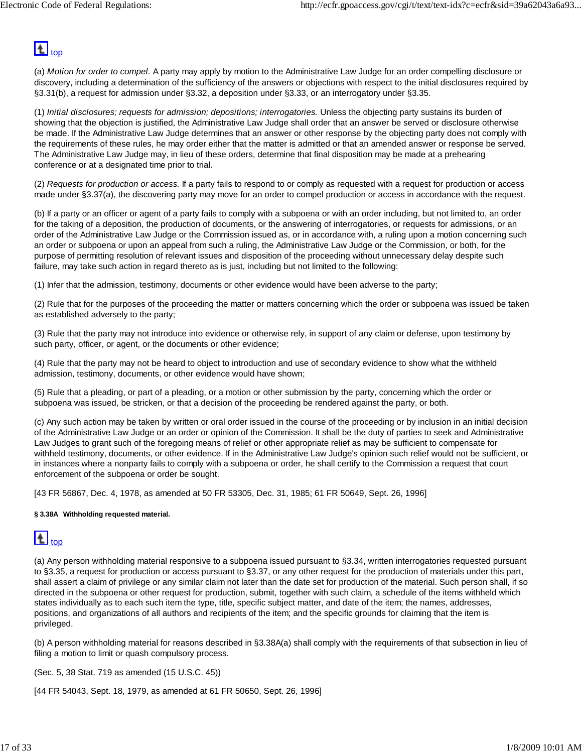# top<br>top

(a) *Motion for order to compel.* A party may apply by motion to the Administrative Law Judge for an order compelling disclosure or discovery, including a determination of the sufficiency of the answers or objections with respect to the initial disclosures required by §3.31(b), a request for admission under §3.32, a deposition under §3.33, or an interrogatory under §3.35.

(1) *Initial disclosures; requests for admission; depositions; interrogatories.* Unless the objecting party sustains its burden of showing that the objection is justified, the Administrative Law Judge shall order that an answer be served or disclosure otherwise be made. If the Administrative Law Judge determines that an answer or other response by the objecting party does not comply with the requirements of these rules, he may order either that the matter is admitted or that an amended answer or response be served. The Administrative Law Judge may, in lieu of these orders, determine that final disposition may be made at a prehearing conference or at a designated time prior to trial.

(2) *Requests for production or access.* If a party fails to respond to or comply as requested with a request for production or access made under §3.37(a), the discovering party may move for an order to compel production or access in accordance with the request.

(b) If a party or an officer or agent of a party fails to comply with a subpoena or with an order including, but not limited to, an order for the taking of a deposition, the production of documents, or the answering of interrogatories, or requests for admissions, or an order of the Administrative Law Judge or the Commission issued as, or in accordance with, a ruling upon a motion concerning such an order or subpoena or upon an appeal from such a ruling, the Administrative Law Judge or the Commission, or both, for the purpose of permitting resolution of relevant issues and disposition of the proceeding without unnecessary delay despite such failure, may take such action in regard thereto as is just, including but not limited to the following:

(1) Infer that the admission, testimony, documents or other evidence would have been adverse to the party;

(2) Rule that for the purposes of the proceeding the matter or matters concerning which the order or subpoena was issued be taken as established adversely to the party;

(3) Rule that the party may not introduce into evidence or otherwise rely, in support of any claim or defense, upon testimony by such party, officer, or agent, or the documents or other evidence;

(4) Rule that the party may not be heard to object to introduction and use of secondary evidence to show what the withheld admission, testimony, documents, or other evidence would have shown;

(5) Rule that a pleading, or part of a pleading, or a motion or other submission by the party, concerning which the order or subpoena was issued, be stricken, or that a decision of the proceeding be rendered against the party, or both.

(c) Any such action may be taken by written or oral order issued in the course of the proceeding or by inclusion in an initial decision of the Administrative Law Judge or an order or opinion of the Commission. It shall be the duty of parties to seek and Administrative Law Judges to grant such of the foregoing means of relief or other appropriate relief as may be sufficient to compensate for withheld testimony, documents, or other evidence. If in the Administrative Law Judge's opinion such relief would not be sufficient, or in instances where a nonparty fails to comply with a subpoena or order, he shall certify to the Commission a request that court enforcement of the subpoena or order be sought.

[43 FR 56867, Dec. 4, 1978, as amended at 50 FR 53305, Dec. 31, 1985; 61 FR 50649, Sept. 26, 1996]

## **§ 3.38A Withholding requested material.**

# $t_{top}$

(a) Any person withholding material responsive to a subpoena issued pursuant to §3.34, written interrogatories requested pursuant to §3.35, a request for production or access pursuant to §3.37, or any other request for the production of materials under this part, shall assert a claim of privilege or any similar claim not later than the date set for production of the material. Such person shall, if so directed in the subpoena or other request for production, submit, together with such claim, a schedule of the items withheld which states individually as to each such item the type, title, specific subject matter, and date of the item; the names, addresses, positions, and organizations of all authors and recipients of the item; and the specific grounds for claiming that the item is privileged.

(b) A person withholding material for reasons described in §3.38A(a) shall comply with the requirements of that subsection in lieu of filing a motion to limit or quash compulsory process.

(Sec. 5, 38 Stat. 719 as amended (15 U.S.C. 45))

[44 FR 54043, Sept. 18, 1979, as amended at 61 FR 50650, Sept. 26, 1996]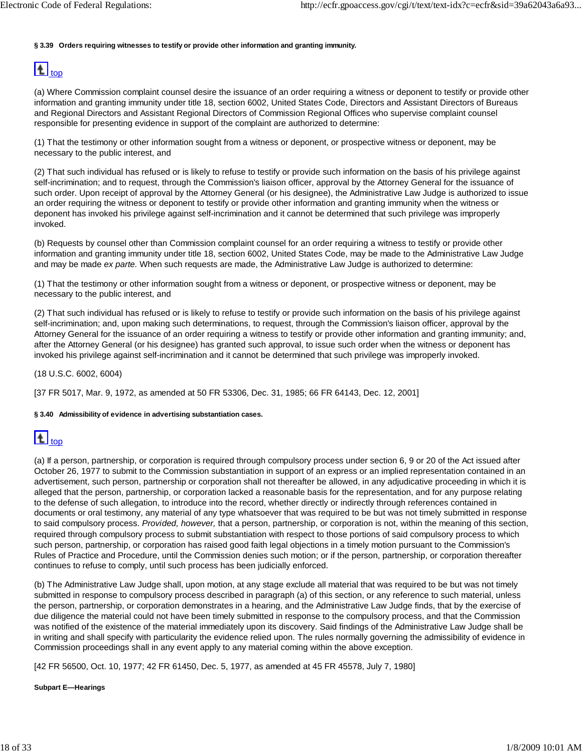#### **§ 3.39 Orders requiring witnesses to testify or provide other information and granting immunity.**

top<br>top

(a) Where Commission complaint counsel desire the issuance of an order requiring a witness or deponent to testify or provide other information and granting immunity under title 18, section 6002, United States Code, Directors and Assistant Directors of Bureaus and Regional Directors and Assistant Regional Directors of Commission Regional Offices who supervise complaint counsel responsible for presenting evidence in support of the complaint are authorized to determine:

(1) That the testimony or other information sought from a witness or deponent, or prospective witness or deponent, may be necessary to the public interest, and

(2) That such individual has refused or is likely to refuse to testify or provide such information on the basis of his privilege against self-incrimination; and to request, through the Commission's liaison officer, approval by the Attorney General for the issuance of such order. Upon receipt of approval by the Attorney General (or his designee), the Administrative Law Judge is authorized to issue an order requiring the witness or deponent to testify or provide other information and granting immunity when the witness or deponent has invoked his privilege against self-incrimination and it cannot be determined that such privilege was improperly invoked.

(b) Requests by counsel other than Commission complaint counsel for an order requiring a witness to testify or provide other information and granting immunity under title 18, section 6002, United States Code, may be made to the Administrative Law Judge and may be made *ex parte.* When such requests are made, the Administrative Law Judge is authorized to determine:

(1) That the testimony or other information sought from a witness or deponent, or prospective witness or deponent, may be necessary to the public interest, and

(2) That such individual has refused or is likely to refuse to testify or provide such information on the basis of his privilege against self-incrimination; and, upon making such determinations, to request, through the Commission's liaison officer, approval by the Attorney General for the issuance of an order requiring a witness to testify or provide other information and granting immunity; and, after the Attorney General (or his designee) has granted such approval, to issue such order when the witness or deponent has invoked his privilege against self-incrimination and it cannot be determined that such privilege was improperly invoked.

(18 U.S.C. 6002, 6004)

[37 FR 5017, Mar. 9, 1972, as amended at 50 FR 53306, Dec. 31, 1985; 66 FR 64143, Dec. 12, 2001]

#### **§ 3.40 Admissibility of evidence in advertising substantiation cases.**

## $t$  top

(a) If a person, partnership, or corporation is required through compulsory process under section 6, 9 or 20 of the Act issued after October 26, 1977 to submit to the Commission substantiation in support of an express or an implied representation contained in an advertisement, such person, partnership or corporation shall not thereafter be allowed, in any adjudicative proceeding in which it is alleged that the person, partnership, or corporation lacked a reasonable basis for the representation, and for any purpose relating to the defense of such allegation, to introduce into the record, whether directly or indirectly through references contained in documents or oral testimony, any material of any type whatsoever that was required to be but was not timely submitted in response to said compulsory process. *Provided, however,* that a person, partnership, or corporation is not, within the meaning of this section, required through compulsory process to submit substantiation with respect to those portions of said compulsory process to which such person, partnership, or corporation has raised good faith legal objections in a timely motion pursuant to the Commission's Rules of Practice and Procedure, until the Commission denies such motion; or if the person, partnership, or corporation thereafter continues to refuse to comply, until such process has been judicially enforced.

(b) The Administrative Law Judge shall, upon motion, at any stage exclude all material that was required to be but was not timely submitted in response to compulsory process described in paragraph (a) of this section, or any reference to such material, unless the person, partnership, or corporation demonstrates in a hearing, and the Administrative Law Judge finds, that by the exercise of due diligence the material could not have been timely submitted in response to the compulsory process, and that the Commission was notified of the existence of the material immediately upon its discovery. Said findings of the Administrative Law Judge shall be in writing and shall specify with particularity the evidence relied upon. The rules normally governing the admissibility of evidence in Commission proceedings shall in any event apply to any material coming within the above exception.

[42 FR 56500, Oct. 10, 1977; 42 FR 61450, Dec. 5, 1977, as amended at 45 FR 45578, July 7, 1980]

**Subpart E—Hearings**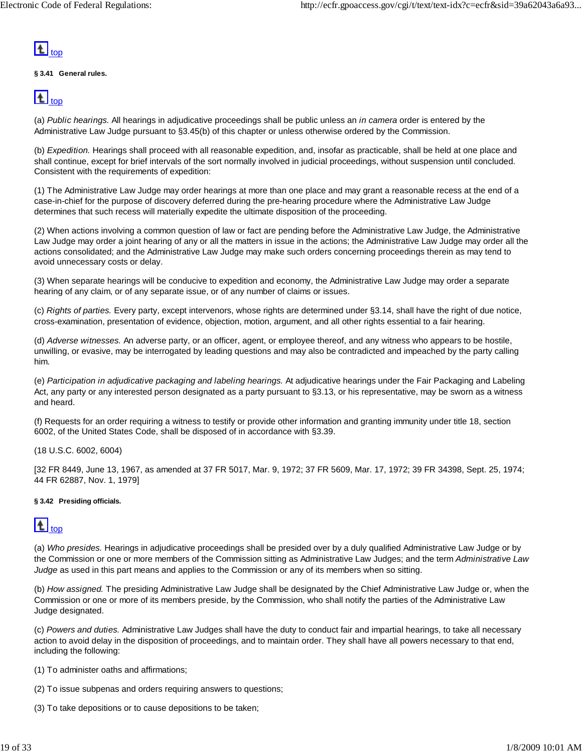

**§ 3.41 General rules.**



(a) *Public hearings.* All hearings in adjudicative proceedings shall be public unless an *in camera* order is entered by the Administrative Law Judge pursuant to §3.45(b) of this chapter or unless otherwise ordered by the Commission.

(b) *Expedition.* Hearings shall proceed with all reasonable expedition, and, insofar as practicable, shall be held at one place and shall continue, except for brief intervals of the sort normally involved in judicial proceedings, without suspension until concluded. Consistent with the requirements of expedition:

(1) The Administrative Law Judge may order hearings at more than one place and may grant a reasonable recess at the end of a case-in-chief for the purpose of discovery deferred during the pre-hearing procedure where the Administrative Law Judge determines that such recess will materially expedite the ultimate disposition of the proceeding.

(2) When actions involving a common question of law or fact are pending before the Administrative Law Judge, the Administrative Law Judge may order a joint hearing of any or all the matters in issue in the actions; the Administrative Law Judge may order all the actions consolidated; and the Administrative Law Judge may make such orders concerning proceedings therein as may tend to avoid unnecessary costs or delay.

(3) When separate hearings will be conducive to expedition and economy, the Administrative Law Judge may order a separate hearing of any claim, or of any separate issue, or of any number of claims or issues.

(c) *Rights of parties.* Every party, except intervenors, whose rights are determined under §3.14, shall have the right of due notice, cross-examination, presentation of evidence, objection, motion, argument, and all other rights essential to a fair hearing.

(d) *Adverse witnesses.* An adverse party, or an officer, agent, or employee thereof, and any witness who appears to be hostile, unwilling, or evasive, may be interrogated by leading questions and may also be contradicted and impeached by the party calling him.

(e) *Participation in adjudicative packaging and labeling hearings.* At adjudicative hearings under the Fair Packaging and Labeling Act, any party or any interested person designated as a party pursuant to §3.13, or his representative, may be sworn as a witness and heard.

(f) Requests for an order requiring a witness to testify or provide other information and granting immunity under title 18, section 6002, of the United States Code, shall be disposed of in accordance with §3.39.

### (18 U.S.C. 6002, 6004)

[32 FR 8449, June 13, 1967, as amended at 37 FR 5017, Mar. 9, 1972; 37 FR 5609, Mar. 17, 1972; 39 FR 34398, Sept. 25, 1974; 44 FR 62887, Nov. 1, 1979]

### **§ 3.42 Presiding officials.**

## top top

(a) *Who presides.* Hearings in adjudicative proceedings shall be presided over by a duly qualified Administrative Law Judge or by the Commission or one or more members of the Commission sitting as Administrative Law Judges; and the term *Administrative Law Judge* as used in this part means and applies to the Commission or any of its members when so sitting.

(b) *How assigned.* The presiding Administrative Law Judge shall be designated by the Chief Administrative Law Judge or, when the Commission or one or more of its members preside, by the Commission, who shall notify the parties of the Administrative Law Judge designated.

(c) *Powers and duties.* Administrative Law Judges shall have the duty to conduct fair and impartial hearings, to take all necessary action to avoid delay in the disposition of proceedings, and to maintain order. They shall have all powers necessary to that end, including the following:

(1) To administer oaths and affirmations;

- (2) To issue subpenas and orders requiring answers to questions;
- (3) To take depositions or to cause depositions to be taken;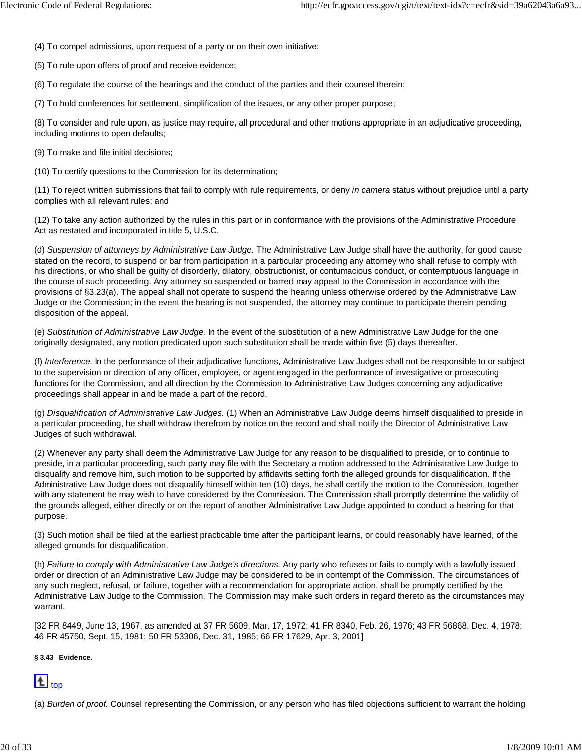(4) To compel admissions, upon request of a party or on their own initiative;

(5) To rule upon offers of proof and receive evidence;

(6) To regulate the course of the hearings and the conduct of the parties and their counsel therein;

(7) To hold conferences for settlement, simplification of the issues, or any other proper purpose;

(8) To consider and rule upon, as justice may require, all procedural and other motions appropriate in an adjudicative proceeding, including motions to open defaults;

(9) To make and file initial decisions;

(10) To certify questions to the Commission for its determination;

(11) To reject written submissions that fail to comply with rule requirements, or deny *in camera* status without prejudice until a party complies with all relevant rules; and

(12) To take any action authorized by the rules in this part or in conformance with the provisions of the Administrative Procedure Act as restated and incorporated in title 5, U.S.C.

(d) *Suspension of attorneys by Administrative Law Judge.* The Administrative Law Judge shall have the authority, for good cause stated on the record, to suspend or bar from participation in a particular proceeding any attorney who shall refuse to comply with his directions, or who shall be guilty of disorderly, dilatory, obstructionist, or contumacious conduct, or contemptuous language in the course of such proceeding. Any attorney so suspended or barred may appeal to the Commission in accordance with the provisions of §3.23(a). The appeal shall not operate to suspend the hearing unless otherwise ordered by the Administrative Law Judge or the Commission; in the event the hearing is not suspended, the attorney may continue to participate therein pending disposition of the appeal.

(e) *Substitution of Administrative Law Judge.* In the event of the substitution of a new Administrative Law Judge for the one originally designated, any motion predicated upon such substitution shall be made within five (5) days thereafter.

(f) *Interference.* In the performance of their adjudicative functions, Administrative Law Judges shall not be responsible to or subject to the supervision or direction of any officer, employee, or agent engaged in the performance of investigative or prosecuting functions for the Commission, and all direction by the Commission to Administrative Law Judges concerning any adjudicative proceedings shall appear in and be made a part of the record.

(g) *Disqualification of Administrative Law Judges.* (1) When an Administrative Law Judge deems himself disqualified to preside in a particular proceeding, he shall withdraw therefrom by notice on the record and shall notify the Director of Administrative Law Judges of such withdrawal.

(2) Whenever any party shall deem the Administrative Law Judge for any reason to be disqualified to preside, or to continue to preside, in a particular proceeding, such party may file with the Secretary a motion addressed to the Administrative Law Judge to disqualify and remove him, such motion to be supported by affidavits setting forth the alleged grounds for disqualification. If the Administrative Law Judge does not disqualify himself within ten (10) days, he shall certify the motion to the Commission, together with any statement he may wish to have considered by the Commission. The Commission shall promptly determine the validity of the grounds alleged, either directly or on the report of another Administrative Law Judge appointed to conduct a hearing for that purpose.

(3) Such motion shall be filed at the earliest practicable time after the participant learns, or could reasonably have learned, of the alleged grounds for disqualification.

(h) Failure to comply with Administrative Law Judge's directions. Any party who refuses or fails to comply with a lawfully issued order or direction of an Administrative Law Judge may be considered to be in contempt of the Commission. The circumstances of any such neglect, refusal, or failure, together with a recommendation for appropriate action, shall be promptly certified by the Administrative Law Judge to the Commission. The Commission may make such orders in regard thereto as the circumstances may warrant.

[32 FR 8449, June 13, 1967, as amended at 37 FR 5609, Mar. 17, 1972; 41 FR 8340, Feb. 26, 1976; 43 FR 56868, Dec. 4, 1978; 46 FR 45750, Sept. 15, 1981; 50 FR 53306, Dec. 31, 1985; 66 FR 17629, Apr. 3, 2001]

## **§ 3.43 Evidence.**



(a) *Burden of proof.* Counsel representing the Commission, or any person who has filed objections sufficient to warrant the holding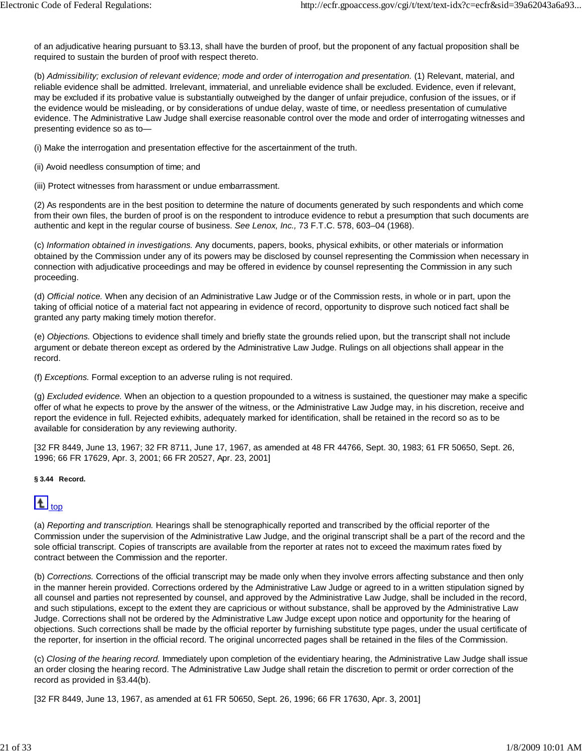of an adjudicative hearing pursuant to §3.13, shall have the burden of proof, but the proponent of any factual proposition shall be required to sustain the burden of proof with respect thereto.

(b) *Admissibility; exclusion of relevant evidence; mode and order of interrogation and presentation.* (1) Relevant, material, and reliable evidence shall be admitted. Irrelevant, immaterial, and unreliable evidence shall be excluded. Evidence, even if relevant, may be excluded if its probative value is substantially outweighed by the danger of unfair prejudice, confusion of the issues, or if the evidence would be misleading, or by considerations of undue delay, waste of time, or needless presentation of cumulative evidence. The Administrative Law Judge shall exercise reasonable control over the mode and order of interrogating witnesses and presenting evidence so as to—

(i) Make the interrogation and presentation effective for the ascertainment of the truth.

(ii) Avoid needless consumption of time; and

(iii) Protect witnesses from harassment or undue embarrassment.

(2) As respondents are in the best position to determine the nature of documents generated by such respondents and which come from their own files, the burden of proof is on the respondent to introduce evidence to rebut a presumption that such documents are authentic and kept in the regular course of business. *See Lenox, Inc.,* 73 F.T.C. 578, 603–04 (1968).

(c) *Information obtained in investigations.* Any documents, papers, books, physical exhibits, or other materials or information obtained by the Commission under any of its powers may be disclosed by counsel representing the Commission when necessary in connection with adjudicative proceedings and may be offered in evidence by counsel representing the Commission in any such proceeding.

(d) *Official notice.* When any decision of an Administrative Law Judge or of the Commission rests, in whole or in part, upon the taking of official notice of a material fact not appearing in evidence of record, opportunity to disprove such noticed fact shall be granted any party making timely motion therefor.

(e) *Objections.* Objections to evidence shall timely and briefly state the grounds relied upon, but the transcript shall not include argument or debate thereon except as ordered by the Administrative Law Judge. Rulings on all objections shall appear in the record.

(f) *Exceptions.* Formal exception to an adverse ruling is not required.

(g) *Excluded evidence.* When an objection to a question propounded to a witness is sustained, the questioner may make a specific offer of what he expects to prove by the answer of the witness, or the Administrative Law Judge may, in his discretion, receive and report the evidence in full. Rejected exhibits, adequately marked for identification, shall be retained in the record so as to be available for consideration by any reviewing authority.

[32 FR 8449, June 13, 1967; 32 FR 8711, June 17, 1967, as amended at 48 FR 44766, Sept. 30, 1983; 61 FR 50650, Sept. 26, 1996; 66 FR 17629, Apr. 3, 2001; 66 FR 20527, Apr. 23, 2001]

**§ 3.44 Record.**

## IŁ. top

(a) *Reporting and transcription.* Hearings shall be stenographically reported and transcribed by the official reporter of the Commission under the supervision of the Administrative Law Judge, and the original transcript shall be a part of the record and the sole official transcript. Copies of transcripts are available from the reporter at rates not to exceed the maximum rates fixed by contract between the Commission and the reporter.

(b) *Corrections.* Corrections of the official transcript may be made only when they involve errors affecting substance and then only in the manner herein provided. Corrections ordered by the Administrative Law Judge or agreed to in a written stipulation signed by all counsel and parties not represented by counsel, and approved by the Administrative Law Judge, shall be included in the record, and such stipulations, except to the extent they are capricious or without substance, shall be approved by the Administrative Law Judge. Corrections shall not be ordered by the Administrative Law Judge except upon notice and opportunity for the hearing of objections. Such corrections shall be made by the official reporter by furnishing substitute type pages, under the usual certificate of the reporter, for insertion in the official record. The original uncorrected pages shall be retained in the files of the Commission.

(c) *Closing of the hearing record.* Immediately upon completion of the evidentiary hearing, the Administrative Law Judge shall issue an order closing the hearing record. The Administrative Law Judge shall retain the discretion to permit or order correction of the record as provided in §3.44(b).

[32 FR 8449, June 13, 1967, as amended at 61 FR 50650, Sept. 26, 1996; 66 FR 17630, Apr. 3, 2001]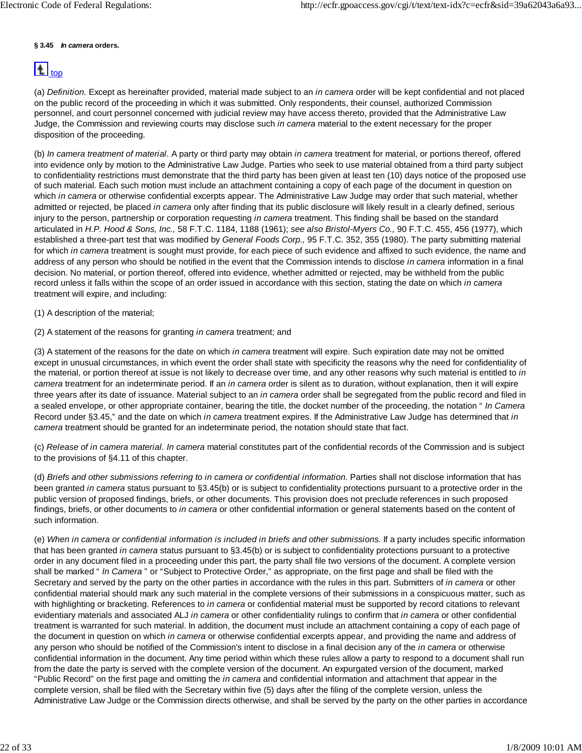#### **§ 3.45** *In camera* **orders.**

## top

(a) *Definition.* Except as hereinafter provided, material made subject to an *in camera* order will be kept confidential and not placed on the public record of the proceeding in which it was submitted. Only respondents, their counsel, authorized Commission personnel, and court personnel concerned with judicial review may have access thereto, provided that the Administrative Law Judge, the Commission and reviewing courts may disclose such *in camera* material to the extent necessary for the proper disposition of the proceeding.

(b) *In camera treatment of material.* A party or third party may obtain *in camera* treatment for material, or portions thereof, offered into evidence only by motion to the Administrative Law Judge. Parties who seek to use material obtained from a third party subject to confidentiality restrictions must demonstrate that the third party has been given at least ten (10) days notice of the proposed use of such material. Each such motion must include an attachment containing a copy of each page of the document in question on which *in camera* or otherwise confidential excerpts appear. The Administrative Law Judge may order that such material, whether admitted or rejected, be placed *in camera* only after finding that its public disclosure will likely result in a clearly defined, serious injury to the person, partnership or corporation requesting *in camera* treatment. This finding shall be based on the standard articulated in *H.P. Hood & Sons, Inc.,* 58 F.T.C. 1184, 1188 (1961); *see also Bristol-Myers Co.,* 90 F.T.C. 455, 456 (1977), which established a three-part test that was modified by *General Foods Corp.,* 95 F.T.C. 352, 355 (1980). The party submitting material for which *in camera* treatment is sought must provide, for each piece of such evidence and affixed to such evidence, the name and address of any person who should be notified in the event that the Commission intends to disclose *in camera* information in a final decision. No material, or portion thereof, offered into evidence, whether admitted or rejected, may be withheld from the public record unless it falls within the scope of an order issued in accordance with this section, stating the date on which *in camera* treatment will expire, and including:

(1) A description of the material;

(2) A statement of the reasons for granting *in camera* treatment; and

(3) A statement of the reasons for the date on which *in camera* treatment will expire. Such expiration date may not be omitted except in unusual circumstances, in which event the order shall state with specificity the reasons why the need for confidentiality of the material, or portion thereof at issue is not likely to decrease over time, and any other reasons why such material is entitled to *in camera* treatment for an indeterminate period. If an *in camera* order is silent as to duration, without explanation, then it will expire three years after its date of issuance. Material subject to an *in camera* order shall be segregated from the public record and filed in a sealed envelope, or other appropriate container, bearing the title, the docket number of the proceeding, the notation " *In Camera* Record under §3.45," and the date on which *in camera* treatment expires. If the Administrative Law Judge has determined that *in camera* treatment should be granted for an indeterminate period, the notation should state that fact.

(c) *Release of in camera material. In camera* material constitutes part of the confidential records of the Commission and is subject to the provisions of §4.11 of this chapter.

(d) *Briefs and other submissions referring to in camera or confidential information*. Parties shall not disclose information that has been granted *in camera* status pursuant to §3.45(b) or is subject to confidentiality protections pursuant to a protective order in the public version of proposed findings, briefs, or other documents. This provision does not preclude references in such proposed findings, briefs, or other documents to *in camera* or other confidential information or general statements based on the content of such information.

(e) When in camera or confidential information is included in briefs and other submissions. If a party includes specific information that has been granted *in camera* status pursuant to §3.45(b) or is subject to confidentiality protections pursuant to a protective order in any document filed in a proceeding under this part, the party shall file two versions of the document. A complete version shall be marked " *In Camera* " or "Subject to Protective Order," as appropriate, on the first page and shall be filed with the Secretary and served by the party on the other parties in accordance with the rules in this part. Submitters of *in camera* or other confidential material should mark any such material in the complete versions of their submissions in a conspicuous matter, such as with highlighting or bracketing. References to *in camera* or confidential material must be supported by record citations to relevant evidentiary materials and associated ALJ *in camera* or other confidentiality rulings to confirm that *in camera* or other confidential treatment is warranted for such material. In addition, the document must include an attachment containing a copy of each page of the document in question on which *in camera* or otherwise confidential excerpts appear, and providing the name and address of any person who should be notified of the Commission's intent to disclose in a final decision any of the *in camera* or otherwise confidential information in the document. Any time period within which these rules allow a party to respond to a document shall run from the date the party is served with the complete version of the document. An expurgated version of the document, marked "Public Record" on the first page and omitting the *in camera* and confidential information and attachment that appear in the complete version, shall be filed with the Secretary within five (5) days after the filing of the complete version, unless the Administrative Law Judge or the Commission directs otherwise, and shall be served by the party on the other parties in accordance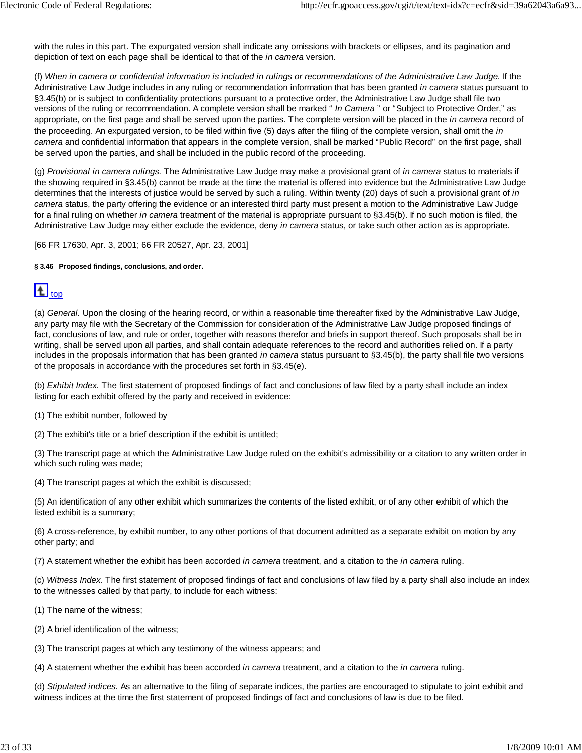with the rules in this part. The expurgated version shall indicate any omissions with brackets or ellipses, and its pagination and depiction of text on each page shall be identical to that of the *in camera* version.

(f) *When in camera or confidential information is included in rulings or recommendations of the Administrative Law Judge.* If the Administrative Law Judge includes in any ruling or recommendation information that has been granted *in camera* status pursuant to §3.45(b) or is subject to confidentiality protections pursuant to a protective order, the Administrative Law Judge shall file two versions of the ruling or recommendation. A complete version shall be marked " *In Camera* " or "Subject to Protective Order," as appropriate, on the first page and shall be served upon the parties. The complete version will be placed in the *in camera* record of the proceeding. An expurgated version, to be filed within five (5) days after the filing of the complete version, shall omit the *in camera* and confidential information that appears in the complete version, shall be marked "Public Record" on the first page, shall be served upon the parties, and shall be included in the public record of the proceeding.

(g) *Provisional in camera rulings.* The Administrative Law Judge may make a provisional grant of *in camera* status to materials if the showing required in §3.45(b) cannot be made at the time the material is offered into evidence but the Administrative Law Judge determines that the interests of justice would be served by such a ruling. Within twenty (20) days of such a provisional grant of *in camera* status, the party offering the evidence or an interested third party must present a motion to the Administrative Law Judge for a final ruling on whether *in camera* treatment of the material is appropriate pursuant to §3.45(b). If no such motion is filed, the Administrative Law Judge may either exclude the evidence, deny *in camera* status, or take such other action as is appropriate.

[66 FR 17630, Apr. 3, 2001; 66 FR 20527, Apr. 23, 2001]

**§ 3.46 Proposed findings, conclusions, and order.**

# top<br>top

(a) *General.* Upon the closing of the hearing record, or within a reasonable time thereafter fixed by the Administrative Law Judge, any party may file with the Secretary of the Commission for consideration of the Administrative Law Judge proposed findings of fact, conclusions of law, and rule or order, together with reasons therefor and briefs in support thereof. Such proposals shall be in writing, shall be served upon all parties, and shall contain adequate references to the record and authorities relied on. If a party includes in the proposals information that has been granted *in camera* status pursuant to §3.45(b), the party shall file two versions of the proposals in accordance with the procedures set forth in §3.45(e).

(b) *Exhibit Index.* The first statement of proposed findings of fact and conclusions of law filed by a party shall include an index listing for each exhibit offered by the party and received in evidence:

(1) The exhibit number, followed by

(2) The exhibit's title or a brief description if the exhibit is untitled;

(3) The transcript page at which the Administrative Law Judge ruled on the exhibit's admissibility or a citation to any written order in which such ruling was made;

(4) The transcript pages at which the exhibit is discussed;

(5) An identification of any other exhibit which summarizes the contents of the listed exhibit, or of any other exhibit of which the listed exhibit is a summary;

(6) A cross-reference, by exhibit number, to any other portions of that document admitted as a separate exhibit on motion by any other party; and

(7) A statement whether the exhibit has been accorded *in camera* treatment, and a citation to the *in camera* ruling.

(c) *Witness Index.* The first statement of proposed findings of fact and conclusions of law filed by a party shall also include an index to the witnesses called by that party, to include for each witness:

(1) The name of the witness;

- (2) A brief identification of the witness;
- (3) The transcript pages at which any testimony of the witness appears; and

(4) A statement whether the exhibit has been accorded *in camera* treatment, and a citation to the *in camera* ruling.

(d) *Stipulated indices.* As an alternative to the filing of separate indices, the parties are encouraged to stipulate to joint exhibit and witness indices at the time the first statement of proposed findings of fact and conclusions of law is due to be filed.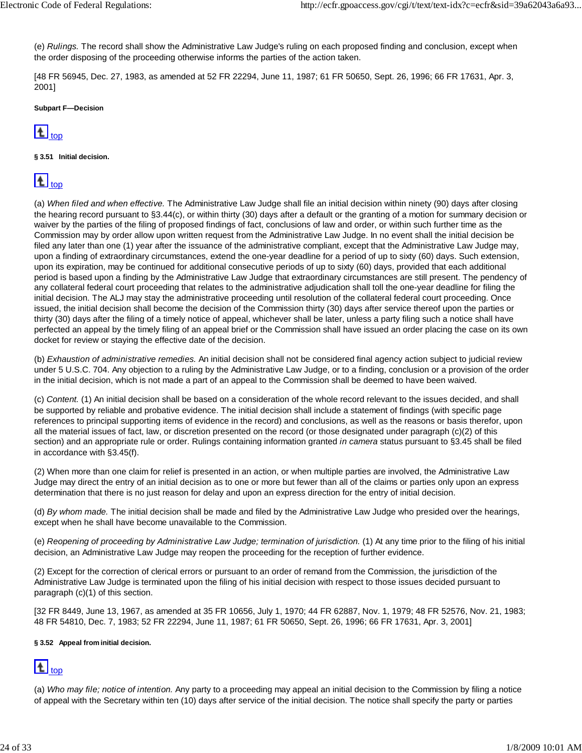(e) *Rulings.* The record shall show the Administrative Law Judge's ruling on each proposed finding and conclusion, except when the order disposing of the proceeding otherwise informs the parties of the action taken.

[48 FR 56945, Dec. 27, 1983, as amended at 52 FR 22294, June 11, 1987; 61 FR 50650, Sept. 26, 1996; 66 FR 17631, Apr. 3, 2001]

**Subpart F—Decision**

top

**§ 3.51 Initial decision.**



(a) *When filed and when effective.* The Administrative Law Judge shall file an initial decision within ninety (90) days after closing the hearing record pursuant to §3.44(c), or within thirty (30) days after a default or the granting of a motion for summary decision or waiver by the parties of the filing of proposed findings of fact, conclusions of law and order, or within such further time as the Commission may by order allow upon written request from the Administrative Law Judge. In no event shall the initial decision be filed any later than one (1) year after the issuance of the administrative compliant, except that the Administrative Law Judge may, upon a finding of extraordinary circumstances, extend the one-year deadline for a period of up to sixty (60) days. Such extension, upon its expiration, may be continued for additional consecutive periods of up to sixty (60) days, provided that each additional period is based upon a finding by the Administrative Law Judge that extraordinary circumstances are still present. The pendency of any collateral federal court proceeding that relates to the administrative adjudication shall toll the one-year deadline for filing the initial decision. The ALJ may stay the administrative proceeding until resolution of the collateral federal court proceeding. Once issued, the initial decision shall become the decision of the Commission thirty (30) days after service thereof upon the parties or thirty (30) days after the filing of a timely notice of appeal, whichever shall be later, unless a party filing such a notice shall have perfected an appeal by the timely filing of an appeal brief or the Commission shall have issued an order placing the case on its own docket for review or staying the effective date of the decision.

(b) *Exhaustion of administrative remedies.* An initial decision shall not be considered final agency action subject to judicial review under 5 U.S.C. 704. Any objection to a ruling by the Administrative Law Judge, or to a finding, conclusion or a provision of the order in the initial decision, which is not made a part of an appeal to the Commission shall be deemed to have been waived.

(c) *Content.* (1) An initial decision shall be based on a consideration of the whole record relevant to the issues decided, and shall be supported by reliable and probative evidence. The initial decision shall include a statement of findings (with specific page references to principal supporting items of evidence in the record) and conclusions, as well as the reasons or basis therefor, upon all the material issues of fact, law, or discretion presented on the record (or those designated under paragraph (c)(2) of this section) and an appropriate rule or order. Rulings containing information granted *in camera* status pursuant to §3.45 shall be filed in accordance with §3.45(f).

(2) When more than one claim for relief is presented in an action, or when multiple parties are involved, the Administrative Law Judge may direct the entry of an initial decision as to one or more but fewer than all of the claims or parties only upon an express determination that there is no just reason for delay and upon an express direction for the entry of initial decision.

(d) *By whom made.* The initial decision shall be made and filed by the Administrative Law Judge who presided over the hearings, except when he shall have become unavailable to the Commission.

(e) *Reopening of proceeding by Administrative Law Judge; termination of jurisdiction.* (1) At any time prior to the filing of his initial decision, an Administrative Law Judge may reopen the proceeding for the reception of further evidence.

(2) Except for the correction of clerical errors or pursuant to an order of remand from the Commission, the jurisdiction of the Administrative Law Judge is terminated upon the filing of his initial decision with respect to those issues decided pursuant to paragraph (c)(1) of this section.

[32 FR 8449, June 13, 1967, as amended at 35 FR 10656, July 1, 1970; 44 FR 62887, Nov. 1, 1979; 48 FR 52576, Nov. 21, 1983; 48 FR 54810, Dec. 7, 1983; 52 FR 22294, June 11, 1987; 61 FR 50650, Sept. 26, 1996; 66 FR 17631, Apr. 3, 2001]

#### **§ 3.52 Appeal from initial decision.**



(a) *Who may file; notice of intention.* Any party to a proceeding may appeal an initial decision to the Commission by filing a notice of appeal with the Secretary within ten (10) days after service of the initial decision. The notice shall specify the party or parties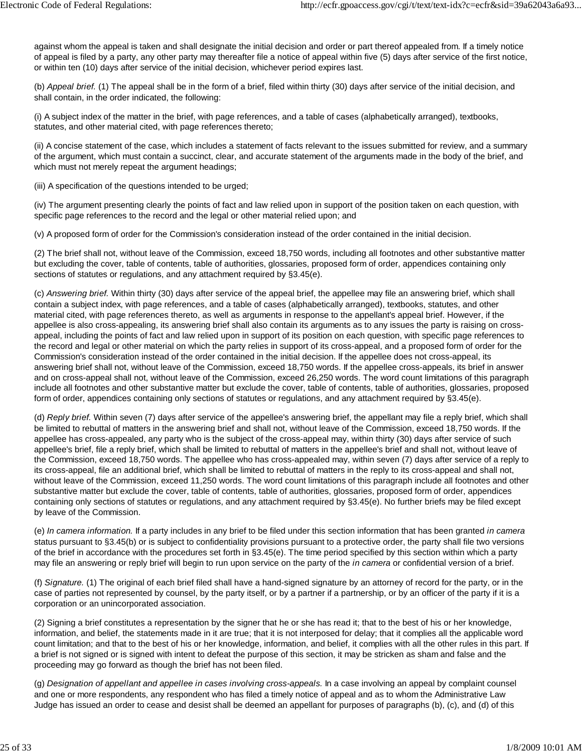against whom the appeal is taken and shall designate the initial decision and order or part thereof appealed from. If a timely notice of appeal is filed by a party, any other party may thereafter file a notice of appeal within five (5) days after service of the first notice, or within ten (10) days after service of the initial decision, whichever period expires last.

(b) *Appeal brief.* (1) The appeal shall be in the form of a brief, filed within thirty (30) days after service of the initial decision, and shall contain, in the order indicated, the following:

(i) A subject index of the matter in the brief, with page references, and a table of cases (alphabetically arranged), textbooks, statutes, and other material cited, with page references thereto;

(ii) A concise statement of the case, which includes a statement of facts relevant to the issues submitted for review, and a summary of the argument, which must contain a succinct, clear, and accurate statement of the arguments made in the body of the brief, and which must not merely repeat the argument headings;

(iii) A specification of the questions intended to be urged;

(iv) The argument presenting clearly the points of fact and law relied upon in support of the position taken on each question, with specific page references to the record and the legal or other material relied upon; and

(v) A proposed form of order for the Commission's consideration instead of the order contained in the initial decision.

(2) The brief shall not, without leave of the Commission, exceed 18,750 words, including all footnotes and other substantive matter but excluding the cover, table of contents, table of authorities, glossaries, proposed form of order, appendices containing only sections of statutes or regulations, and any attachment required by §3.45(e).

(c) *Answering brief.* Within thirty (30) days after service of the appeal brief, the appellee may file an answering brief, which shall contain a subject index, with page references, and a table of cases (alphabetically arranged), textbooks, statutes, and other material cited, with page references thereto, as well as arguments in response to the appellant's appeal brief. However, if the appellee is also cross-appealing, its answering brief shall also contain its arguments as to any issues the party is raising on crossappeal, including the points of fact and law relied upon in support of its position on each question, with specific page references to the record and legal or other material on which the party relies in support of its cross-appeal, and a proposed form of order for the Commission's consideration instead of the order contained in the initial decision. If the appellee does not cross-appeal, its answering brief shall not, without leave of the Commission, exceed 18,750 words. If the appellee cross-appeals, its brief in answer and on cross-appeal shall not, without leave of the Commission, exceed 26,250 words. The word count limitations of this paragraph include all footnotes and other substantive matter but exclude the cover, table of contents, table of authorities, glossaries, proposed form of order, appendices containing only sections of statutes or regulations, and any attachment required by §3.45(e).

(d) *Reply brief.* Within seven (7) days after service of the appellee's answering brief, the appellant may file a reply brief, which shall be limited to rebuttal of matters in the answering brief and shall not, without leave of the Commission, exceed 18,750 words. If the appellee has cross-appealed, any party who is the subject of the cross-appeal may, within thirty (30) days after service of such appellee's brief, file a reply brief, which shall be limited to rebuttal of matters in the appellee's brief and shall not, without leave of the Commission, exceed 18,750 words. The appellee who has cross-appealed may, within seven (7) days after service of a reply to its cross-appeal, file an additional brief, which shall be limited to rebuttal of matters in the reply to its cross-appeal and shall not, without leave of the Commission, exceed 11,250 words. The word count limitations of this paragraph include all footnotes and other substantive matter but exclude the cover, table of contents, table of authorities, glossaries, proposed form of order, appendices containing only sections of statutes or regulations, and any attachment required by §3.45(e). No further briefs may be filed except by leave of the Commission.

(e) *In camera information.* If a party includes in any brief to be filed under this section information that has been granted *in camera* status pursuant to §3.45(b) or is subject to confidentiality provisions pursuant to a protective order, the party shall file two versions of the brief in accordance with the procedures set forth in §3.45(e). The time period specified by this section within which a party may file an answering or reply brief will begin to run upon service on the party of the *in camera* or confidential version of a brief.

(f) *Signature.* (1) The original of each brief filed shall have a hand-signed signature by an attorney of record for the party, or in the case of parties not represented by counsel, by the party itself, or by a partner if a partnership, or by an officer of the party if it is a corporation or an unincorporated association.

(2) Signing a brief constitutes a representation by the signer that he or she has read it; that to the best of his or her knowledge, information, and belief, the statements made in it are true; that it is not interposed for delay; that it complies all the applicable word count limitation; and that to the best of his or her knowledge, information, and belief, it complies with all the other rules in this part. If a brief is not signed or is signed with intent to defeat the purpose of this section, it may be stricken as sham and false and the proceeding may go forward as though the brief has not been filed.

(g) *Designation of appellant and appellee in cases involving cross-appeals*. In a case involving an appeal by complaint counsel and one or more respondents, any respondent who has filed a timely notice of appeal and as to whom the Administrative Law Judge has issued an order to cease and desist shall be deemed an appellant for purposes of paragraphs (b), (c), and (d) of this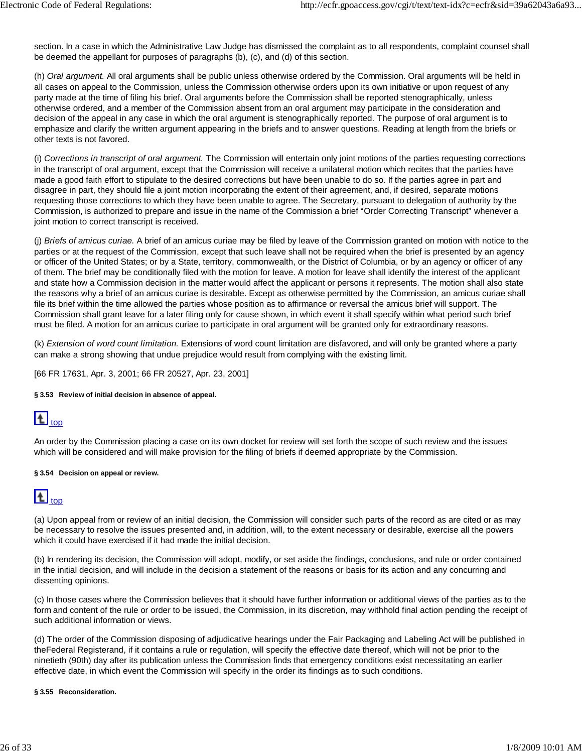section. In a case in which the Administrative Law Judge has dismissed the complaint as to all respondents, complaint counsel shall be deemed the appellant for purposes of paragraphs (b), (c), and (d) of this section.

(h) *Oral argument.* All oral arguments shall be public unless otherwise ordered by the Commission. Oral arguments will be held in all cases on appeal to the Commission, unless the Commission otherwise orders upon its own initiative or upon request of any party made at the time of filing his brief. Oral arguments before the Commission shall be reported stenographically, unless otherwise ordered, and a member of the Commission absent from an oral argument may participate in the consideration and decision of the appeal in any case in which the oral argument is stenographically reported. The purpose of oral argument is to emphasize and clarify the written argument appearing in the briefs and to answer questions. Reading at length from the briefs or other texts is not favored.

(i) *Corrections in transcript of oral argument.* The Commission will entertain only joint motions of the parties requesting corrections in the transcript of oral argument, except that the Commission will receive a unilateral motion which recites that the parties have made a good faith effort to stipulate to the desired corrections but have been unable to do so. If the parties agree in part and disagree in part, they should file a joint motion incorporating the extent of their agreement, and, if desired, separate motions requesting those corrections to which they have been unable to agree. The Secretary, pursuant to delegation of authority by the Commission, is authorized to prepare and issue in the name of the Commission a brief "Order Correcting Transcript" whenever a joint motion to correct transcript is received.

(j) *Briefs of amicus curiae.* A brief of an amicus curiae may be filed by leave of the Commission granted on motion with notice to the parties or at the request of the Commission, except that such leave shall not be required when the brief is presented by an agency or officer of the United States; or by a State, territory, commonwealth, or the District of Columbia, or by an agency or officer of any of them. The brief may be conditionally filed with the motion for leave. A motion for leave shall identify the interest of the applicant and state how a Commission decision in the matter would affect the applicant or persons it represents. The motion shall also state the reasons why a brief of an amicus curiae is desirable. Except as otherwise permitted by the Commission, an amicus curiae shall file its brief within the time allowed the parties whose position as to affirmance or reversal the amicus brief will support. The Commission shall grant leave for a later filing only for cause shown, in which event it shall specify within what period such brief must be filed. A motion for an amicus curiae to participate in oral argument will be granted only for extraordinary reasons.

(k) *Extension of word count limitation.* Extensions of word count limitation are disfavored, and will only be granted where a party can make a strong showing that undue prejudice would result from complying with the existing limit.

[66 FR 17631, Apr. 3, 2001; 66 FR 20527, Apr. 23, 2001]

#### **§ 3.53 Review of initial decision in absence of appeal.**

## top

An order by the Commission placing a case on its own docket for review will set forth the scope of such review and the issues which will be considered and will make provision for the filing of briefs if deemed appropriate by the Commission.

#### **§ 3.54 Decision on appeal or review.**

## $t_{\text{top}}$

(a) Upon appeal from or review of an initial decision, the Commission will consider such parts of the record as are cited or as may be necessary to resolve the issues presented and, in addition, will, to the extent necessary or desirable, exercise all the powers which it could have exercised if it had made the initial decision.

(b) In rendering its decision, the Commission will adopt, modify, or set aside the findings, conclusions, and rule or order contained in the initial decision, and will include in the decision a statement of the reasons or basis for its action and any concurring and dissenting opinions.

(c) In those cases where the Commission believes that it should have further information or additional views of the parties as to the form and content of the rule or order to be issued, the Commission, in its discretion, may withhold final action pending the receipt of such additional information or views.

(d) The order of the Commission disposing of adjudicative hearings under the Fair Packaging and Labeling Act will be published in theFederal Registerand, if it contains a rule or regulation, will specify the effective date thereof, which will not be prior to the ninetieth (90th) day after its publication unless the Commission finds that emergency conditions exist necessitating an earlier effective date, in which event the Commission will specify in the order its findings as to such conditions.

#### **§ 3.55 Reconsideration.**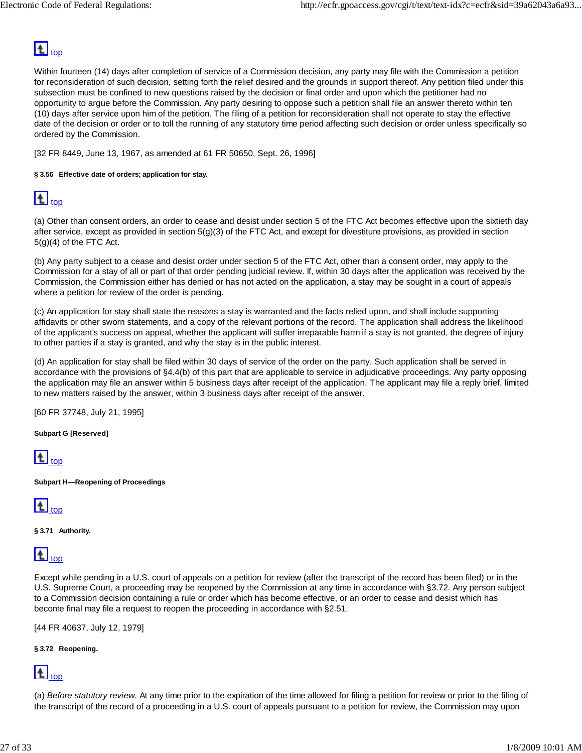

Within fourteen (14) days after completion of service of a Commission decision, any party may file with the Commission a petition for reconsideration of such decision, setting forth the relief desired and the grounds in support thereof. Any petition filed under this subsection must be confined to new questions raised by the decision or final order and upon which the petitioner had no opportunity to argue before the Commission. Any party desiring to oppose such a petition shall file an answer thereto within ten (10) days after service upon him of the petition. The filing of a petition for reconsideration shall not operate to stay the effective date of the decision or order or to toll the running of any statutory time period affecting such decision or order unless specifically so ordered by the Commission.

[32 FR 8449, June 13, 1967, as amended at 61 FR 50650, Sept. 26, 1996]

#### **§ 3.56 Effective date of orders; application for stay.**



(a) Other than consent orders, an order to cease and desist under section 5 of the FTC Act becomes effective upon the sixtieth day after service, except as provided in section  $5(q)(3)$  of the FTC Act, and except for divestiture provisions, as provided in section  $5(g)(4)$  of the FTC Act.

(b) Any party subject to a cease and desist order under section 5 of the FTC Act, other than a consent order, may apply to the Commission for a stay of all or part of that order pending judicial review. If, within 30 days after the application was received by the Commission, the Commission either has denied or has not acted on the application, a stay may be sought in a court of appeals where a petition for review of the order is pending.

(c) An application for stay shall state the reasons a stay is warranted and the facts relied upon, and shall include supporting affidavits or other sworn statements, and a copy of the relevant portions of the record. The application shall address the likelihood of the applicant's success on appeal, whether the applicant will suffer irreparable harm if a stay is not granted, the degree of injury to other parties if a stay is granted, and why the stay is in the public interest.

(d) An application for stay shall be filed within 30 days of service of the order on the party. Such application shall be served in accordance with the provisions of §4.4(b) of this part that are applicable to service in adjudicative proceedings. Any party opposing the application may file an answer within 5 business days after receipt of the application. The applicant may file a reply brief, limited to new matters raised by the answer, within 3 business days after receipt of the answer.

[60 FR 37748, July 21, 1995]

**Subpart G [Reserved]**



**Subpart H—Reopening of Proceedings**



**§ 3.71 Authority.**



Except while pending in a U.S. court of appeals on a petition for review (after the transcript of the record has been filed) or in the U.S. Supreme Court, a proceeding may be reopened by the Commission at any time in accordance with §3.72. Any person subject to a Commission decision containing a rule or order which has become effective, or an order to cease and desist which has become final may file a request to reopen the proceeding in accordance with §2.51.

[44 FR 40637, July 12, 1979]

**§ 3.72 Reopening.**



(a) *Before statutory review.* At any time prior to the expiration of the time allowed for filing a petition for review or prior to the filing of the transcript of the record of a proceeding in a U.S. court of appeals pursuant to a petition for review, the Commission may upon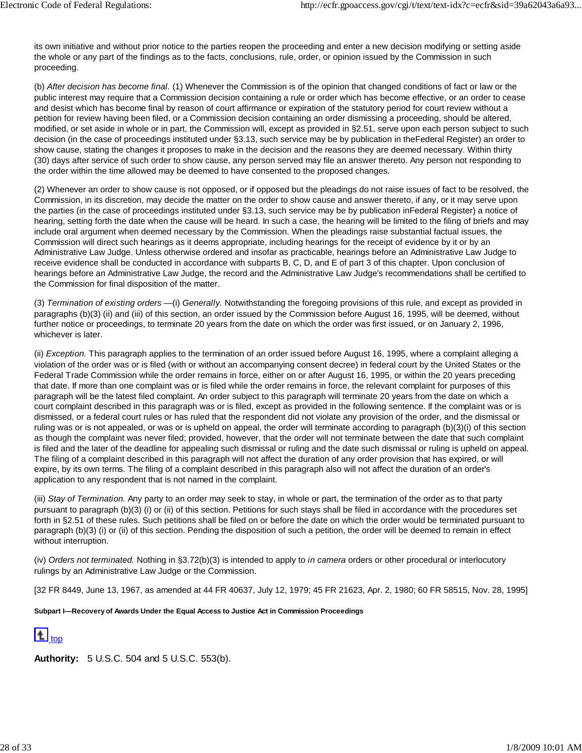its own initiative and without prior notice to the parties reopen the proceeding and enter a new decision modifying or setting aside the whole or any part of the findings as to the facts, conclusions, rule, order, or opinion issued by the Commission in such proceeding.

(b) *After decision has become final.* (1) Whenever the Commission is of the opinion that changed conditions of fact or law or the public interest may require that a Commission decision containing a rule or order which has become effective, or an order to cease and desist which has become final by reason of court affirmance or expiration of the statutory period for court review without a petition for review having been filed, or a Commission decision containing an order dismissing a proceeding, should be altered, modified, or set aside in whole or in part, the Commission will, except as provided in §2.51, serve upon each person subject to such decision (in the case of proceedings instituted under §3.13, such service may be by publication in theFederal Register) an order to show cause, stating the changes it proposes to make in the decision and the reasons they are deemed necessary. Within thirty (30) days after service of such order to show cause, any person served may file an answer thereto. Any person not responding to the order within the time allowed may be deemed to have consented to the proposed changes.

(2) Whenever an order to show cause is not opposed, or if opposed but the pleadings do not raise issues of fact to be resolved, the Commission, in its discretion, may decide the matter on the order to show cause and answer thereto, if any, or it may serve upon the parties (in the case of proceedings instituted under §3.13, such service may be by publication inFederal Register) a notice of hearing, setting forth the date when the cause will be heard. In such a case, the hearing will be limited to the filing of briefs and may include oral argument when deemed necessary by the Commission. When the pleadings raise substantial factual issues, the Commission will direct such hearings as it deems appropriate, including hearings for the receipt of evidence by it or by an Administrative Law Judge. Unless otherwise ordered and insofar as practicable, hearings before an Administrative Law Judge to receive evidence shall be conducted in accordance with subparts B, C, D, and E of part 3 of this chapter. Upon conclusion of hearings before an Administrative Law Judge, the record and the Administrative Law Judge's recommendations shall be certified to the Commission for final disposition of the matter.

(3) *Termination of existing orders* —(i) *Generally.* Notwithstanding the foregoing provisions of this rule, and except as provided in paragraphs (b)(3) (ii) and (iii) of this section, an order issued by the Commission before August 16, 1995, will be deemed, without further notice or proceedings, to terminate 20 years from the date on which the order was first issued, or on January 2, 1996, whichever is later.

(ii) *Exception.* This paragraph applies to the termination of an order issued before August 16, 1995, where a complaint alleging a violation of the order was or is filed (with or without an accompanying consent decree) in federal court by the United States or the Federal Trade Commission while the order remains in force, either on or after August 16, 1995, or within the 20 years preceding that date. If more than one complaint was or is filed while the order remains in force, the relevant complaint for purposes of this paragraph will be the latest filed complaint. An order subject to this paragraph will terminate 20 years from the date on which a court complaint described in this paragraph was or is filed, except as provided in the following sentence. If the complaint was or is dismissed, or a federal court rules or has ruled that the respondent did not violate any provision of the order, and the dismissal or ruling was or is not appealed, or was or is upheld on appeal, the order will terminate according to paragraph (b)(3)(i) of this section as though the complaint was never filed; provided, however, that the order will not terminate between the date that such complaint is filed and the later of the deadline for appealing such dismissal or ruling and the date such dismissal or ruling is upheld on appeal. The filing of a complaint described in this paragraph will not affect the duration of any order provision that has expired, or will expire, by its own terms. The filing of a complaint described in this paragraph also will not affect the duration of an order's application to any respondent that is not named in the complaint.

(iii) *Stay of Termination.* Any party to an order may seek to stay, in whole or part, the termination of the order as to that party pursuant to paragraph (b)(3) (i) or (ii) of this section. Petitions for such stays shall be filed in accordance with the procedures set forth in §2.51 of these rules. Such petitions shall be filed on or before the date on which the order would be terminated pursuant to paragraph (b)(3) (i) or (ii) of this section. Pending the disposition of such a petition, the order will be deemed to remain in effect without interruption.

(iv) *Orders not terminated.* Nothing in §3.72(b)(3) is intended to apply to *in camera* orders or other procedural or interlocutory rulings by an Administrative Law Judge or the Commission.

[32 FR 8449, June 13, 1967, as amended at 44 FR 40637, July 12, 1979; 45 FR 21623, Apr. 2, 1980; 60 FR 58515, Nov. 28, 1995]

**Subpart I—Recovery of Awards Under the Equal Access to Justice Act in Commission Proceedings**

 $t_{\text{top}}$ 

**Authority:** 5 U.S.C. 504 and 5 U.S.C. 553(b).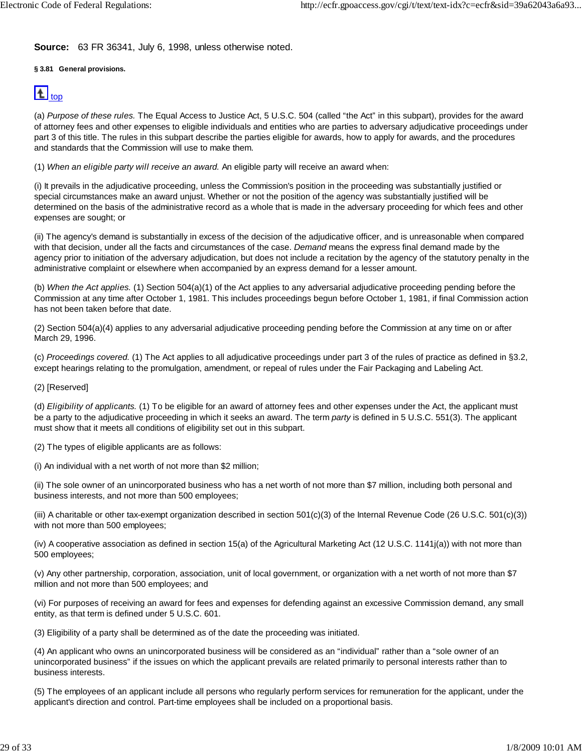## **Source:** 63 FR 36341, July 6, 1998, unless otherwise noted.

## **§ 3.81 General provisions.**

# $t_{top}$

(a) *Purpose of these rules.* The Equal Access to Justice Act, 5 U.S.C. 504 (called "the Act" in this subpart), provides for the award of attorney fees and other expenses to eligible individuals and entities who are parties to adversary adjudicative proceedings under part 3 of this title. The rules in this subpart describe the parties eligible for awards, how to apply for awards, and the procedures and standards that the Commission will use to make them.

(1) *When an eligible party will receive an award.* An eligible party will receive an award when:

(i) It prevails in the adjudicative proceeding, unless the Commission's position in the proceeding was substantially justified or special circumstances make an award unjust. Whether or not the position of the agency was substantially justified will be determined on the basis of the administrative record as a whole that is made in the adversary proceeding for which fees and other expenses are sought; or

(ii) The agency's demand is substantially in excess of the decision of the adjudicative officer, and is unreasonable when compared with that decision, under all the facts and circumstances of the case. *Demand* means the express final demand made by the agency prior to initiation of the adversary adjudication, but does not include a recitation by the agency of the statutory penalty in the administrative complaint or elsewhere when accompanied by an express demand for a lesser amount.

(b) *When the Act applies.* (1) Section 504(a)(1) of the Act applies to any adversarial adjudicative proceeding pending before the Commission at any time after October 1, 1981. This includes proceedings begun before October 1, 1981, if final Commission action has not been taken before that date.

(2) Section 504(a)(4) applies to any adversarial adjudicative proceeding pending before the Commission at any time on or after March 29, 1996.

(c) *Proceedings covered.* (1) The Act applies to all adjudicative proceedings under part 3 of the rules of practice as defined in §3.2, except hearings relating to the promulgation, amendment, or repeal of rules under the Fair Packaging and Labeling Act.

### (2) [Reserved]

(d) *Eligibility of applicants.* (1) To be eligible for an award of attorney fees and other expenses under the Act, the applicant must be a party to the adjudicative proceeding in which it seeks an award. The term *party* is defined in 5 U.S.C. 551(3). The applicant must show that it meets all conditions of eligibility set out in this subpart.

(2) The types of eligible applicants are as follows:

(i) An individual with a net worth of not more than \$2 million;

(ii) The sole owner of an unincorporated business who has a net worth of not more than \$7 million, including both personal and business interests, and not more than 500 employees;

(iii) A charitable or other tax-exempt organization described in section 501(c)(3) of the Internal Revenue Code (26 U.S.C. 501(c)(3)) with not more than 500 employees;

(iv) A cooperative association as defined in section 15(a) of the Agricultural Marketing Act (12 U.S.C. 1141j(a)) with not more than 500 employees;

(v) Any other partnership, corporation, association, unit of local government, or organization with a net worth of not more than \$7 million and not more than 500 employees; and

(vi) For purposes of receiving an award for fees and expenses for defending against an excessive Commission demand, any small entity, as that term is defined under 5 U.S.C. 601.

(3) Eligibility of a party shall be determined as of the date the proceeding was initiated.

(4) An applicant who owns an unincorporated business will be considered as an "individual" rather than a "sole owner of an unincorporated business" if the issues on which the applicant prevails are related primarily to personal interests rather than to business interests.

(5) The employees of an applicant include all persons who regularly perform services for remuneration for the applicant, under the applicant's direction and control. Part-time employees shall be included on a proportional basis.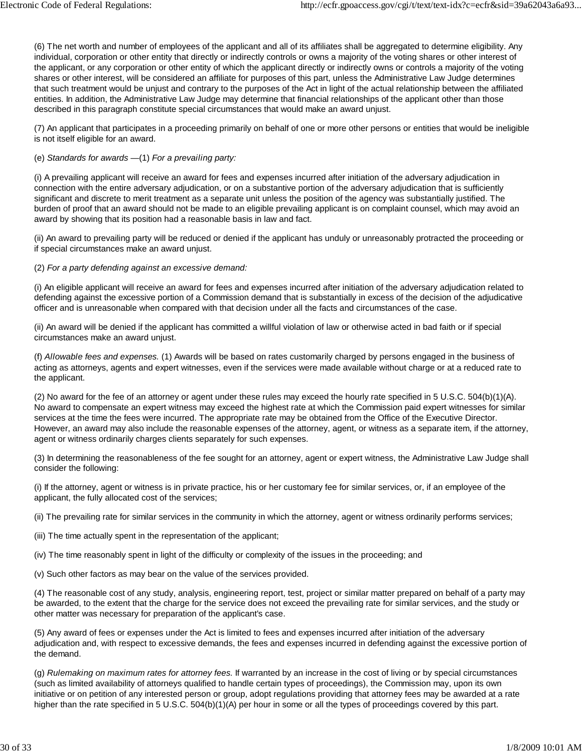(6) The net worth and number of employees of the applicant and all of its affiliates shall be aggregated to determine eligibility. Any individual, corporation or other entity that directly or indirectly controls or owns a majority of the voting shares or other interest of the applicant, or any corporation or other entity of which the applicant directly or indirectly owns or controls a majority of the voting shares or other interest, will be considered an affiliate for purposes of this part, unless the Administrative Law Judge determines that such treatment would be unjust and contrary to the purposes of the Act in light of the actual relationship between the affiliated entities. In addition, the Administrative Law Judge may determine that financial relationships of the applicant other than those described in this paragraph constitute special circumstances that would make an award unjust.

(7) An applicant that participates in a proceeding primarily on behalf of one or more other persons or entities that would be ineligible is not itself eligible for an award.

## (e) *Standards for awards* —(1) *For a prevailing party:*

(i) A prevailing applicant will receive an award for fees and expenses incurred after initiation of the adversary adjudication in connection with the entire adversary adjudication, or on a substantive portion of the adversary adjudication that is sufficiently significant and discrete to merit treatment as a separate unit unless the position of the agency was substantially justified. The burden of proof that an award should not be made to an eligible prevailing applicant is on complaint counsel, which may avoid an award by showing that its position had a reasonable basis in law and fact.

(ii) An award to prevailing party will be reduced or denied if the applicant has unduly or unreasonably protracted the proceeding or if special circumstances make an award unjust.

## (2) *For a party defending against an excessive demand:*

(i) An eligible applicant will receive an award for fees and expenses incurred after initiation of the adversary adjudication related to defending against the excessive portion of a Commission demand that is substantially in excess of the decision of the adjudicative officer and is unreasonable when compared with that decision under all the facts and circumstances of the case.

(ii) An award will be denied if the applicant has committed a willful violation of law or otherwise acted in bad faith or if special circumstances make an award unjust.

(f) *Allowable fees and expenses.* (1) Awards will be based on rates customarily charged by persons engaged in the business of acting as attorneys, agents and expert witnesses, even if the services were made available without charge or at a reduced rate to the applicant.

(2) No award for the fee of an attorney or agent under these rules may exceed the hourly rate specified in 5 U.S.C. 504(b)(1)(A). No award to compensate an expert witness may exceed the highest rate at which the Commission paid expert witnesses for similar services at the time the fees were incurred. The appropriate rate may be obtained from the Office of the Executive Director. However, an award may also include the reasonable expenses of the attorney, agent, or witness as a separate item, if the attorney, agent or witness ordinarily charges clients separately for such expenses.

(3) In determining the reasonableness of the fee sought for an attorney, agent or expert witness, the Administrative Law Judge shall consider the following:

(i) If the attorney, agent or witness is in private practice, his or her customary fee for similar services, or, if an employee of the applicant, the fully allocated cost of the services;

(ii) The prevailing rate for similar services in the community in which the attorney, agent or witness ordinarily performs services;

(iii) The time actually spent in the representation of the applicant;

(iv) The time reasonably spent in light of the difficulty or complexity of the issues in the proceeding; and

(v) Such other factors as may bear on the value of the services provided.

(4) The reasonable cost of any study, analysis, engineering report, test, project or similar matter prepared on behalf of a party may be awarded, to the extent that the charge for the service does not exceed the prevailing rate for similar services, and the study or other matter was necessary for preparation of the applicant's case.

(5) Any award of fees or expenses under the Act is limited to fees and expenses incurred after initiation of the adversary adjudication and, with respect to excessive demands, the fees and expenses incurred in defending against the excessive portion of the demand.

(g) *Rulemaking on maximum rates for attorney fees.* If warranted by an increase in the cost of living or by special circumstances (such as limited availability of attorneys qualified to handle certain types of proceedings), the Commission may, upon its own initiative or on petition of any interested person or group, adopt regulations providing that attorney fees may be awarded at a rate higher than the rate specified in 5 U.S.C. 504(b)(1)(A) per hour in some or all the types of proceedings covered by this part.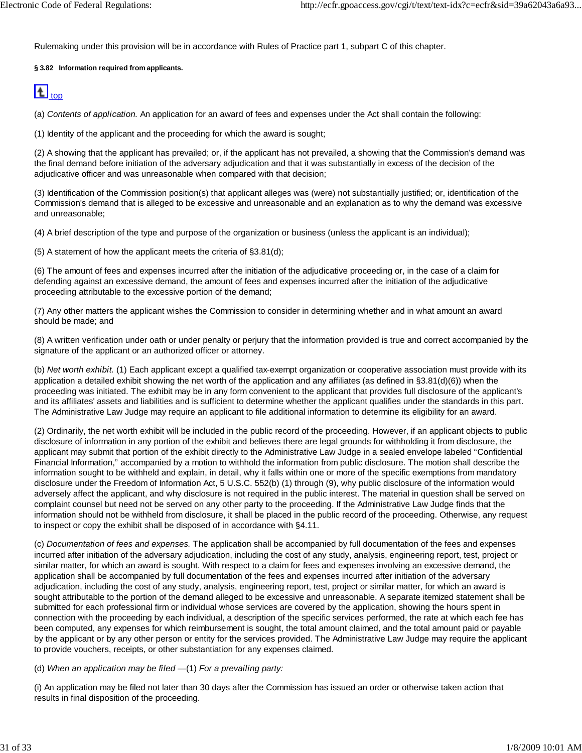Rulemaking under this provision will be in accordance with Rules of Practice part 1, subpart C of this chapter.

**§ 3.82 Information required from applicants.**

# top

(a) *Contents of application.* An application for an award of fees and expenses under the Act shall contain the following:

(1) Identity of the applicant and the proceeding for which the award is sought;

(2) A showing that the applicant has prevailed; or, if the applicant has not prevailed, a showing that the Commission's demand was the final demand before initiation of the adversary adjudication and that it was substantially in excess of the decision of the adjudicative officer and was unreasonable when compared with that decision;

(3) Identification of the Commission position(s) that applicant alleges was (were) not substantially justified; or, identification of the Commission's demand that is alleged to be excessive and unreasonable and an explanation as to why the demand was excessive and unreasonable;

(4) A brief description of the type and purpose of the organization or business (unless the applicant is an individual);

(5) A statement of how the applicant meets the criteria of §3.81(d);

(6) The amount of fees and expenses incurred after the initiation of the adjudicative proceeding or, in the case of a claim for defending against an excessive demand, the amount of fees and expenses incurred after the initiation of the adjudicative proceeding attributable to the excessive portion of the demand;

(7) Any other matters the applicant wishes the Commission to consider in determining whether and in what amount an award should be made; and

(8) A written verification under oath or under penalty or perjury that the information provided is true and correct accompanied by the signature of the applicant or an authorized officer or attorney.

(b) *Net worth exhibit.* (1) Each applicant except a qualified tax-exempt organization or cooperative association must provide with its application a detailed exhibit showing the net worth of the application and any affiliates (as defined in §3.81(d)(6)) when the proceeding was initiated. The exhibit may be in any form convenient to the applicant that provides full disclosure of the applicant's and its affiliates' assets and liabilities and is sufficient to determine whether the applicant qualifies under the standards in this part. The Administrative Law Judge may require an applicant to file additional information to determine its eligibility for an award.

(2) Ordinarily, the net worth exhibit will be included in the public record of the proceeding. However, if an applicant objects to public disclosure of information in any portion of the exhibit and believes there are legal grounds for withholding it from disclosure, the applicant may submit that portion of the exhibit directly to the Administrative Law Judge in a sealed envelope labeled "Confidential Financial Information," accompanied by a motion to withhold the information from public disclosure. The motion shall describe the information sought to be withheld and explain, in detail, why it falls within one or more of the specific exemptions from mandatory disclosure under the Freedom of Information Act, 5 U.S.C. 552(b) (1) through (9), why public disclosure of the information would adversely affect the applicant, and why disclosure is not required in the public interest. The material in question shall be served on complaint counsel but need not be served on any other party to the proceeding. If the Administrative Law Judge finds that the information should not be withheld from disclosure, it shall be placed in the public record of the proceeding. Otherwise, any request to inspect or copy the exhibit shall be disposed of in accordance with §4.11.

(c) *Documentation of fees and expenses.* The application shall be accompanied by full documentation of the fees and expenses incurred after initiation of the adversary adjudication, including the cost of any study, analysis, engineering report, test, project or similar matter, for which an award is sought. With respect to a claim for fees and expenses involving an excessive demand, the application shall be accompanied by full documentation of the fees and expenses incurred after initiation of the adversary adjudication, including the cost of any study, analysis, engineering report, test, project or similar matter, for which an award is sought attributable to the portion of the demand alleged to be excessive and unreasonable. A separate itemized statement shall be submitted for each professional firm or individual whose services are covered by the application, showing the hours spent in connection with the proceeding by each individual, a description of the specific services performed, the rate at which each fee has been computed, any expenses for which reimbursement is sought, the total amount claimed, and the total amount paid or payable by the applicant or by any other person or entity for the services provided. The Administrative Law Judge may require the applicant to provide vouchers, receipts, or other substantiation for any expenses claimed.

## (d) *When an application may be filed* —(1) *For a prevailing party:*

(i) An application may be filed not later than 30 days after the Commission has issued an order or otherwise taken action that results in final disposition of the proceeding.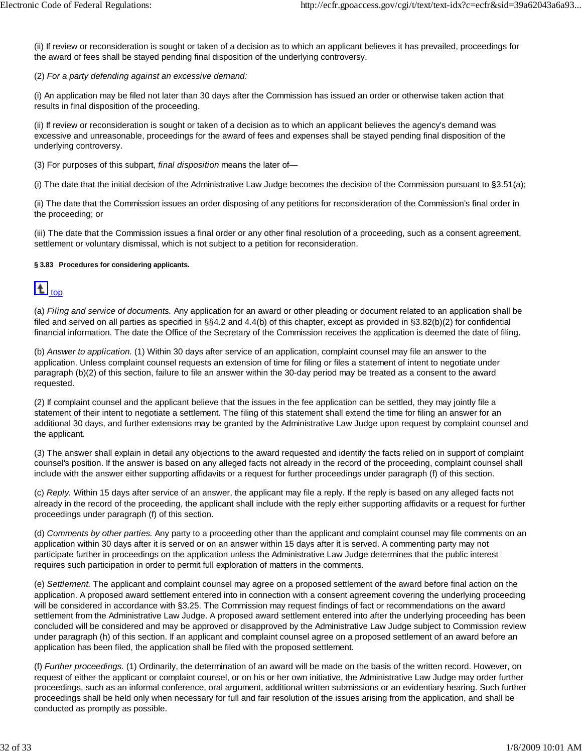(ii) If review or reconsideration is sought or taken of a decision as to which an applicant believes it has prevailed, proceedings for the award of fees shall be stayed pending final disposition of the underlying controversy.

(2) *For a party defending against an excessive demand:*

(i) An application may be filed not later than 30 days after the Commission has issued an order or otherwise taken action that results in final disposition of the proceeding.

(ii) If review or reconsideration is sought or taken of a decision as to which an applicant believes the agency's demand was excessive and unreasonable, proceedings for the award of fees and expenses shall be stayed pending final disposition of the underlying controversy.

(3) For purposes of this subpart, *final disposition* means the later of—

(i) The date that the initial decision of the Administrative Law Judge becomes the decision of the Commission pursuant to §3.51(a);

(ii) The date that the Commission issues an order disposing of any petitions for reconsideration of the Commission's final order in the proceeding; or

(iii) The date that the Commission issues a final order or any other final resolution of a proceeding, such as a consent agreement, settlement or voluntary dismissal, which is not subject to a petition for reconsideration.

## **§ 3.83 Procedures for considering applicants.**

# top<br>top

(a) *Filing and service of documents.* Any application for an award or other pleading or document related to an application shall be filed and served on all parties as specified in §§4.2 and 4.4(b) of this chapter, except as provided in §3.82(b)(2) for confidential financial information. The date the Office of the Secretary of the Commission receives the application is deemed the date of filing.

(b) *Answer to application.* (1) Within 30 days after service of an application, complaint counsel may file an answer to the application. Unless complaint counsel requests an extension of time for filing or files a statement of intent to negotiate under paragraph (b)(2) of this section, failure to file an answer within the 30-day period may be treated as a consent to the award requested.

(2) If complaint counsel and the applicant believe that the issues in the fee application can be settled, they may jointly file a statement of their intent to negotiate a settlement. The filing of this statement shall extend the time for filing an answer for an additional 30 days, and further extensions may be granted by the Administrative Law Judge upon request by complaint counsel and the applicant.

(3) The answer shall explain in detail any objections to the award requested and identify the facts relied on in support of complaint counsel's position. If the answer is based on any alleged facts not already in the record of the proceeding, complaint counsel shall include with the answer either supporting affidavits or a request for further proceedings under paragraph (f) of this section.

(c) *Reply.* Within 15 days after service of an answer, the applicant may file a reply. If the reply is based on any alleged facts not already in the record of the proceeding, the applicant shall include with the reply either supporting affidavits or a request for further proceedings under paragraph (f) of this section.

(d) *Comments by other parties.* Any party to a proceeding other than the applicant and complaint counsel may file comments on an application within 30 days after it is served or on an answer within 15 days after it is served. A commenting party may not participate further in proceedings on the application unless the Administrative Law Judge determines that the public interest requires such participation in order to permit full exploration of matters in the comments.

(e) *Settlement.* The applicant and complaint counsel may agree on a proposed settlement of the award before final action on the application. A proposed award settlement entered into in connection with a consent agreement covering the underlying proceeding will be considered in accordance with §3.25. The Commission may request findings of fact or recommendations on the award settlement from the Administrative Law Judge. A proposed award settlement entered into after the underlying proceeding has been concluded will be considered and may be approved or disapproved by the Administrative Law Judge subject to Commission review under paragraph (h) of this section. If an applicant and complaint counsel agree on a proposed settlement of an award before an application has been filed, the application shall be filed with the proposed settlement.

(f) *Further proceedings.* (1) Ordinarily, the determination of an award will be made on the basis of the written record. However, on request of either the applicant or complaint counsel, or on his or her own initiative, the Administrative Law Judge may order further proceedings, such as an informal conference, oral argument, additional written submissions or an evidentiary hearing. Such further proceedings shall be held only when necessary for full and fair resolution of the issues arising from the application, and shall be conducted as promptly as possible.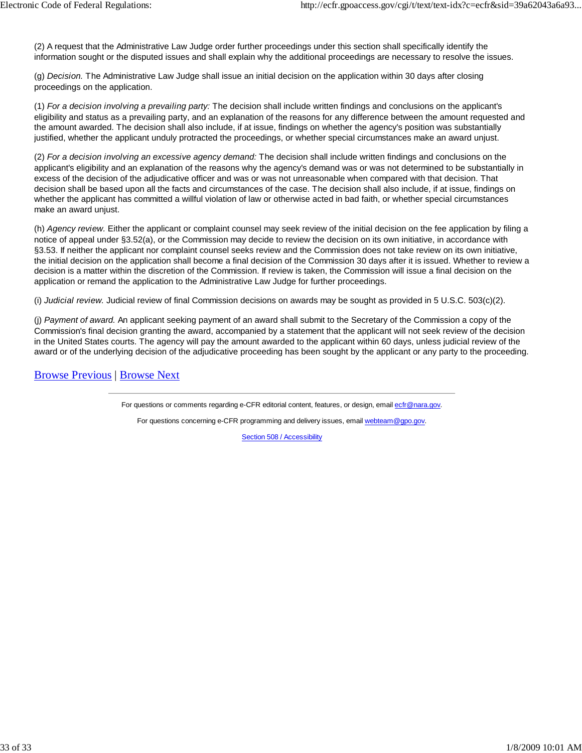(2) A request that the Administrative Law Judge order further proceedings under this section shall specifically identify the information sought or the disputed issues and shall explain why the additional proceedings are necessary to resolve the issues.

(g) *Decision.* The Administrative Law Judge shall issue an initial decision on the application within 30 days after closing proceedings on the application.

(1) *For a decision involving a prevailing party:* The decision shall include written findings and conclusions on the applicant's eligibility and status as a prevailing party, and an explanation of the reasons for any difference between the amount requested and the amount awarded. The decision shall also include, if at issue, findings on whether the agency's position was substantially justified, whether the applicant unduly protracted the proceedings, or whether special circumstances make an award unjust.

(2) *For a decision involving an excessive agency demand:* The decision shall include written findings and conclusions on the applicant's eligibility and an explanation of the reasons why the agency's demand was or was not determined to be substantially in excess of the decision of the adjudicative officer and was or was not unreasonable when compared with that decision. That decision shall be based upon all the facts and circumstances of the case. The decision shall also include, if at issue, findings on whether the applicant has committed a willful violation of law or otherwise acted in bad faith, or whether special circumstances make an award unjust.

(h) *Agency review.* Either the applicant or complaint counsel may seek review of the initial decision on the fee application by filing a notice of appeal under §3.52(a), or the Commission may decide to review the decision on its own initiative, in accordance with §3.53. If neither the applicant nor complaint counsel seeks review and the Commission does not take review on its own initiative, the initial decision on the application shall become a final decision of the Commission 30 days after it is issued. Whether to review a decision is a matter within the discretion of the Commission. If review is taken, the Commission will issue a final decision on the application or remand the application to the Administrative Law Judge for further proceedings.

(i) *Judicial review.* Judicial review of final Commission decisions on awards may be sought as provided in 5 U.S.C. 503(c)(2).

(j) *Payment of award.* An applicant seeking payment of an award shall submit to the Secretary of the Commission a copy of the Commission's final decision granting the award, accompanied by a statement that the applicant will not seek review of the decision in the United States courts. The agency will pay the amount awarded to the applicant within 60 days, unless judicial review of the award or of the underlying decision of the adjudicative proceeding has been sought by the applicant or any party to the proceeding.

# Browse Previous | Browse Next

For questions or comments regarding e-CFR editorial content, features, or design, email ecfr@nara.gov.

For questions concerning e-CFR programming and delivery issues, email webteam@gpo.gov.

Section 508 / Accessibility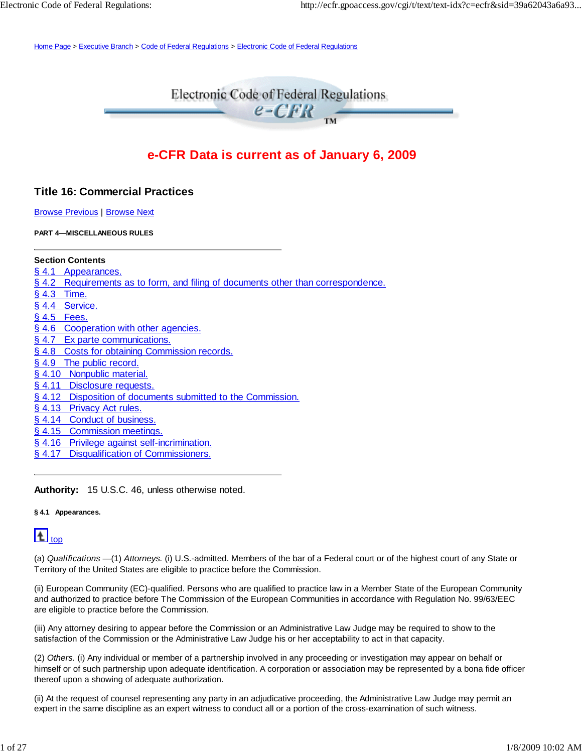Home Page > Executive Branch > Code of Federal Regulations > Electronic Code of Federal Regulations

Electronic Code of Federal Regulations  $e$ -CFR

# **e-CFR Data is current as of January 6, 2009**

# **Title 16: Commercial Practices**

Browse Previous | Browse Next

**PART 4—MISCELLANEOUS RULES**

## **Section Contents**

§ 4.1 Appearances. § 4.2 Requirements as to form, and filing of documents other than correspondence. § 4.3 Time. § 4.4 Service. § 4.5 Fees. § 4.6 Cooperation with other agencies. § 4.7 Ex parte communications. § 4.8 Costs for obtaining Commission records. § 4.9 The public record. § 4.10 Nonpublic material. § 4.11 Disclosure requests. § 4.12 Disposition of documents submitted to the Commission. § 4.13 Privacy Act rules. § 4.14 Conduct of business. § 4.15 Commission meetings. § 4.16 Privilege against self-incrimination. § 4.17 Disqualification of Commissioners.

**Authority:** 15 U.S.C. 46, unless otherwise noted.

## **§ 4.1 Appearances.**



(a) *Qualifications* —(1) *Attorneys.* (i) U.S.-admitted. Members of the bar of a Federal court or of the highest court of any State or Territory of the United States are eligible to practice before the Commission.

(ii) European Community (EC)-qualified. Persons who are qualified to practice law in a Member State of the European Community and authorized to practice before The Commission of the European Communities in accordance with Regulation No. 99/63/EEC are eligible to practice before the Commission.

(iii) Any attorney desiring to appear before the Commission or an Administrative Law Judge may be required to show to the satisfaction of the Commission or the Administrative Law Judge his or her acceptability to act in that capacity.

(2) *Others.* (i) Any individual or member of a partnership involved in any proceeding or investigation may appear on behalf or himself or of such partnership upon adequate identification. A corporation or association may be represented by a bona fide officer thereof upon a showing of adequate authorization.

(ii) At the request of counsel representing any party in an adjudicative proceeding, the Administrative Law Judge may permit an expert in the same discipline as an expert witness to conduct all or a portion of the cross-examination of such witness.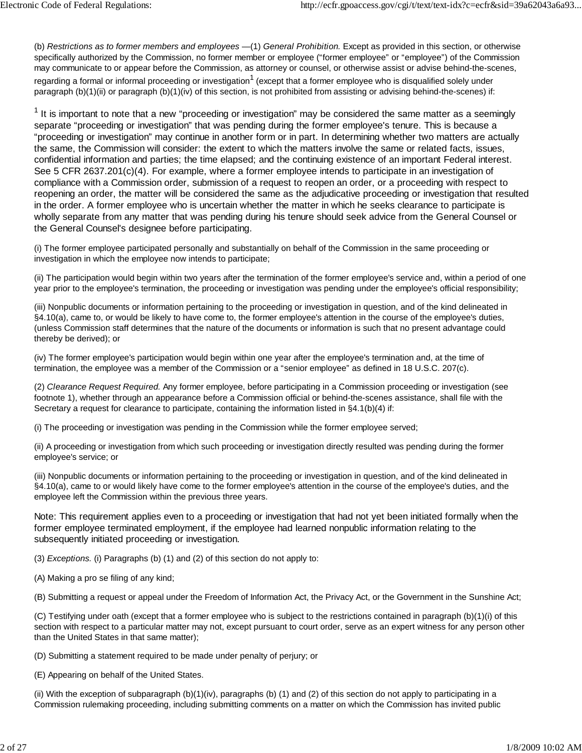(b) *Restrictions as to former members and employees* —(1) *General Prohibition.* Except as provided in this section, or otherwise specifically authorized by the Commission, no former member or employee ("former employee" or "employee") of the Commission may communicate to or appear before the Commission, as attorney or counsel, or otherwise assist or advise behind-the-scenes, regarding a formal or informal proceeding or investigation<sup>1</sup> (except that a former employee who is disqualified solely under paragraph (b)(1)(ii) or paragraph (b)(1)(iv) of this section, is not prohibited from assisting or advising behind-the-scenes) if:

 $1$  It is important to note that a new "proceeding or investigation" may be considered the same matter as a seemingly separate "proceeding or investigation" that was pending during the former employee's tenure. This is because a "proceeding or investigation" may continue in another form or in part. In determining whether two matters are actually the same, the Commission will consider: the extent to which the matters involve the same or related facts, issues, confidential information and parties; the time elapsed; and the continuing existence of an important Federal interest. See 5 CFR 2637.201(c)(4). For example, where a former employee intends to participate in an investigation of compliance with a Commission order, submission of a request to reopen an order, or a proceeding with respect to reopening an order, the matter will be considered the same as the adjudicative proceeding or investigation that resulted in the order. A former employee who is uncertain whether the matter in which he seeks clearance to participate is wholly separate from any matter that was pending during his tenure should seek advice from the General Counsel or the General Counsel's designee before participating.

(i) The former employee participated personally and substantially on behalf of the Commission in the same proceeding or investigation in which the employee now intends to participate;

(ii) The participation would begin within two years after the termination of the former employee's service and, within a period of one year prior to the employee's termination, the proceeding or investigation was pending under the employee's official responsibility;

(iii) Nonpublic documents or information pertaining to the proceeding or investigation in question, and of the kind delineated in §4.10(a), came to, or would be likely to have come to, the former employee's attention in the course of the employee's duties, (unless Commission staff determines that the nature of the documents or information is such that no present advantage could thereby be derived); or

(iv) The former employee's participation would begin within one year after the employee's termination and, at the time of termination, the employee was a member of the Commission or a "senior employee" as defined in 18 U.S.C. 207(c).

(2) *Clearance Request Required.* Any former employee, before participating in a Commission proceeding or investigation (see footnote 1), whether through an appearance before a Commission official or behind-the-scenes assistance, shall file with the Secretary a request for clearance to participate, containing the information listed in §4.1(b)(4) if:

(i) The proceeding or investigation was pending in the Commission while the former employee served;

(ii) A proceeding or investigation from which such proceeding or investigation directly resulted was pending during the former employee's service; or

(iii) Nonpublic documents or information pertaining to the proceeding or investigation in question, and of the kind delineated in §4.10(a), came to or would likely have come to the former employee's attention in the course of the employee's duties, and the employee left the Commission within the previous three years.

Note: This requirement applies even to a proceeding or investigation that had not yet been initiated formally when the former employee terminated employment, if the employee had learned nonpublic information relating to the subsequently initiated proceeding or investigation.

(3) *Exceptions.* (i) Paragraphs (b) (1) and (2) of this section do not apply to:

(A) Making a pro se filing of any kind;

(B) Submitting a request or appeal under the Freedom of Information Act, the Privacy Act, or the Government in the Sunshine Act;

(C) Testifying under oath (except that a former employee who is subject to the restrictions contained in paragraph (b)(1)(i) of this section with respect to a particular matter may not, except pursuant to court order, serve as an expert witness for any person other than the United States in that same matter);

(D) Submitting a statement required to be made under penalty of perjury; or

(E) Appearing on behalf of the United States.

(ii) With the exception of subparagraph (b)(1)(iv), paragraphs (b) (1) and (2) of this section do not apply to participating in a Commission rulemaking proceeding, including submitting comments on a matter on which the Commission has invited public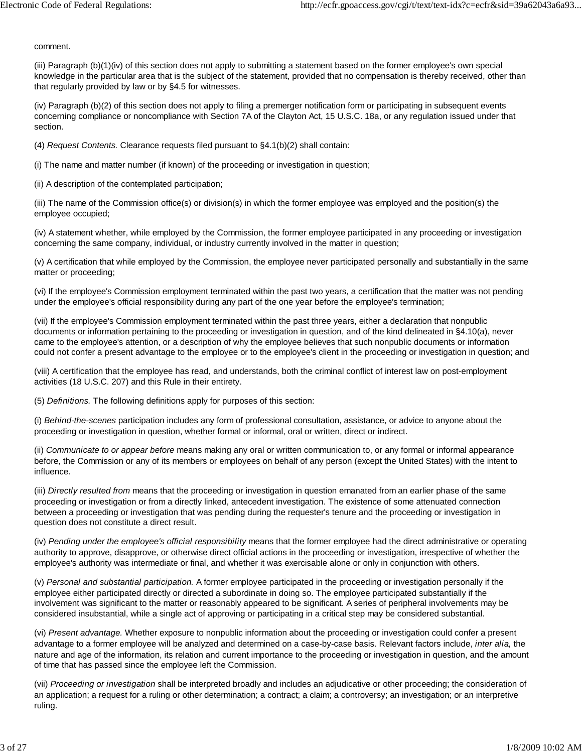comment.

(iii) Paragraph (b)(1)(iv) of this section does not apply to submitting a statement based on the former employee's own special knowledge in the particular area that is the subject of the statement, provided that no compensation is thereby received, other than that regularly provided by law or by §4.5 for witnesses.

(iv) Paragraph (b)(2) of this section does not apply to filing a premerger notification form or participating in subsequent events concerning compliance or noncompliance with Section 7A of the Clayton Act, 15 U.S.C. 18a, or any regulation issued under that section.

(4) *Request Contents.* Clearance requests filed pursuant to §4.1(b)(2) shall contain:

(i) The name and matter number (if known) of the proceeding or investigation in question;

(ii) A description of the contemplated participation;

(iii) The name of the Commission office(s) or division(s) in which the former employee was employed and the position(s) the employee occupied;

(iv) A statement whether, while employed by the Commission, the former employee participated in any proceeding or investigation concerning the same company, individual, or industry currently involved in the matter in question;

(v) A certification that while employed by the Commission, the employee never participated personally and substantially in the same matter or proceeding;

(vi) If the employee's Commission employment terminated within the past two years, a certification that the matter was not pending under the employee's official responsibility during any part of the one year before the employee's termination;

(vii) If the employee's Commission employment terminated within the past three years, either a declaration that nonpublic documents or information pertaining to the proceeding or investigation in question, and of the kind delineated in §4.10(a), never came to the employee's attention, or a description of why the employee believes that such nonpublic documents or information could not confer a present advantage to the employee or to the employee's client in the proceeding or investigation in question; and

(viii) A certification that the employee has read, and understands, both the criminal conflict of interest law on post-employment activities (18 U.S.C. 207) and this Rule in their entirety.

(5) *Definitions.* The following definitions apply for purposes of this section:

(i) *Behind-the-scenes* participation includes any form of professional consultation, assistance, or advice to anyone about the proceeding or investigation in question, whether formal or informal, oral or written, direct or indirect.

(ii) *Communicate to or appear before* means making any oral or written communication to, or any formal or informal appearance before, the Commission or any of its members or employees on behalf of any person (except the United States) with the intent to influence.

(iii) *Directly resulted from* means that the proceeding or investigation in question emanated from an earlier phase of the same proceeding or investigation or from a directly linked, antecedent investigation. The existence of some attenuated connection between a proceeding or investigation that was pending during the requester's tenure and the proceeding or investigation in question does not constitute a direct result.

(iv) *Pending under the employee's official responsibility* means that the former employee had the direct administrative or operating authority to approve, disapprove, or otherwise direct official actions in the proceeding or investigation, irrespective of whether the employee's authority was intermediate or final, and whether it was exercisable alone or only in conjunction with others.

(v) *Personal and substantial participation.* A former employee participated in the proceeding or investigation personally if the employee either participated directly or directed a subordinate in doing so. The employee participated substantially if the involvement was significant to the matter or reasonably appeared to be significant. A series of peripheral involvements may be considered insubstantial, while a single act of approving or participating in a critical step may be considered substantial.

(vi) *Present advantage.* Whether exposure to nonpublic information about the proceeding or investigation could confer a present advantage to a former employee will be analyzed and determined on a case-by-case basis. Relevant factors include, *inter alia,* the nature and age of the information, its relation and current importance to the proceeding or investigation in question, and the amount of time that has passed since the employee left the Commission.

(vii) *Proceeding or investigation* shall be interpreted broadly and includes an adjudicative or other proceeding; the consideration of an application; a request for a ruling or other determination; a contract; a claim; a controversy; an investigation; or an interpretive ruling.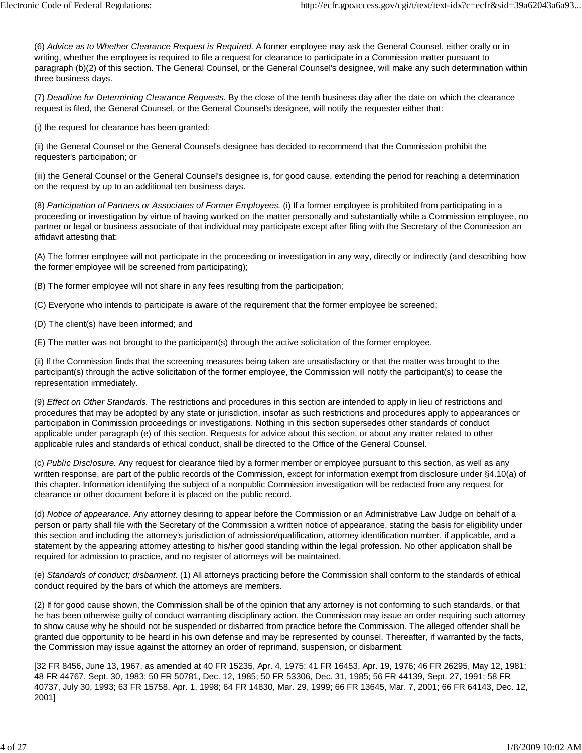(6) *Advice as to Whether Clearance Request is Required.* A former employee may ask the General Counsel, either orally or in writing, whether the employee is required to file a request for clearance to participate in a Commission matter pursuant to paragraph (b)(2) of this section. The General Counsel, or the General Counsel's designee, will make any such determination within three business days.

(7) *Deadline for Determining Clearance Requests.* By the close of the tenth business day after the date on which the clearance request is filed, the General Counsel, or the General Counsel's designee, will notify the requester either that:

(i) the request for clearance has been granted;

(ii) the General Counsel or the General Counsel's designee has decided to recommend that the Commission prohibit the requester's participation; or

(iii) the General Counsel or the General Counsel's designee is, for good cause, extending the period for reaching a determination on the request by up to an additional ten business days.

(8) *Participation of Partners or Associates of Former Employees.* (i) If a former employee is prohibited from participating in a proceeding or investigation by virtue of having worked on the matter personally and substantially while a Commission employee, no partner or legal or business associate of that individual may participate except after filing with the Secretary of the Commission an affidavit attesting that:

(A) The former employee will not participate in the proceeding or investigation in any way, directly or indirectly (and describing how the former employee will be screened from participating);

(B) The former employee will not share in any fees resulting from the participation;

(C) Everyone who intends to participate is aware of the requirement that the former employee be screened;

(D) The client(s) have been informed; and

(E) The matter was not brought to the participant(s) through the active solicitation of the former employee.

(ii) If the Commission finds that the screening measures being taken are unsatisfactory or that the matter was brought to the participant(s) through the active solicitation of the former employee, the Commission will notify the participant(s) to cease the representation immediately.

(9) *Effect on Other Standards.* The restrictions and procedures in this section are intended to apply in lieu of restrictions and procedures that may be adopted by any state or jurisdiction, insofar as such restrictions and procedures apply to appearances or participation in Commission proceedings or investigations. Nothing in this section supersedes other standards of conduct applicable under paragraph (e) of this section. Requests for advice about this section, or about any matter related to other applicable rules and standards of ethical conduct, shall be directed to the Office of the General Counsel.

(c) *Public Disclosure.* Any request for clearance filed by a former member or employee pursuant to this section, as well as any written response, are part of the public records of the Commission, except for information exempt from disclosure under §4.10(a) of this chapter. Information identifying the subject of a nonpublic Commission investigation will be redacted from any request for clearance or other document before it is placed on the public record.

(d) *Notice of appearance.* Any attorney desiring to appear before the Commission or an Administrative Law Judge on behalf of a person or party shall file with the Secretary of the Commission a written notice of appearance, stating the basis for eligibility under this section and including the attorney's jurisdiction of admission/qualification, attorney identification number, if applicable, and a statement by the appearing attorney attesting to his/her good standing within the legal profession. No other application shall be required for admission to practice, and no register of attorneys will be maintained.

(e) *Standards of conduct; disbarment.* (1) All attorneys practicing before the Commission shall conform to the standards of ethical conduct required by the bars of which the attorneys are members.

(2) If for good cause shown, the Commission shall be of the opinion that any attorney is not conforming to such standards, or that he has been otherwise guilty of conduct warranting disciplinary action, the Commission may issue an order requiring such attorney to show cause why he should not be suspended or disbarred from practice before the Commission. The alleged offender shall be granted due opportunity to be heard in his own defense and may be represented by counsel. Thereafter, if warranted by the facts, the Commission may issue against the attorney an order of reprimand, suspension, or disbarment.

[32 FR 8456, June 13, 1967, as amended at 40 FR 15235, Apr. 4, 1975; 41 FR 16453, Apr. 19, 1976; 46 FR 26295, May 12, 1981; 48 FR 44767, Sept. 30, 1983; 50 FR 50781, Dec. 12, 1985; 50 FR 53306, Dec. 31, 1985; 56 FR 44139, Sept. 27, 1991; 58 FR 40737, July 30, 1993; 63 FR 15758, Apr. 1, 1998; 64 FR 14830, Mar. 29, 1999; 66 FR 13645, Mar. 7, 2001; 66 FR 64143, Dec. 12, 2001]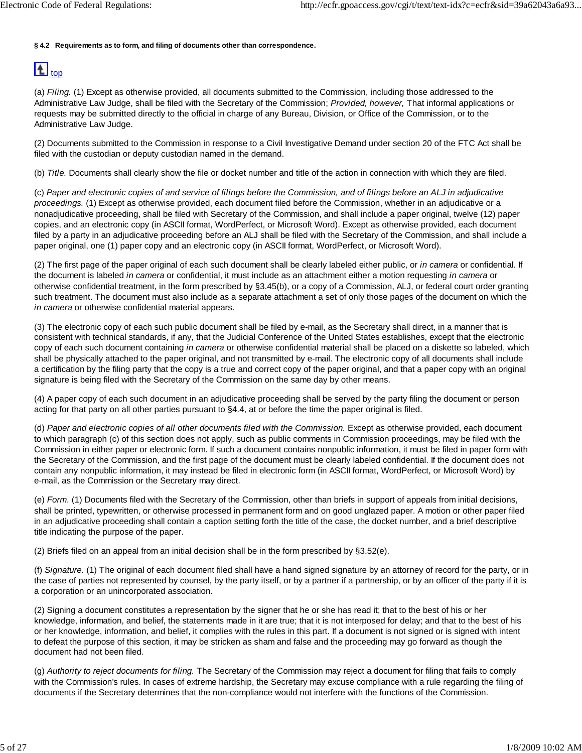## **§ 4.2 Requirements as to form, and filing of documents other than correspondence.**

# top top

(a) *Filing.* (1) Except as otherwise provided, all documents submitted to the Commission, including those addressed to the Administrative Law Judge, shall be filed with the Secretary of the Commission; *Provided, however,* That informal applications or requests may be submitted directly to the official in charge of any Bureau, Division, or Office of the Commission, or to the Administrative Law Judge.

(2) Documents submitted to the Commission in response to a Civil Investigative Demand under section 20 of the FTC Act shall be filed with the custodian or deputy custodian named in the demand.

(b) *Title.* Documents shall clearly show the file or docket number and title of the action in connection with which they are filed.

(c) *Paper and electronic copies of and service of filings before the Commission, and of filings before an ALJ in adjudicative proceedings.* (1) Except as otherwise provided, each document filed before the Commission, whether in an adjudicative or a nonadjudicative proceeding, shall be filed with Secretary of the Commission, and shall include a paper original, twelve (12) paper copies, and an electronic copy (in ASCII format, WordPerfect, or Microsoft Word). Except as otherwise provided, each document filed by a party in an adjudicative proceeding before an ALJ shall be filed with the Secretary of the Commission, and shall include a paper original, one (1) paper copy and an electronic copy (in ASCII format, WordPerfect, or Microsoft Word).

(2) The first page of the paper original of each such document shall be clearly labeled either public, or *in camera* or confidential. If the document is labeled *in camera* or confidential, it must include as an attachment either a motion requesting *in camera* or otherwise confidential treatment, in the form prescribed by §3.45(b), or a copy of a Commission, ALJ, or federal court order granting such treatment. The document must also include as a separate attachment a set of only those pages of the document on which the *in camera* or otherwise confidential material appears.

(3) The electronic copy of each such public document shall be filed by e-mail, as the Secretary shall direct, in a manner that is consistent with technical standards, if any, that the Judicial Conference of the United States establishes, except that the electronic copy of each such document containing *in camera* or otherwise confidential material shall be placed on a diskette so labeled, which shall be physically attached to the paper original, and not transmitted by e-mail. The electronic copy of all documents shall include a certification by the filing party that the copy is a true and correct copy of the paper original, and that a paper copy with an original signature is being filed with the Secretary of the Commission on the same day by other means.

(4) A paper copy of each such document in an adjudicative proceeding shall be served by the party filing the document or person acting for that party on all other parties pursuant to §4.4, at or before the time the paper original is filed.

(d) Paper and electronic copies of all other documents filed with the Commission. Except as otherwise provided, each document to which paragraph (c) of this section does not apply, such as public comments in Commission proceedings, may be filed with the Commission in either paper or electronic form. If such a document contains nonpublic information, it must be filed in paper form with the Secretary of the Commission, and the first page of the document must be clearly labeled confidential. If the document does not contain any nonpublic information, it may instead be filed in electronic form (in ASCII format, WordPerfect, or Microsoft Word) by e-mail, as the Commission or the Secretary may direct.

(e) *Form.* (1) Documents filed with the Secretary of the Commission, other than briefs in support of appeals from initial decisions, shall be printed, typewritten, or otherwise processed in permanent form and on good unglazed paper. A motion or other paper filed in an adjudicative proceeding shall contain a caption setting forth the title of the case, the docket number, and a brief descriptive title indicating the purpose of the paper.

(2) Briefs filed on an appeal from an initial decision shall be in the form prescribed by §3.52(e).

(f) *Signature.* (1) The original of each document filed shall have a hand signed signature by an attorney of record for the party, or in the case of parties not represented by counsel, by the party itself, or by a partner if a partnership, or by an officer of the party if it is a corporation or an unincorporated association.

(2) Signing a document constitutes a representation by the signer that he or she has read it; that to the best of his or her knowledge, information, and belief, the statements made in it are true; that it is not interposed for delay; and that to the best of his or her knowledge, information, and belief, it complies with the rules in this part. If a document is not signed or is signed with intent to defeat the purpose of this section, it may be stricken as sham and false and the proceeding may go forward as though the document had not been filed.

(g) *Authority to reject documents for filing.* The Secretary of the Commission may reject a document for filing that fails to comply with the Commission's rules. In cases of extreme hardship, the Secretary may excuse compliance with a rule regarding the filing of documents if the Secretary determines that the non-compliance would not interfere with the functions of the Commission.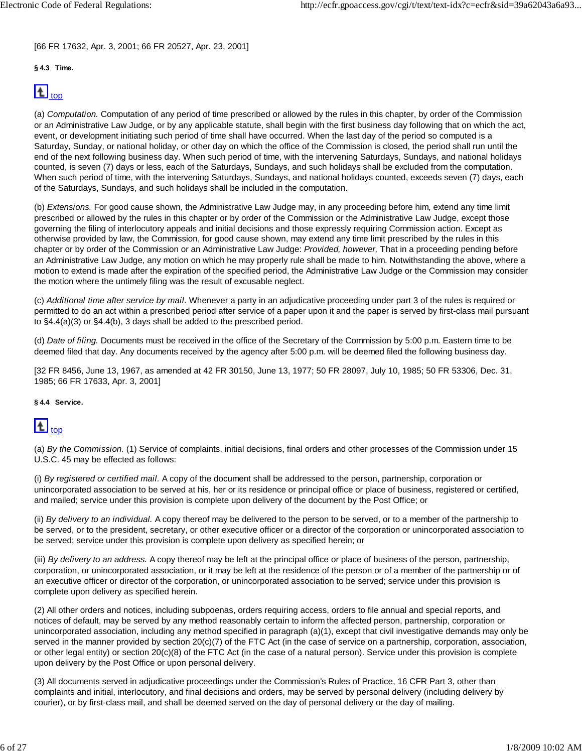[66 FR 17632, Apr. 3, 2001; 66 FR 20527, Apr. 23, 2001]

**§ 4.3 Time.**



(a) *Computation.* Computation of any period of time prescribed or allowed by the rules in this chapter, by order of the Commission or an Administrative Law Judge, or by any applicable statute, shall begin with the first business day following that on which the act, event, or development initiating such period of time shall have occurred. When the last day of the period so computed is a Saturday, Sunday, or national holiday, or other day on which the office of the Commission is closed, the period shall run until the end of the next following business day. When such period of time, with the intervening Saturdays, Sundays, and national holidays counted, is seven (7) days or less, each of the Saturdays, Sundays, and such holidays shall be excluded from the computation. When such period of time, with the intervening Saturdays, Sundays, and national holidays counted, exceeds seven (7) days, each of the Saturdays, Sundays, and such holidays shall be included in the computation.

(b) *Extensions.* For good cause shown, the Administrative Law Judge may, in any proceeding before him, extend any time limit prescribed or allowed by the rules in this chapter or by order of the Commission or the Administrative Law Judge, except those governing the filing of interlocutory appeals and initial decisions and those expressly requiring Commission action. Except as otherwise provided by law, the Commission, for good cause shown, may extend any time limit prescribed by the rules in this chapter or by order of the Commission or an Administrative Law Judge: *Provided, however,* That in a proceeding pending before an Administrative Law Judge, any motion on which he may properly rule shall be made to him. Notwithstanding the above, where a motion to extend is made after the expiration of the specified period, the Administrative Law Judge or the Commission may consider the motion where the untimely filing was the result of excusable neglect.

(c) *Additional time after service by mail.* Whenever a party in an adjudicative proceeding under part 3 of the rules is required or permitted to do an act within a prescribed period after service of a paper upon it and the paper is served by first-class mail pursuant to §4.4(a)(3) or §4.4(b), 3 days shall be added to the prescribed period.

(d) *Date of filing.* Documents must be received in the office of the Secretary of the Commission by 5:00 p.m. Eastern time to be deemed filed that day. Any documents received by the agency after 5:00 p.m. will be deemed filed the following business day.

[32 FR 8456, June 13, 1967, as amended at 42 FR 30150, June 13, 1977; 50 FR 28097, July 10, 1985; 50 FR 53306, Dec. 31, 1985; 66 FR 17633, Apr. 3, 2001]

**§ 4.4 Service.**

# top<br>top

(a) *By the Commission.* (1) Service of complaints, initial decisions, final orders and other processes of the Commission under 15 U.S.C. 45 may be effected as follows:

(i) *By registered or certified mail.* A copy of the document shall be addressed to the person, partnership, corporation or unincorporated association to be served at his, her or its residence or principal office or place of business, registered or certified, and mailed; service under this provision is complete upon delivery of the document by the Post Office; or

(ii) *By delivery to an individual.* A copy thereof may be delivered to the person to be served, or to a member of the partnership to be served, or to the president, secretary, or other executive officer or a director of the corporation or unincorporated association to be served; service under this provision is complete upon delivery as specified herein; or

(iii) *By delivery to an address.* A copy thereof may be left at the principal office or place of business of the person, partnership, corporation, or unincorporated association, or it may be left at the residence of the person or of a member of the partnership or of an executive officer or director of the corporation, or unincorporated association to be served; service under this provision is complete upon delivery as specified herein.

(2) All other orders and notices, including subpoenas, orders requiring access, orders to file annual and special reports, and notices of default, may be served by any method reasonably certain to inform the affected person, partnership, corporation or unincorporated association, including any method specified in paragraph (a)(1), except that civil investigative demands may only be served in the manner provided by section 20(c)(7) of the FTC Act (in the case of service on a partnership, corporation, association, or other legal entity) or section 20(c)(8) of the FTC Act (in the case of a natural person). Service under this provision is complete upon delivery by the Post Office or upon personal delivery.

(3) All documents served in adjudicative proceedings under the Commission's Rules of Practice, 16 CFR Part 3, other than complaints and initial, interlocutory, and final decisions and orders, may be served by personal delivery (including delivery by courier), or by first-class mail, and shall be deemed served on the day of personal delivery or the day of mailing.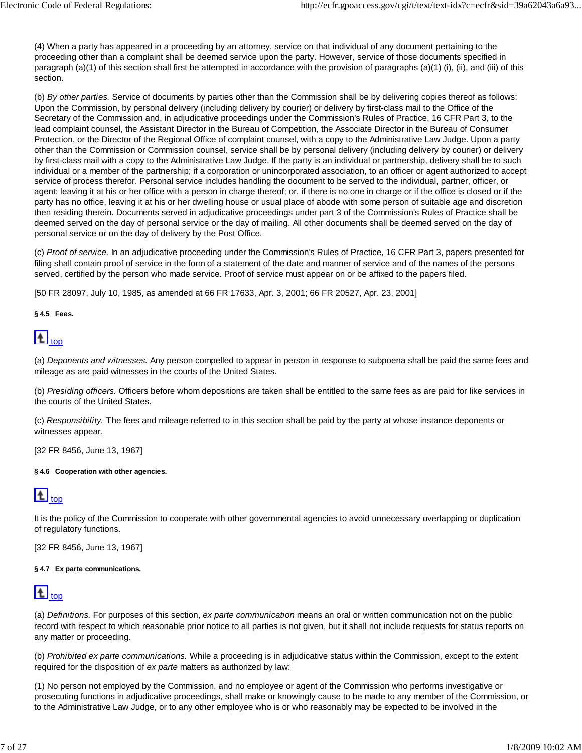(4) When a party has appeared in a proceeding by an attorney, service on that individual of any document pertaining to the proceeding other than a complaint shall be deemed service upon the party. However, service of those documents specified in paragraph (a)(1) of this section shall first be attempted in accordance with the provision of paragraphs (a)(1) (i), (ii), and (iii) of this section.

(b) *By other parties.* Service of documents by parties other than the Commission shall be by delivering copies thereof as follows: Upon the Commission, by personal delivery (including delivery by courier) or delivery by first-class mail to the Office of the Secretary of the Commission and, in adjudicative proceedings under the Commission's Rules of Practice, 16 CFR Part 3, to the lead complaint counsel, the Assistant Director in the Bureau of Competition, the Associate Director in the Bureau of Consumer Protection, or the Director of the Regional Office of complaint counsel, with a copy to the Administrative Law Judge. Upon a party other than the Commission or Commission counsel, service shall be by personal delivery (including delivery by courier) or delivery by first-class mail with a copy to the Administrative Law Judge. If the party is an individual or partnership, delivery shall be to such individual or a member of the partnership; if a corporation or unincorporated association, to an officer or agent authorized to accept service of process therefor. Personal service includes handling the document to be served to the individual, partner, officer, or agent; leaving it at his or her office with a person in charge thereof; or, if there is no one in charge or if the office is closed or if the party has no office, leaving it at his or her dwelling house or usual place of abode with some person of suitable age and discretion then residing therein. Documents served in adjudicative proceedings under part 3 of the Commission's Rules of Practice shall be deemed served on the day of personal service or the day of mailing. All other documents shall be deemed served on the day of personal service or on the day of delivery by the Post Office.

(c) *Proof of service.* In an adjudicative proceeding under the Commission's Rules of Practice, 16 CFR Part 3, papers presented for filing shall contain proof of service in the form of a statement of the date and manner of service and of the names of the persons served, certified by the person who made service. Proof of service must appear on or be affixed to the papers filed.

[50 FR 28097, July 10, 1985, as amended at 66 FR 17633, Apr. 3, 2001; 66 FR 20527, Apr. 23, 2001]

## **§ 4.5 Fees.**

# $t_{top}$

(a) *Deponents and witnesses.* Any person compelled to appear in person in response to subpoena shall be paid the same fees and mileage as are paid witnesses in the courts of the United States.

(b) *Presiding officers.* Officers before whom depositions are taken shall be entitled to the same fees as are paid for like services in the courts of the United States.

(c) *Responsibility.* The fees and mileage referred to in this section shall be paid by the party at whose instance deponents or witnesses appear.

[32 FR 8456, June 13, 1967]

## **§ 4.6 Cooperation with other agencies.**

# $\mathbf{t}$ <sub>top</sub>

It is the policy of the Commission to cooperate with other governmental agencies to avoid unnecessary overlapping or duplication of regulatory functions.

[32 FR 8456, June 13, 1967]

## **§ 4.7 Ex parte communications.**

# $\overline{t}\vert_{\text{top}}$

(a) *Definitions.* For purposes of this section, *ex parte communication* means an oral or written communication not on the public record with respect to which reasonable prior notice to all parties is not given, but it shall not include requests for status reports on any matter or proceeding.

(b) *Prohibited ex parte communications.* While a proceeding is in adjudicative status within the Commission, except to the extent required for the disposition of *ex parte* matters as authorized by law:

(1) No person not employed by the Commission, and no employee or agent of the Commission who performs investigative or prosecuting functions in adjudicative proceedings, shall make or knowingly cause to be made to any member of the Commission, or to the Administrative Law Judge, or to any other employee who is or who reasonably may be expected to be involved in the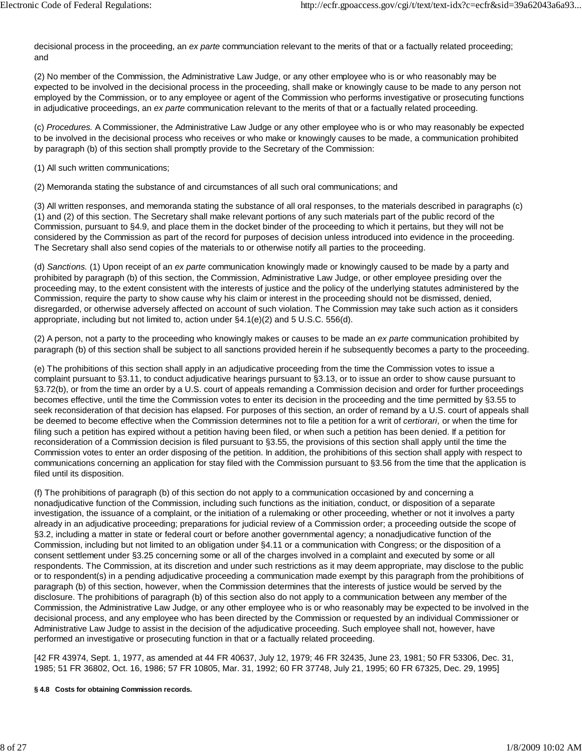decisional process in the proceeding, an *ex parte* communciation relevant to the merits of that or a factually related proceeding; and

(2) No member of the Commission, the Administrative Law Judge, or any other employee who is or who reasonably may be expected to be involved in the decisional process in the proceeding, shall make or knowingly cause to be made to any person not employed by the Commission, or to any employee or agent of the Commission who performs investigative or prosecuting functions in adjudicative proceedings, an *ex parte* communication relevant to the merits of that or a factually related proceeding.

(c) *Procedures.* A Commissioner, the Administrative Law Judge or any other employee who is or who may reasonably be expected to be involved in the decisional process who receives or who make or knowingly causes to be made, a communication prohibited by paragraph (b) of this section shall promptly provide to the Secretary of the Commission:

## (1) All such written communications;

(2) Memoranda stating the substance of and circumstances of all such oral communications; and

(3) All written responses, and memoranda stating the substance of all oral responses, to the materials described in paragraphs (c) (1) and (2) of this section. The Secretary shall make relevant portions of any such materials part of the public record of the Commission, pursuant to §4.9, and place them in the docket binder of the proceeding to which it pertains, but they will not be considered by the Commission as part of the record for purposes of decision unless introduced into evidence in the proceeding. The Secretary shall also send copies of the materials to or otherwise notify all parties to the proceeding.

(d) *Sanctions.* (1) Upon receipt of an *ex parte* communication knowingly made or knowingly caused to be made by a party and prohibited by paragraph (b) of this section, the Commission, Administrative Law Judge, or other employee presiding over the proceeding may, to the extent consistent with the interests of justice and the policy of the underlying statutes administered by the Commission, require the party to show cause why his claim or interest in the proceeding should not be dismissed, denied, disregarded, or otherwise adversely affected on account of such violation. The Commission may take such action as it considers appropriate, including but not limited to, action under §4.1(e)(2) and 5 U.S.C. 556(d).

(2) A person, not a party to the proceeding who knowingly makes or causes to be made an *ex parte* communication prohibited by paragraph (b) of this section shall be subject to all sanctions provided herein if he subsequently becomes a party to the proceeding.

(e) The prohibitions of this section shall apply in an adjudicative proceeding from the time the Commission votes to issue a complaint pursuant to §3.11, to conduct adjudicative hearings pursuant to §3.13, or to issue an order to show cause pursuant to §3.72(b), or from the time an order by a U.S. court of appeals remanding a Commission decision and order for further proceedings becomes effective, until the time the Commission votes to enter its decision in the proceeding and the time permitted by §3.55 to seek reconsideration of that decision has elapsed. For purposes of this section, an order of remand by a U.S. court of appeals shall be deemed to become effective when the Commission determines not to file a petition for a writ of *certiorari,* or when the time for filing such a petition has expired without a petition having been filed, or when such a petition has been denied. If a petition for reconsideration of a Commission decision is filed pursuant to §3.55, the provisions of this section shall apply until the time the Commission votes to enter an order disposing of the petition. In addition, the prohibitions of this section shall apply with respect to communications concerning an application for stay filed with the Commission pursuant to §3.56 from the time that the application is filed until its disposition.

(f) The prohibitions of paragraph (b) of this section do not apply to a communication occasioned by and concerning a nonadjudicative function of the Commission, including such functions as the initiation, conduct, or disposition of a separate investigation, the issuance of a complaint, or the initiation of a rulemaking or other proceeding, whether or not it involves a party already in an adjudicative proceeding; preparations for judicial review of a Commission order; a proceeding outside the scope of §3.2, including a matter in state or federal court or before another governmental agency; a nonadjudicative function of the Commission, including but not limited to an obligation under §4.11 or a communication with Congress; or the disposition of a consent settlement under §3.25 concerning some or all of the charges involved in a complaint and executed by some or all respondents. The Commission, at its discretion and under such restrictions as it may deem appropriate, may disclose to the public or to respondent(s) in a pending adjudicative proceeding a communication made exempt by this paragraph from the prohibitions of paragraph (b) of this section, however, when the Commission determines that the interests of justice would be served by the disclosure. The prohibitions of paragraph (b) of this section also do not apply to a communication between any member of the Commission, the Administrative Law Judge, or any other employee who is or who reasonably may be expected to be involved in the decisional process, and any employee who has been directed by the Commission or requested by an individual Commissioner or Administrative Law Judge to assist in the decision of the adjudicative proceeding. Such employee shall not, however, have performed an investigative or prosecuting function in that or a factually related proceeding.

[42 FR 43974, Sept. 1, 1977, as amended at 44 FR 40637, July 12, 1979; 46 FR 32435, June 23, 1981; 50 FR 53306, Dec. 31, 1985; 51 FR 36802, Oct. 16, 1986; 57 FR 10805, Mar. 31, 1992; 60 FR 37748, July 21, 1995; 60 FR 67325, Dec. 29, 1995]

#### **§ 4.8 Costs for obtaining Commission records.**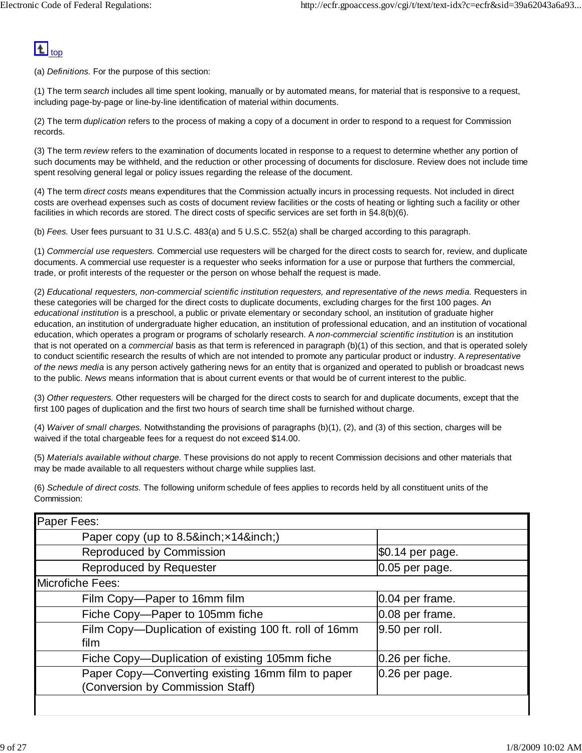

(a) *Definitions.* For the purpose of this section:

(1) The term *search* includes all time spent looking, manually or by automated means, for material that is responsive to a request, including page-by-page or line-by-line identification of material within documents.

(2) The term *duplication* refers to the process of making a copy of a document in order to respond to a request for Commission records.

(3) The term *review* refers to the examination of documents located in response to a request to determine whether any portion of such documents may be withheld, and the reduction or other processing of documents for disclosure. Review does not include time spent resolving general legal or policy issues regarding the release of the document.

(4) The term *direct costs* means expenditures that the Commission actually incurs in processing requests. Not included in direct costs are overhead expenses such as costs of document review facilities or the costs of heating or lighting such a facility or other facilities in which records are stored. The direct costs of specific services are set forth in §4.8(b)(6).

(b) *Fees.* User fees pursuant to 31 U.S.C. 483(a) and 5 U.S.C. 552(a) shall be charged according to this paragraph.

(1) *Commercial use requesters.* Commercial use requesters will be charged for the direct costs to search for, review, and duplicate documents. A commercial use requester is a requester who seeks information for a use or purpose that furthers the commercial, trade, or profit interests of the requester or the person on whose behalf the request is made.

(2) *Educational requesters, non-commercial scientific institution requesters, and representative of the news media.* Requesters in these categories will be charged for the direct costs to duplicate documents, excluding charges for the first 100 pages. An *educational institution* is a preschool, a public or private elementary or secondary school, an institution of graduate higher education, an institution of undergraduate higher education, an institution of professional education, and an institution of vocational education, which operates a program or programs of scholarly research. A *non-commercial scientific institution* is an institution that is not operated on a *commercial* basis as that term is referenced in paragraph (b)(1) of this section, and that is operated solely to conduct scientific research the results of which are not intended to promote any particular product or industry. A *representative of the news media* is any person actively gathering news for an entity that is organized and operated to publish or broadcast news to the public. *News* means information that is about current events or that would be of current interest to the public.

(3) *Other requesters.* Other requesters will be charged for the direct costs to search for and duplicate documents, except that the first 100 pages of duplication and the first two hours of search time shall be furnished without charge.

(4) *Waiver of small charges.* Notwithstanding the provisions of paragraphs (b)(1), (2), and (3) of this section, charges will be waived if the total chargeable fees for a request do not exceed \$14.00.

(5) *Materials available without charge.* These provisions do not apply to recent Commission decisions and other materials that may be made available to all requesters without charge while supplies last.

(6) *Schedule of direct costs.* The following uniform schedule of fees applies to records held by all constituent units of the Commission:

| Paper Fees:                                                                           |                   |
|---------------------------------------------------------------------------------------|-------------------|
| Paper copy (up to 8.5&inchx14&inch)                                                   |                   |
| Reproduced by Commission                                                              | \$0.14 per page.  |
| Reproduced by Requester                                                               | $0.05$ per page.  |
| <b>Microfiche Fees:</b>                                                               |                   |
| Film Copy-Paper to 16mm film                                                          | 0.04 per frame.   |
| Fiche Copy-Paper to 105mm fiche                                                       | 0.08 per frame.   |
| Film Copy-Duplication of existing 100 ft. roll of 16mm<br>film                        | $9.50$ per roll.  |
| Fiche Copy-Duplication of existing 105mm fiche                                        | $0.26$ per fiche. |
| Paper Copy-Converting existing 16mm film to paper<br>(Conversion by Commission Staff) | 0.26 per page.    |
|                                                                                       |                   |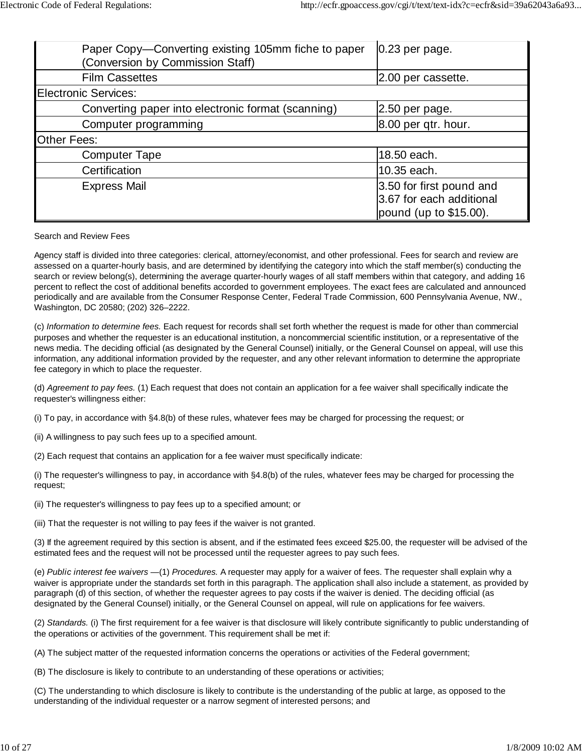| Paper Copy-Converting existing 105mm fiche to paper<br>(Conversion by Commission Staff) | $0.23$ per page.                                                               |
|-----------------------------------------------------------------------------------------|--------------------------------------------------------------------------------|
| <b>Film Cassettes</b>                                                                   | 2.00 per cassette.                                                             |
| <b>Electronic Services:</b>                                                             |                                                                                |
| Converting paper into electronic format (scanning)                                      | $ 2.50$ per page.                                                              |
| Computer programming                                                                    | 8.00 per qtr. hour.                                                            |
| <b>Other Fees:</b>                                                                      |                                                                                |
| <b>Computer Tape</b>                                                                    | 18.50 each.                                                                    |
| Certification                                                                           | 10.35 each.                                                                    |
| <b>Express Mail</b>                                                                     | 3.50 for first pound and<br>3.67 for each additional<br>pound (up to \$15.00). |

## Search and Review Fees

Agency staff is divided into three categories: clerical, attorney/economist, and other professional. Fees for search and review are assessed on a quarter-hourly basis, and are determined by identifying the category into which the staff member(s) conducting the search or review belong(s), determining the average quarter-hourly wages of all staff members within that category, and adding 16 percent to reflect the cost of additional benefits accorded to government employees. The exact fees are calculated and announced periodically and are available from the Consumer Response Center, Federal Trade Commission, 600 Pennsylvania Avenue, NW., Washington, DC 20580; (202) 326–2222.

(c) *Information to determine fees.* Each request for records shall set forth whether the request is made for other than commercial purposes and whether the requester is an educational institution, a noncommercial scientific institution, or a representative of the news media. The deciding official (as designated by the General Counsel) initially, or the General Counsel on appeal, will use this information, any additional information provided by the requester, and any other relevant information to determine the appropriate fee category in which to place the requester.

(d) *Agreement to pay fees.* (1) Each request that does not contain an application for a fee waiver shall specifically indicate the requester's willingness either:

(i) To pay, in accordance with §4.8(b) of these rules, whatever fees may be charged for processing the request; or

(ii) A willingness to pay such fees up to a specified amount.

(2) Each request that contains an application for a fee waiver must specifically indicate:

(i) The requester's willingness to pay, in accordance with §4.8(b) of the rules, whatever fees may be charged for processing the request;

(ii) The requester's willingness to pay fees up to a specified amount; or

(iii) That the requester is not willing to pay fees if the waiver is not granted.

(3) If the agreement required by this section is absent, and if the estimated fees exceed \$25.00, the requester will be advised of the estimated fees and the request will not be processed until the requester agrees to pay such fees.

(e) *Public interest fee waivers* —(1) *Procedures.* A requester may apply for a waiver of fees. The requester shall explain why a waiver is appropriate under the standards set forth in this paragraph. The application shall also include a statement, as provided by paragraph (d) of this section, of whether the requester agrees to pay costs if the waiver is denied. The deciding official (as designated by the General Counsel) initially, or the General Counsel on appeal, will rule on applications for fee waivers.

(2) *Standards.* (i) The first requirement for a fee waiver is that disclosure will likely contribute significantly to public understanding of the operations or activities of the government. This requirement shall be met if:

(A) The subject matter of the requested information concerns the operations or activities of the Federal government;

(B) The disclosure is likely to contribute to an understanding of these operations or activities;

(C) The understanding to which disclosure is likely to contribute is the understanding of the public at large, as opposed to the understanding of the individual requester or a narrow segment of interested persons; and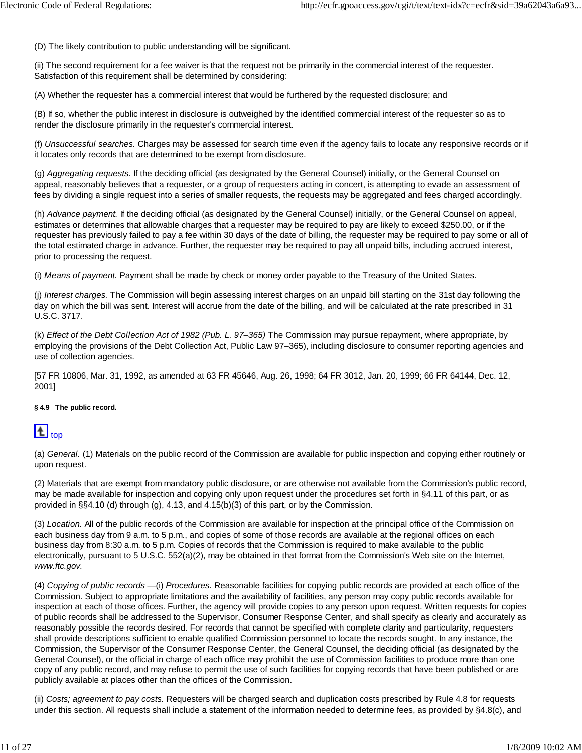(D) The likely contribution to public understanding will be significant.

(ii) The second requirement for a fee waiver is that the request not be primarily in the commercial interest of the requester. Satisfaction of this requirement shall be determined by considering:

(A) Whether the requester has a commercial interest that would be furthered by the requested disclosure; and

(B) If so, whether the public interest in disclosure is outweighed by the identified commercial interest of the requester so as to render the disclosure primarily in the requester's commercial interest.

(f) *Unsuccessful searches.* Charges may be assessed for search time even if the agency fails to locate any responsive records or if it locates only records that are determined to be exempt from disclosure.

(g) *Aggregating requests.* If the deciding official (as designated by the General Counsel) initially, or the General Counsel on appeal, reasonably believes that a requester, or a group of requesters acting in concert, is attempting to evade an assessment of fees by dividing a single request into a series of smaller requests, the requests may be aggregated and fees charged accordingly.

(h) *Advance payment.* If the deciding official (as designated by the General Counsel) initially, or the General Counsel on appeal, estimates or determines that allowable charges that a requester may be required to pay are likely to exceed \$250.00, or if the requester has previously failed to pay a fee within 30 days of the date of billing, the requester may be required to pay some or all of the total estimated charge in advance. Further, the requester may be required to pay all unpaid bills, including accrued interest, prior to processing the request.

(i) *Means of payment.* Payment shall be made by check or money order payable to the Treasury of the United States.

(j) *Interest charges.* The Commission will begin assessing interest charges on an unpaid bill starting on the 31st day following the day on which the bill was sent. Interest will accrue from the date of the billing, and will be calculated at the rate prescribed in 31 U.S.C. 3717.

(k) *Effect of the Debt Collection Act of 1982 (Pub. L. 97–365)* The Commission may pursue repayment, where appropriate, by employing the provisions of the Debt Collection Act, Public Law 97–365), including disclosure to consumer reporting agencies and use of collection agencies.

[57 FR 10806, Mar. 31, 1992, as amended at 63 FR 45646, Aug. 26, 1998; 64 FR 3012, Jan. 20, 1999; 66 FR 64144, Dec. 12, 2001]

## **§ 4.9 The public record.**

# $t_{\text{top}}$

(a) *General.* (1) Materials on the public record of the Commission are available for public inspection and copying either routinely or upon request.

(2) Materials that are exempt from mandatory public disclosure, or are otherwise not available from the Commission's public record, may be made available for inspection and copying only upon request under the procedures set forth in §4.11 of this part, or as provided in §§4.10 (d) through (g), 4.13, and 4.15(b)(3) of this part, or by the Commission.

(3) *Location.* All of the public records of the Commission are available for inspection at the principal office of the Commission on each business day from 9 a.m. to 5 p.m., and copies of some of those records are available at the regional offices on each business day from 8:30 a.m. to 5 p.m. Copies of records that the Commission is required to make available to the public electronically, pursuant to 5 U.S.C. 552(a)(2), may be obtained in that format from the Commission's Web site on the Internet, *www.ftc.gov.*

(4) *Copying of public records* —(i) *Procedures.* Reasonable facilities for copying public records are provided at each office of the Commission. Subject to appropriate limitations and the availability of facilities, any person may copy public records available for inspection at each of those offices. Further, the agency will provide copies to any person upon request. Written requests for copies of public records shall be addressed to the Supervisor, Consumer Response Center, and shall specify as clearly and accurately as reasonably possible the records desired. For records that cannot be specified with complete clarity and particularity, requesters shall provide descriptions sufficient to enable qualified Commission personnel to locate the records sought. In any instance, the Commission, the Supervisor of the Consumer Response Center, the General Counsel, the deciding official (as designated by the General Counsel), or the official in charge of each office may prohibit the use of Commission facilities to produce more than one copy of any public record, and may refuse to permit the use of such facilities for copying records that have been published or are publicly available at places other than the offices of the Commission.

(ii) *Costs; agreement to pay costs.* Requesters will be charged search and duplication costs prescribed by Rule 4.8 for requests under this section. All requests shall include a statement of the information needed to determine fees, as provided by §4.8(c), and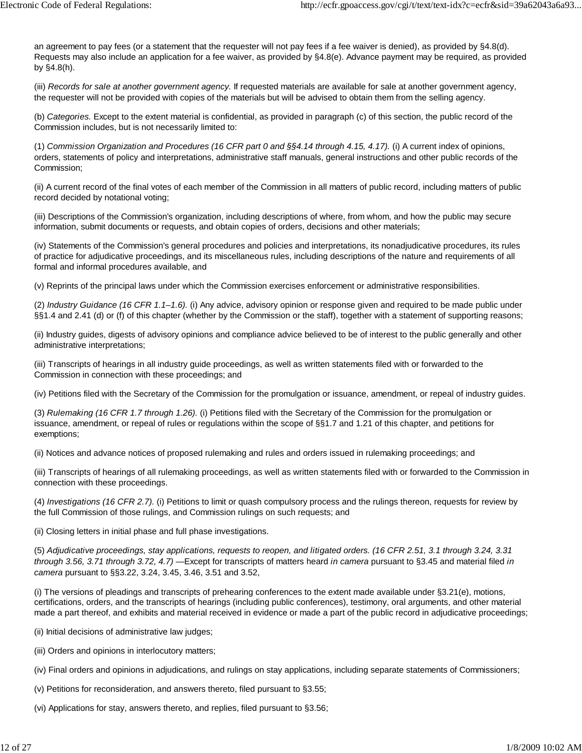an agreement to pay fees (or a statement that the requester will not pay fees if a fee waiver is denied), as provided by §4.8(d). Requests may also include an application for a fee waiver, as provided by §4.8(e). Advance payment may be required, as provided by §4.8(h).

(iii) *Records for sale at another government agency.* If requested materials are available for sale at another government agency, the requester will not be provided with copies of the materials but will be advised to obtain them from the selling agency.

(b) *Categories.* Except to the extent material is confidential, as provided in paragraph (c) of this section, the public record of the Commission includes, but is not necessarily limited to:

(1) *Commission Organization and Procedures (16 CFR part 0 and §§4.14 through 4.15, 4.17).* (i) A current index of opinions, orders, statements of policy and interpretations, administrative staff manuals, general instructions and other public records of the Commission;

(ii) A current record of the final votes of each member of the Commission in all matters of public record, including matters of public record decided by notational voting;

(iii) Descriptions of the Commission's organization, including descriptions of where, from whom, and how the public may secure information, submit documents or requests, and obtain copies of orders, decisions and other materials;

(iv) Statements of the Commission's general procedures and policies and interpretations, its nonadjudicative procedures, its rules of practice for adjudicative proceedings, and its miscellaneous rules, including descriptions of the nature and requirements of all formal and informal procedures available, and

(v) Reprints of the principal laws under which the Commission exercises enforcement or administrative responsibilities.

(2) *Industry Guidance (16 CFR 1.1–1.6).* (i) Any advice, advisory opinion or response given and required to be made public under §§1.4 and 2.41 (d) or (f) of this chapter (whether by the Commission or the staff), together with a statement of supporting reasons;

(ii) Industry guides, digests of advisory opinions and compliance advice believed to be of interest to the public generally and other administrative interpretations;

(iii) Transcripts of hearings in all industry guide proceedings, as well as written statements filed with or forwarded to the Commission in connection with these proceedings; and

(iv) Petitions filed with the Secretary of the Commission for the promulgation or issuance, amendment, or repeal of industry guides.

(3) *Rulemaking (16 CFR 1.7 through 1.26).* (i) Petitions filed with the Secretary of the Commission for the promulgation or issuance, amendment, or repeal of rules or regulations within the scope of §§1.7 and 1.21 of this chapter, and petitions for exemptions;

(ii) Notices and advance notices of proposed rulemaking and rules and orders issued in rulemaking proceedings; and

(iii) Transcripts of hearings of all rulemaking proceedings, as well as written statements filed with or forwarded to the Commission in connection with these proceedings.

(4) *Investigations (16 CFR 2.7).* (i) Petitions to limit or quash compulsory process and the rulings thereon, requests for review by the full Commission of those rulings, and Commission rulings on such requests; and

(ii) Closing letters in initial phase and full phase investigations.

(5) *Adjudicative proceedings, stay applications, requests to reopen, and litigated orders. (16 CFR 2.51, 3.1 through 3.24, 3.31 through 3.56, 3.71 through 3.72, 4.7)* —Except for transcripts of matters heard *in camera* pursuant to §3.45 and material filed *in camera* pursuant to §§3.22, 3.24, 3.45, 3.46, 3.51 and 3.52,

(i) The versions of pleadings and transcripts of prehearing conferences to the extent made available under §3.21(e), motions, certifications, orders, and the transcripts of hearings (including public conferences), testimony, oral arguments, and other material made a part thereof, and exhibits and material received in evidence or made a part of the public record in adjudicative proceedings;

(ii) Initial decisions of administrative law judges;

- (iii) Orders and opinions in interlocutory matters;
- (iv) Final orders and opinions in adjudications, and rulings on stay applications, including separate statements of Commissioners;
- (v) Petitions for reconsideration, and answers thereto, filed pursuant to §3.55;
- (vi) Applications for stay, answers thereto, and replies, filed pursuant to §3.56;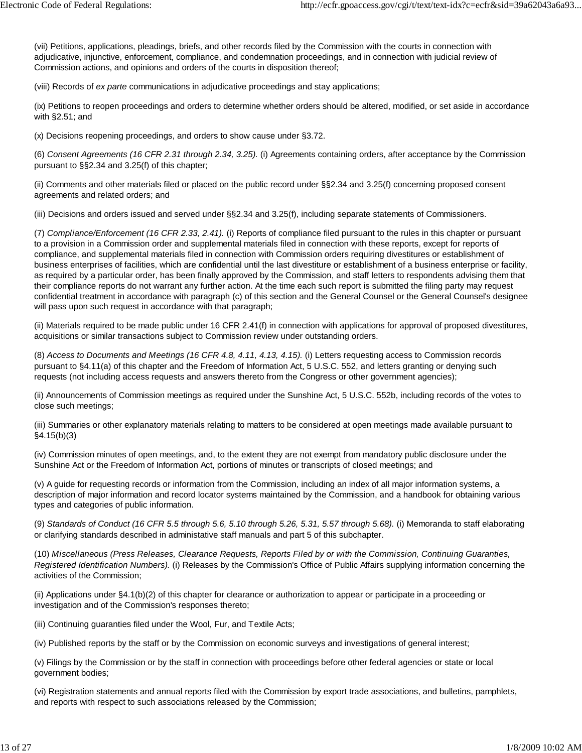(vii) Petitions, applications, pleadings, briefs, and other records filed by the Commission with the courts in connection with adjudicative, injunctive, enforcement, compliance, and condemnation proceedings, and in connection with judicial review of Commission actions, and opinions and orders of the courts in disposition thereof;

(viii) Records of *ex parte* communications in adjudicative proceedings and stay applications;

(ix) Petitions to reopen proceedings and orders to determine whether orders should be altered, modified, or set aside in accordance with §2.51; and

(x) Decisions reopening proceedings, and orders to show cause under §3.72.

(6) *Consent Agreements (16 CFR 2.31 through 2.34, 3.25).* (i) Agreements containing orders, after acceptance by the Commission pursuant to §§2.34 and 3.25(f) of this chapter;

(ii) Comments and other materials filed or placed on the public record under §§2.34 and 3.25(f) concerning proposed consent agreements and related orders; and

(iii) Decisions and orders issued and served under §§2.34 and 3.25(f), including separate statements of Commissioners.

(7) *Compliance/Enforcement (16 CFR 2.33, 2.41).* (i) Reports of compliance filed pursuant to the rules in this chapter or pursuant to a provision in a Commission order and supplemental materials filed in connection with these reports, except for reports of compliance, and supplemental materials filed in connection with Commission orders requiring divestitures or establishment of business enterprises of facilities, which are confidential until the last divestiture or establishment of a business enterprise or facility, as required by a particular order, has been finally approved by the Commission, and staff letters to respondents advising them that their compliance reports do not warrant any further action. At the time each such report is submitted the filing party may request confidential treatment in accordance with paragraph (c) of this section and the General Counsel or the General Counsel's designee will pass upon such request in accordance with that paragraph;

(ii) Materials required to be made public under 16 CFR 2.41(f) in connection with applications for approval of proposed divestitures, acquisitions or similar transactions subject to Commission review under outstanding orders.

(8) *Access to Documents and Meetings (16 CFR 4.8, 4.11, 4.13, 4.15).* (i) Letters requesting access to Commission records pursuant to §4.11(a) of this chapter and the Freedom of Information Act, 5 U.S.C. 552, and letters granting or denying such requests (not including access requests and answers thereto from the Congress or other government agencies);

(ii) Announcements of Commission meetings as required under the Sunshine Act, 5 U.S.C. 552b, including records of the votes to close such meetings;

(iii) Summaries or other explanatory materials relating to matters to be considered at open meetings made available pursuant to §4.15(b)(3)

(iv) Commission minutes of open meetings, and, to the extent they are not exempt from mandatory public disclosure under the Sunshine Act or the Freedom of Information Act, portions of minutes or transcripts of closed meetings; and

(v) A guide for requesting records or information from the Commission, including an index of all major information systems, a description of major information and record locator systems maintained by the Commission, and a handbook for obtaining various types and categories of public information.

(9) *Standards of Conduct (16 CFR 5.5 through 5.6, 5.10 through 5.26, 5.31, 5.57 through 5.68).* (i) Memoranda to staff elaborating or clarifying standards described in administative staff manuals and part 5 of this subchapter.

(10) *Miscellaneous (Press Releases, Clearance Requests, Reports Filed by or with the Commission, Continuing Guaranties, Registered Identification Numbers).* (i) Releases by the Commission's Office of Public Affairs supplying information concerning the activities of the Commission;

(ii) Applications under §4.1(b)(2) of this chapter for clearance or authorization to appear or participate in a proceeding or investigation and of the Commission's responses thereto;

(iii) Continuing guaranties filed under the Wool, Fur, and Textile Acts;

(iv) Published reports by the staff or by the Commission on economic surveys and investigations of general interest;

(v) Filings by the Commission or by the staff in connection with proceedings before other federal agencies or state or local government bodies;

(vi) Registration statements and annual reports filed with the Commission by export trade associations, and bulletins, pamphlets, and reports with respect to such associations released by the Commission;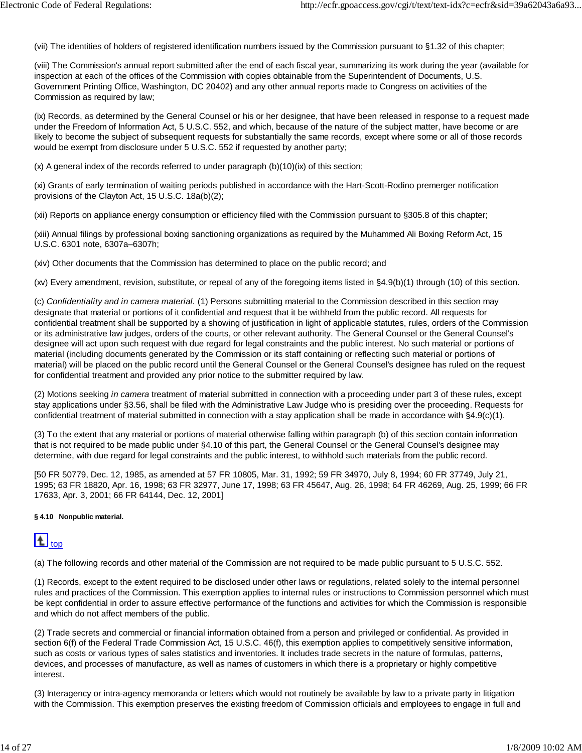(vii) The identities of holders of registered identification numbers issued by the Commission pursuant to §1.32 of this chapter;

(viii) The Commission's annual report submitted after the end of each fiscal year, summarizing its work during the year (available for inspection at each of the offices of the Commission with copies obtainable from the Superintendent of Documents, U.S. Government Printing Office, Washington, DC 20402) and any other annual reports made to Congress on activities of the Commission as required by law;

(ix) Records, as determined by the General Counsel or his or her designee, that have been released in response to a request made under the Freedom of Information Act, 5 U.S.C. 552, and which, because of the nature of the subject matter, have become or are likely to become the subject of subsequent requests for substantially the same records, except where some or all of those records would be exempt from disclosure under 5 U.S.C. 552 if requested by another party;

(x) A general index of the records referred to under paragraph (b)(10)(ix) of this section;

(xi) Grants of early termination of waiting periods published in accordance with the Hart-Scott-Rodino premerger notification provisions of the Clayton Act, 15 U.S.C. 18a(b)(2);

(xii) Reports on appliance energy consumption or efficiency filed with the Commission pursuant to §305.8 of this chapter;

(xiii) Annual filings by professional boxing sanctioning organizations as required by the Muhammed Ali Boxing Reform Act, 15 U.S.C. 6301 note, 6307a–6307h;

(xiv) Other documents that the Commission has determined to place on the public record; and

(xv) Every amendment, revision, substitute, or repeal of any of the foregoing items listed in §4.9(b)(1) through (10) of this section.

(c) *Confidentiality and in camera material.* (1) Persons submitting material to the Commission described in this section may designate that material or portions of it confidential and request that it be withheld from the public record. All requests for confidential treatment shall be supported by a showing of justification in light of applicable statutes, rules, orders of the Commission or its administrative law judges, orders of the courts, or other relevant authority. The General Counsel or the General Counsel's designee will act upon such request with due regard for legal constraints and the public interest. No such material or portions of material (including documents generated by the Commission or its staff containing or reflecting such material or portions of material) will be placed on the public record until the General Counsel or the General Counsel's designee has ruled on the request for confidential treatment and provided any prior notice to the submitter required by law.

(2) Motions seeking *in camera* treatment of material submitted in connection with a proceeding under part 3 of these rules, except stay applications under §3.56, shall be filed with the Administrative Law Judge who is presiding over the proceeding. Requests for confidential treatment of material submitted in connection with a stay application shall be made in accordance with §4.9(c)(1).

(3) To the extent that any material or portions of material otherwise falling within paragraph (b) of this section contain information that is not required to be made public under §4.10 of this part, the General Counsel or the General Counsel's designee may determine, with due regard for legal constraints and the public interest, to withhold such materials from the public record.

[50 FR 50779, Dec. 12, 1985, as amended at 57 FR 10805, Mar. 31, 1992; 59 FR 34970, July 8, 1994; 60 FR 37749, July 21, 1995; 63 FR 18820, Apr. 16, 1998; 63 FR 32977, June 17, 1998; 63 FR 45647, Aug. 26, 1998; 64 FR 46269, Aug. 25, 1999; 66 FR 17633, Apr. 3, 2001; 66 FR 64144, Dec. 12, 2001]

#### **§ 4.10 Nonpublic material.**

# top

(a) The following records and other material of the Commission are not required to be made public pursuant to 5 U.S.C. 552.

(1) Records, except to the extent required to be disclosed under other laws or regulations, related solely to the internal personnel rules and practices of the Commission. This exemption applies to internal rules or instructions to Commission personnel which must be kept confidential in order to assure effective performance of the functions and activities for which the Commission is responsible and which do not affect members of the public.

(2) Trade secrets and commercial or financial information obtained from a person and privileged or confidential. As provided in section 6(f) of the Federal Trade Commission Act, 15 U.S.C. 46(f), this exemption applies to competitively sensitive information, such as costs or various types of sales statistics and inventories. It includes trade secrets in the nature of formulas, patterns, devices, and processes of manufacture, as well as names of customers in which there is a proprietary or highly competitive interest.

(3) Interagency or intra-agency memoranda or letters which would not routinely be available by law to a private party in litigation with the Commission. This exemption preserves the existing freedom of Commission officials and employees to engage in full and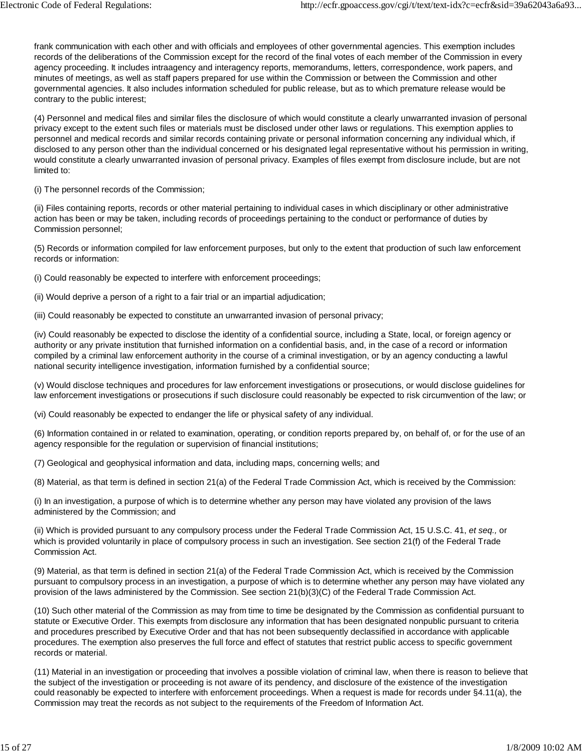frank communication with each other and with officials and employees of other governmental agencies. This exemption includes records of the deliberations of the Commission except for the record of the final votes of each member of the Commission in every agency proceeding. It includes intraagency and interagency reports, memorandums, letters, correspondence, work papers, and minutes of meetings, as well as staff papers prepared for use within the Commission or between the Commission and other governmental agencies. It also includes information scheduled for public release, but as to which premature release would be contrary to the public interest;

(4) Personnel and medical files and similar files the disclosure of which would constitute a clearly unwarranted invasion of personal privacy except to the extent such files or materials must be disclosed under other laws or regulations. This exemption applies to personnel and medical records and similar records containing private or personal information concerning any individual which, if disclosed to any person other than the individual concerned or his designated legal representative without his permission in writing, would constitute a clearly unwarranted invasion of personal privacy. Examples of files exempt from disclosure include, but are not limited to:

(i) The personnel records of the Commission;

(ii) Files containing reports, records or other material pertaining to individual cases in which disciplinary or other administrative action has been or may be taken, including records of proceedings pertaining to the conduct or performance of duties by Commission personnel;

(5) Records or information compiled for law enforcement purposes, but only to the extent that production of such law enforcement records or information:

(i) Could reasonably be expected to interfere with enforcement proceedings;

(ii) Would deprive a person of a right to a fair trial or an impartial adjudication;

(iii) Could reasonably be expected to constitute an unwarranted invasion of personal privacy;

(iv) Could reasonably be expected to disclose the identity of a confidential source, including a State, local, or foreign agency or authority or any private institution that furnished information on a confidential basis, and, in the case of a record or information compiled by a criminal law enforcement authority in the course of a criminal investigation, or by an agency conducting a lawful national security intelligence investigation, information furnished by a confidential source;

(v) Would disclose techniques and procedures for law enforcement investigations or prosecutions, or would disclose guidelines for law enforcement investigations or prosecutions if such disclosure could reasonably be expected to risk circumvention of the law; or

(vi) Could reasonably be expected to endanger the life or physical safety of any individual.

(6) Information contained in or related to examination, operating, or condition reports prepared by, on behalf of, or for the use of an agency responsible for the regulation or supervision of financial institutions;

(7) Geological and geophysical information and data, including maps, concerning wells; and

(8) Material, as that term is defined in section 21(a) of the Federal Trade Commission Act, which is received by the Commission:

(i) In an investigation, a purpose of which is to determine whether any person may have violated any provision of the laws administered by the Commission; and

(ii) Which is provided pursuant to any compulsory process under the Federal Trade Commission Act, 15 U.S.C. 41, *et seq.,* or which is provided voluntarily in place of compulsory process in such an investigation. See section 21(f) of the Federal Trade Commission Act.

(9) Material, as that term is defined in section 21(a) of the Federal Trade Commission Act, which is received by the Commission pursuant to compulsory process in an investigation, a purpose of which is to determine whether any person may have violated any provision of the laws administered by the Commission. See section 21(b)(3)(C) of the Federal Trade Commission Act.

(10) Such other material of the Commission as may from time to time be designated by the Commission as confidential pursuant to statute or Executive Order. This exempts from disclosure any information that has been designated nonpublic pursuant to criteria and procedures prescribed by Executive Order and that has not been subsequently declassified in accordance with applicable procedures. The exemption also preserves the full force and effect of statutes that restrict public access to specific government records or material.

(11) Material in an investigation or proceeding that involves a possible violation of criminal law, when there is reason to believe that the subject of the investigation or proceeding is not aware of its pendency, and disclosure of the existence of the investigation could reasonably be expected to interfere with enforcement proceedings. When a request is made for records under §4.11(a), the Commission may treat the records as not subject to the requirements of the Freedom of Information Act.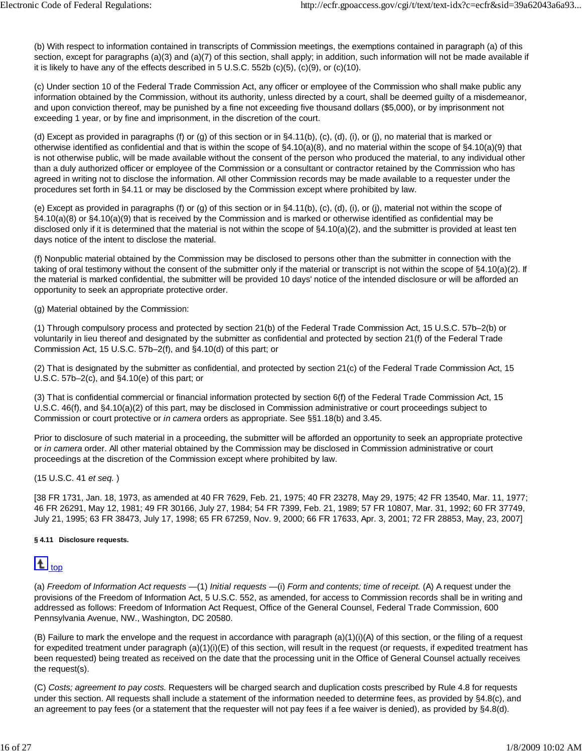(b) With respect to information contained in transcripts of Commission meetings, the exemptions contained in paragraph (a) of this section, except for paragraphs (a)(3) and (a)(7) of this section, shall apply; in addition, such information will not be made available if it is likely to have any of the effects described in  $5 \text{ U.S.C. } 552b$  (c)(5), (c)(9), or (c)(10).

(c) Under section 10 of the Federal Trade Commission Act, any officer or employee of the Commission who shall make public any information obtained by the Commission, without its authority, unless directed by a court, shall be deemed guilty of a misdemeanor, and upon conviction thereof, may be punished by a fine not exceeding five thousand dollars (\$5,000), or by imprisonment not exceeding 1 year, or by fine and imprisonment, in the discretion of the court.

(d) Except as provided in paragraphs (f) or (g) of this section or in §4.11(b), (c), (d), (i), or (j), no material that is marked or otherwise identified as confidential and that is within the scope of §4.10(a)(8), and no material within the scope of §4.10(a)(9) that is not otherwise public, will be made available without the consent of the person who produced the material, to any individual other than a duly authorized officer or employee of the Commission or a consultant or contractor retained by the Commission who has agreed in writing not to disclose the information. All other Commission records may be made available to a requester under the procedures set forth in §4.11 or may be disclosed by the Commission except where prohibited by law.

(e) Except as provided in paragraphs (f) or (g) of this section or in §4.11(b), (c), (d), (i), or (j), material not within the scope of §4.10(a)(8) or §4.10(a)(9) that is received by the Commission and is marked or otherwise identified as confidential may be disclosed only if it is determined that the material is not within the scope of §4.10(a)(2), and the submitter is provided at least ten days notice of the intent to disclose the material.

(f) Nonpublic material obtained by the Commission may be disclosed to persons other than the submitter in connection with the taking of oral testimony without the consent of the submitter only if the material or transcript is not within the scope of §4.10(a)(2). If the material is marked confidential, the submitter will be provided 10 days' notice of the intended disclosure or will be afforded an opportunity to seek an appropriate protective order.

(g) Material obtained by the Commission:

(1) Through compulsory process and protected by section 21(b) of the Federal Trade Commission Act, 15 U.S.C. 57b–2(b) or voluntarily in lieu thereof and designated by the submitter as confidential and protected by section 21(f) of the Federal Trade Commission Act, 15 U.S.C. 57b–2(f), and §4.10(d) of this part; or

(2) That is designated by the submitter as confidential, and protected by section 21(c) of the Federal Trade Commission Act, 15 U.S.C. 57b–2(c), and §4.10(e) of this part; or

(3) That is confidential commercial or financial information protected by section 6(f) of the Federal Trade Commission Act, 15 U.S.C. 46(f), and §4.10(a)(2) of this part, may be disclosed in Commission administrative or court proceedings subject to Commission or court protective or *in camera* orders as appropriate. See §§1.18(b) and 3.45.

Prior to disclosure of such material in a proceeding, the submitter will be afforded an opportunity to seek an appropriate protective or *in camera* order. All other material obtained by the Commission may be disclosed in Commission administrative or court proceedings at the discretion of the Commission except where prohibited by law.

(15 U.S.C. 41 *et seq.* )

[38 FR 1731, Jan. 18, 1973, as amended at 40 FR 7629, Feb. 21, 1975; 40 FR 23278, May 29, 1975; 42 FR 13540, Mar. 11, 1977; 46 FR 26291, May 12, 1981; 49 FR 30166, July 27, 1984; 54 FR 7399, Feb. 21, 1989; 57 FR 10807, Mar. 31, 1992; 60 FR 37749, July 21, 1995; 63 FR 38473, July 17, 1998; 65 FR 67259, Nov. 9, 2000; 66 FR 17633, Apr. 3, 2001; 72 FR 28853, May, 23, 2007]

# **§ 4.11 Disclosure requests.**

# $t$ <sub>top</sub>

(a) *Freedom of Information Act requests* —(1) *Initial requests* —(i) *Form and contents; time of receipt.* (A) A request under the provisions of the Freedom of Information Act, 5 U.S.C. 552, as amended, for access to Commission records shall be in writing and addressed as follows: Freedom of Information Act Request, Office of the General Counsel, Federal Trade Commission, 600 Pennsylvania Avenue, NW., Washington, DC 20580.

(B) Failure to mark the envelope and the request in accordance with paragraph (a)(1)(i)(A) of this section, or the filing of a request for expedited treatment under paragraph (a)(1)(i)(E) of this section, will result in the request (or requests, if expedited treatment has been requested) being treated as received on the date that the processing unit in the Office of General Counsel actually receives the request(s).

(C) *Costs; agreement to pay costs.* Requesters will be charged search and duplication costs prescribed by Rule 4.8 for requests under this section. All requests shall include a statement of the information needed to determine fees, as provided by §4.8(c), and an agreement to pay fees (or a statement that the requester will not pay fees if a fee waiver is denied), as provided by §4.8(d).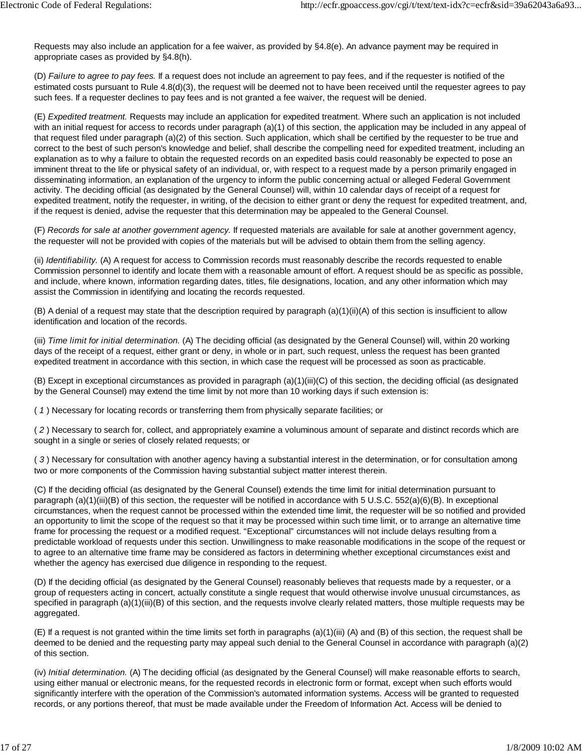Requests may also include an application for a fee waiver, as provided by §4.8(e). An advance payment may be required in appropriate cases as provided by §4.8(h).

(D) *Failure to agree to pay fees.* If a request does not include an agreement to pay fees, and if the requester is notified of the estimated costs pursuant to Rule 4.8(d)(3), the request will be deemed not to have been received until the requester agrees to pay such fees. If a requester declines to pay fees and is not granted a fee waiver, the request will be denied.

(E) *Expedited treatment.* Requests may include an application for expedited treatment. Where such an application is not included with an initial request for access to records under paragraph (a)(1) of this section, the application may be included in any appeal of that request filed under paragraph (a)(2) of this section. Such application, which shall be certified by the requester to be true and correct to the best of such person's knowledge and belief, shall describe the compelling need for expedited treatment, including an explanation as to why a failure to obtain the requested records on an expedited basis could reasonably be expected to pose an imminent threat to the life or physical safety of an individual, or, with respect to a request made by a person primarily engaged in disseminating information, an explanation of the urgency to inform the public concerning actual or alleged Federal Government activity. The deciding official (as designated by the General Counsel) will, within 10 calendar days of receipt of a request for expedited treatment, notify the requester, in writing, of the decision to either grant or deny the request for expedited treatment, and, if the request is denied, advise the requester that this determination may be appealed to the General Counsel.

(F) *Records for sale at another government agency.* If requested materials are available for sale at another government agency, the requester will not be provided with copies of the materials but will be advised to obtain them from the selling agency.

(ii) *Identifiability.* (A) A request for access to Commission records must reasonably describe the records requested to enable Commission personnel to identify and locate them with a reasonable amount of effort. A request should be as specific as possible, and include, where known, information regarding dates, titles, file designations, location, and any other information which may assist the Commission in identifying and locating the records requested.

(B) A denial of a request may state that the description required by paragraph (a)(1)(ii)(A) of this section is insufficient to allow identification and location of the records.

(iii) *Time limit for initial determination.* (A) The deciding official (as designated by the General Counsel) will, within 20 working days of the receipt of a request, either grant or deny, in whole or in part, such request, unless the request has been granted expedited treatment in accordance with this section, in which case the request will be processed as soon as practicable.

(B) Except in exceptional circumstances as provided in paragraph (a)(1)(iii)(C) of this section, the deciding official (as designated by the General Counsel) may extend the time limit by not more than 10 working days if such extension is:

( *1* ) Necessary for locating records or transferring them from physically separate facilities; or

( *2* ) Necessary to search for, collect, and appropriately examine a voluminous amount of separate and distinct records which are sought in a single or series of closely related requests; or

( *3* ) Necessary for consultation with another agency having a substantial interest in the determination, or for consultation among two or more components of the Commission having substantial subject matter interest therein.

(C) If the deciding official (as designated by the General Counsel) extends the time limit for initial determination pursuant to paragraph (a)(1)(iii)(B) of this section, the requester will be notified in accordance with 5 U.S.C. 552(a)(6)(B). In exceptional circumstances, when the request cannot be processed within the extended time limit, the requester will be so notified and provided an opportunity to limit the scope of the request so that it may be processed within such time limit, or to arrange an alternative time frame for processing the request or a modified request. "Exceptional" circumstances will not include delays resulting from a predictable workload of requests under this section. Unwillingness to make reasonable modifications in the scope of the request or to agree to an alternative time frame may be considered as factors in determining whether exceptional circumstances exist and whether the agency has exercised due diligence in responding to the request.

(D) If the deciding official (as designated by the General Counsel) reasonably believes that requests made by a requester, or a group of requesters acting in concert, actually constitute a single request that would otherwise involve unusual circumstances, as specified in paragraph (a)(1)(iii)(B) of this section, and the requests involve clearly related matters, those multiple requests may be aggregated.

(E) If a request is not granted within the time limits set forth in paragraphs (a)(1)(iii) (A) and (B) of this section, the request shall be deemed to be denied and the requesting party may appeal such denial to the General Counsel in accordance with paragraph (a)(2) of this section.

(iv) *Initial determination.* (A) The deciding official (as designated by the General Counsel) will make reasonable efforts to search, using either manual or electronic means, for the requested records in electronic form or format, except when such efforts would significantly interfere with the operation of the Commission's automated information systems. Access will be granted to requested records, or any portions thereof, that must be made available under the Freedom of Information Act. Access will be denied to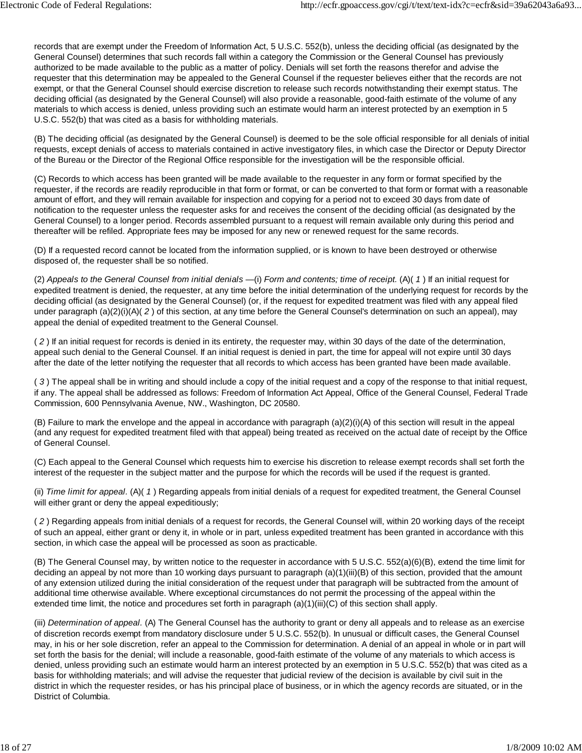records that are exempt under the Freedom of Information Act, 5 U.S.C. 552(b), unless the deciding official (as designated by the General Counsel) determines that such records fall within a category the Commission or the General Counsel has previously authorized to be made available to the public as a matter of policy. Denials will set forth the reasons therefor and advise the requester that this determination may be appealed to the General Counsel if the requester believes either that the records are not exempt, or that the General Counsel should exercise discretion to release such records notwithstanding their exempt status. The deciding official (as designated by the General Counsel) will also provide a reasonable, good-faith estimate of the volume of any materials to which access is denied, unless providing such an estimate would harm an interest protected by an exemption in 5 U.S.C. 552(b) that was cited as a basis for withholding materials.

(B) The deciding official (as designated by the General Counsel) is deemed to be the sole official responsible for all denials of initial requests, except denials of access to materials contained in active investigatory files, in which case the Director or Deputy Director of the Bureau or the Director of the Regional Office responsible for the investigation will be the responsible official.

(C) Records to which access has been granted will be made available to the requester in any form or format specified by the requester, if the records are readily reproducible in that form or format, or can be converted to that form or format with a reasonable amount of effort, and they will remain available for inspection and copying for a period not to exceed 30 days from date of notification to the requester unless the requester asks for and receives the consent of the deciding official (as designated by the General Counsel) to a longer period. Records assembled pursuant to a request will remain available only during this period and thereafter will be refiled. Appropriate fees may be imposed for any new or renewed request for the same records.

(D) If a requested record cannot be located from the information supplied, or is known to have been destroyed or otherwise disposed of, the requester shall be so notified.

(2) *Appeals to the General Counsel from initial denials* —(i) *Form and contents; time of receipt.* (A)( *1* ) If an initial request for expedited treatment is denied, the requester, at any time before the initial determination of the underlying request for records by the deciding official (as designated by the General Counsel) (or, if the request for expedited treatment was filed with any appeal filed under paragraph (a)(2)(i)(A)( *2* ) of this section, at any time before the General Counsel's determination on such an appeal), may appeal the denial of expedited treatment to the General Counsel.

( *2* ) If an initial request for records is denied in its entirety, the requester may, within 30 days of the date of the determination, appeal such denial to the General Counsel. If an initial request is denied in part, the time for appeal will not expire until 30 days after the date of the letter notifying the requester that all records to which access has been granted have been made available.

( *3* ) The appeal shall be in writing and should include a copy of the initial request and a copy of the response to that initial request, if any. The appeal shall be addressed as follows: Freedom of Information Act Appeal, Office of the General Counsel, Federal Trade Commission, 600 Pennsylvania Avenue, NW., Washington, DC 20580.

(B) Failure to mark the envelope and the appeal in accordance with paragraph (a)(2)(i)(A) of this section will result in the appeal (and any request for expedited treatment filed with that appeal) being treated as received on the actual date of receipt by the Office of General Counsel.

(C) Each appeal to the General Counsel which requests him to exercise his discretion to release exempt records shall set forth the interest of the requester in the subject matter and the purpose for which the records will be used if the request is granted.

(ii) *Time limit for appeal.* (A)( *1* ) Regarding appeals from initial denials of a request for expedited treatment, the General Counsel will either grant or deny the appeal expeditiously;

( *2* ) Regarding appeals from initial denials of a request for records, the General Counsel will, within 20 working days of the receipt of such an appeal, either grant or deny it, in whole or in part, unless expedited treatment has been granted in accordance with this section, in which case the appeal will be processed as soon as practicable.

(B) The General Counsel may, by written notice to the requester in accordance with 5 U.S.C. 552(a)(6)(B), extend the time limit for deciding an appeal by not more than 10 working days pursuant to paragraph (a)(1)(iii)(B) of this section, provided that the amount of any extension utilized during the initial consideration of the request under that paragraph will be subtracted from the amount of additional time otherwise available. Where exceptional circumstances do not permit the processing of the appeal within the extended time limit, the notice and procedures set forth in paragraph (a)(1)(iii)(C) of this section shall apply.

(iii) *Determination of appeal.* (A) The General Counsel has the authority to grant or deny all appeals and to release as an exercise of discretion records exempt from mandatory disclosure under 5 U.S.C. 552(b). In unusual or difficult cases, the General Counsel may, in his or her sole discretion, refer an appeal to the Commission for determination. A denial of an appeal in whole or in part will set forth the basis for the denial; will include a reasonable, good-faith estimate of the volume of any materials to which access is denied, unless providing such an estimate would harm an interest protected by an exemption in 5 U.S.C. 552(b) that was cited as a basis for withholding materials; and will advise the requester that judicial review of the decision is available by civil suit in the district in which the requester resides, or has his principal place of business, or in which the agency records are situated, or in the District of Columbia.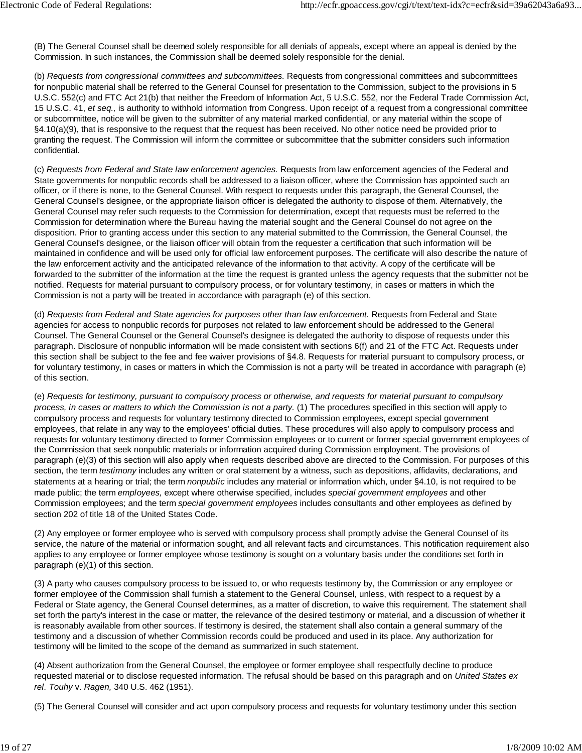(B) The General Counsel shall be deemed solely responsible for all denials of appeals, except where an appeal is denied by the Commission. In such instances, the Commission shall be deemed solely responsible for the denial.

(b) *Requests from congressional committees and subcommittees.* Requests from congressional committees and subcommittees for nonpublic material shall be referred to the General Counsel for presentation to the Commission, subject to the provisions in 5 U.S.C. 552(c) and FTC Act 21(b) that neither the Freedom of Information Act, 5 U.S.C. 552, nor the Federal Trade Commission Act, 15 U.S.C. 41, *et seq.,* is authority to withhold information from Congress. Upon receipt of a request from a congressional committee or subcommittee, notice will be given to the submitter of any material marked confidential, or any material within the scope of §4.10(a)(9), that is responsive to the request that the request has been received. No other notice need be provided prior to granting the request. The Commission will inform the committee or subcommittee that the submitter considers such information confidential.

(c) *Requests from Federal and State law enforcement agencies.* Requests from law enforcement agencies of the Federal and State governments for nonpublic records shall be addressed to a liaison officer, where the Commission has appointed such an officer, or if there is none, to the General Counsel. With respect to requests under this paragraph, the General Counsel, the General Counsel's designee, or the appropriate liaison officer is delegated the authority to dispose of them. Alternatively, the General Counsel may refer such requests to the Commission for determination, except that requests must be referred to the Commission for determination where the Bureau having the material sought and the General Counsel do not agree on the disposition. Prior to granting access under this section to any material submitted to the Commission, the General Counsel, the General Counsel's designee, or the liaison officer will obtain from the requester a certification that such information will be maintained in confidence and will be used only for official law enforcement purposes. The certificate will also describe the nature of the law enforcement activity and the anticipated relevance of the information to that activity. A copy of the certificate will be forwarded to the submitter of the information at the time the request is granted unless the agency requests that the submitter not be notified. Requests for material pursuant to compulsory process, or for voluntary testimony, in cases or matters in which the Commission is not a party will be treated in accordance with paragraph (e) of this section.

(d) *Requests from Federal and State agencies for purposes other than law enforcement.* Requests from Federal and State agencies for access to nonpublic records for purposes not related to law enforcement should be addressed to the General Counsel. The General Counsel or the General Counsel's designee is delegated the authority to dispose of requests under this paragraph. Disclosure of nonpublic information will be made consistent with sections 6(f) and 21 of the FTC Act. Requests under this section shall be subject to the fee and fee waiver provisions of §4.8. Requests for material pursuant to compulsory process, or for voluntary testimony, in cases or matters in which the Commission is not a party will be treated in accordance with paragraph (e) of this section.

(e) *Requests for testimony, pursuant to compulsory process or otherwise, and requests for material pursuant to compulsory process, in cases or matters to which the Commission is not a party.* (1) The procedures specified in this section will apply to compulsory process and requests for voluntary testimony directed to Commission employees, except special government employees, that relate in any way to the employees' official duties. These procedures will also apply to compulsory process and requests for voluntary testimony directed to former Commission employees or to current or former special government employees of the Commission that seek nonpublic materials or information acquired during Commission employment. The provisions of paragraph (e)(3) of this section will also apply when requests described above are directed to the Commission. For purposes of this section, the term *testimony* includes any written or oral statement by a witness, such as depositions, affidavits, declarations, and statements at a hearing or trial; the term *nonpublic* includes any material or information which, under §4.10, is not required to be made public; the term *employees,* except where otherwise specified, includes *special government employees* and other Commission employees; and the term *special government employees* includes consultants and other employees as defined by section 202 of title 18 of the United States Code.

(2) Any employee or former employee who is served with compulsory process shall promptly advise the General Counsel of its service, the nature of the material or information sought, and all relevant facts and circumstances. This notification requirement also applies to any employee or former employee whose testimony is sought on a voluntary basis under the conditions set forth in paragraph (e)(1) of this section.

(3) A party who causes compulsory process to be issued to, or who requests testimony by, the Commission or any employee or former employee of the Commission shall furnish a statement to the General Counsel, unless, with respect to a request by a Federal or State agency, the General Counsel determines, as a matter of discretion, to waive this requirement. The statement shall set forth the party's interest in the case or matter, the relevance of the desired testimony or material, and a discussion of whether it is reasonably available from other sources. If testimony is desired, the statement shall also contain a general summary of the testimony and a discussion of whether Commission records could be produced and used in its place. Any authorization for testimony will be limited to the scope of the demand as summarized in such statement.

(4) Absent authorization from the General Counsel, the employee or former employee shall respectfully decline to produce requested material or to disclose requested information. The refusal should be based on this paragraph and on *United States ex rel. Touhy* v. *Ragen,* 340 U.S. 462 (1951).

(5) The General Counsel will consider and act upon compulsory process and requests for voluntary testimony under this section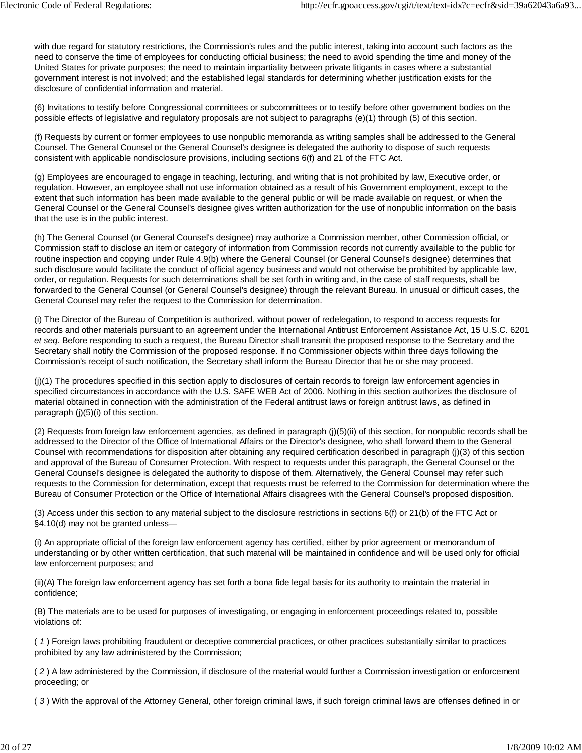with due regard for statutory restrictions, the Commission's rules and the public interest, taking into account such factors as the need to conserve the time of employees for conducting official business; the need to avoid spending the time and money of the United States for private purposes; the need to maintain impartiality between private litigants in cases where a substantial government interest is not involved; and the established legal standards for determining whether justification exists for the disclosure of confidential information and material.

(6) Invitations to testify before Congressional committees or subcommittees or to testify before other government bodies on the possible effects of legislative and regulatory proposals are not subject to paragraphs (e)(1) through (5) of this section.

(f) Requests by current or former employees to use nonpublic memoranda as writing samples shall be addressed to the General Counsel. The General Counsel or the General Counsel's designee is delegated the authority to dispose of such requests consistent with applicable nondisclosure provisions, including sections 6(f) and 21 of the FTC Act.

(g) Employees are encouraged to engage in teaching, lecturing, and writing that is not prohibited by law, Executive order, or regulation. However, an employee shall not use information obtained as a result of his Government employment, except to the extent that such information has been made available to the general public or will be made available on request, or when the General Counsel or the General Counsel's designee gives written authorization for the use of nonpublic information on the basis that the use is in the public interest.

(h) The General Counsel (or General Counsel's designee) may authorize a Commission member, other Commission official, or Commission staff to disclose an item or category of information from Commission records not currently available to the public for routine inspection and copying under Rule 4.9(b) where the General Counsel (or General Counsel's designee) determines that such disclosure would facilitate the conduct of official agency business and would not otherwise be prohibited by applicable law, order, or regulation. Requests for such determinations shall be set forth in writing and, in the case of staff requests, shall be forwarded to the General Counsel (or General Counsel's designee) through the relevant Bureau. In unusual or difficult cases, the General Counsel may refer the request to the Commission for determination.

(i) The Director of the Bureau of Competition is authorized, without power of redelegation, to respond to access requests for records and other materials pursuant to an agreement under the International Antitrust Enforcement Assistance Act, 15 U.S.C. 6201 *et seq.* Before responding to such a request, the Bureau Director shall transmit the proposed response to the Secretary and the Secretary shall notify the Commission of the proposed response. If no Commissioner objects within three days following the Commission's receipt of such notification, the Secretary shall inform the Bureau Director that he or she may proceed.

(j)(1) The procedures specified in this section apply to disclosures of certain records to foreign law enforcement agencies in specified circumstances in accordance with the U.S. SAFE WEB Act of 2006. Nothing in this section authorizes the disclosure of material obtained in connection with the administration of the Federal antitrust laws or foreign antitrust laws, as defined in paragraph (j)(5)(i) of this section.

(2) Requests from foreign law enforcement agencies, as defined in paragraph (j)(5)(ii) of this section, for nonpublic records shall be addressed to the Director of the Office of International Affairs or the Director's designee, who shall forward them to the General Counsel with recommendations for disposition after obtaining any required certification described in paragraph (j)(3) of this section and approval of the Bureau of Consumer Protection. With respect to requests under this paragraph, the General Counsel or the General Counsel's designee is delegated the authority to dispose of them. Alternatively, the General Counsel may refer such requests to the Commission for determination, except that requests must be referred to the Commission for determination where the Bureau of Consumer Protection or the Office of International Affairs disagrees with the General Counsel's proposed disposition.

(3) Access under this section to any material subject to the disclosure restrictions in sections 6(f) or 21(b) of the FTC Act or §4.10(d) may not be granted unless—

(i) An appropriate official of the foreign law enforcement agency has certified, either by prior agreement or memorandum of understanding or by other written certification, that such material will be maintained in confidence and will be used only for official law enforcement purposes; and

(ii)(A) The foreign law enforcement agency has set forth a bona fide legal basis for its authority to maintain the material in confidence;

(B) The materials are to be used for purposes of investigating, or engaging in enforcement proceedings related to, possible violations of:

( *1* ) Foreign laws prohibiting fraudulent or deceptive commercial practices, or other practices substantially similar to practices prohibited by any law administered by the Commission;

( *2* ) A law administered by the Commission, if disclosure of the material would further a Commission investigation or enforcement proceeding; or

( *3* ) With the approval of the Attorney General, other foreign criminal laws, if such foreign criminal laws are offenses defined in or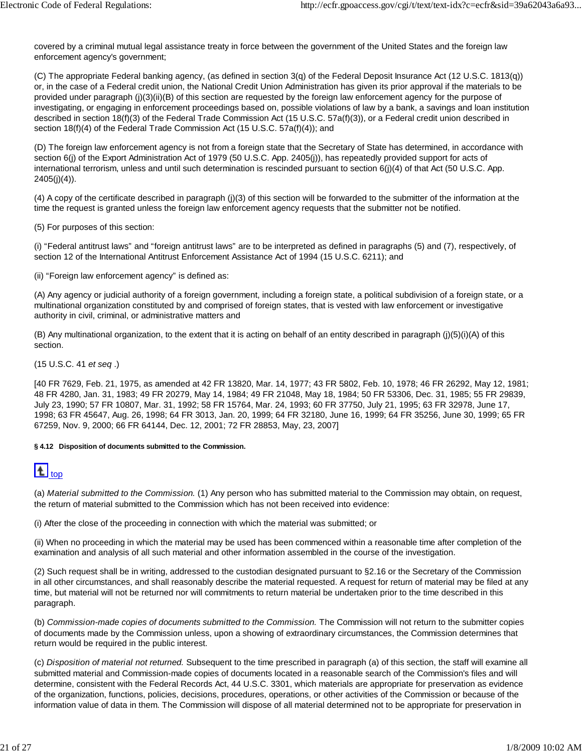covered by a criminal mutual legal assistance treaty in force between the government of the United States and the foreign law enforcement agency's government;

(C) The appropriate Federal banking agency, (as defined in section 3(q) of the Federal Deposit Insurance Act (12 U.S.C. 1813(q)) or, in the case of a Federal credit union, the National Credit Union Administration has given its prior approval if the materials to be provided under paragraph (j)(3)(ii)(B) of this section are requested by the foreign law enforcement agency for the purpose of investigating, or engaging in enforcement proceedings based on, possible violations of law by a bank, a savings and loan institution described in section 18(f)(3) of the Federal Trade Commission Act (15 U.S.C. 57a(f)(3)), or a Federal credit union described in section 18(f)(4) of the Federal Trade Commission Act (15 U.S.C. 57a(f)(4)); and

(D) The foreign law enforcement agency is not from a foreign state that the Secretary of State has determined, in accordance with section 6(j) of the Export Administration Act of 1979 (50 U.S.C. App. 2405(j)), has repeatedly provided support for acts of international terrorism, unless and until such determination is rescinded pursuant to section 6(j)(4) of that Act (50 U.S.C. App. 2405(j)(4)).

(4) A copy of the certificate described in paragraph (j)(3) of this section will be forwarded to the submitter of the information at the time the request is granted unless the foreign law enforcement agency requests that the submitter not be notified.

(5) For purposes of this section:

(i) "Federal antitrust laws" and "foreign antitrust laws" are to be interpreted as defined in paragraphs (5) and (7), respectively, of section 12 of the International Antitrust Enforcement Assistance Act of 1994 (15 U.S.C. 6211); and

(ii) "Foreign law enforcement agency" is defined as:

(A) Any agency or judicial authority of a foreign government, including a foreign state, a political subdivision of a foreign state, or a multinational organization constituted by and comprised of foreign states, that is vested with law enforcement or investigative authority in civil, criminal, or administrative matters and

(B) Any multinational organization, to the extent that it is acting on behalf of an entity described in paragraph (j)(5)(i)(A) of this section.

### (15 U.S.C. 41 *et seq* .)

[40 FR 7629, Feb. 21, 1975, as amended at 42 FR 13820, Mar. 14, 1977; 43 FR 5802, Feb. 10, 1978; 46 FR 26292, May 12, 1981; 48 FR 4280, Jan. 31, 1983; 49 FR 20279, May 14, 1984; 49 FR 21048, May 18, 1984; 50 FR 53306, Dec. 31, 1985; 55 FR 29839, July 23, 1990; 57 FR 10807, Mar. 31, 1992; 58 FR 15764, Mar. 24, 1993; 60 FR 37750, July 21, 1995; 63 FR 32978, June 17, 1998; 63 FR 45647, Aug. 26, 1998; 64 FR 3013, Jan. 20, 1999; 64 FR 32180, June 16, 1999; 64 FR 35256, June 30, 1999; 65 FR 67259, Nov. 9, 2000; 66 FR 64144, Dec. 12, 2001; 72 FR 28853, May, 23, 2007]

#### **§ 4.12 Disposition of documents submitted to the Commission.**

# top

(a) *Material submitted to the Commission.* (1) Any person who has submitted material to the Commission may obtain, on request, the return of material submitted to the Commission which has not been received into evidence:

(i) After the close of the proceeding in connection with which the material was submitted; or

(ii) When no proceeding in which the material may be used has been commenced within a reasonable time after completion of the examination and analysis of all such material and other information assembled in the course of the investigation.

(2) Such request shall be in writing, addressed to the custodian designated pursuant to §2.16 or the Secretary of the Commission in all other circumstances, and shall reasonably describe the material requested. A request for return of material may be filed at any time, but material will not be returned nor will commitments to return material be undertaken prior to the time described in this paragraph.

(b) *Commission-made copies of documents submitted to the Commission.* The Commission will not return to the submitter copies of documents made by the Commission unless, upon a showing of extraordinary circumstances, the Commission determines that return would be required in the public interest.

(c) *Disposition of material not returned.* Subsequent to the time prescribed in paragraph (a) of this section, the staff will examine all submitted material and Commission-made copies of documents located in a reasonable search of the Commission's files and will determine, consistent with the Federal Records Act, 44 U.S.C. 3301, which materials are appropriate for preservation as evidence of the organization, functions, policies, decisions, procedures, operations, or other activities of the Commission or because of the information value of data in them. The Commission will dispose of all material determined not to be appropriate for preservation in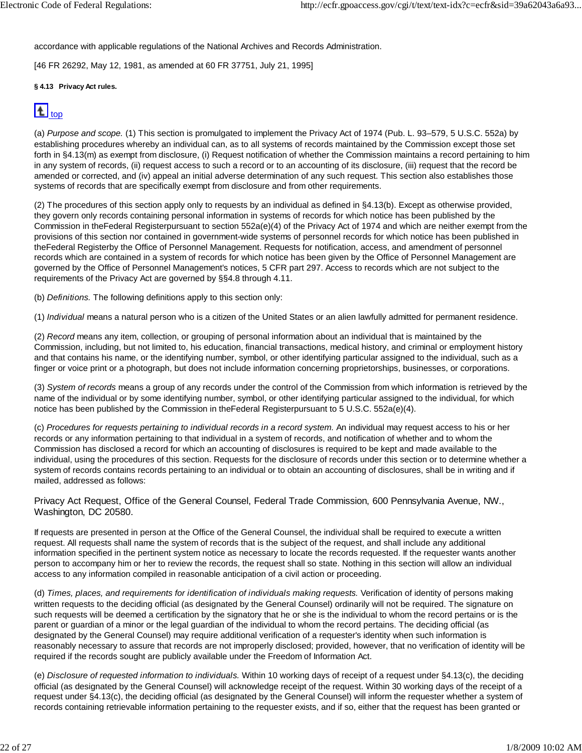accordance with applicable regulations of the National Archives and Records Administration.

[46 FR 26292, May 12, 1981, as amended at 60 FR 37751, July 21, 1995]

**§ 4.13 Privacy Act rules.**



(a) *Purpose and scope.* (1) This section is promulgated to implement the Privacy Act of 1974 (Pub. L. 93–579, 5 U.S.C. 552a) by establishing procedures whereby an individual can, as to all systems of records maintained by the Commission except those set forth in §4.13(m) as exempt from disclosure, (i) Request notification of whether the Commission maintains a record pertaining to him in any system of records, (ii) request access to such a record or to an accounting of its disclosure, (iii) request that the record be amended or corrected, and (iv) appeal an initial adverse determination of any such request. This section also establishes those systems of records that are specifically exempt from disclosure and from other requirements.

(2) The procedures of this section apply only to requests by an individual as defined in §4.13(b). Except as otherwise provided, they govern only records containing personal information in systems of records for which notice has been published by the Commission in theFederal Registerpursuant to section 552a(e)(4) of the Privacy Act of 1974 and which are neither exempt from the provisions of this section nor contained in government-wide systems of personnel records for which notice has been published in theFederal Registerby the Office of Personnel Management. Requests for notification, access, and amendment of personnel records which are contained in a system of records for which notice has been given by the Office of Personnel Management are governed by the Office of Personnel Management's notices, 5 CFR part 297. Access to records which are not subject to the requirements of the Privacy Act are governed by §§4.8 through 4.11.

(b) *Definitions.* The following definitions apply to this section only:

(1) *Individual* means a natural person who is a citizen of the United States or an alien lawfully admitted for permanent residence.

(2) *Record* means any item, collection, or grouping of personal information about an individual that is maintained by the Commission, including, but not limited to, his education, financial transactions, medical history, and criminal or employment history and that contains his name, or the identifying number, symbol, or other identifying particular assigned to the individual, such as a finger or voice print or a photograph, but does not include information concerning proprietorships, businesses, or corporations.

(3) *System of records* means a group of any records under the control of the Commission from which information is retrieved by the name of the individual or by some identifying number, symbol, or other identifying particular assigned to the individual, for which notice has been published by the Commission in theFederal Registerpursuant to 5 U.S.C. 552a(e)(4).

(c) *Procedures for requests pertaining to individual records in a record system.* An individual may request access to his or her records or any information pertaining to that individual in a system of records, and notification of whether and to whom the Commission has disclosed a record for which an accounting of disclosures is required to be kept and made available to the individual, using the procedures of this section. Requests for the disclosure of records under this section or to determine whether a system of records contains records pertaining to an individual or to obtain an accounting of disclosures, shall be in writing and if mailed, addressed as follows:

Privacy Act Request, Office of the General Counsel, Federal Trade Commission, 600 Pennsylvania Avenue, NW., Washington, DC 20580.

If requests are presented in person at the Office of the General Counsel, the individual shall be required to execute a written request. All requests shall name the system of records that is the subject of the request, and shall include any additional information specified in the pertinent system notice as necessary to locate the records requested. If the requester wants another person to accompany him or her to review the records, the request shall so state. Nothing in this section will allow an individual access to any information compiled in reasonable anticipation of a civil action or proceeding.

(d) *Times, places, and requirements for identification of individuals making requests.* Verification of identity of persons making written requests to the deciding official (as designated by the General Counsel) ordinarily will not be required. The signature on such requests will be deemed a certification by the signatory that he or she is the individual to whom the record pertains or is the parent or guardian of a minor or the legal guardian of the individual to whom the record pertains. The deciding official (as designated by the General Counsel) may require additional verification of a requester's identity when such information is reasonably necessary to assure that records are not improperly disclosed; provided, however, that no verification of identity will be required if the records sought are publicly available under the Freedom of Information Act.

(e) *Disclosure of requested information to individuals.* Within 10 working days of receipt of a request under §4.13(c), the deciding official (as designated by the General Counsel) will acknowledge receipt of the request. Within 30 working days of the receipt of a request under §4.13(c), the deciding official (as designated by the General Counsel) will inform the requester whether a system of records containing retrievable information pertaining to the requester exists, and if so, either that the request has been granted or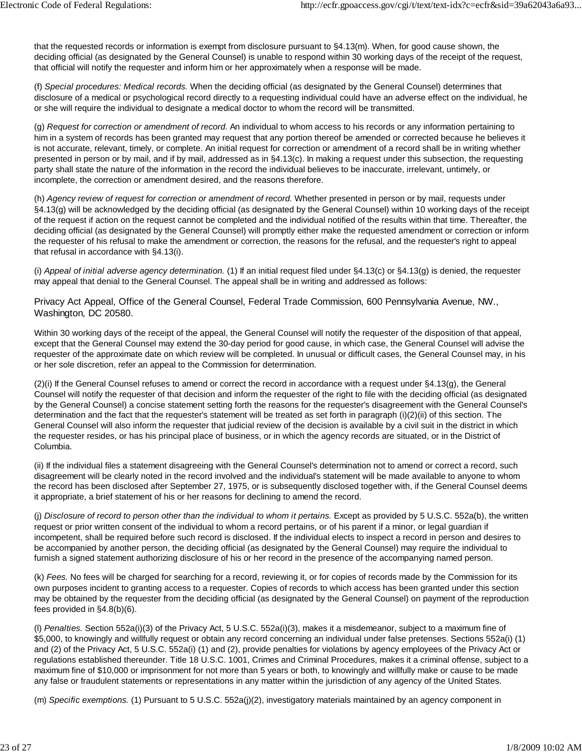that the requested records or information is exempt from disclosure pursuant to §4.13(m). When, for good cause shown, the deciding official (as designated by the General Counsel) is unable to respond within 30 working days of the receipt of the request, that official will notify the requester and inform him or her approximately when a response will be made.

(f) *Special procedures: Medical records.* When the deciding official (as designated by the General Counsel) determines that disclosure of a medical or psychological record directly to a requesting individual could have an adverse effect on the individual, he or she will require the individual to designate a medical doctor to whom the record will be transmitted.

(g) *Request for correction or amendment of record.* An individual to whom access to his records or any information pertaining to him in a system of records has been granted may request that any portion thereof be amended or corrected because he believes it is not accurate, relevant, timely, or complete. An initial request for correction or amendment of a record shall be in writing whether presented in person or by mail, and if by mail, addressed as in §4.13(c). In making a request under this subsection, the requesting party shall state the nature of the information in the record the individual believes to be inaccurate, irrelevant, untimely, or incomplete, the correction or amendment desired, and the reasons therefore.

(h) *Agency review of request for correction or amendment of record.* Whether presented in person or by mail, requests under §4.13(g) will be acknowledged by the deciding official (as designated by the General Counsel) within 10 working days of the receipt of the request if action on the request cannot be completed and the individual notified of the results within that time. Thereafter, the deciding official (as designated by the General Counsel) will promptly either make the requested amendment or correction or inform the requester of his refusal to make the amendment or correction, the reasons for the refusal, and the requester's right to appeal that refusal in accordance with §4.13(i).

(i) *Appeal of initial adverse agency determination.* (1) If an initial request filed under §4.13(c) or §4.13(g) is denied, the requester may appeal that denial to the General Counsel. The appeal shall be in writing and addressed as follows:

Privacy Act Appeal, Office of the General Counsel, Federal Trade Commission, 600 Pennsylvania Avenue, NW., Washington, DC 20580.

Within 30 working days of the receipt of the appeal, the General Counsel will notify the requester of the disposition of that appeal, except that the General Counsel may extend the 30-day period for good cause, in which case, the General Counsel will advise the requester of the approximate date on which review will be completed. In unusual or difficult cases, the General Counsel may, in his or her sole discretion, refer an appeal to the Commission for determination.

(2)(i) If the General Counsel refuses to amend or correct the record in accordance with a request under §4.13(g), the General Counsel will notify the requester of that decision and inform the requester of the right to file with the deciding official (as designated by the General Counsel) a concise statement setting forth the reasons for the requester's disagreement with the General Counsel's determination and the fact that the requester's statement will be treated as set forth in paragraph (i)(2)(ii) of this section. The General Counsel will also inform the requester that judicial review of the decision is available by a civil suit in the district in which the requester resides, or has his principal place of business, or in which the agency records are situated, or in the District of Columbia.

(ii) If the individual files a statement disagreeing with the General Counsel's determination not to amend or correct a record, such disagreement will be clearly noted in the record involved and the individual's statement will be made available to anyone to whom the record has been disclosed after September 27, 1975, or is subsequently disclosed together with, if the General Counsel deems it appropriate, a brief statement of his or her reasons for declining to amend the record.

(j) *Disclosure of record to person other than the individual to whom it pertains.* Except as provided by 5 U.S.C. 552a(b), the written request or prior written consent of the individual to whom a record pertains, or of his parent if a minor, or legal guardian if incompetent, shall be required before such record is disclosed. If the individual elects to inspect a record in person and desires to be accompanied by another person, the deciding official (as designated by the General Counsel) may require the individual to furnish a signed statement authorizing disclosure of his or her record in the presence of the accompanying named person.

(k) *Fees.* No fees will be charged for searching for a record, reviewing it, or for copies of records made by the Commission for its own purposes incident to granting access to a requester. Copies of records to which access has been granted under this section may be obtained by the requester from the deciding official (as designated by the General Counsel) on payment of the reproduction fees provided in §4.8(b)(6).

(l) *Penalties.* Section 552a(i)(3) of the Privacy Act, 5 U.S.C. 552a(i)(3), makes it a misdemeanor, subject to a maximum fine of \$5,000, to knowingly and willfully request or obtain any record concerning an individual under false pretenses. Sections 552a(i) (1) and (2) of the Privacy Act, 5 U.S.C. 552a(i) (1) and (2), provide penalties for violations by agency employees of the Privacy Act or regulations established thereunder. Title 18 U.S.C. 1001, Crimes and Criminal Procedures, makes it a criminal offense, subject to a maximum fine of \$10,000 or imprisonment for not more than 5 years or both, to knowingly and willfully make or cause to be made any false or fraudulent statements or representations in any matter within the jurisdiction of any agency of the United States.

(m) *Specific exemptions.* (1) Pursuant to 5 U.S.C. 552a(j)(2), investigatory materials maintained by an agency component in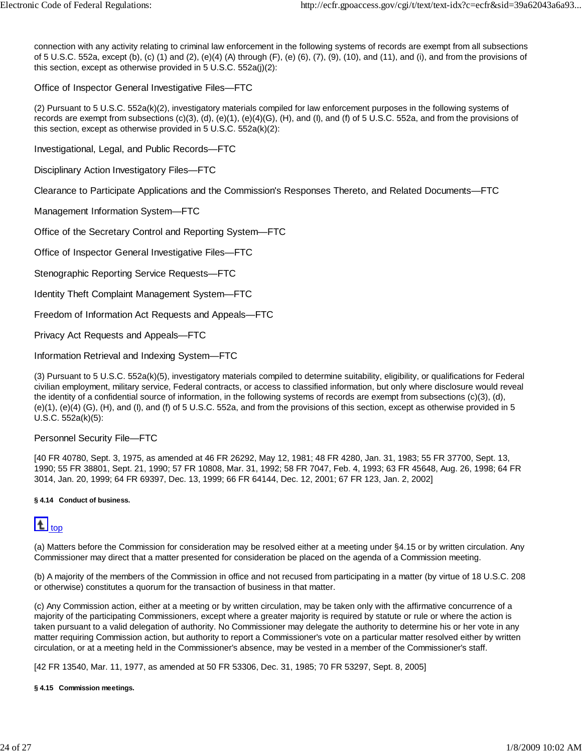connection with any activity relating to criminal law enforcement in the following systems of records are exempt from all subsections of 5 U.S.C. 552a, except (b), (c) (1) and (2), (e)(4) (A) through (F), (e) (6), (7), (9), (10), and (11), and (i), and from the provisions of this section, except as otherwise provided in 5 U.S.C. 552a(j)(2):

Office of Inspector General Investigative Files—FTC

(2) Pursuant to 5 U.S.C. 552a(k)(2), investigatory materials compiled for law enforcement purposes in the following systems of records are exempt from subsections (c)(3), (d), (e)(1), (e)(4)(G), (H), and (I), and (f) of 5 U.S.C. 552a, and from the provisions of this section, except as otherwise provided in 5 U.S.C. 552a(k)(2):

Investigational, Legal, and Public Records—FTC

Disciplinary Action Investigatory Files—FTC

Clearance to Participate Applications and the Commission's Responses Thereto, and Related Documents—FTC

Management Information System—FTC

Office of the Secretary Control and Reporting System—FTC

Office of Inspector General Investigative Files—FTC

Stenographic Reporting Service Requests—FTC

Identity Theft Complaint Management System—FTC

Freedom of Information Act Requests and Appeals—FTC

Privacy Act Requests and Appeals—FTC

Information Retrieval and Indexing System—FTC

(3) Pursuant to 5 U.S.C. 552a(k)(5), investigatory materials compiled to determine suitability, eligibility, or qualifications for Federal civilian employment, military service, Federal contracts, or access to classified information, but only where disclosure would reveal the identity of a confidential source of information, in the following systems of records are exempt from subsections (c)(3), (d), (e)(1), (e)(4) (G), (H), and (I), and (f) of 5 U.S.C. 552a, and from the provisions of this section, except as otherwise provided in 5 U.S.C. 552a(k)(5):

# Personnel Security File—FTC

[40 FR 40780, Sept. 3, 1975, as amended at 46 FR 26292, May 12, 1981; 48 FR 4280, Jan. 31, 1983; 55 FR 37700, Sept. 13, 1990; 55 FR 38801, Sept. 21, 1990; 57 FR 10808, Mar. 31, 1992; 58 FR 7047, Feb. 4, 1993; 63 FR 45648, Aug. 26, 1998; 64 FR 3014, Jan. 20, 1999; 64 FR 69397, Dec. 13, 1999; 66 FR 64144, Dec. 12, 2001; 67 FR 123, Jan. 2, 2002]

## **§ 4.14 Conduct of business.**

### **L** top

(a) Matters before the Commission for consideration may be resolved either at a meeting under §4.15 or by written circulation. Any Commissioner may direct that a matter presented for consideration be placed on the agenda of a Commission meeting.

(b) A majority of the members of the Commission in office and not recused from participating in a matter (by virtue of 18 U.S.C. 208 or otherwise) constitutes a quorum for the transaction of business in that matter.

(c) Any Commission action, either at a meeting or by written circulation, may be taken only with the affirmative concurrence of a majority of the participating Commissioners, except where a greater majority is required by statute or rule or where the action is taken pursuant to a valid delegation of authority. No Commissioner may delegate the authority to determine his or her vote in any matter requiring Commission action, but authority to report a Commissioner's vote on a particular matter resolved either by written circulation, or at a meeting held in the Commissioner's absence, may be vested in a member of the Commissioner's staff.

[42 FR 13540, Mar. 11, 1977, as amended at 50 FR 53306, Dec. 31, 1985; 70 FR 53297, Sept. 8, 2005]

## **§ 4.15 Commission meetings.**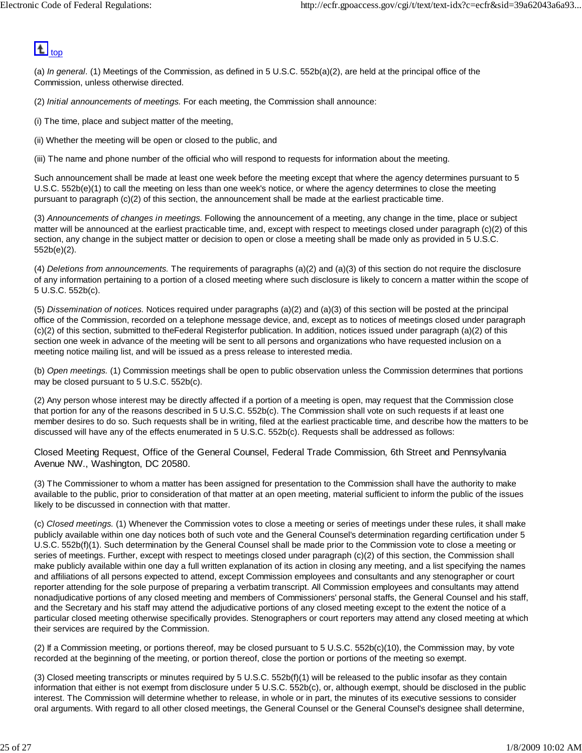# top

(a) *In general.* (1) Meetings of the Commission, as defined in 5 U.S.C. 552b(a)(2), are held at the principal office of the Commission, unless otherwise directed.

(2) *Initial announcements of meetings.* For each meeting, the Commission shall announce:

(i) The time, place and subject matter of the meeting,

(ii) Whether the meeting will be open or closed to the public, and

(iii) The name and phone number of the official who will respond to requests for information about the meeting.

Such announcement shall be made at least one week before the meeting except that where the agency determines pursuant to 5 U.S.C. 552b(e)(1) to call the meeting on less than one week's notice, or where the agency determines to close the meeting pursuant to paragraph (c)(2) of this section, the announcement shall be made at the earliest practicable time.

(3) *Announcements of changes in meetings.* Following the announcement of a meeting, any change in the time, place or subject matter will be announced at the earliest practicable time, and, except with respect to meetings closed under paragraph (c)(2) of this section, any change in the subject matter or decision to open or close a meeting shall be made only as provided in 5 U.S.C. 552b(e)(2).

(4) *Deletions from announcements.* The requirements of paragraphs (a)(2) and (a)(3) of this section do not require the disclosure of any information pertaining to a portion of a closed meeting where such disclosure is likely to concern a matter within the scope of 5 U.S.C. 552b(c).

(5) *Dissemination of notices.* Notices required under paragraphs (a)(2) and (a)(3) of this section will be posted at the principal office of the Commission, recorded on a telephone message device, and, except as to notices of meetings closed under paragraph (c)(2) of this section, submitted to theFederal Registerfor publication. In addition, notices issued under paragraph (a)(2) of this section one week in advance of the meeting will be sent to all persons and organizations who have requested inclusion on a meeting notice mailing list, and will be issued as a press release to interested media.

(b) *Open meetings.* (1) Commission meetings shall be open to public observation unless the Commission determines that portions may be closed pursuant to 5 U.S.C. 552b(c).

(2) Any person whose interest may be directly affected if a portion of a meeting is open, may request that the Commission close that portion for any of the reasons described in 5 U.S.C. 552b(c). The Commission shall vote on such requests if at least one member desires to do so. Such requests shall be in writing, filed at the earliest practicable time, and describe how the matters to be discussed will have any of the effects enumerated in 5 U.S.C. 552b(c). Requests shall be addressed as follows:

Closed Meeting Request, Office of the General Counsel, Federal Trade Commission, 6th Street and Pennsylvania Avenue NW., Washington, DC 20580.

(3) The Commissioner to whom a matter has been assigned for presentation to the Commission shall have the authority to make available to the public, prior to consideration of that matter at an open meeting, material sufficient to inform the public of the issues likely to be discussed in connection with that matter.

(c) *Closed meetings.* (1) Whenever the Commission votes to close a meeting or series of meetings under these rules, it shall make publicly available within one day notices both of such vote and the General Counsel's determination regarding certification under 5 U.S.C. 552b(f)(1). Such determination by the General Counsel shall be made prior to the Commission vote to close a meeting or series of meetings. Further, except with respect to meetings closed under paragraph (c)(2) of this section, the Commission shall make publicly available within one day a full written explanation of its action in closing any meeting, and a list specifying the names and affiliations of all persons expected to attend, except Commission employees and consultants and any stenographer or court reporter attending for the sole purpose of preparing a verbatim transcript. All Commission employees and consultants may attend nonadjudicative portions of any closed meeting and members of Commissioners' personal staffs, the General Counsel and his staff, and the Secretary and his staff may attend the adjudicative portions of any closed meeting except to the extent the notice of a particular closed meeting otherwise specifically provides. Stenographers or court reporters may attend any closed meeting at which their services are required by the Commission.

(2) If a Commission meeting, or portions thereof, may be closed pursuant to 5 U.S.C. 552b(c)(10), the Commission may, by vote recorded at the beginning of the meeting, or portion thereof, close the portion or portions of the meeting so exempt.

(3) Closed meeting transcripts or minutes required by 5 U.S.C. 552b(f)(1) will be released to the public insofar as they contain information that either is not exempt from disclosure under 5 U.S.C. 552b(c), or, although exempt, should be disclosed in the public interest. The Commission will determine whether to release, in whole or in part, the minutes of its executive sessions to consider oral arguments. With regard to all other closed meetings, the General Counsel or the General Counsel's designee shall determine,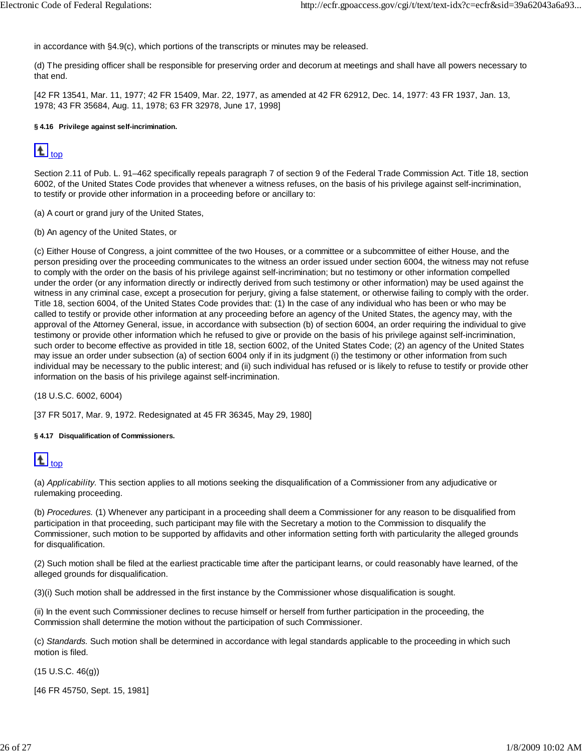in accordance with §4.9(c), which portions of the transcripts or minutes may be released.

(d) The presiding officer shall be responsible for preserving order and decorum at meetings and shall have all powers necessary to that end.

[42 FR 13541, Mar. 11, 1977; 42 FR 15409, Mar. 22, 1977, as amended at 42 FR 62912, Dec. 14, 1977: 43 FR 1937, Jan. 13, 1978; 43 FR 35684, Aug. 11, 1978; 63 FR 32978, June 17, 1998]

### **§ 4.16 Privilege against self-incrimination.**

# top

Section 2.11 of Pub. L. 91–462 specifically repeals paragraph 7 of section 9 of the Federal Trade Commission Act. Title 18, section 6002, of the United States Code provides that whenever a witness refuses, on the basis of his privilege against self-incrimination, to testify or provide other information in a proceeding before or ancillary to:

(a) A court or grand jury of the United States,

(b) An agency of the United States, or

(c) Either House of Congress, a joint committee of the two Houses, or a committee or a subcommittee of either House, and the person presiding over the proceeding communicates to the witness an order issued under section 6004, the witness may not refuse to comply with the order on the basis of his privilege against self-incrimination; but no testimony or other information compelled under the order (or any information directly or indirectly derived from such testimony or other information) may be used against the witness in any criminal case, except a prosecution for perjury, giving a false statement, or otherwise failing to comply with the order. Title 18, section 6004, of the United States Code provides that: (1) In the case of any individual who has been or who may be called to testify or provide other information at any proceeding before an agency of the United States, the agency may, with the approval of the Attorney General, issue, in accordance with subsection (b) of section 6004, an order requiring the individual to give testimony or provide other information which he refused to give or provide on the basis of his privilege against self-incrimination, such order to become effective as provided in title 18, section 6002, of the United States Code; (2) an agency of the United States may issue an order under subsection (a) of section 6004 only if in its judgment (i) the testimony or other information from such individual may be necessary to the public interest; and (ii) such individual has refused or is likely to refuse to testify or provide other information on the basis of his privilege against self-incrimination.

(18 U.S.C. 6002, 6004)

[37 FR 5017, Mar. 9, 1972. Redesignated at 45 FR 36345, May 29, 1980]

## **§ 4.17 Disqualification of Commissioners.**

# $t_{\text{top}}$

(a) *Applicability.* This section applies to all motions seeking the disqualification of a Commissioner from any adjudicative or rulemaking proceeding.

(b) *Procedures.* (1) Whenever any participant in a proceeding shall deem a Commissioner for any reason to be disqualified from participation in that proceeding, such participant may file with the Secretary a motion to the Commission to disqualify the Commissioner, such motion to be supported by affidavits and other information setting forth with particularity the alleged grounds for disqualification.

(2) Such motion shall be filed at the earliest practicable time after the participant learns, or could reasonably have learned, of the alleged grounds for disqualification.

(3)(i) Such motion shall be addressed in the first instance by the Commissioner whose disqualification is sought.

(ii) In the event such Commissioner declines to recuse himself or herself from further participation in the proceeding, the Commission shall determine the motion without the participation of such Commissioner.

(c) *Standards.* Such motion shall be determined in accordance with legal standards applicable to the proceeding in which such motion is filed.

 $(15 \text{ U.S.C. } 46(g))$ 

[46 FR 45750, Sept. 15, 1981]